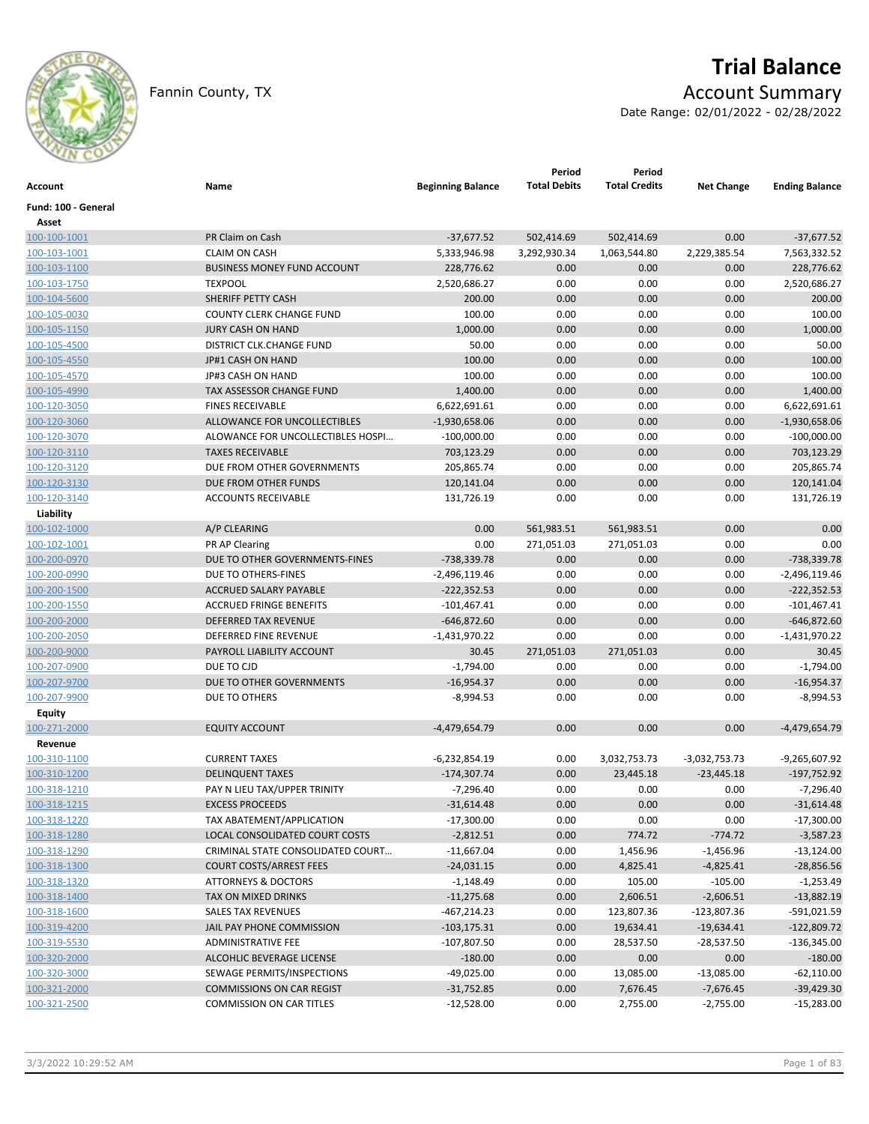

# **Trial Balance**

Fannin County, TX **Account Summary** 

Date Range: 02/01/2022 - 02/28/2022

| Account                      | Name                                  | <b>Beginning Balance</b> | Period<br><b>Total Debits</b> | Period<br><b>Total Credits</b> | <b>Net Change</b>    | <b>Ending Balance</b> |
|------------------------------|---------------------------------------|--------------------------|-------------------------------|--------------------------------|----------------------|-----------------------|
| Fund: 100 - General          |                                       |                          |                               |                                |                      |                       |
| Asset<br>100-100-1001        | PR Claim on Cash                      | $-37,677.52$             | 502,414.69                    | 502,414.69                     | 0.00                 | $-37,677.52$          |
| 100-103-1001                 | <b>CLAIM ON CASH</b>                  |                          |                               |                                |                      | 7,563,332.52          |
|                              | <b>BUSINESS MONEY FUND ACCOUNT</b>    | 5,333,946.98             | 3,292,930.34<br>0.00          | 1,063,544.80<br>0.00           | 2,229,385.54<br>0.00 | 228,776.62            |
| 100-103-1100                 |                                       | 228,776.62               |                               |                                |                      |                       |
| 100-103-1750                 | <b>TEXPOOL</b>                        | 2,520,686.27             | 0.00                          | 0.00                           | 0.00                 | 2,520,686.27          |
| 100-104-5600                 | SHERIFF PETTY CASH                    | 200.00                   | 0.00                          | 0.00                           | 0.00                 | 200.00                |
| 100-105-0030                 | <b>COUNTY CLERK CHANGE FUND</b>       | 100.00                   | 0.00                          | 0.00                           | 0.00                 | 100.00                |
| 100-105-1150                 | JURY CASH ON HAND                     | 1,000.00                 | 0.00                          | 0.00                           | 0.00                 | 1,000.00              |
| 100-105-4500                 | DISTRICT CLK.CHANGE FUND              | 50.00                    | 0.00                          | 0.00                           | 0.00                 | 50.00                 |
| 100-105-4550                 | JP#1 CASH ON HAND                     | 100.00                   | 0.00                          | 0.00                           | 0.00                 | 100.00                |
| 100-105-4570                 | JP#3 CASH ON HAND                     | 100.00                   | 0.00                          | 0.00                           | 0.00                 | 100.00                |
| 100-105-4990                 | TAX ASSESSOR CHANGE FUND              | 1,400.00                 | 0.00                          | 0.00                           | 0.00                 | 1,400.00              |
| 100-120-3050                 | <b>FINES RECEIVABLE</b>               | 6,622,691.61             | 0.00                          | 0.00                           | 0.00                 | 6,622,691.61          |
| 100-120-3060                 | ALLOWANCE FOR UNCOLLECTIBLES          | $-1,930,658.06$          | 0.00                          | 0.00                           | 0.00                 | $-1,930,658.06$       |
| 100-120-3070                 | ALOWANCE FOR UNCOLLECTIBLES HOSPI     | $-100,000.00$            | 0.00                          | 0.00                           | 0.00                 | $-100,000.00$         |
| 100-120-3110                 | <b>TAXES RECEIVABLE</b>               | 703,123.29               | 0.00                          | 0.00                           | 0.00                 | 703,123.29            |
| 100-120-3120                 | DUE FROM OTHER GOVERNMENTS            | 205,865.74               | 0.00                          | 0.00                           | 0.00                 | 205,865.74            |
| 100-120-3130                 | DUE FROM OTHER FUNDS                  | 120,141.04               | 0.00                          | 0.00                           | 0.00                 | 120,141.04            |
| 100-120-3140                 | <b>ACCOUNTS RECEIVABLE</b>            | 131,726.19               | 0.00                          | 0.00                           | 0.00                 | 131,726.19            |
| Liability                    |                                       |                          |                               |                                |                      |                       |
| 100-102-1000                 | A/P CLEARING                          | 0.00                     | 561,983.51                    | 561,983.51                     | 0.00                 | 0.00                  |
| 100-102-1001                 | PR AP Clearing                        | 0.00                     | 271,051.03                    | 271,051.03                     | 0.00                 | 0.00                  |
| 100-200-0970                 | DUE TO OTHER GOVERNMENTS-FINES        | -738,339.78              | 0.00                          | 0.00                           | 0.00                 | $-738,339.78$         |
| 100-200-0990                 | DUE TO OTHERS-FINES                   | $-2,496,119.46$          | 0.00                          | 0.00                           | 0.00                 | $-2,496,119.46$       |
| 100-200-1500                 | <b>ACCRUED SALARY PAYABLE</b>         | $-222,352.53$            | 0.00                          | 0.00                           | 0.00                 | $-222,352.53$         |
| 100-200-1550                 | <b>ACCRUED FRINGE BENEFITS</b>        | $-101,467.41$            | 0.00                          | 0.00                           | 0.00                 | $-101,467.41$         |
| 100-200-2000                 | DEFERRED TAX REVENUE                  | -646,872.60              | 0.00                          | 0.00                           | 0.00                 | $-646,872.60$         |
| 100-200-2050                 | DEFERRED FINE REVENUE                 | $-1,431,970.22$          | 0.00                          | 0.00                           | 0.00                 | $-1,431,970.22$       |
| 100-200-9000                 | PAYROLL LIABILITY ACCOUNT             | 30.45                    | 271,051.03                    | 271,051.03                     | 0.00                 | 30.45                 |
| 100-207-0900                 | DUE TO CJD                            | $-1,794.00$              | 0.00                          | 0.00                           | 0.00                 | $-1,794.00$           |
| 100-207-9700                 | DUE TO OTHER GOVERNMENTS              | $-16,954.37$             | 0.00                          | 0.00                           | 0.00                 | $-16,954.37$          |
| 100-207-9900                 | DUE TO OTHERS                         | $-8,994.53$              | 0.00                          | 0.00                           | 0.00                 | $-8,994.53$           |
| Equity                       |                                       |                          |                               |                                |                      |                       |
| 100-271-2000                 | <b>EQUITY ACCOUNT</b>                 | -4,479,654.79            | 0.00                          | 0.00                           | 0.00                 | -4,479,654.79         |
| Revenue                      |                                       |                          |                               |                                |                      |                       |
| 100-310-1100                 | <b>CURRENT TAXES</b>                  | -6,232,854.19            | 0.00                          | 3,032,753.73                   | $-3,032,753.73$      | -9,265,607.92         |
| 100-310-1200                 | <b>DELINQUENT TAXES</b>               | $-174,307.74$            | 0.00                          | 23,445.18                      | $-23,445.18$         | -197,752.92           |
| 100-318-1210                 | PAY N LIEU TAX/UPPER TRINITY          | $-7,296.40$              | 0.00                          | 0.00                           | 0.00                 | $-7,296.40$           |
| 100-318-1215                 | <b>EXCESS PROCEEDS</b>                | $-31,614.48$             | 0.00                          | 0.00                           | 0.00                 | $-31,614.48$          |
| 100-318-1220                 | TAX ABATEMENT/APPLICATION             | $-17,300.00$             | 0.00                          | 0.00                           | 0.00                 | $-17,300.00$          |
| 100-318-1280                 | <b>LOCAL CONSOLIDATED COURT COSTS</b> | $-2,812.51$              | 0.00                          | 774.72                         | $-774.72$            | $-3,587.23$           |
| 100-318-1290                 | CRIMINAL STATE CONSOLIDATED COURT     | $-11,667.04$             | 0.00                          | 1,456.96                       | $-1,456.96$          | $-13,124.00$          |
| 100-318-1300                 | <b>COURT COSTS/ARREST FEES</b>        | $-24,031.15$             | 0.00                          | 4,825.41                       | $-4,825.41$          | $-28,856.56$          |
| 100-318-1320                 | <b>ATTORNEYS &amp; DOCTORS</b>        | $-1,148.49$              | 0.00                          | 105.00                         | $-105.00$            | $-1,253.49$           |
| 100-318-1400                 | TAX ON MIXED DRINKS                   | $-11,275.68$             | 0.00                          | 2,606.51                       | $-2,606.51$          | $-13,882.19$          |
|                              | SALES TAX REVENUES                    | -467,214.23              | 0.00                          |                                | -123,807.36          | -591,021.59           |
| 100-318-1600<br>100-319-4200 | JAIL PAY PHONE COMMISSION             | $-103, 175.31$           | 0.00                          | 123,807.36<br>19,634.41        | $-19,634.41$         | $-122,809.72$         |
| 100-319-5530                 | ADMINISTRATIVE FEE                    | $-107,807.50$            | 0.00                          |                                |                      | $-136,345.00$         |
| 100-320-2000                 | ALCOHLIC BEVERAGE LICENSE             |                          |                               | 28,537.50                      | -28,537.50           |                       |
|                              |                                       | $-180.00$                | 0.00                          | 0.00                           | 0.00                 | $-180.00$             |
| 100-320-3000                 | SEWAGE PERMITS/INSPECTIONS            | $-49,025.00$             | 0.00                          | 13,085.00                      | $-13,085.00$         | $-62,110.00$          |
| 100-321-2000                 | <b>COMMISSIONS ON CAR REGIST</b>      | $-31,752.85$             | 0.00                          | 7,676.45                       | $-7,676.45$          | $-39,429.30$          |
| 100-321-2500                 | COMMISSION ON CAR TITLES              | $-12,528.00$             | 0.00                          | 2,755.00                       | $-2,755.00$          | $-15,283.00$          |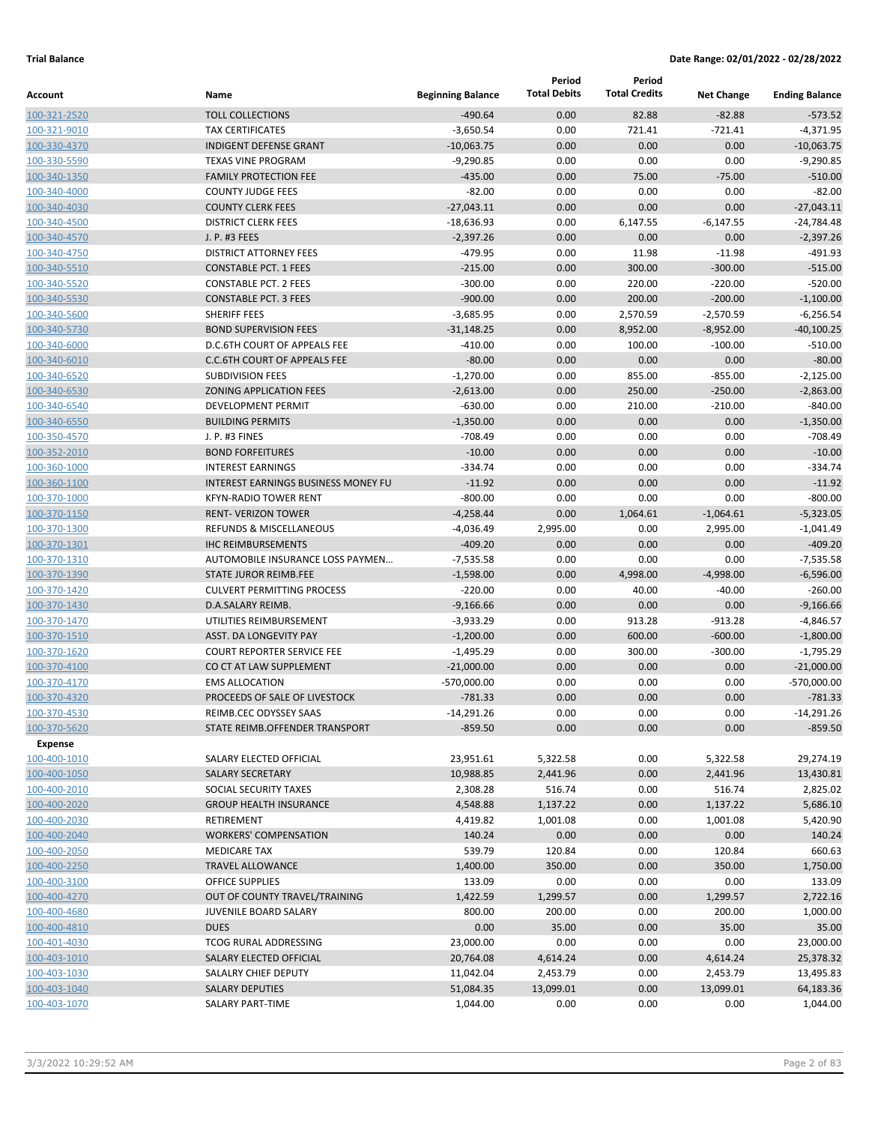|                              |                                                                  |                          | Period              | Period               |                   |                            |
|------------------------------|------------------------------------------------------------------|--------------------------|---------------------|----------------------|-------------------|----------------------------|
| Account                      | Name                                                             | <b>Beginning Balance</b> | <b>Total Debits</b> | <b>Total Credits</b> | <b>Net Change</b> | <b>Ending Balance</b>      |
| 100-321-2520                 | <b>TOLL COLLECTIONS</b>                                          | $-490.64$                | 0.00                | 82.88                | $-82.88$          | $-573.52$                  |
| 100-321-9010                 | <b>TAX CERTIFICATES</b>                                          | $-3,650.54$              | 0.00                | 721.41               | $-721.41$         | $-4,371.95$                |
| 100-330-4370                 | <b>INDIGENT DEFENSE GRANT</b>                                    | $-10,063.75$             | 0.00                | 0.00                 | 0.00              | $-10,063.75$               |
| 100-330-5590                 | <b>TEXAS VINE PROGRAM</b>                                        | $-9,290.85$              | 0.00                | 0.00                 | 0.00              | $-9,290.85$                |
| 100-340-1350                 | <b>FAMILY PROTECTION FEE</b>                                     | $-435.00$                | 0.00                | 75.00                | $-75.00$          | $-510.00$                  |
| 100-340-4000                 | <b>COUNTY JUDGE FEES</b>                                         | $-82.00$                 | 0.00                | 0.00                 | 0.00              | $-82.00$                   |
| 100-340-4030                 | <b>COUNTY CLERK FEES</b>                                         | $-27,043.11$             | 0.00                | 0.00                 | 0.00              | $-27,043.11$               |
| 100-340-4500                 | <b>DISTRICT CLERK FEES</b>                                       | $-18,636.93$             | 0.00                | 6,147.55             | $-6,147.55$       | $-24,784.48$               |
| 100-340-4570                 | J. P. #3 FEES                                                    | $-2,397.26$              | 0.00                | 0.00                 | 0.00              | $-2,397.26$                |
| 100-340-4750                 | <b>DISTRICT ATTORNEY FEES</b>                                    | $-479.95$                | 0.00                | 11.98                | $-11.98$          | $-491.93$                  |
| 100-340-5510                 | <b>CONSTABLE PCT. 1 FEES</b>                                     | $-215.00$                | 0.00                | 300.00               | $-300.00$         | $-515.00$                  |
| 100-340-5520                 | <b>CONSTABLE PCT. 2 FEES</b>                                     | $-300.00$                | 0.00                | 220.00               | $-220.00$         | $-520.00$                  |
| 100-340-5530                 | <b>CONSTABLE PCT. 3 FEES</b>                                     | $-900.00$                | 0.00                | 200.00               | $-200.00$         | $-1,100.00$                |
| 100-340-5600                 | SHERIFF FEES                                                     | $-3,685.95$              | 0.00                | 2,570.59             | $-2,570.59$       | $-6,256.54$                |
| 100-340-5730                 | <b>BOND SUPERVISION FEES</b>                                     | $-31,148.25$             | 0.00                | 8,952.00             | $-8,952.00$       | $-40,100.25$               |
| 100-340-6000                 | D.C.6TH COURT OF APPEALS FEE                                     | $-410.00$                | 0.00                | 100.00               | $-100.00$         | $-510.00$                  |
| 100-340-6010                 | <b>C.C.6TH COURT OF APPEALS FEE</b>                              | $-80.00$                 | 0.00                | 0.00                 | 0.00              | $-80.00$                   |
| 100-340-6520                 | <b>SUBDIVISION FEES</b>                                          | $-1,270.00$              | 0.00                | 855.00               | $-855.00$         | $-2,125.00$                |
| 100-340-6530                 | <b>ZONING APPLICATION FEES</b>                                   | $-2,613.00$              | 0.00                | 250.00               | $-250.00$         | $-2,863.00$                |
| 100-340-6540                 | <b>DEVELOPMENT PERMIT</b>                                        | $-630.00$                | 0.00                | 210.00               | $-210.00$         | $-840.00$                  |
| 100-340-6550                 | <b>BUILDING PERMITS</b>                                          | $-1,350.00$              | 0.00                | 0.00                 | 0.00              | $-1,350.00$                |
| 100-350-4570                 | J. P. #3 FINES                                                   | $-708.49$                | 0.00                | 0.00                 | 0.00              | $-708.49$                  |
| 100-352-2010                 | <b>BOND FORFEITURES</b>                                          | $-10.00$                 | 0.00                | 0.00                 | 0.00              | $-10.00$                   |
| 100-360-1000                 | <b>INTEREST EARNINGS</b>                                         | $-334.74$                | 0.00                | 0.00                 | 0.00              | $-334.74$                  |
| 100-360-1100                 | <b>INTEREST EARNINGS BUSINESS MONEY FU</b>                       | $-11.92$                 | 0.00                | 0.00                 | 0.00              | $-11.92$                   |
| 100-370-1000                 | <b>KFYN-RADIO TOWER RENT</b>                                     | $-800.00$                | 0.00                | 0.00                 | 0.00              | $-800.00$                  |
| 100-370-1150                 | <b>RENT- VERIZON TOWER</b>                                       | $-4,258.44$              | 0.00                | 1,064.61             | $-1,064.61$       | $-5,323.05$                |
| 100-370-1300                 | <b>REFUNDS &amp; MISCELLANEOUS</b>                               | $-4,036.49$              | 2,995.00            | 0.00                 | 2,995.00          | $-1,041.49$                |
| 100-370-1301                 | <b>IHC REIMBURSEMENTS</b>                                        | $-409.20$                | 0.00<br>0.00        | 0.00<br>0.00         | 0.00<br>0.00      | $-409.20$                  |
| 100-370-1310                 | AUTOMOBILE INSURANCE LOSS PAYMEN<br><b>STATE JUROR REIMB.FEE</b> | $-7,535.58$              | 0.00                |                      | $-4,998.00$       | $-7,535.58$<br>$-6,596.00$ |
| 100-370-1390                 | <b>CULVERT PERMITTING PROCESS</b>                                | $-1,598.00$<br>$-220.00$ | 0.00                | 4,998.00<br>40.00    | $-40.00$          | $-260.00$                  |
| 100-370-1420<br>100-370-1430 | D.A.SALARY REIMB.                                                | $-9,166.66$              | 0.00                | 0.00                 | 0.00              | $-9,166.66$                |
| 100-370-1470                 | UTILITIES REIMBURSEMENT                                          | $-3,933.29$              | 0.00                | 913.28               | $-913.28$         | $-4,846.57$                |
| 100-370-1510                 | <b>ASST. DA LONGEVITY PAY</b>                                    | $-1,200.00$              | 0.00                | 600.00               | $-600.00$         | $-1,800.00$                |
| 100-370-1620                 | <b>COURT REPORTER SERVICE FEE</b>                                | $-1,495.29$              | 0.00                | 300.00               | $-300.00$         | $-1,795.29$                |
| 100-370-4100                 | CO CT AT LAW SUPPLEMENT                                          | $-21,000.00$             | 0.00                | 0.00                 | 0.00              | $-21,000.00$               |
| 100-370-4170                 | <b>EMS ALLOCATION</b>                                            | $-570,000.00$            | 0.00                | 0.00                 | 0.00              | -570,000.00                |
| 100-370-4320                 | PROCEEDS OF SALE OF LIVESTOCK                                    | $-781.33$                | 0.00                | 0.00                 | 0.00              | $-781.33$                  |
| 100-370-4530                 | REIMB.CEC ODYSSEY SAAS                                           | $-14,291.26$             | 0.00                | 0.00                 | 0.00              | $-14,291.26$               |
| 100-370-5620                 | STATE REIMB.OFFENDER TRANSPORT                                   | $-859.50$                | 0.00                | 0.00                 | 0.00              | $-859.50$                  |
| Expense                      |                                                                  |                          |                     |                      |                   |                            |
| 100-400-1010                 | SALARY ELECTED OFFICIAL                                          | 23,951.61                | 5,322.58            | 0.00                 | 5,322.58          | 29,274.19                  |
| 100-400-1050                 | SALARY SECRETARY                                                 | 10,988.85                | 2,441.96            | 0.00                 | 2,441.96          | 13,430.81                  |
| 100-400-2010                 | SOCIAL SECURITY TAXES                                            | 2,308.28                 | 516.74              | 0.00                 | 516.74            | 2,825.02                   |
| 100-400-2020                 | <b>GROUP HEALTH INSURANCE</b>                                    | 4,548.88                 | 1,137.22            | 0.00                 | 1,137.22          | 5,686.10                   |
| 100-400-2030                 | <b>RETIREMENT</b>                                                | 4,419.82                 | 1,001.08            | 0.00                 | 1,001.08          | 5,420.90                   |
| 100-400-2040                 | <b>WORKERS' COMPENSATION</b>                                     | 140.24                   | 0.00                | 0.00                 | 0.00              | 140.24                     |
| 100-400-2050                 | <b>MEDICARE TAX</b>                                              | 539.79                   | 120.84              | 0.00                 | 120.84            | 660.63                     |
| 100-400-2250                 | <b>TRAVEL ALLOWANCE</b>                                          | 1,400.00                 | 350.00              | 0.00                 | 350.00            | 1,750.00                   |
| 100-400-3100                 | OFFICE SUPPLIES                                                  | 133.09                   | 0.00                | 0.00                 | 0.00              | 133.09                     |
| 100-400-4270                 | OUT OF COUNTY TRAVEL/TRAINING                                    | 1,422.59                 | 1,299.57            | 0.00                 | 1,299.57          | 2,722.16                   |
| 100-400-4680                 | JUVENILE BOARD SALARY                                            | 800.00                   | 200.00              | 0.00                 | 200.00            | 1,000.00                   |
| 100-400-4810                 | <b>DUES</b>                                                      | 0.00                     | 35.00               | 0.00                 | 35.00             | 35.00                      |
| 100-401-4030                 | TCOG RURAL ADDRESSING                                            | 23,000.00                | 0.00                | 0.00                 | 0.00              | 23,000.00                  |
| 100-403-1010                 | SALARY ELECTED OFFICIAL                                          | 20,764.08                | 4,614.24            | 0.00                 | 4,614.24          | 25,378.32                  |
| 100-403-1030                 | SALALRY CHIEF DEPUTY                                             | 11,042.04                | 2,453.79            | 0.00                 | 2,453.79          | 13,495.83                  |
| 100-403-1040                 | <b>SALARY DEPUTIES</b>                                           | 51,084.35                | 13,099.01           | 0.00                 | 13,099.01         | 64,183.36                  |
| 100-403-1070                 | SALARY PART-TIME                                                 | 1,044.00                 | 0.00                | 0.00                 | 0.00              | 1,044.00                   |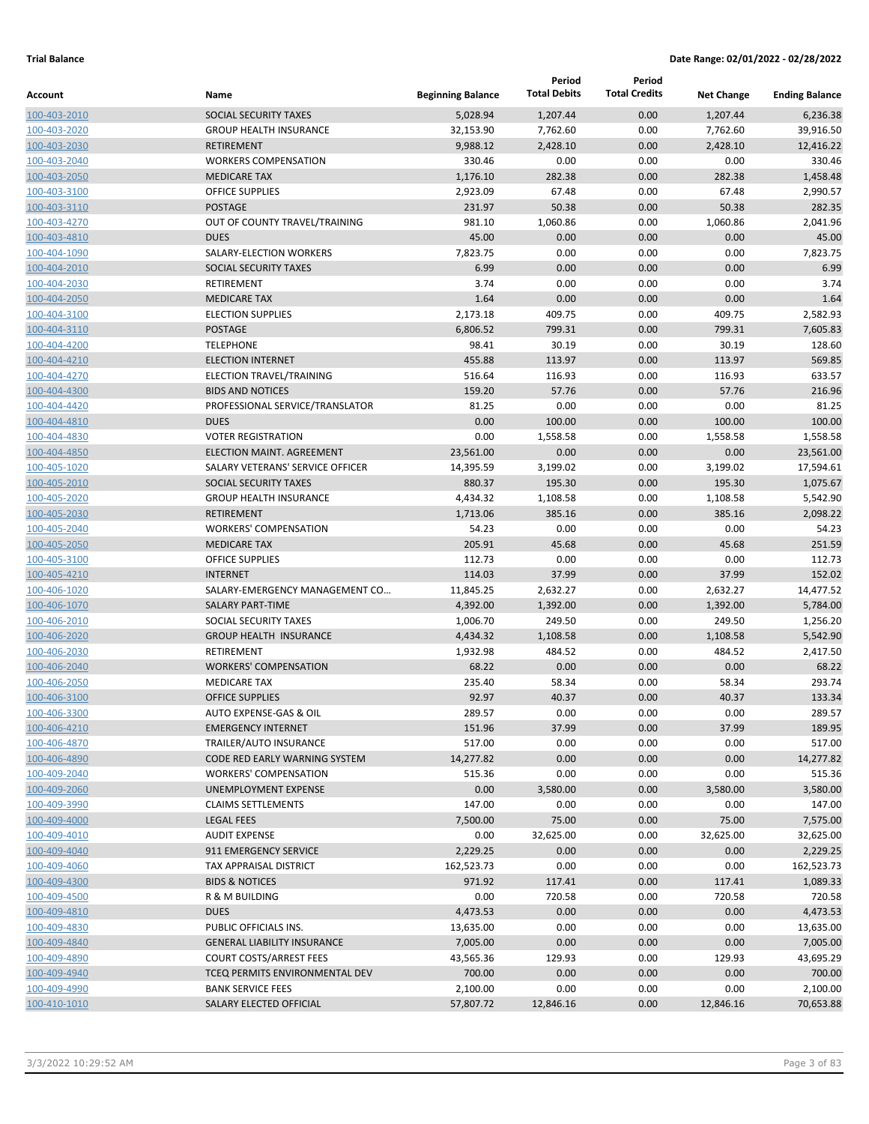|              |                                    |                          | Period              | Period               |                   |                       |
|--------------|------------------------------------|--------------------------|---------------------|----------------------|-------------------|-----------------------|
| Account      | Name                               | <b>Beginning Balance</b> | <b>Total Debits</b> | <b>Total Credits</b> | <b>Net Change</b> | <b>Ending Balance</b> |
| 100-403-2010 | SOCIAL SECURITY TAXES              | 5.028.94                 | 1,207.44            | 0.00                 | 1,207.44          | 6,236.38              |
| 100-403-2020 | <b>GROUP HEALTH INSURANCE</b>      | 32,153.90                | 7,762.60            | 0.00                 | 7,762.60          | 39,916.50             |
| 100-403-2030 | <b>RETIREMENT</b>                  | 9,988.12                 | 2,428.10            | 0.00                 | 2,428.10          | 12,416.22             |
| 100-403-2040 | <b>WORKERS COMPENSATION</b>        | 330.46                   | 0.00                | 0.00                 | 0.00              | 330.46                |
| 100-403-2050 | <b>MEDICARE TAX</b>                | 1,176.10                 | 282.38              | 0.00                 | 282.38            | 1,458.48              |
| 100-403-3100 | <b>OFFICE SUPPLIES</b>             | 2,923.09                 | 67.48               | 0.00                 | 67.48             | 2,990.57              |
| 100-403-3110 | <b>POSTAGE</b>                     | 231.97                   | 50.38               | 0.00                 | 50.38             | 282.35                |
| 100-403-4270 | OUT OF COUNTY TRAVEL/TRAINING      | 981.10                   | 1,060.86            | 0.00                 | 1,060.86          | 2,041.96              |
| 100-403-4810 | <b>DUES</b>                        | 45.00                    | 0.00                | 0.00                 | 0.00              | 45.00                 |
| 100-404-1090 | SALARY-ELECTION WORKERS            | 7,823.75                 | 0.00                | 0.00                 | 0.00              | 7,823.75              |
| 100-404-2010 | SOCIAL SECURITY TAXES              | 6.99                     | 0.00                | 0.00                 | 0.00              | 6.99                  |
| 100-404-2030 | RETIREMENT                         | 3.74                     | 0.00                | 0.00                 | 0.00              | 3.74                  |
| 100-404-2050 | <b>MEDICARE TAX</b>                | 1.64                     | 0.00                | 0.00                 | 0.00              | 1.64                  |
| 100-404-3100 | <b>ELECTION SUPPLIES</b>           | 2,173.18                 | 409.75              | 0.00                 | 409.75            | 2,582.93              |
| 100-404-3110 | <b>POSTAGE</b>                     | 6,806.52                 | 799.31              | 0.00                 | 799.31            | 7,605.83              |
| 100-404-4200 | <b>TELEPHONE</b>                   | 98.41                    | 30.19               | 0.00                 | 30.19             | 128.60                |
| 100-404-4210 | <b>ELECTION INTERNET</b>           | 455.88                   | 113.97              | 0.00                 | 113.97            | 569.85                |
| 100-404-4270 | ELECTION TRAVEL/TRAINING           | 516.64                   | 116.93              | 0.00                 | 116.93            | 633.57                |
| 100-404-4300 | <b>BIDS AND NOTICES</b>            | 159.20                   | 57.76               | 0.00                 | 57.76             | 216.96                |
| 100-404-4420 | PROFESSIONAL SERVICE/TRANSLATOR    | 81.25                    | 0.00                | 0.00                 | 0.00              | 81.25                 |
| 100-404-4810 | <b>DUES</b>                        | 0.00                     | 100.00              | 0.00                 | 100.00            | 100.00                |
| 100-404-4830 | <b>VOTER REGISTRATION</b>          | 0.00                     | 1,558.58            | 0.00                 | 1,558.58          | 1,558.58              |
| 100-404-4850 | <b>ELECTION MAINT. AGREEMENT</b>   | 23,561.00                | 0.00                | 0.00                 | 0.00              | 23,561.00             |
| 100-405-1020 | SALARY VETERANS' SERVICE OFFICER   | 14,395.59                | 3,199.02            | 0.00                 | 3,199.02          | 17,594.61             |
| 100-405-2010 | <b>SOCIAL SECURITY TAXES</b>       | 880.37                   | 195.30              | 0.00                 | 195.30            | 1,075.67              |
| 100-405-2020 | <b>GROUP HEALTH INSURANCE</b>      | 4,434.32                 | 1,108.58            | 0.00                 | 1,108.58          | 5,542.90              |
| 100-405-2030 | <b>RETIREMENT</b>                  | 1,713.06                 | 385.16              | 0.00                 | 385.16            | 2,098.22              |
| 100-405-2040 | <b>WORKERS' COMPENSATION</b>       | 54.23                    | 0.00                | 0.00                 | 0.00              | 54.23                 |
| 100-405-2050 | <b>MEDICARE TAX</b>                | 205.91                   | 45.68               | 0.00                 | 45.68             | 251.59                |
| 100-405-3100 | <b>OFFICE SUPPLIES</b>             | 112.73                   | 0.00                | 0.00                 | 0.00              | 112.73                |
| 100-405-4210 | <b>INTERNET</b>                    | 114.03                   | 37.99               | 0.00                 | 37.99             | 152.02                |
| 100-406-1020 | SALARY-EMERGENCY MANAGEMENT CO     | 11,845.25                | 2,632.27            | 0.00                 | 2,632.27          | 14,477.52             |
| 100-406-1070 | <b>SALARY PART-TIME</b>            | 4,392.00                 | 1,392.00            | 0.00                 | 1,392.00          | 5,784.00              |
| 100-406-2010 | SOCIAL SECURITY TAXES              | 1,006.70                 | 249.50              | 0.00                 | 249.50            | 1,256.20              |
| 100-406-2020 | <b>GROUP HEALTH INSURANCE</b>      | 4,434.32                 | 1,108.58            | 0.00                 | 1,108.58          | 5,542.90              |
| 100-406-2030 | RETIREMENT                         | 1,932.98                 | 484.52              | 0.00                 | 484.52            | 2,417.50              |
| 100-406-2040 | <b>WORKERS' COMPENSATION</b>       | 68.22                    | 0.00                | 0.00                 | 0.00              | 68.22                 |
| 100-406-2050 | <b>MEDICARE TAX</b>                | 235.40                   | 58.34               | 0.00                 | 58.34             | 293.74                |
| 100-406-3100 | <b>OFFICE SUPPLIES</b>             | 92.97                    | 40.37               | 0.00                 | 40.37             | 133.34                |
| 100-406-3300 | AUTO EXPENSE-GAS & OIL             | 289.57                   | 0.00                | 0.00                 | 0.00              | 289.57                |
| 100-406-4210 | <b>EMERGENCY INTERNET</b>          | 151.96                   | 37.99               | 0.00                 | 37.99             | 189.95                |
| 100-406-4870 | TRAILER/AUTO INSURANCE             | 517.00                   | 0.00                | 0.00                 | 0.00              | 517.00                |
| 100-406-4890 | CODE RED EARLY WARNING SYSTEM      | 14,277.82                | 0.00                | 0.00                 | 0.00              | 14,277.82             |
| 100-409-2040 | <b>WORKERS' COMPENSATION</b>       | 515.36                   | 0.00                | 0.00                 | 0.00              | 515.36                |
| 100-409-2060 | UNEMPLOYMENT EXPENSE               | 0.00                     | 3,580.00            | 0.00                 | 3,580.00          | 3,580.00              |
| 100-409-3990 | <b>CLAIMS SETTLEMENTS</b>          | 147.00                   | 0.00                | 0.00                 | 0.00              | 147.00                |
| 100-409-4000 | <b>LEGAL FEES</b>                  | 7,500.00                 | 75.00               | 0.00                 | 75.00             | 7,575.00              |
| 100-409-4010 | <b>AUDIT EXPENSE</b>               | 0.00                     | 32,625.00           | 0.00                 | 32,625.00         | 32,625.00             |
| 100-409-4040 | 911 EMERGENCY SERVICE              | 2,229.25                 | 0.00                | 0.00                 | 0.00              | 2,229.25              |
| 100-409-4060 | TAX APPRAISAL DISTRICT             | 162,523.73               | 0.00                | 0.00                 | 0.00              | 162,523.73            |
| 100-409-4300 | <b>BIDS &amp; NOTICES</b>          | 971.92                   | 117.41              | 0.00                 | 117.41            | 1,089.33              |
| 100-409-4500 | R & M BUILDING                     | 0.00                     | 720.58              | 0.00                 | 720.58            | 720.58                |
| 100-409-4810 | <b>DUES</b>                        | 4,473.53                 | 0.00                | 0.00                 | 0.00              | 4,473.53              |
| 100-409-4830 | PUBLIC OFFICIALS INS.              | 13,635.00                | 0.00                | 0.00                 | 0.00              | 13,635.00             |
| 100-409-4840 | <b>GENERAL LIABILITY INSURANCE</b> | 7,005.00                 | 0.00                | 0.00                 | 0.00              | 7,005.00              |
| 100-409-4890 | <b>COURT COSTS/ARREST FEES</b>     | 43,565.36                | 129.93              | 0.00                 | 129.93            | 43,695.29             |
| 100-409-4940 | TCEQ PERMITS ENVIRONMENTAL DEV     | 700.00                   | 0.00                | 0.00                 | 0.00              | 700.00                |
| 100-409-4990 | <b>BANK SERVICE FEES</b>           | 2,100.00                 | 0.00                | 0.00                 | 0.00              | 2,100.00              |
| 100-410-1010 | SALARY ELECTED OFFICIAL            | 57,807.72                | 12,846.16           | 0.00                 | 12,846.16         | 70,653.88             |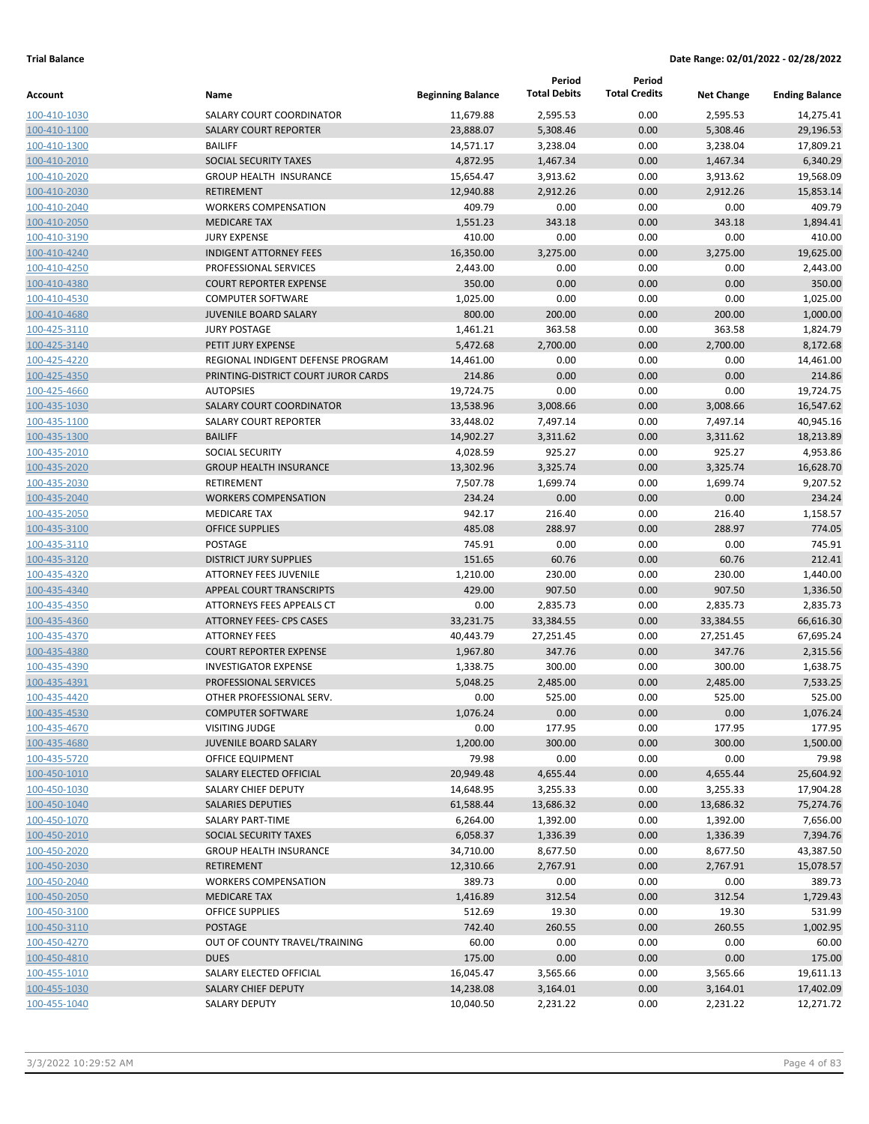|                              |                                          |                          | Period              | Period               |                   |                       |
|------------------------------|------------------------------------------|--------------------------|---------------------|----------------------|-------------------|-----------------------|
| Account                      | Name                                     | <b>Beginning Balance</b> | <b>Total Debits</b> | <b>Total Credits</b> | <b>Net Change</b> | <b>Ending Balance</b> |
| 100-410-1030                 | SALARY COURT COORDINATOR                 | 11,679.88                | 2,595.53            | 0.00                 | 2,595.53          | 14,275.41             |
| 100-410-1100                 | <b>SALARY COURT REPORTER</b>             | 23,888.07                | 5,308.46            | 0.00                 | 5,308.46          | 29,196.53             |
| 100-410-1300                 | <b>BAILIFF</b>                           | 14,571.17                | 3,238.04            | 0.00                 | 3,238.04          | 17,809.21             |
| 100-410-2010                 | SOCIAL SECURITY TAXES                    | 4,872.95                 | 1,467.34            | 0.00                 | 1,467.34          | 6,340.29              |
| 100-410-2020                 | <b>GROUP HEALTH INSURANCE</b>            | 15,654.47                | 3,913.62            | 0.00                 | 3,913.62          | 19,568.09             |
| 100-410-2030                 | <b>RETIREMENT</b>                        | 12,940.88                | 2,912.26            | 0.00                 | 2,912.26          | 15,853.14             |
| 100-410-2040                 | <b>WORKERS COMPENSATION</b>              | 409.79                   | 0.00                | 0.00                 | 0.00              | 409.79                |
| 100-410-2050                 | <b>MEDICARE TAX</b>                      | 1,551.23                 | 343.18              | 0.00                 | 343.18            | 1,894.41              |
| 100-410-3190                 | <b>JURY EXPENSE</b>                      | 410.00                   | 0.00                | 0.00                 | 0.00              | 410.00                |
| 100-410-4240                 | <b>INDIGENT ATTORNEY FEES</b>            | 16,350.00                | 3,275.00            | 0.00                 | 3,275.00          | 19,625.00             |
| 100-410-4250                 | PROFESSIONAL SERVICES                    | 2,443.00                 | 0.00                | 0.00                 | 0.00              | 2,443.00              |
| 100-410-4380                 | <b>COURT REPORTER EXPENSE</b>            | 350.00                   | 0.00                | 0.00                 | 0.00              | 350.00                |
| 100-410-4530                 | <b>COMPUTER SOFTWARE</b>                 | 1,025.00                 | 0.00                | 0.00                 | 0.00              | 1,025.00              |
| 100-410-4680                 | <b>JUVENILE BOARD SALARY</b>             | 800.00                   | 200.00              | 0.00                 | 200.00            | 1,000.00              |
| 100-425-3110                 | <b>JURY POSTAGE</b>                      | 1,461.21                 | 363.58              | 0.00                 | 363.58            | 1,824.79              |
| 100-425-3140                 | PETIT JURY EXPENSE                       | 5,472.68                 | 2,700.00            | 0.00                 | 2,700.00          | 8,172.68              |
| 100-425-4220                 | REGIONAL INDIGENT DEFENSE PROGRAM        | 14,461.00                | 0.00                | 0.00                 | 0.00              | 14,461.00             |
| 100-425-4350                 | PRINTING-DISTRICT COURT JUROR CARDS      | 214.86                   | 0.00                | 0.00                 | 0.00              | 214.86                |
| 100-425-4660                 | <b>AUTOPSIES</b>                         | 19,724.75                | 0.00                | 0.00                 | 0.00              | 19,724.75             |
| 100-435-1030                 | <b>SALARY COURT COORDINATOR</b>          | 13,538.96                | 3,008.66            | 0.00                 | 3,008.66          | 16,547.62             |
| 100-435-1100                 | <b>SALARY COURT REPORTER</b>             | 33,448.02                | 7,497.14            | 0.00                 | 7,497.14          | 40,945.16             |
| 100-435-1300                 | <b>BAILIFF</b>                           | 14,902.27                | 3,311.62            | 0.00                 | 3,311.62          | 18,213.89             |
| 100-435-2010                 | <b>SOCIAL SECURITY</b>                   | 4,028.59                 | 925.27              | 0.00                 | 925.27            | 4,953.86              |
| 100-435-2020                 | <b>GROUP HEALTH INSURANCE</b>            | 13,302.96                | 3,325.74            | 0.00                 | 3,325.74          | 16,628.70             |
| 100-435-2030                 | RETIREMENT                               | 7,507.78                 | 1,699.74            | 0.00                 | 1,699.74          | 9,207.52              |
| 100-435-2040                 | <b>WORKERS COMPENSATION</b>              | 234.24                   | 0.00                | 0.00                 | 0.00              | 234.24                |
| 100-435-2050                 | <b>MEDICARE TAX</b>                      | 942.17                   | 216.40              | 0.00                 | 216.40            | 1,158.57              |
| 100-435-3100                 | <b>OFFICE SUPPLIES</b>                   | 485.08                   | 288.97              | 0.00                 | 288.97            | 774.05<br>745.91      |
| 100-435-3110                 | POSTAGE<br><b>DISTRICT JURY SUPPLIES</b> | 745.91<br>151.65         | 0.00<br>60.76       | 0.00<br>0.00         | 0.00<br>60.76     | 212.41                |
| 100-435-3120<br>100-435-4320 | <b>ATTORNEY FEES JUVENILE</b>            | 1,210.00                 | 230.00              | 0.00                 | 230.00            | 1,440.00              |
| 100-435-4340                 | APPEAL COURT TRANSCRIPTS                 | 429.00                   | 907.50              | 0.00                 | 907.50            | 1,336.50              |
| 100-435-4350                 | ATTORNEYS FEES APPEALS CT                | 0.00                     | 2,835.73            | 0.00                 | 2,835.73          | 2,835.73              |
| 100-435-4360                 | <b>ATTORNEY FEES- CPS CASES</b>          | 33,231.75                | 33,384.55           | 0.00                 | 33,384.55         | 66,616.30             |
| 100-435-4370                 | <b>ATTORNEY FEES</b>                     | 40,443.79                | 27,251.45           | 0.00                 | 27,251.45         | 67,695.24             |
| 100-435-4380                 | <b>COURT REPORTER EXPENSE</b>            | 1,967.80                 | 347.76              | 0.00                 | 347.76            | 2.315.56              |
| 100-435-4390                 | <b>INVESTIGATOR EXPENSE</b>              | 1,338.75                 | 300.00              | 0.00                 | 300.00            | 1,638.75              |
| 100-435-4391                 | PROFESSIONAL SERVICES                    | 5,048.25                 | 2,485.00            | 0.00                 | 2,485.00          | 7,533.25              |
| 100-435-4420                 | OTHER PROFESSIONAL SERV.                 | 0.00                     | 525.00              | 0.00                 | 525.00            | 525.00                |
| 100-435-4530                 | <b>COMPUTER SOFTWARE</b>                 | 1,076.24                 | 0.00                | 0.00                 | 0.00              | 1,076.24              |
| 100-435-4670                 | <b>VISITING JUDGE</b>                    | 0.00                     | 177.95              | 0.00                 | 177.95            | 177.95                |
| 100-435-4680                 | <b>JUVENILE BOARD SALARY</b>             | 1,200.00                 | 300.00              | 0.00                 | 300.00            | 1,500.00              |
| 100-435-5720                 | OFFICE EQUIPMENT                         | 79.98                    | 0.00                | 0.00                 | 0.00              | 79.98                 |
| 100-450-1010                 | SALARY ELECTED OFFICIAL                  | 20,949.48                | 4,655.44            | 0.00                 | 4,655.44          | 25,604.92             |
| 100-450-1030                 | SALARY CHIEF DEPUTY                      | 14,648.95                | 3,255.33            | 0.00                 | 3,255.33          | 17,904.28             |
| 100-450-1040                 | <b>SALARIES DEPUTIES</b>                 | 61,588.44                | 13,686.32           | 0.00                 | 13,686.32         | 75,274.76             |
| 100-450-1070                 | SALARY PART-TIME                         | 6,264.00                 | 1,392.00            | 0.00                 | 1,392.00          | 7,656.00              |
| 100-450-2010                 | SOCIAL SECURITY TAXES                    | 6,058.37                 | 1,336.39            | 0.00                 | 1,336.39          | 7,394.76              |
| 100-450-2020                 | <b>GROUP HEALTH INSURANCE</b>            | 34,710.00                | 8,677.50            | 0.00                 | 8,677.50          | 43,387.50             |
| 100-450-2030                 | <b>RETIREMENT</b>                        | 12,310.66                | 2,767.91            | 0.00                 | 2,767.91          | 15,078.57             |
| 100-450-2040                 | <b>WORKERS COMPENSATION</b>              | 389.73                   | 0.00                | 0.00                 | 0.00              | 389.73                |
| 100-450-2050                 | <b>MEDICARE TAX</b>                      | 1,416.89                 | 312.54              | 0.00                 | 312.54            | 1,729.43              |
| 100-450-3100                 | OFFICE SUPPLIES                          | 512.69                   | 19.30               | 0.00                 | 19.30             | 531.99                |
| 100-450-3110                 | POSTAGE                                  | 742.40                   | 260.55              | 0.00                 | 260.55            | 1,002.95              |
| 100-450-4270                 | OUT OF COUNTY TRAVEL/TRAINING            | 60.00                    | 0.00                | 0.00                 | 0.00              | 60.00                 |
| 100-450-4810                 | <b>DUES</b>                              | 175.00                   | 0.00                | 0.00                 | 0.00              | 175.00                |
| 100-455-1010                 | SALARY ELECTED OFFICIAL                  | 16,045.47                | 3,565.66            | 0.00                 | 3,565.66          | 19,611.13             |
| 100-455-1030                 | <b>SALARY CHIEF DEPUTY</b>               | 14,238.08                | 3,164.01            | 0.00                 | 3,164.01          | 17,402.09             |
| 100-455-1040                 | SALARY DEPUTY                            | 10,040.50                | 2,231.22            | 0.00                 | 2,231.22          | 12,271.72             |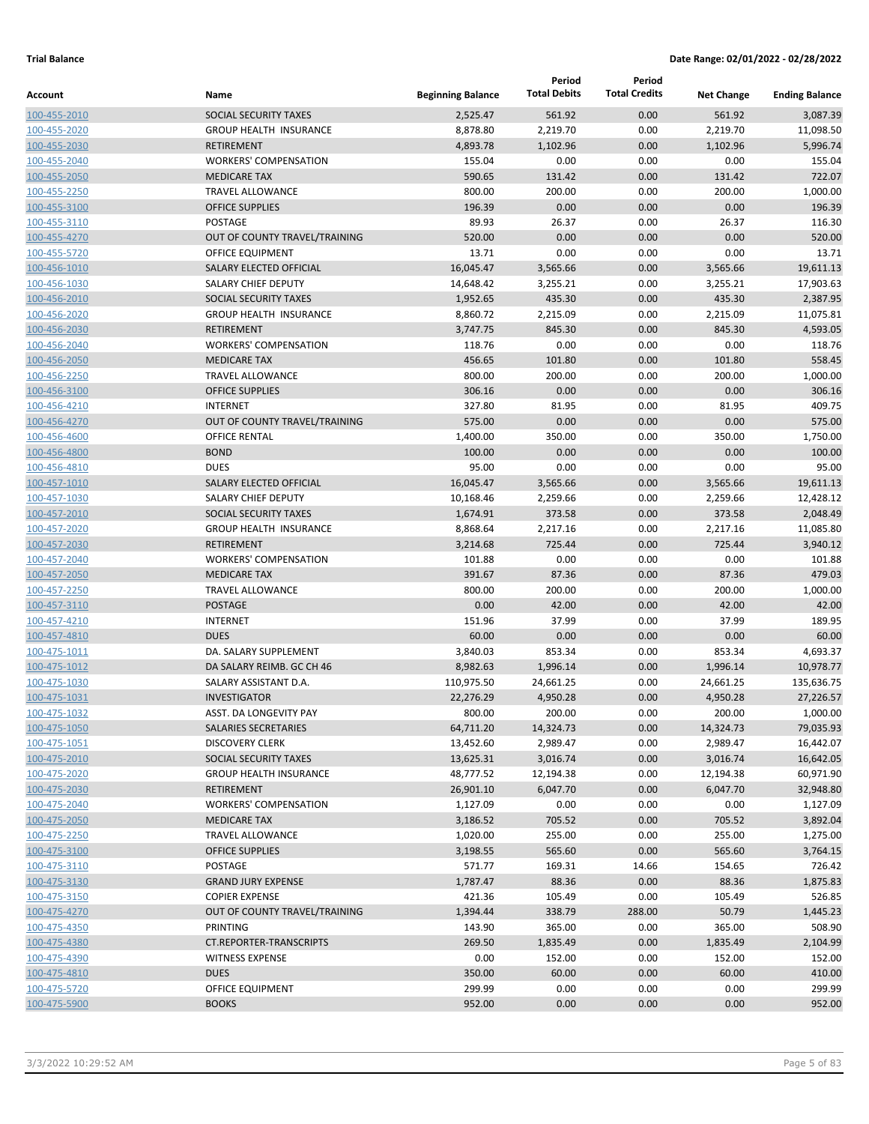|              |                                |                          | Period              | Period               |                   |                       |
|--------------|--------------------------------|--------------------------|---------------------|----------------------|-------------------|-----------------------|
| Account      | Name                           | <b>Beginning Balance</b> | <b>Total Debits</b> | <b>Total Credits</b> | <b>Net Change</b> | <b>Ending Balance</b> |
| 100-455-2010 | SOCIAL SECURITY TAXES          | 2,525.47                 | 561.92              | 0.00                 | 561.92            | 3,087.39              |
| 100-455-2020 | <b>GROUP HEALTH INSURANCE</b>  | 8,878.80                 | 2,219.70            | 0.00                 | 2,219.70          | 11,098.50             |
| 100-455-2030 | <b>RETIREMENT</b>              | 4,893.78                 | 1,102.96            | 0.00                 | 1,102.96          | 5,996.74              |
| 100-455-2040 | <b>WORKERS' COMPENSATION</b>   | 155.04                   | 0.00                | 0.00                 | 0.00              | 155.04                |
| 100-455-2050 | <b>MEDICARE TAX</b>            | 590.65                   | 131.42              | 0.00                 | 131.42            | 722.07                |
| 100-455-2250 | <b>TRAVEL ALLOWANCE</b>        | 800.00                   | 200.00              | 0.00                 | 200.00            | 1,000.00              |
| 100-455-3100 | <b>OFFICE SUPPLIES</b>         | 196.39                   | 0.00                | 0.00                 | 0.00              | 196.39                |
| 100-455-3110 | POSTAGE                        | 89.93                    | 26.37               | 0.00                 | 26.37             | 116.30                |
| 100-455-4270 | OUT OF COUNTY TRAVEL/TRAINING  | 520.00                   | 0.00                | 0.00                 | 0.00              | 520.00                |
| 100-455-5720 | <b>OFFICE EQUIPMENT</b>        | 13.71                    | 0.00                | 0.00                 | 0.00              | 13.71                 |
| 100-456-1010 | SALARY ELECTED OFFICIAL        | 16,045.47                | 3,565.66            | 0.00                 | 3,565.66          | 19,611.13             |
| 100-456-1030 | SALARY CHIEF DEPUTY            | 14,648.42                | 3,255.21            | 0.00                 | 3,255.21          | 17,903.63             |
| 100-456-2010 | SOCIAL SECURITY TAXES          | 1,952.65                 | 435.30              | 0.00                 | 435.30            | 2,387.95              |
| 100-456-2020 | <b>GROUP HEALTH INSURANCE</b>  | 8,860.72                 | 2,215.09            | 0.00                 | 2,215.09          | 11,075.81             |
| 100-456-2030 | <b>RETIREMENT</b>              | 3,747.75                 | 845.30              | 0.00                 | 845.30            | 4,593.05              |
| 100-456-2040 | <b>WORKERS' COMPENSATION</b>   | 118.76                   | 0.00                | 0.00                 | 0.00              | 118.76                |
| 100-456-2050 | <b>MEDICARE TAX</b>            | 456.65                   | 101.80              | 0.00                 | 101.80            | 558.45                |
| 100-456-2250 | <b>TRAVEL ALLOWANCE</b>        | 800.00                   | 200.00              | 0.00                 | 200.00            | 1,000.00              |
| 100-456-3100 | <b>OFFICE SUPPLIES</b>         | 306.16                   | 0.00                | 0.00                 | 0.00              | 306.16                |
| 100-456-4210 | <b>INTERNET</b>                | 327.80                   | 81.95               | 0.00                 | 81.95             | 409.75                |
| 100-456-4270 | OUT OF COUNTY TRAVEL/TRAINING  | 575.00                   | 0.00                | 0.00                 | 0.00              | 575.00                |
| 100-456-4600 | <b>OFFICE RENTAL</b>           | 1,400.00                 | 350.00              | 0.00                 | 350.00            | 1,750.00              |
| 100-456-4800 | <b>BOND</b>                    | 100.00                   | 0.00                | 0.00                 | 0.00              | 100.00                |
| 100-456-4810 | <b>DUES</b>                    | 95.00                    | 0.00                | 0.00                 | 0.00              | 95.00                 |
| 100-457-1010 | SALARY ELECTED OFFICIAL        | 16,045.47                | 3,565.66            | 0.00                 | 3,565.66          | 19,611.13             |
| 100-457-1030 | SALARY CHIEF DEPUTY            | 10,168.46                | 2,259.66            | 0.00                 | 2,259.66          | 12,428.12             |
| 100-457-2010 | SOCIAL SECURITY TAXES          | 1,674.91                 | 373.58              | 0.00                 | 373.58            | 2,048.49              |
| 100-457-2020 | <b>GROUP HEALTH INSURANCE</b>  | 8,868.64                 | 2,217.16            | 0.00                 | 2,217.16          | 11,085.80             |
| 100-457-2030 | <b>RETIREMENT</b>              | 3,214.68                 | 725.44              | 0.00                 | 725.44            | 3,940.12              |
| 100-457-2040 | <b>WORKERS' COMPENSATION</b>   | 101.88                   | 0.00                | 0.00                 | 0.00              | 101.88                |
| 100-457-2050 | <b>MEDICARE TAX</b>            | 391.67                   | 87.36               | 0.00                 | 87.36             | 479.03                |
| 100-457-2250 | TRAVEL ALLOWANCE               | 800.00                   | 200.00              | 0.00                 | 200.00            | 1,000.00              |
| 100-457-3110 | <b>POSTAGE</b>                 | 0.00                     | 42.00               | 0.00                 | 42.00             | 42.00                 |
| 100-457-4210 | <b>INTERNET</b>                | 151.96                   | 37.99               | 0.00                 | 37.99             | 189.95                |
| 100-457-4810 | <b>DUES</b>                    | 60.00                    | 0.00                | 0.00                 | 0.00              | 60.00                 |
| 100-475-1011 | DA. SALARY SUPPLEMENT          | 3,840.03                 | 853.34              | 0.00                 | 853.34            | 4,693.37              |
| 100-475-1012 | DA SALARY REIMB. GC CH 46      | 8,982.63                 | 1,996.14            | 0.00                 | 1,996.14          | 10,978.77             |
| 100-475-1030 | SALARY ASSISTANT D.A.          | 110,975.50               | 24,661.25           | 0.00                 | 24,661.25         | 135,636.75            |
| 100-475-1031 | <b>INVESTIGATOR</b>            | 22,276.29                | 4,950.28            | 0.00                 | 4,950.28          | 27,226.57             |
| 100-475-1032 | ASST. DA LONGEVITY PAY         | 800.00                   | 200.00              | 0.00                 | 200.00            | 1,000.00              |
| 100-475-1050 | SALARIES SECRETARIES           | 64,711.20                | 14,324.73           | 0.00                 | 14,324.73         | 79,035.93             |
| 100-475-1051 | <b>DISCOVERY CLERK</b>         | 13,452.60                | 2,989.47            | 0.00                 | 2,989.47          | 16,442.07             |
| 100-475-2010 | SOCIAL SECURITY TAXES          | 13,625.31                | 3,016.74            | 0.00                 | 3,016.74          | 16,642.05             |
| 100-475-2020 | <b>GROUP HEALTH INSURANCE</b>  | 48,777.52                | 12,194.38           | 0.00                 | 12,194.38         | 60,971.90             |
| 100-475-2030 | RETIREMENT                     | 26,901.10                | 6,047.70            | 0.00                 | 6,047.70          | 32,948.80             |
| 100-475-2040 | <b>WORKERS' COMPENSATION</b>   | 1,127.09                 | 0.00                | 0.00                 | 0.00              | 1,127.09              |
| 100-475-2050 | <b>MEDICARE TAX</b>            | 3,186.52                 | 705.52              | 0.00                 | 705.52            | 3,892.04              |
| 100-475-2250 | <b>TRAVEL ALLOWANCE</b>        | 1,020.00                 | 255.00              | 0.00                 | 255.00            | 1,275.00              |
| 100-475-3100 | <b>OFFICE SUPPLIES</b>         | 3,198.55                 | 565.60              | 0.00                 | 565.60            | 3,764.15              |
| 100-475-3110 | <b>POSTAGE</b>                 | 571.77                   | 169.31              | 14.66                | 154.65            | 726.42                |
| 100-475-3130 | <b>GRAND JURY EXPENSE</b>      | 1,787.47                 | 88.36               | 0.00                 | 88.36             | 1,875.83              |
| 100-475-3150 | <b>COPIER EXPENSE</b>          | 421.36                   | 105.49              | 0.00                 | 105.49            | 526.85                |
| 100-475-4270 | OUT OF COUNTY TRAVEL/TRAINING  | 1,394.44                 | 338.79              | 288.00               | 50.79             | 1,445.23              |
| 100-475-4350 | PRINTING                       | 143.90                   | 365.00              | 0.00                 | 365.00            | 508.90                |
| 100-475-4380 | <b>CT.REPORTER-TRANSCRIPTS</b> | 269.50                   | 1,835.49            | 0.00                 | 1,835.49          | 2,104.99              |
| 100-475-4390 | <b>WITNESS EXPENSE</b>         | 0.00                     | 152.00              | 0.00                 | 152.00            | 152.00                |
| 100-475-4810 | <b>DUES</b>                    | 350.00                   | 60.00               | 0.00                 | 60.00             | 410.00                |
| 100-475-5720 | OFFICE EQUIPMENT               | 299.99                   | 0.00                | 0.00                 | 0.00              | 299.99                |
| 100-475-5900 | <b>BOOKS</b>                   | 952.00                   | 0.00                | 0.00                 | 0.00              | 952.00                |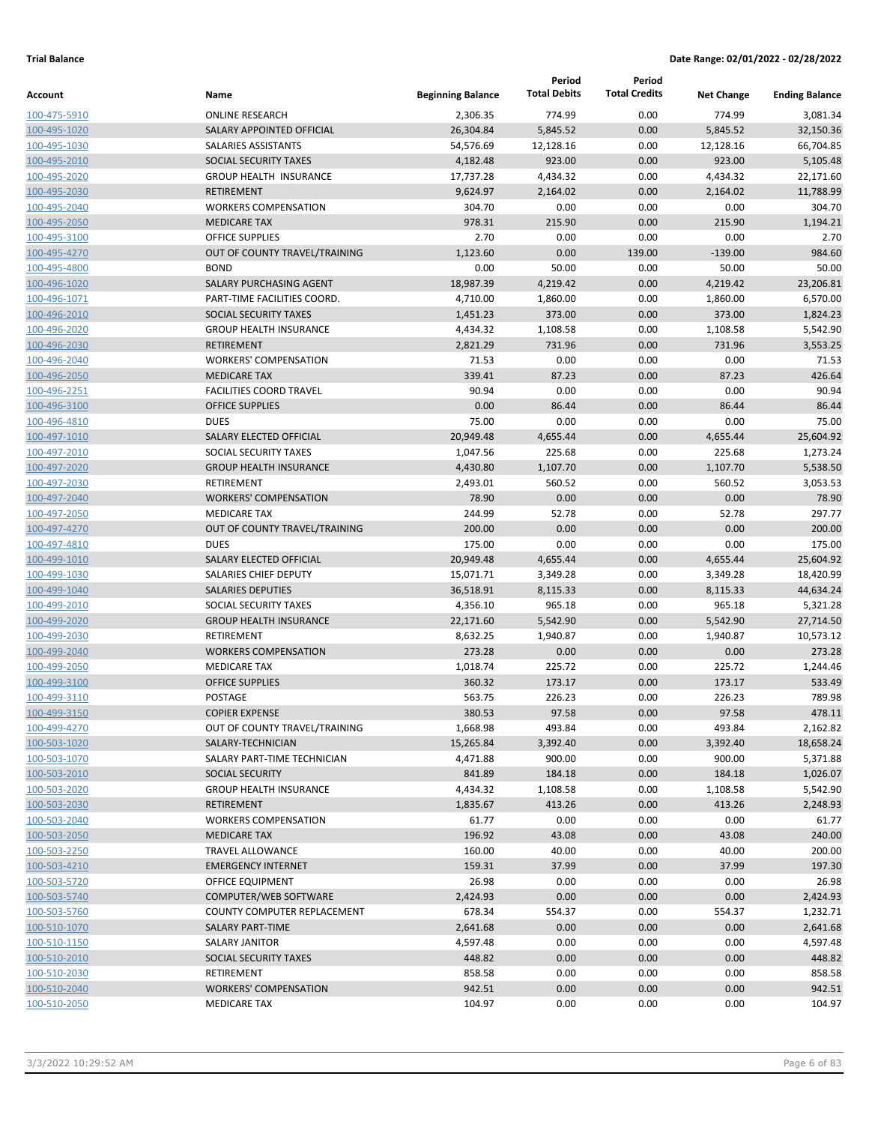| <b>Total Debits</b><br><b>Total Credits</b><br><b>Beginning Balance</b><br>Name<br><b>Net Change</b><br><b>Ending Balance</b><br><b>ONLINE RESEARCH</b><br>2,306.35<br>774.99<br>0.00<br>774.99<br>3,081.34<br>100-475-5910<br>100-495-1020<br>SALARY APPOINTED OFFICIAL<br>26,304.84<br>5,845.52<br>0.00<br>5,845.52<br>32,150.36<br>54,576.69<br>66,704.85<br>100-495-1030<br><b>SALARIES ASSISTANTS</b><br>12,128.16<br>0.00<br>12,128.16<br>923.00<br>923.00<br>5,105.48<br>100-495-2010<br>SOCIAL SECURITY TAXES<br>4,182.48<br>0.00<br>0.00<br>4,434.32<br>22,171.60<br><b>GROUP HEALTH INSURANCE</b><br>17,737.28<br>4,434.32<br>100-495-2020<br>11,788.99<br><b>RETIREMENT</b><br>9,624.97<br>2,164.02<br>0.00<br>2,164.02<br>100-495-2030<br>304.70<br><b>WORKERS COMPENSATION</b><br>304.70<br>0.00<br>0.00<br>0.00<br>100-495-2040<br><b>MEDICARE TAX</b><br>978.31<br>215.90<br>0.00<br>215.90<br>1,194.21<br>100-495-2050<br>2.70<br>0.00<br>0.00<br>0.00<br>2.70<br>100-495-3100<br><b>OFFICE SUPPLIES</b><br>0.00<br>139.00<br>$-139.00$<br>984.60<br>OUT OF COUNTY TRAVEL/TRAINING<br>1,123.60<br>100-495-4270<br>50.00<br><b>BOND</b><br>0.00<br>0.00<br>50.00<br>50.00<br>100-495-4800<br>18,987.39<br>23,206.81<br>SALARY PURCHASING AGENT<br>4,219.42<br>0.00<br>4,219.42<br>100-496-1020<br>4,710.00<br>6,570.00<br>PART-TIME FACILITIES COORD.<br>1,860.00<br>0.00<br>1,860.00<br>100-496-1071<br>373.00<br>373.00<br>1,824.23<br>100-496-2010<br><b>SOCIAL SECURITY TAXES</b><br>1,451.23<br>0.00<br>1,108.58<br>0.00<br>1,108.58<br><b>GROUP HEALTH INSURANCE</b><br>4,434.32<br>5,542.90<br>100-496-2020<br>731.96<br>3,553.25<br><b>RETIREMENT</b><br>2,821.29<br>0.00<br>731.96<br>100-496-2030<br>0.00<br><b>WORKERS' COMPENSATION</b><br>71.53<br>0.00<br>0.00<br>71.53<br>100-496-2040<br>339.41<br>87.23<br><b>MEDICARE TAX</b><br>0.00<br>87.23<br>426.64<br>100-496-2050<br>90.94<br>0.00<br>90.94<br><b>FACILITIES COORD TRAVEL</b><br>0.00<br>0.00<br>100-496-2251<br>0.00<br>86.44<br>0.00<br>86.44<br><b>OFFICE SUPPLIES</b><br>86.44<br>100-496-3100<br>75.00<br>0.00<br>75.00<br><b>DUES</b><br>0.00<br>0.00<br>100-496-4810<br>25,604.92<br>SALARY ELECTED OFFICIAL<br>20,949.48<br>4,655.44<br>0.00<br>4,655.44<br>100-497-1010<br>225.68<br>225.68<br>1,273.24<br>SOCIAL SECURITY TAXES<br>1,047.56<br>0.00<br>100-497-2010<br>5,538.50<br>100-497-2020<br><b>GROUP HEALTH INSURANCE</b><br>4,430.80<br>1,107.70<br>0.00<br>1,107.70<br><b>RETIREMENT</b><br>560.52<br>0.00<br>560.52<br>2,493.01<br>3,053.53<br>100-497-2030<br>0.00<br>78.90<br><b>WORKERS' COMPENSATION</b><br>78.90<br>0.00<br>0.00<br>100-497-2040<br>52.78<br>297.77<br><b>MEDICARE TAX</b><br>244.99<br>0.00<br>52.78<br>100-497-2050<br>200.00<br>0.00<br>OUT OF COUNTY TRAVEL/TRAINING<br>0.00<br>0.00<br>200.00<br>100-497-4270<br>175.00<br>0.00<br>175.00<br><b>DUES</b><br>0.00<br>0.00<br>100-497-4810<br>20,949.48<br>0.00<br>4,655.44<br>25,604.92<br>SALARY ELECTED OFFICIAL<br>4,655.44<br>100-499-1010<br>SALARIES CHIEF DEPUTY<br>15,071.71<br>3,349.28<br>0.00<br>3,349.28<br>18,420.99<br>100-499-1030<br>44,634.24<br><b>SALARIES DEPUTIES</b><br>36,518.91<br>8,115.33<br>0.00<br>8,115.33<br>100-499-1040<br>965.18<br>0.00<br>965.18<br>SOCIAL SECURITY TAXES<br>4,356.10<br>5,321.28<br>100-499-2010<br>27,714.50<br><b>GROUP HEALTH INSURANCE</b><br>22,171.60<br>5,542.90<br>0.00<br>5,542.90<br><b>RETIREMENT</b><br>0.00<br>1,940.87<br>10,573.12<br>8,632.25<br>1,940.87<br>273.28<br>0.00<br>273.28<br><b>WORKERS COMPENSATION</b><br>0.00<br>0.00<br>225.72<br><b>MEDICARE TAX</b><br>1,018.74<br>0.00<br>225.72<br>1,244.46<br><b>OFFICE SUPPLIES</b><br>360.32<br>173.17<br>0.00<br>173.17<br>533.49<br>563.75<br>226.23<br>789.98<br><b>POSTAGE</b><br>0.00<br>226.23<br>380.53<br>97.58<br>0.00<br>97.58<br>478.11<br><b>COPIER EXPENSE</b><br>1,668.98<br>493.84<br>0.00<br>493.84<br>2,162.82<br>OUT OF COUNTY TRAVEL/TRAINING<br>SALARY-TECHNICIAN<br>15,265.84<br>3,392.40<br>0.00<br>3,392.40<br>18,658.24<br>SALARY PART-TIME TECHNICIAN<br>4,471.88<br>900.00<br>0.00<br>900.00<br>5,371.88<br>841.89<br>184.18<br>0.00<br>184.18<br>1,026.07<br><b>SOCIAL SECURITY</b><br>0.00<br>1,108.58<br><b>GROUP HEALTH INSURANCE</b><br>4,434.32<br>1,108.58<br>5,542.90<br><b>RETIREMENT</b><br>1,835.67<br>413.26<br>0.00<br>413.26<br>2,248.93<br><b>WORKERS COMPENSATION</b><br>61.77<br>0.00<br>0.00<br>0.00<br>61.77<br><b>MEDICARE TAX</b><br>196.92<br>43.08<br>0.00<br>43.08<br>240.00<br>160.00<br>40.00<br><b>TRAVEL ALLOWANCE</b><br>0.00<br>40.00<br>200.00<br>159.31<br>37.99<br>0.00<br>37.99<br>197.30<br><b>EMERGENCY INTERNET</b><br>26.98<br>0.00<br>0.00<br>26.98<br>OFFICE EQUIPMENT<br>0.00<br>COMPUTER/WEB SOFTWARE<br>2,424.93<br>0.00<br>0.00<br>0.00<br>2,424.93<br>COUNTY COMPUTER REPLACEMENT<br>678.34<br>554.37<br>0.00<br>554.37<br>1,232.71<br>0.00<br>2,641.68<br>0.00<br>0.00<br>2,641.68<br>SALARY PART-TIME<br>0.00<br>0.00<br><b>SALARY JANITOR</b><br>4,597.48<br>0.00<br>4,597.48<br>SOCIAL SECURITY TAXES<br>448.82<br>0.00<br>0.00<br>0.00<br>448.82<br>0.00<br>RETIREMENT<br>858.58<br>0.00<br>0.00<br>858.58<br>942.51<br><b>WORKERS' COMPENSATION</b><br>0.00<br>0.00<br>0.00<br>942.51<br>0.00<br>0.00<br><b>MEDICARE TAX</b><br>104.97<br>0.00<br>104.97 |              |  | Period | Period |  |
|-------------------------------------------------------------------------------------------------------------------------------------------------------------------------------------------------------------------------------------------------------------------------------------------------------------------------------------------------------------------------------------------------------------------------------------------------------------------------------------------------------------------------------------------------------------------------------------------------------------------------------------------------------------------------------------------------------------------------------------------------------------------------------------------------------------------------------------------------------------------------------------------------------------------------------------------------------------------------------------------------------------------------------------------------------------------------------------------------------------------------------------------------------------------------------------------------------------------------------------------------------------------------------------------------------------------------------------------------------------------------------------------------------------------------------------------------------------------------------------------------------------------------------------------------------------------------------------------------------------------------------------------------------------------------------------------------------------------------------------------------------------------------------------------------------------------------------------------------------------------------------------------------------------------------------------------------------------------------------------------------------------------------------------------------------------------------------------------------------------------------------------------------------------------------------------------------------------------------------------------------------------------------------------------------------------------------------------------------------------------------------------------------------------------------------------------------------------------------------------------------------------------------------------------------------------------------------------------------------------------------------------------------------------------------------------------------------------------------------------------------------------------------------------------------------------------------------------------------------------------------------------------------------------------------------------------------------------------------------------------------------------------------------------------------------------------------------------------------------------------------------------------------------------------------------------------------------------------------------------------------------------------------------------------------------------------------------------------------------------------------------------------------------------------------------------------------------------------------------------------------------------------------------------------------------------------------------------------------------------------------------------------------------------------------------------------------------------------------------------------------------------------------------------------------------------------------------------------------------------------------------------------------------------------------------------------------------------------------------------------------------------------------------------------------------------------------------------------------------------------------------------------------------------------------------------------------------------------------------------------------------------------------------------------------------------------------------------------------------------------------------------------------------------------------------------------------------------------------------------------------------------------------------------------------------------------------------------------------------------------------------------------------------------------------------------------------------------------------------------------------------------------------------------------------------------------------------------------------------------------------------------------------------------------------------------------------------------------------------------------------------------------------------------------------------------------------------------------------------------------------------------------------------------------------------------------------------------------------------------------------------------------------------------------------------------------------------------------------------|--------------|--|--------|--------|--|
|                                                                                                                                                                                                                                                                                                                                                                                                                                                                                                                                                                                                                                                                                                                                                                                                                                                                                                                                                                                                                                                                                                                                                                                                                                                                                                                                                                                                                                                                                                                                                                                                                                                                                                                                                                                                                                                                                                                                                                                                                                                                                                                                                                                                                                                                                                                                                                                                                                                                                                                                                                                                                                                                                                                                                                                                                                                                                                                                                                                                                                                                                                                                                                                                                                                                                                                                                                                                                                                                                                                                                                                                                                                                                                                                                                                                                                                                                                                                                                                                                                                                                                                                                                                                                                                                                                                                                                                                                                                                                                                                                                                                                                                                                                                                                                                                                                                                                                                                                                                                                                                                                                                                                                                                                                                                                                                                                       | Account      |  |        |        |  |
|                                                                                                                                                                                                                                                                                                                                                                                                                                                                                                                                                                                                                                                                                                                                                                                                                                                                                                                                                                                                                                                                                                                                                                                                                                                                                                                                                                                                                                                                                                                                                                                                                                                                                                                                                                                                                                                                                                                                                                                                                                                                                                                                                                                                                                                                                                                                                                                                                                                                                                                                                                                                                                                                                                                                                                                                                                                                                                                                                                                                                                                                                                                                                                                                                                                                                                                                                                                                                                                                                                                                                                                                                                                                                                                                                                                                                                                                                                                                                                                                                                                                                                                                                                                                                                                                                                                                                                                                                                                                                                                                                                                                                                                                                                                                                                                                                                                                                                                                                                                                                                                                                                                                                                                                                                                                                                                                                       |              |  |        |        |  |
|                                                                                                                                                                                                                                                                                                                                                                                                                                                                                                                                                                                                                                                                                                                                                                                                                                                                                                                                                                                                                                                                                                                                                                                                                                                                                                                                                                                                                                                                                                                                                                                                                                                                                                                                                                                                                                                                                                                                                                                                                                                                                                                                                                                                                                                                                                                                                                                                                                                                                                                                                                                                                                                                                                                                                                                                                                                                                                                                                                                                                                                                                                                                                                                                                                                                                                                                                                                                                                                                                                                                                                                                                                                                                                                                                                                                                                                                                                                                                                                                                                                                                                                                                                                                                                                                                                                                                                                                                                                                                                                                                                                                                                                                                                                                                                                                                                                                                                                                                                                                                                                                                                                                                                                                                                                                                                                                                       |              |  |        |        |  |
|                                                                                                                                                                                                                                                                                                                                                                                                                                                                                                                                                                                                                                                                                                                                                                                                                                                                                                                                                                                                                                                                                                                                                                                                                                                                                                                                                                                                                                                                                                                                                                                                                                                                                                                                                                                                                                                                                                                                                                                                                                                                                                                                                                                                                                                                                                                                                                                                                                                                                                                                                                                                                                                                                                                                                                                                                                                                                                                                                                                                                                                                                                                                                                                                                                                                                                                                                                                                                                                                                                                                                                                                                                                                                                                                                                                                                                                                                                                                                                                                                                                                                                                                                                                                                                                                                                                                                                                                                                                                                                                                                                                                                                                                                                                                                                                                                                                                                                                                                                                                                                                                                                                                                                                                                                                                                                                                                       |              |  |        |        |  |
|                                                                                                                                                                                                                                                                                                                                                                                                                                                                                                                                                                                                                                                                                                                                                                                                                                                                                                                                                                                                                                                                                                                                                                                                                                                                                                                                                                                                                                                                                                                                                                                                                                                                                                                                                                                                                                                                                                                                                                                                                                                                                                                                                                                                                                                                                                                                                                                                                                                                                                                                                                                                                                                                                                                                                                                                                                                                                                                                                                                                                                                                                                                                                                                                                                                                                                                                                                                                                                                                                                                                                                                                                                                                                                                                                                                                                                                                                                                                                                                                                                                                                                                                                                                                                                                                                                                                                                                                                                                                                                                                                                                                                                                                                                                                                                                                                                                                                                                                                                                                                                                                                                                                                                                                                                                                                                                                                       |              |  |        |        |  |
|                                                                                                                                                                                                                                                                                                                                                                                                                                                                                                                                                                                                                                                                                                                                                                                                                                                                                                                                                                                                                                                                                                                                                                                                                                                                                                                                                                                                                                                                                                                                                                                                                                                                                                                                                                                                                                                                                                                                                                                                                                                                                                                                                                                                                                                                                                                                                                                                                                                                                                                                                                                                                                                                                                                                                                                                                                                                                                                                                                                                                                                                                                                                                                                                                                                                                                                                                                                                                                                                                                                                                                                                                                                                                                                                                                                                                                                                                                                                                                                                                                                                                                                                                                                                                                                                                                                                                                                                                                                                                                                                                                                                                                                                                                                                                                                                                                                                                                                                                                                                                                                                                                                                                                                                                                                                                                                                                       |              |  |        |        |  |
|                                                                                                                                                                                                                                                                                                                                                                                                                                                                                                                                                                                                                                                                                                                                                                                                                                                                                                                                                                                                                                                                                                                                                                                                                                                                                                                                                                                                                                                                                                                                                                                                                                                                                                                                                                                                                                                                                                                                                                                                                                                                                                                                                                                                                                                                                                                                                                                                                                                                                                                                                                                                                                                                                                                                                                                                                                                                                                                                                                                                                                                                                                                                                                                                                                                                                                                                                                                                                                                                                                                                                                                                                                                                                                                                                                                                                                                                                                                                                                                                                                                                                                                                                                                                                                                                                                                                                                                                                                                                                                                                                                                                                                                                                                                                                                                                                                                                                                                                                                                                                                                                                                                                                                                                                                                                                                                                                       |              |  |        |        |  |
|                                                                                                                                                                                                                                                                                                                                                                                                                                                                                                                                                                                                                                                                                                                                                                                                                                                                                                                                                                                                                                                                                                                                                                                                                                                                                                                                                                                                                                                                                                                                                                                                                                                                                                                                                                                                                                                                                                                                                                                                                                                                                                                                                                                                                                                                                                                                                                                                                                                                                                                                                                                                                                                                                                                                                                                                                                                                                                                                                                                                                                                                                                                                                                                                                                                                                                                                                                                                                                                                                                                                                                                                                                                                                                                                                                                                                                                                                                                                                                                                                                                                                                                                                                                                                                                                                                                                                                                                                                                                                                                                                                                                                                                                                                                                                                                                                                                                                                                                                                                                                                                                                                                                                                                                                                                                                                                                                       |              |  |        |        |  |
|                                                                                                                                                                                                                                                                                                                                                                                                                                                                                                                                                                                                                                                                                                                                                                                                                                                                                                                                                                                                                                                                                                                                                                                                                                                                                                                                                                                                                                                                                                                                                                                                                                                                                                                                                                                                                                                                                                                                                                                                                                                                                                                                                                                                                                                                                                                                                                                                                                                                                                                                                                                                                                                                                                                                                                                                                                                                                                                                                                                                                                                                                                                                                                                                                                                                                                                                                                                                                                                                                                                                                                                                                                                                                                                                                                                                                                                                                                                                                                                                                                                                                                                                                                                                                                                                                                                                                                                                                                                                                                                                                                                                                                                                                                                                                                                                                                                                                                                                                                                                                                                                                                                                                                                                                                                                                                                                                       |              |  |        |        |  |
|                                                                                                                                                                                                                                                                                                                                                                                                                                                                                                                                                                                                                                                                                                                                                                                                                                                                                                                                                                                                                                                                                                                                                                                                                                                                                                                                                                                                                                                                                                                                                                                                                                                                                                                                                                                                                                                                                                                                                                                                                                                                                                                                                                                                                                                                                                                                                                                                                                                                                                                                                                                                                                                                                                                                                                                                                                                                                                                                                                                                                                                                                                                                                                                                                                                                                                                                                                                                                                                                                                                                                                                                                                                                                                                                                                                                                                                                                                                                                                                                                                                                                                                                                                                                                                                                                                                                                                                                                                                                                                                                                                                                                                                                                                                                                                                                                                                                                                                                                                                                                                                                                                                                                                                                                                                                                                                                                       |              |  |        |        |  |
|                                                                                                                                                                                                                                                                                                                                                                                                                                                                                                                                                                                                                                                                                                                                                                                                                                                                                                                                                                                                                                                                                                                                                                                                                                                                                                                                                                                                                                                                                                                                                                                                                                                                                                                                                                                                                                                                                                                                                                                                                                                                                                                                                                                                                                                                                                                                                                                                                                                                                                                                                                                                                                                                                                                                                                                                                                                                                                                                                                                                                                                                                                                                                                                                                                                                                                                                                                                                                                                                                                                                                                                                                                                                                                                                                                                                                                                                                                                                                                                                                                                                                                                                                                                                                                                                                                                                                                                                                                                                                                                                                                                                                                                                                                                                                                                                                                                                                                                                                                                                                                                                                                                                                                                                                                                                                                                                                       |              |  |        |        |  |
|                                                                                                                                                                                                                                                                                                                                                                                                                                                                                                                                                                                                                                                                                                                                                                                                                                                                                                                                                                                                                                                                                                                                                                                                                                                                                                                                                                                                                                                                                                                                                                                                                                                                                                                                                                                                                                                                                                                                                                                                                                                                                                                                                                                                                                                                                                                                                                                                                                                                                                                                                                                                                                                                                                                                                                                                                                                                                                                                                                                                                                                                                                                                                                                                                                                                                                                                                                                                                                                                                                                                                                                                                                                                                                                                                                                                                                                                                                                                                                                                                                                                                                                                                                                                                                                                                                                                                                                                                                                                                                                                                                                                                                                                                                                                                                                                                                                                                                                                                                                                                                                                                                                                                                                                                                                                                                                                                       |              |  |        |        |  |
|                                                                                                                                                                                                                                                                                                                                                                                                                                                                                                                                                                                                                                                                                                                                                                                                                                                                                                                                                                                                                                                                                                                                                                                                                                                                                                                                                                                                                                                                                                                                                                                                                                                                                                                                                                                                                                                                                                                                                                                                                                                                                                                                                                                                                                                                                                                                                                                                                                                                                                                                                                                                                                                                                                                                                                                                                                                                                                                                                                                                                                                                                                                                                                                                                                                                                                                                                                                                                                                                                                                                                                                                                                                                                                                                                                                                                                                                                                                                                                                                                                                                                                                                                                                                                                                                                                                                                                                                                                                                                                                                                                                                                                                                                                                                                                                                                                                                                                                                                                                                                                                                                                                                                                                                                                                                                                                                                       |              |  |        |        |  |
|                                                                                                                                                                                                                                                                                                                                                                                                                                                                                                                                                                                                                                                                                                                                                                                                                                                                                                                                                                                                                                                                                                                                                                                                                                                                                                                                                                                                                                                                                                                                                                                                                                                                                                                                                                                                                                                                                                                                                                                                                                                                                                                                                                                                                                                                                                                                                                                                                                                                                                                                                                                                                                                                                                                                                                                                                                                                                                                                                                                                                                                                                                                                                                                                                                                                                                                                                                                                                                                                                                                                                                                                                                                                                                                                                                                                                                                                                                                                                                                                                                                                                                                                                                                                                                                                                                                                                                                                                                                                                                                                                                                                                                                                                                                                                                                                                                                                                                                                                                                                                                                                                                                                                                                                                                                                                                                                                       |              |  |        |        |  |
|                                                                                                                                                                                                                                                                                                                                                                                                                                                                                                                                                                                                                                                                                                                                                                                                                                                                                                                                                                                                                                                                                                                                                                                                                                                                                                                                                                                                                                                                                                                                                                                                                                                                                                                                                                                                                                                                                                                                                                                                                                                                                                                                                                                                                                                                                                                                                                                                                                                                                                                                                                                                                                                                                                                                                                                                                                                                                                                                                                                                                                                                                                                                                                                                                                                                                                                                                                                                                                                                                                                                                                                                                                                                                                                                                                                                                                                                                                                                                                                                                                                                                                                                                                                                                                                                                                                                                                                                                                                                                                                                                                                                                                                                                                                                                                                                                                                                                                                                                                                                                                                                                                                                                                                                                                                                                                                                                       |              |  |        |        |  |
|                                                                                                                                                                                                                                                                                                                                                                                                                                                                                                                                                                                                                                                                                                                                                                                                                                                                                                                                                                                                                                                                                                                                                                                                                                                                                                                                                                                                                                                                                                                                                                                                                                                                                                                                                                                                                                                                                                                                                                                                                                                                                                                                                                                                                                                                                                                                                                                                                                                                                                                                                                                                                                                                                                                                                                                                                                                                                                                                                                                                                                                                                                                                                                                                                                                                                                                                                                                                                                                                                                                                                                                                                                                                                                                                                                                                                                                                                                                                                                                                                                                                                                                                                                                                                                                                                                                                                                                                                                                                                                                                                                                                                                                                                                                                                                                                                                                                                                                                                                                                                                                                                                                                                                                                                                                                                                                                                       |              |  |        |        |  |
|                                                                                                                                                                                                                                                                                                                                                                                                                                                                                                                                                                                                                                                                                                                                                                                                                                                                                                                                                                                                                                                                                                                                                                                                                                                                                                                                                                                                                                                                                                                                                                                                                                                                                                                                                                                                                                                                                                                                                                                                                                                                                                                                                                                                                                                                                                                                                                                                                                                                                                                                                                                                                                                                                                                                                                                                                                                                                                                                                                                                                                                                                                                                                                                                                                                                                                                                                                                                                                                                                                                                                                                                                                                                                                                                                                                                                                                                                                                                                                                                                                                                                                                                                                                                                                                                                                                                                                                                                                                                                                                                                                                                                                                                                                                                                                                                                                                                                                                                                                                                                                                                                                                                                                                                                                                                                                                                                       |              |  |        |        |  |
|                                                                                                                                                                                                                                                                                                                                                                                                                                                                                                                                                                                                                                                                                                                                                                                                                                                                                                                                                                                                                                                                                                                                                                                                                                                                                                                                                                                                                                                                                                                                                                                                                                                                                                                                                                                                                                                                                                                                                                                                                                                                                                                                                                                                                                                                                                                                                                                                                                                                                                                                                                                                                                                                                                                                                                                                                                                                                                                                                                                                                                                                                                                                                                                                                                                                                                                                                                                                                                                                                                                                                                                                                                                                                                                                                                                                                                                                                                                                                                                                                                                                                                                                                                                                                                                                                                                                                                                                                                                                                                                                                                                                                                                                                                                                                                                                                                                                                                                                                                                                                                                                                                                                                                                                                                                                                                                                                       |              |  |        |        |  |
|                                                                                                                                                                                                                                                                                                                                                                                                                                                                                                                                                                                                                                                                                                                                                                                                                                                                                                                                                                                                                                                                                                                                                                                                                                                                                                                                                                                                                                                                                                                                                                                                                                                                                                                                                                                                                                                                                                                                                                                                                                                                                                                                                                                                                                                                                                                                                                                                                                                                                                                                                                                                                                                                                                                                                                                                                                                                                                                                                                                                                                                                                                                                                                                                                                                                                                                                                                                                                                                                                                                                                                                                                                                                                                                                                                                                                                                                                                                                                                                                                                                                                                                                                                                                                                                                                                                                                                                                                                                                                                                                                                                                                                                                                                                                                                                                                                                                                                                                                                                                                                                                                                                                                                                                                                                                                                                                                       |              |  |        |        |  |
|                                                                                                                                                                                                                                                                                                                                                                                                                                                                                                                                                                                                                                                                                                                                                                                                                                                                                                                                                                                                                                                                                                                                                                                                                                                                                                                                                                                                                                                                                                                                                                                                                                                                                                                                                                                                                                                                                                                                                                                                                                                                                                                                                                                                                                                                                                                                                                                                                                                                                                                                                                                                                                                                                                                                                                                                                                                                                                                                                                                                                                                                                                                                                                                                                                                                                                                                                                                                                                                                                                                                                                                                                                                                                                                                                                                                                                                                                                                                                                                                                                                                                                                                                                                                                                                                                                                                                                                                                                                                                                                                                                                                                                                                                                                                                                                                                                                                                                                                                                                                                                                                                                                                                                                                                                                                                                                                                       |              |  |        |        |  |
|                                                                                                                                                                                                                                                                                                                                                                                                                                                                                                                                                                                                                                                                                                                                                                                                                                                                                                                                                                                                                                                                                                                                                                                                                                                                                                                                                                                                                                                                                                                                                                                                                                                                                                                                                                                                                                                                                                                                                                                                                                                                                                                                                                                                                                                                                                                                                                                                                                                                                                                                                                                                                                                                                                                                                                                                                                                                                                                                                                                                                                                                                                                                                                                                                                                                                                                                                                                                                                                                                                                                                                                                                                                                                                                                                                                                                                                                                                                                                                                                                                                                                                                                                                                                                                                                                                                                                                                                                                                                                                                                                                                                                                                                                                                                                                                                                                                                                                                                                                                                                                                                                                                                                                                                                                                                                                                                                       |              |  |        |        |  |
|                                                                                                                                                                                                                                                                                                                                                                                                                                                                                                                                                                                                                                                                                                                                                                                                                                                                                                                                                                                                                                                                                                                                                                                                                                                                                                                                                                                                                                                                                                                                                                                                                                                                                                                                                                                                                                                                                                                                                                                                                                                                                                                                                                                                                                                                                                                                                                                                                                                                                                                                                                                                                                                                                                                                                                                                                                                                                                                                                                                                                                                                                                                                                                                                                                                                                                                                                                                                                                                                                                                                                                                                                                                                                                                                                                                                                                                                                                                                                                                                                                                                                                                                                                                                                                                                                                                                                                                                                                                                                                                                                                                                                                                                                                                                                                                                                                                                                                                                                                                                                                                                                                                                                                                                                                                                                                                                                       |              |  |        |        |  |
|                                                                                                                                                                                                                                                                                                                                                                                                                                                                                                                                                                                                                                                                                                                                                                                                                                                                                                                                                                                                                                                                                                                                                                                                                                                                                                                                                                                                                                                                                                                                                                                                                                                                                                                                                                                                                                                                                                                                                                                                                                                                                                                                                                                                                                                                                                                                                                                                                                                                                                                                                                                                                                                                                                                                                                                                                                                                                                                                                                                                                                                                                                                                                                                                                                                                                                                                                                                                                                                                                                                                                                                                                                                                                                                                                                                                                                                                                                                                                                                                                                                                                                                                                                                                                                                                                                                                                                                                                                                                                                                                                                                                                                                                                                                                                                                                                                                                                                                                                                                                                                                                                                                                                                                                                                                                                                                                                       |              |  |        |        |  |
|                                                                                                                                                                                                                                                                                                                                                                                                                                                                                                                                                                                                                                                                                                                                                                                                                                                                                                                                                                                                                                                                                                                                                                                                                                                                                                                                                                                                                                                                                                                                                                                                                                                                                                                                                                                                                                                                                                                                                                                                                                                                                                                                                                                                                                                                                                                                                                                                                                                                                                                                                                                                                                                                                                                                                                                                                                                                                                                                                                                                                                                                                                                                                                                                                                                                                                                                                                                                                                                                                                                                                                                                                                                                                                                                                                                                                                                                                                                                                                                                                                                                                                                                                                                                                                                                                                                                                                                                                                                                                                                                                                                                                                                                                                                                                                                                                                                                                                                                                                                                                                                                                                                                                                                                                                                                                                                                                       |              |  |        |        |  |
|                                                                                                                                                                                                                                                                                                                                                                                                                                                                                                                                                                                                                                                                                                                                                                                                                                                                                                                                                                                                                                                                                                                                                                                                                                                                                                                                                                                                                                                                                                                                                                                                                                                                                                                                                                                                                                                                                                                                                                                                                                                                                                                                                                                                                                                                                                                                                                                                                                                                                                                                                                                                                                                                                                                                                                                                                                                                                                                                                                                                                                                                                                                                                                                                                                                                                                                                                                                                                                                                                                                                                                                                                                                                                                                                                                                                                                                                                                                                                                                                                                                                                                                                                                                                                                                                                                                                                                                                                                                                                                                                                                                                                                                                                                                                                                                                                                                                                                                                                                                                                                                                                                                                                                                                                                                                                                                                                       |              |  |        |        |  |
|                                                                                                                                                                                                                                                                                                                                                                                                                                                                                                                                                                                                                                                                                                                                                                                                                                                                                                                                                                                                                                                                                                                                                                                                                                                                                                                                                                                                                                                                                                                                                                                                                                                                                                                                                                                                                                                                                                                                                                                                                                                                                                                                                                                                                                                                                                                                                                                                                                                                                                                                                                                                                                                                                                                                                                                                                                                                                                                                                                                                                                                                                                                                                                                                                                                                                                                                                                                                                                                                                                                                                                                                                                                                                                                                                                                                                                                                                                                                                                                                                                                                                                                                                                                                                                                                                                                                                                                                                                                                                                                                                                                                                                                                                                                                                                                                                                                                                                                                                                                                                                                                                                                                                                                                                                                                                                                                                       |              |  |        |        |  |
|                                                                                                                                                                                                                                                                                                                                                                                                                                                                                                                                                                                                                                                                                                                                                                                                                                                                                                                                                                                                                                                                                                                                                                                                                                                                                                                                                                                                                                                                                                                                                                                                                                                                                                                                                                                                                                                                                                                                                                                                                                                                                                                                                                                                                                                                                                                                                                                                                                                                                                                                                                                                                                                                                                                                                                                                                                                                                                                                                                                                                                                                                                                                                                                                                                                                                                                                                                                                                                                                                                                                                                                                                                                                                                                                                                                                                                                                                                                                                                                                                                                                                                                                                                                                                                                                                                                                                                                                                                                                                                                                                                                                                                                                                                                                                                                                                                                                                                                                                                                                                                                                                                                                                                                                                                                                                                                                                       |              |  |        |        |  |
|                                                                                                                                                                                                                                                                                                                                                                                                                                                                                                                                                                                                                                                                                                                                                                                                                                                                                                                                                                                                                                                                                                                                                                                                                                                                                                                                                                                                                                                                                                                                                                                                                                                                                                                                                                                                                                                                                                                                                                                                                                                                                                                                                                                                                                                                                                                                                                                                                                                                                                                                                                                                                                                                                                                                                                                                                                                                                                                                                                                                                                                                                                                                                                                                                                                                                                                                                                                                                                                                                                                                                                                                                                                                                                                                                                                                                                                                                                                                                                                                                                                                                                                                                                                                                                                                                                                                                                                                                                                                                                                                                                                                                                                                                                                                                                                                                                                                                                                                                                                                                                                                                                                                                                                                                                                                                                                                                       |              |  |        |        |  |
|                                                                                                                                                                                                                                                                                                                                                                                                                                                                                                                                                                                                                                                                                                                                                                                                                                                                                                                                                                                                                                                                                                                                                                                                                                                                                                                                                                                                                                                                                                                                                                                                                                                                                                                                                                                                                                                                                                                                                                                                                                                                                                                                                                                                                                                                                                                                                                                                                                                                                                                                                                                                                                                                                                                                                                                                                                                                                                                                                                                                                                                                                                                                                                                                                                                                                                                                                                                                                                                                                                                                                                                                                                                                                                                                                                                                                                                                                                                                                                                                                                                                                                                                                                                                                                                                                                                                                                                                                                                                                                                                                                                                                                                                                                                                                                                                                                                                                                                                                                                                                                                                                                                                                                                                                                                                                                                                                       |              |  |        |        |  |
|                                                                                                                                                                                                                                                                                                                                                                                                                                                                                                                                                                                                                                                                                                                                                                                                                                                                                                                                                                                                                                                                                                                                                                                                                                                                                                                                                                                                                                                                                                                                                                                                                                                                                                                                                                                                                                                                                                                                                                                                                                                                                                                                                                                                                                                                                                                                                                                                                                                                                                                                                                                                                                                                                                                                                                                                                                                                                                                                                                                                                                                                                                                                                                                                                                                                                                                                                                                                                                                                                                                                                                                                                                                                                                                                                                                                                                                                                                                                                                                                                                                                                                                                                                                                                                                                                                                                                                                                                                                                                                                                                                                                                                                                                                                                                                                                                                                                                                                                                                                                                                                                                                                                                                                                                                                                                                                                                       |              |  |        |        |  |
|                                                                                                                                                                                                                                                                                                                                                                                                                                                                                                                                                                                                                                                                                                                                                                                                                                                                                                                                                                                                                                                                                                                                                                                                                                                                                                                                                                                                                                                                                                                                                                                                                                                                                                                                                                                                                                                                                                                                                                                                                                                                                                                                                                                                                                                                                                                                                                                                                                                                                                                                                                                                                                                                                                                                                                                                                                                                                                                                                                                                                                                                                                                                                                                                                                                                                                                                                                                                                                                                                                                                                                                                                                                                                                                                                                                                                                                                                                                                                                                                                                                                                                                                                                                                                                                                                                                                                                                                                                                                                                                                                                                                                                                                                                                                                                                                                                                                                                                                                                                                                                                                                                                                                                                                                                                                                                                                                       |              |  |        |        |  |
|                                                                                                                                                                                                                                                                                                                                                                                                                                                                                                                                                                                                                                                                                                                                                                                                                                                                                                                                                                                                                                                                                                                                                                                                                                                                                                                                                                                                                                                                                                                                                                                                                                                                                                                                                                                                                                                                                                                                                                                                                                                                                                                                                                                                                                                                                                                                                                                                                                                                                                                                                                                                                                                                                                                                                                                                                                                                                                                                                                                                                                                                                                                                                                                                                                                                                                                                                                                                                                                                                                                                                                                                                                                                                                                                                                                                                                                                                                                                                                                                                                                                                                                                                                                                                                                                                                                                                                                                                                                                                                                                                                                                                                                                                                                                                                                                                                                                                                                                                                                                                                                                                                                                                                                                                                                                                                                                                       |              |  |        |        |  |
|                                                                                                                                                                                                                                                                                                                                                                                                                                                                                                                                                                                                                                                                                                                                                                                                                                                                                                                                                                                                                                                                                                                                                                                                                                                                                                                                                                                                                                                                                                                                                                                                                                                                                                                                                                                                                                                                                                                                                                                                                                                                                                                                                                                                                                                                                                                                                                                                                                                                                                                                                                                                                                                                                                                                                                                                                                                                                                                                                                                                                                                                                                                                                                                                                                                                                                                                                                                                                                                                                                                                                                                                                                                                                                                                                                                                                                                                                                                                                                                                                                                                                                                                                                                                                                                                                                                                                                                                                                                                                                                                                                                                                                                                                                                                                                                                                                                                                                                                                                                                                                                                                                                                                                                                                                                                                                                                                       |              |  |        |        |  |
|                                                                                                                                                                                                                                                                                                                                                                                                                                                                                                                                                                                                                                                                                                                                                                                                                                                                                                                                                                                                                                                                                                                                                                                                                                                                                                                                                                                                                                                                                                                                                                                                                                                                                                                                                                                                                                                                                                                                                                                                                                                                                                                                                                                                                                                                                                                                                                                                                                                                                                                                                                                                                                                                                                                                                                                                                                                                                                                                                                                                                                                                                                                                                                                                                                                                                                                                                                                                                                                                                                                                                                                                                                                                                                                                                                                                                                                                                                                                                                                                                                                                                                                                                                                                                                                                                                                                                                                                                                                                                                                                                                                                                                                                                                                                                                                                                                                                                                                                                                                                                                                                                                                                                                                                                                                                                                                                                       |              |  |        |        |  |
|                                                                                                                                                                                                                                                                                                                                                                                                                                                                                                                                                                                                                                                                                                                                                                                                                                                                                                                                                                                                                                                                                                                                                                                                                                                                                                                                                                                                                                                                                                                                                                                                                                                                                                                                                                                                                                                                                                                                                                                                                                                                                                                                                                                                                                                                                                                                                                                                                                                                                                                                                                                                                                                                                                                                                                                                                                                                                                                                                                                                                                                                                                                                                                                                                                                                                                                                                                                                                                                                                                                                                                                                                                                                                                                                                                                                                                                                                                                                                                                                                                                                                                                                                                                                                                                                                                                                                                                                                                                                                                                                                                                                                                                                                                                                                                                                                                                                                                                                                                                                                                                                                                                                                                                                                                                                                                                                                       | 100-499-2020 |  |        |        |  |
|                                                                                                                                                                                                                                                                                                                                                                                                                                                                                                                                                                                                                                                                                                                                                                                                                                                                                                                                                                                                                                                                                                                                                                                                                                                                                                                                                                                                                                                                                                                                                                                                                                                                                                                                                                                                                                                                                                                                                                                                                                                                                                                                                                                                                                                                                                                                                                                                                                                                                                                                                                                                                                                                                                                                                                                                                                                                                                                                                                                                                                                                                                                                                                                                                                                                                                                                                                                                                                                                                                                                                                                                                                                                                                                                                                                                                                                                                                                                                                                                                                                                                                                                                                                                                                                                                                                                                                                                                                                                                                                                                                                                                                                                                                                                                                                                                                                                                                                                                                                                                                                                                                                                                                                                                                                                                                                                                       | 100-499-2030 |  |        |        |  |
|                                                                                                                                                                                                                                                                                                                                                                                                                                                                                                                                                                                                                                                                                                                                                                                                                                                                                                                                                                                                                                                                                                                                                                                                                                                                                                                                                                                                                                                                                                                                                                                                                                                                                                                                                                                                                                                                                                                                                                                                                                                                                                                                                                                                                                                                                                                                                                                                                                                                                                                                                                                                                                                                                                                                                                                                                                                                                                                                                                                                                                                                                                                                                                                                                                                                                                                                                                                                                                                                                                                                                                                                                                                                                                                                                                                                                                                                                                                                                                                                                                                                                                                                                                                                                                                                                                                                                                                                                                                                                                                                                                                                                                                                                                                                                                                                                                                                                                                                                                                                                                                                                                                                                                                                                                                                                                                                                       | 100-499-2040 |  |        |        |  |
|                                                                                                                                                                                                                                                                                                                                                                                                                                                                                                                                                                                                                                                                                                                                                                                                                                                                                                                                                                                                                                                                                                                                                                                                                                                                                                                                                                                                                                                                                                                                                                                                                                                                                                                                                                                                                                                                                                                                                                                                                                                                                                                                                                                                                                                                                                                                                                                                                                                                                                                                                                                                                                                                                                                                                                                                                                                                                                                                                                                                                                                                                                                                                                                                                                                                                                                                                                                                                                                                                                                                                                                                                                                                                                                                                                                                                                                                                                                                                                                                                                                                                                                                                                                                                                                                                                                                                                                                                                                                                                                                                                                                                                                                                                                                                                                                                                                                                                                                                                                                                                                                                                                                                                                                                                                                                                                                                       | 100-499-2050 |  |        |        |  |
|                                                                                                                                                                                                                                                                                                                                                                                                                                                                                                                                                                                                                                                                                                                                                                                                                                                                                                                                                                                                                                                                                                                                                                                                                                                                                                                                                                                                                                                                                                                                                                                                                                                                                                                                                                                                                                                                                                                                                                                                                                                                                                                                                                                                                                                                                                                                                                                                                                                                                                                                                                                                                                                                                                                                                                                                                                                                                                                                                                                                                                                                                                                                                                                                                                                                                                                                                                                                                                                                                                                                                                                                                                                                                                                                                                                                                                                                                                                                                                                                                                                                                                                                                                                                                                                                                                                                                                                                                                                                                                                                                                                                                                                                                                                                                                                                                                                                                                                                                                                                                                                                                                                                                                                                                                                                                                                                                       | 100-499-3100 |  |        |        |  |
|                                                                                                                                                                                                                                                                                                                                                                                                                                                                                                                                                                                                                                                                                                                                                                                                                                                                                                                                                                                                                                                                                                                                                                                                                                                                                                                                                                                                                                                                                                                                                                                                                                                                                                                                                                                                                                                                                                                                                                                                                                                                                                                                                                                                                                                                                                                                                                                                                                                                                                                                                                                                                                                                                                                                                                                                                                                                                                                                                                                                                                                                                                                                                                                                                                                                                                                                                                                                                                                                                                                                                                                                                                                                                                                                                                                                                                                                                                                                                                                                                                                                                                                                                                                                                                                                                                                                                                                                                                                                                                                                                                                                                                                                                                                                                                                                                                                                                                                                                                                                                                                                                                                                                                                                                                                                                                                                                       | 100-499-3110 |  |        |        |  |
|                                                                                                                                                                                                                                                                                                                                                                                                                                                                                                                                                                                                                                                                                                                                                                                                                                                                                                                                                                                                                                                                                                                                                                                                                                                                                                                                                                                                                                                                                                                                                                                                                                                                                                                                                                                                                                                                                                                                                                                                                                                                                                                                                                                                                                                                                                                                                                                                                                                                                                                                                                                                                                                                                                                                                                                                                                                                                                                                                                                                                                                                                                                                                                                                                                                                                                                                                                                                                                                                                                                                                                                                                                                                                                                                                                                                                                                                                                                                                                                                                                                                                                                                                                                                                                                                                                                                                                                                                                                                                                                                                                                                                                                                                                                                                                                                                                                                                                                                                                                                                                                                                                                                                                                                                                                                                                                                                       | 100-499-3150 |  |        |        |  |
|                                                                                                                                                                                                                                                                                                                                                                                                                                                                                                                                                                                                                                                                                                                                                                                                                                                                                                                                                                                                                                                                                                                                                                                                                                                                                                                                                                                                                                                                                                                                                                                                                                                                                                                                                                                                                                                                                                                                                                                                                                                                                                                                                                                                                                                                                                                                                                                                                                                                                                                                                                                                                                                                                                                                                                                                                                                                                                                                                                                                                                                                                                                                                                                                                                                                                                                                                                                                                                                                                                                                                                                                                                                                                                                                                                                                                                                                                                                                                                                                                                                                                                                                                                                                                                                                                                                                                                                                                                                                                                                                                                                                                                                                                                                                                                                                                                                                                                                                                                                                                                                                                                                                                                                                                                                                                                                                                       | 100-499-4270 |  |        |        |  |
|                                                                                                                                                                                                                                                                                                                                                                                                                                                                                                                                                                                                                                                                                                                                                                                                                                                                                                                                                                                                                                                                                                                                                                                                                                                                                                                                                                                                                                                                                                                                                                                                                                                                                                                                                                                                                                                                                                                                                                                                                                                                                                                                                                                                                                                                                                                                                                                                                                                                                                                                                                                                                                                                                                                                                                                                                                                                                                                                                                                                                                                                                                                                                                                                                                                                                                                                                                                                                                                                                                                                                                                                                                                                                                                                                                                                                                                                                                                                                                                                                                                                                                                                                                                                                                                                                                                                                                                                                                                                                                                                                                                                                                                                                                                                                                                                                                                                                                                                                                                                                                                                                                                                                                                                                                                                                                                                                       | 100-503-1020 |  |        |        |  |
|                                                                                                                                                                                                                                                                                                                                                                                                                                                                                                                                                                                                                                                                                                                                                                                                                                                                                                                                                                                                                                                                                                                                                                                                                                                                                                                                                                                                                                                                                                                                                                                                                                                                                                                                                                                                                                                                                                                                                                                                                                                                                                                                                                                                                                                                                                                                                                                                                                                                                                                                                                                                                                                                                                                                                                                                                                                                                                                                                                                                                                                                                                                                                                                                                                                                                                                                                                                                                                                                                                                                                                                                                                                                                                                                                                                                                                                                                                                                                                                                                                                                                                                                                                                                                                                                                                                                                                                                                                                                                                                                                                                                                                                                                                                                                                                                                                                                                                                                                                                                                                                                                                                                                                                                                                                                                                                                                       | 100-503-1070 |  |        |        |  |
|                                                                                                                                                                                                                                                                                                                                                                                                                                                                                                                                                                                                                                                                                                                                                                                                                                                                                                                                                                                                                                                                                                                                                                                                                                                                                                                                                                                                                                                                                                                                                                                                                                                                                                                                                                                                                                                                                                                                                                                                                                                                                                                                                                                                                                                                                                                                                                                                                                                                                                                                                                                                                                                                                                                                                                                                                                                                                                                                                                                                                                                                                                                                                                                                                                                                                                                                                                                                                                                                                                                                                                                                                                                                                                                                                                                                                                                                                                                                                                                                                                                                                                                                                                                                                                                                                                                                                                                                                                                                                                                                                                                                                                                                                                                                                                                                                                                                                                                                                                                                                                                                                                                                                                                                                                                                                                                                                       | 100-503-2010 |  |        |        |  |
|                                                                                                                                                                                                                                                                                                                                                                                                                                                                                                                                                                                                                                                                                                                                                                                                                                                                                                                                                                                                                                                                                                                                                                                                                                                                                                                                                                                                                                                                                                                                                                                                                                                                                                                                                                                                                                                                                                                                                                                                                                                                                                                                                                                                                                                                                                                                                                                                                                                                                                                                                                                                                                                                                                                                                                                                                                                                                                                                                                                                                                                                                                                                                                                                                                                                                                                                                                                                                                                                                                                                                                                                                                                                                                                                                                                                                                                                                                                                                                                                                                                                                                                                                                                                                                                                                                                                                                                                                                                                                                                                                                                                                                                                                                                                                                                                                                                                                                                                                                                                                                                                                                                                                                                                                                                                                                                                                       | 100-503-2020 |  |        |        |  |
|                                                                                                                                                                                                                                                                                                                                                                                                                                                                                                                                                                                                                                                                                                                                                                                                                                                                                                                                                                                                                                                                                                                                                                                                                                                                                                                                                                                                                                                                                                                                                                                                                                                                                                                                                                                                                                                                                                                                                                                                                                                                                                                                                                                                                                                                                                                                                                                                                                                                                                                                                                                                                                                                                                                                                                                                                                                                                                                                                                                                                                                                                                                                                                                                                                                                                                                                                                                                                                                                                                                                                                                                                                                                                                                                                                                                                                                                                                                                                                                                                                                                                                                                                                                                                                                                                                                                                                                                                                                                                                                                                                                                                                                                                                                                                                                                                                                                                                                                                                                                                                                                                                                                                                                                                                                                                                                                                       | 100-503-2030 |  |        |        |  |
|                                                                                                                                                                                                                                                                                                                                                                                                                                                                                                                                                                                                                                                                                                                                                                                                                                                                                                                                                                                                                                                                                                                                                                                                                                                                                                                                                                                                                                                                                                                                                                                                                                                                                                                                                                                                                                                                                                                                                                                                                                                                                                                                                                                                                                                                                                                                                                                                                                                                                                                                                                                                                                                                                                                                                                                                                                                                                                                                                                                                                                                                                                                                                                                                                                                                                                                                                                                                                                                                                                                                                                                                                                                                                                                                                                                                                                                                                                                                                                                                                                                                                                                                                                                                                                                                                                                                                                                                                                                                                                                                                                                                                                                                                                                                                                                                                                                                                                                                                                                                                                                                                                                                                                                                                                                                                                                                                       | 100-503-2040 |  |        |        |  |
|                                                                                                                                                                                                                                                                                                                                                                                                                                                                                                                                                                                                                                                                                                                                                                                                                                                                                                                                                                                                                                                                                                                                                                                                                                                                                                                                                                                                                                                                                                                                                                                                                                                                                                                                                                                                                                                                                                                                                                                                                                                                                                                                                                                                                                                                                                                                                                                                                                                                                                                                                                                                                                                                                                                                                                                                                                                                                                                                                                                                                                                                                                                                                                                                                                                                                                                                                                                                                                                                                                                                                                                                                                                                                                                                                                                                                                                                                                                                                                                                                                                                                                                                                                                                                                                                                                                                                                                                                                                                                                                                                                                                                                                                                                                                                                                                                                                                                                                                                                                                                                                                                                                                                                                                                                                                                                                                                       | 100-503-2050 |  |        |        |  |
|                                                                                                                                                                                                                                                                                                                                                                                                                                                                                                                                                                                                                                                                                                                                                                                                                                                                                                                                                                                                                                                                                                                                                                                                                                                                                                                                                                                                                                                                                                                                                                                                                                                                                                                                                                                                                                                                                                                                                                                                                                                                                                                                                                                                                                                                                                                                                                                                                                                                                                                                                                                                                                                                                                                                                                                                                                                                                                                                                                                                                                                                                                                                                                                                                                                                                                                                                                                                                                                                                                                                                                                                                                                                                                                                                                                                                                                                                                                                                                                                                                                                                                                                                                                                                                                                                                                                                                                                                                                                                                                                                                                                                                                                                                                                                                                                                                                                                                                                                                                                                                                                                                                                                                                                                                                                                                                                                       | 100-503-2250 |  |        |        |  |
|                                                                                                                                                                                                                                                                                                                                                                                                                                                                                                                                                                                                                                                                                                                                                                                                                                                                                                                                                                                                                                                                                                                                                                                                                                                                                                                                                                                                                                                                                                                                                                                                                                                                                                                                                                                                                                                                                                                                                                                                                                                                                                                                                                                                                                                                                                                                                                                                                                                                                                                                                                                                                                                                                                                                                                                                                                                                                                                                                                                                                                                                                                                                                                                                                                                                                                                                                                                                                                                                                                                                                                                                                                                                                                                                                                                                                                                                                                                                                                                                                                                                                                                                                                                                                                                                                                                                                                                                                                                                                                                                                                                                                                                                                                                                                                                                                                                                                                                                                                                                                                                                                                                                                                                                                                                                                                                                                       | 100-503-4210 |  |        |        |  |
|                                                                                                                                                                                                                                                                                                                                                                                                                                                                                                                                                                                                                                                                                                                                                                                                                                                                                                                                                                                                                                                                                                                                                                                                                                                                                                                                                                                                                                                                                                                                                                                                                                                                                                                                                                                                                                                                                                                                                                                                                                                                                                                                                                                                                                                                                                                                                                                                                                                                                                                                                                                                                                                                                                                                                                                                                                                                                                                                                                                                                                                                                                                                                                                                                                                                                                                                                                                                                                                                                                                                                                                                                                                                                                                                                                                                                                                                                                                                                                                                                                                                                                                                                                                                                                                                                                                                                                                                                                                                                                                                                                                                                                                                                                                                                                                                                                                                                                                                                                                                                                                                                                                                                                                                                                                                                                                                                       | 100-503-5720 |  |        |        |  |
|                                                                                                                                                                                                                                                                                                                                                                                                                                                                                                                                                                                                                                                                                                                                                                                                                                                                                                                                                                                                                                                                                                                                                                                                                                                                                                                                                                                                                                                                                                                                                                                                                                                                                                                                                                                                                                                                                                                                                                                                                                                                                                                                                                                                                                                                                                                                                                                                                                                                                                                                                                                                                                                                                                                                                                                                                                                                                                                                                                                                                                                                                                                                                                                                                                                                                                                                                                                                                                                                                                                                                                                                                                                                                                                                                                                                                                                                                                                                                                                                                                                                                                                                                                                                                                                                                                                                                                                                                                                                                                                                                                                                                                                                                                                                                                                                                                                                                                                                                                                                                                                                                                                                                                                                                                                                                                                                                       | 100-503-5740 |  |        |        |  |
|                                                                                                                                                                                                                                                                                                                                                                                                                                                                                                                                                                                                                                                                                                                                                                                                                                                                                                                                                                                                                                                                                                                                                                                                                                                                                                                                                                                                                                                                                                                                                                                                                                                                                                                                                                                                                                                                                                                                                                                                                                                                                                                                                                                                                                                                                                                                                                                                                                                                                                                                                                                                                                                                                                                                                                                                                                                                                                                                                                                                                                                                                                                                                                                                                                                                                                                                                                                                                                                                                                                                                                                                                                                                                                                                                                                                                                                                                                                                                                                                                                                                                                                                                                                                                                                                                                                                                                                                                                                                                                                                                                                                                                                                                                                                                                                                                                                                                                                                                                                                                                                                                                                                                                                                                                                                                                                                                       | 100-503-5760 |  |        |        |  |
|                                                                                                                                                                                                                                                                                                                                                                                                                                                                                                                                                                                                                                                                                                                                                                                                                                                                                                                                                                                                                                                                                                                                                                                                                                                                                                                                                                                                                                                                                                                                                                                                                                                                                                                                                                                                                                                                                                                                                                                                                                                                                                                                                                                                                                                                                                                                                                                                                                                                                                                                                                                                                                                                                                                                                                                                                                                                                                                                                                                                                                                                                                                                                                                                                                                                                                                                                                                                                                                                                                                                                                                                                                                                                                                                                                                                                                                                                                                                                                                                                                                                                                                                                                                                                                                                                                                                                                                                                                                                                                                                                                                                                                                                                                                                                                                                                                                                                                                                                                                                                                                                                                                                                                                                                                                                                                                                                       | 100-510-1070 |  |        |        |  |
|                                                                                                                                                                                                                                                                                                                                                                                                                                                                                                                                                                                                                                                                                                                                                                                                                                                                                                                                                                                                                                                                                                                                                                                                                                                                                                                                                                                                                                                                                                                                                                                                                                                                                                                                                                                                                                                                                                                                                                                                                                                                                                                                                                                                                                                                                                                                                                                                                                                                                                                                                                                                                                                                                                                                                                                                                                                                                                                                                                                                                                                                                                                                                                                                                                                                                                                                                                                                                                                                                                                                                                                                                                                                                                                                                                                                                                                                                                                                                                                                                                                                                                                                                                                                                                                                                                                                                                                                                                                                                                                                                                                                                                                                                                                                                                                                                                                                                                                                                                                                                                                                                                                                                                                                                                                                                                                                                       | 100-510-1150 |  |        |        |  |
|                                                                                                                                                                                                                                                                                                                                                                                                                                                                                                                                                                                                                                                                                                                                                                                                                                                                                                                                                                                                                                                                                                                                                                                                                                                                                                                                                                                                                                                                                                                                                                                                                                                                                                                                                                                                                                                                                                                                                                                                                                                                                                                                                                                                                                                                                                                                                                                                                                                                                                                                                                                                                                                                                                                                                                                                                                                                                                                                                                                                                                                                                                                                                                                                                                                                                                                                                                                                                                                                                                                                                                                                                                                                                                                                                                                                                                                                                                                                                                                                                                                                                                                                                                                                                                                                                                                                                                                                                                                                                                                                                                                                                                                                                                                                                                                                                                                                                                                                                                                                                                                                                                                                                                                                                                                                                                                                                       | 100-510-2010 |  |        |        |  |
|                                                                                                                                                                                                                                                                                                                                                                                                                                                                                                                                                                                                                                                                                                                                                                                                                                                                                                                                                                                                                                                                                                                                                                                                                                                                                                                                                                                                                                                                                                                                                                                                                                                                                                                                                                                                                                                                                                                                                                                                                                                                                                                                                                                                                                                                                                                                                                                                                                                                                                                                                                                                                                                                                                                                                                                                                                                                                                                                                                                                                                                                                                                                                                                                                                                                                                                                                                                                                                                                                                                                                                                                                                                                                                                                                                                                                                                                                                                                                                                                                                                                                                                                                                                                                                                                                                                                                                                                                                                                                                                                                                                                                                                                                                                                                                                                                                                                                                                                                                                                                                                                                                                                                                                                                                                                                                                                                       | 100-510-2030 |  |        |        |  |
|                                                                                                                                                                                                                                                                                                                                                                                                                                                                                                                                                                                                                                                                                                                                                                                                                                                                                                                                                                                                                                                                                                                                                                                                                                                                                                                                                                                                                                                                                                                                                                                                                                                                                                                                                                                                                                                                                                                                                                                                                                                                                                                                                                                                                                                                                                                                                                                                                                                                                                                                                                                                                                                                                                                                                                                                                                                                                                                                                                                                                                                                                                                                                                                                                                                                                                                                                                                                                                                                                                                                                                                                                                                                                                                                                                                                                                                                                                                                                                                                                                                                                                                                                                                                                                                                                                                                                                                                                                                                                                                                                                                                                                                                                                                                                                                                                                                                                                                                                                                                                                                                                                                                                                                                                                                                                                                                                       | 100-510-2040 |  |        |        |  |
|                                                                                                                                                                                                                                                                                                                                                                                                                                                                                                                                                                                                                                                                                                                                                                                                                                                                                                                                                                                                                                                                                                                                                                                                                                                                                                                                                                                                                                                                                                                                                                                                                                                                                                                                                                                                                                                                                                                                                                                                                                                                                                                                                                                                                                                                                                                                                                                                                                                                                                                                                                                                                                                                                                                                                                                                                                                                                                                                                                                                                                                                                                                                                                                                                                                                                                                                                                                                                                                                                                                                                                                                                                                                                                                                                                                                                                                                                                                                                                                                                                                                                                                                                                                                                                                                                                                                                                                                                                                                                                                                                                                                                                                                                                                                                                                                                                                                                                                                                                                                                                                                                                                                                                                                                                                                                                                                                       | 100-510-2050 |  |        |        |  |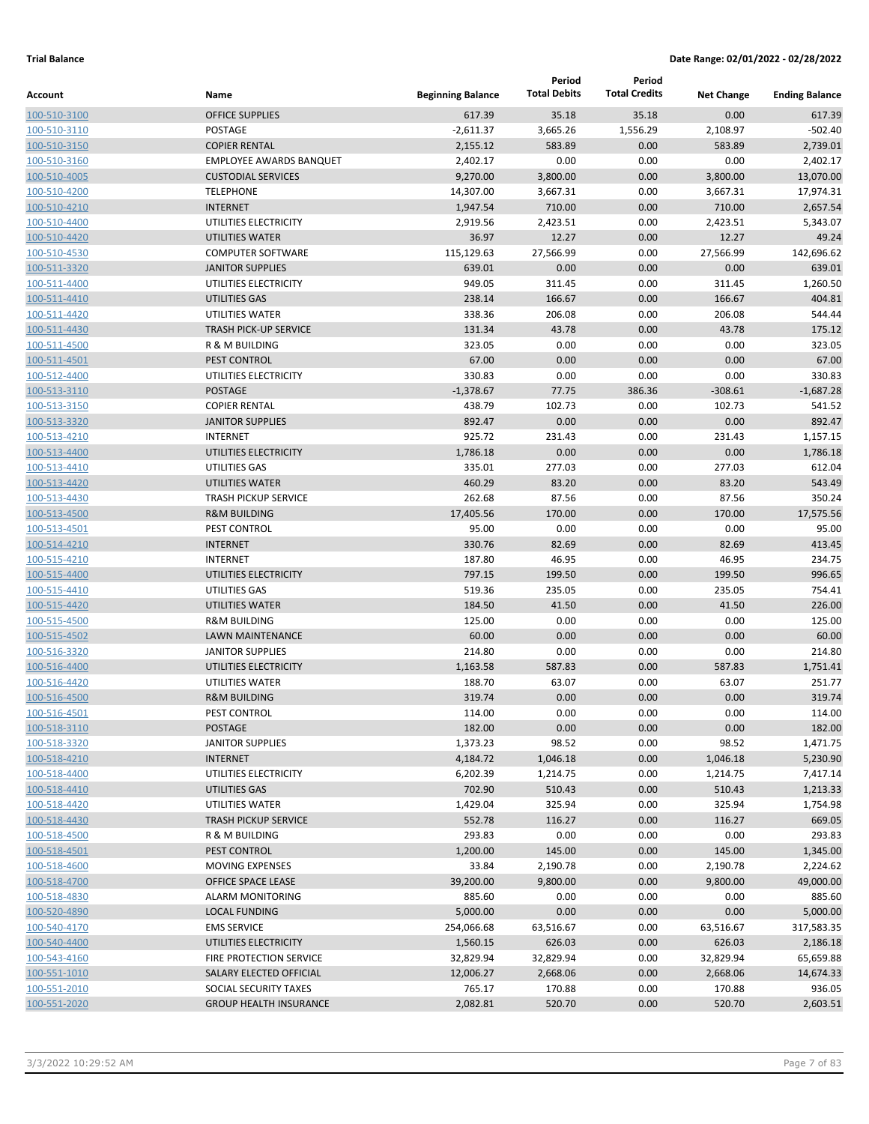|                              |                                            |                          | Period              | Period               |                   |                       |
|------------------------------|--------------------------------------------|--------------------------|---------------------|----------------------|-------------------|-----------------------|
| Account                      | Name                                       | <b>Beginning Balance</b> | <b>Total Debits</b> | <b>Total Credits</b> | <b>Net Change</b> | <b>Ending Balance</b> |
| 100-510-3100                 | <b>OFFICE SUPPLIES</b>                     | 617.39                   | 35.18               | 35.18                | 0.00              | 617.39                |
| 100-510-3110                 | POSTAGE                                    | $-2,611.37$              | 3,665.26            | 1,556.29             | 2,108.97          | $-502.40$             |
| 100-510-3150                 | <b>COPIER RENTAL</b>                       | 2,155.12                 | 583.89              | 0.00                 | 583.89            | 2,739.01              |
| 100-510-3160                 | <b>EMPLOYEE AWARDS BANQUET</b>             | 2,402.17                 | 0.00                | 0.00                 | 0.00              | 2,402.17              |
| 100-510-4005                 | <b>CUSTODIAL SERVICES</b>                  | 9,270.00                 | 3,800.00            | 0.00                 | 3,800.00          | 13,070.00             |
| 100-510-4200                 | <b>TELEPHONE</b>                           | 14,307.00                | 3,667.31            | 0.00                 | 3,667.31          | 17,974.31             |
| 100-510-4210                 | <b>INTERNET</b>                            | 1,947.54                 | 710.00              | 0.00                 | 710.00            | 2,657.54              |
| 100-510-4400                 | UTILITIES ELECTRICITY                      | 2,919.56                 | 2,423.51            | 0.00                 | 2,423.51          | 5,343.07              |
| 100-510-4420                 | UTILITIES WATER                            | 36.97                    | 12.27               | 0.00                 | 12.27             | 49.24                 |
| 100-510-4530                 | <b>COMPUTER SOFTWARE</b>                   | 115,129.63               | 27,566.99           | 0.00                 | 27,566.99         | 142,696.62            |
| 100-511-3320                 | <b>JANITOR SUPPLIES</b>                    | 639.01                   | 0.00                | 0.00                 | 0.00              | 639.01                |
| 100-511-4400                 | UTILITIES ELECTRICITY                      | 949.05                   | 311.45              | 0.00                 | 311.45            | 1,260.50              |
| 100-511-4410                 | UTILITIES GAS                              | 238.14                   | 166.67              | 0.00                 | 166.67            | 404.81                |
| 100-511-4420                 | UTILITIES WATER                            | 338.36                   | 206.08              | 0.00                 | 206.08            | 544.44                |
| 100-511-4430                 | <b>TRASH PICK-UP SERVICE</b>               | 131.34                   | 43.78               | 0.00                 | 43.78             | 175.12                |
| 100-511-4500                 | R & M BUILDING                             | 323.05                   | 0.00                | 0.00                 | 0.00              | 323.05                |
| 100-511-4501                 | PEST CONTROL                               | 67.00                    | 0.00                | 0.00                 | 0.00              | 67.00                 |
| 100-512-4400                 | UTILITIES ELECTRICITY                      | 330.83                   | 0.00                | 0.00                 | 0.00              | 330.83                |
| 100-513-3110                 | <b>POSTAGE</b>                             | $-1,378.67$              | 77.75               | 386.36               | $-308.61$         | $-1,687.28$           |
| 100-513-3150                 | <b>COPIER RENTAL</b>                       | 438.79                   | 102.73              | 0.00                 | 102.73            | 541.52                |
| 100-513-3320                 | <b>JANITOR SUPPLIES</b>                    | 892.47                   | 0.00                | 0.00                 | 0.00              | 892.47                |
| 100-513-4210                 | <b>INTERNET</b>                            | 925.72                   | 231.43              | 0.00                 | 231.43            | 1,157.15              |
| 100-513-4400                 | UTILITIES ELECTRICITY                      | 1,786.18                 | 0.00                | 0.00                 | 0.00              | 1,786.18              |
| 100-513-4410                 | UTILITIES GAS                              | 335.01                   | 277.03              | 0.00                 | 277.03            | 612.04                |
| 100-513-4420                 | UTILITIES WATER                            | 460.29                   | 83.20               | 0.00                 | 83.20             | 543.49                |
| 100-513-4430                 | <b>TRASH PICKUP SERVICE</b>                | 262.68                   | 87.56               | 0.00                 | 87.56             | 350.24                |
| 100-513-4500                 | <b>R&amp;M BUILDING</b>                    | 17,405.56                | 170.00              | 0.00                 | 170.00            | 17,575.56             |
| 100-513-4501                 | PEST CONTROL                               | 95.00                    | 0.00                | 0.00                 | 0.00              | 95.00                 |
| 100-514-4210                 | <b>INTERNET</b>                            | 330.76                   | 82.69               | 0.00                 | 82.69             | 413.45                |
| 100-515-4210                 | <b>INTERNET</b>                            | 187.80                   | 46.95               | 0.00                 | 46.95             | 234.75                |
| 100-515-4400                 | UTILITIES ELECTRICITY                      | 797.15                   | 199.50              | 0.00                 | 199.50            | 996.65                |
| 100-515-4410                 | UTILITIES GAS                              | 519.36                   | 235.05              | 0.00                 | 235.05            | 754.41                |
| 100-515-4420                 | UTILITIES WATER<br><b>R&amp;M BUILDING</b> | 184.50<br>125.00         | 41.50<br>0.00       | 0.00                 | 41.50             | 226.00                |
| 100-515-4500                 | <b>LAWN MAINTENANCE</b>                    |                          | 0.00                | 0.00                 | 0.00              | 125.00<br>60.00       |
| 100-515-4502                 | <b>JANITOR SUPPLIES</b>                    | 60.00<br>214.80          | 0.00                | 0.00                 | 0.00<br>0.00      | 214.80                |
| 100-516-3320                 | UTILITIES ELECTRICITY                      | 1,163.58                 | 587.83              | 0.00<br>0.00         | 587.83            | 1,751.41              |
| 100-516-4400<br>100-516-4420 | UTILITIES WATER                            |                          |                     |                      | 63.07             | 251.77                |
| 100-516-4500                 | <b>R&amp;M BUILDING</b>                    | 188.70<br>319.74         | 63.07<br>0.00       | 0.00<br>0.00         | 0.00              | 319.74                |
| 100-516-4501                 | PEST CONTROL                               | 114.00                   | 0.00                | 0.00                 | 0.00              | 114.00                |
| 100-518-3110                 | POSTAGE                                    | 182.00                   | 0.00                | 0.00                 | 0.00              | 182.00                |
| 100-518-3320                 | <b>JANITOR SUPPLIES</b>                    | 1,373.23                 | 98.52               | 0.00                 | 98.52             | 1,471.75              |
| 100-518-4210                 | <b>INTERNET</b>                            | 4,184.72                 | 1,046.18            | 0.00                 | 1,046.18          | 5,230.90              |
| 100-518-4400                 | UTILITIES ELECTRICITY                      | 6,202.39                 | 1,214.75            | 0.00                 | 1,214.75          | 7,417.14              |
| 100-518-4410                 | UTILITIES GAS                              | 702.90                   | 510.43              | 0.00                 | 510.43            | 1,213.33              |
| 100-518-4420                 | UTILITIES WATER                            | 1,429.04                 | 325.94              | 0.00                 | 325.94            | 1,754.98              |
| 100-518-4430                 | <b>TRASH PICKUP SERVICE</b>                | 552.78                   | 116.27              | 0.00                 | 116.27            | 669.05                |
| 100-518-4500                 | R & M BUILDING                             | 293.83                   | 0.00                | 0.00                 | 0.00              | 293.83                |
| 100-518-4501                 | PEST CONTROL                               | 1,200.00                 | 145.00              | 0.00                 | 145.00            | 1,345.00              |
| 100-518-4600                 | MOVING EXPENSES                            | 33.84                    | 2,190.78            | 0.00                 | 2,190.78          | 2,224.62              |
| 100-518-4700                 | OFFICE SPACE LEASE                         | 39,200.00                | 9,800.00            | 0.00                 | 9,800.00          | 49,000.00             |
| 100-518-4830                 | <b>ALARM MONITORING</b>                    | 885.60                   | 0.00                | 0.00                 | 0.00              | 885.60                |
| 100-520-4890                 | <b>LOCAL FUNDING</b>                       | 5,000.00                 | 0.00                | 0.00                 | 0.00              | 5,000.00              |
| 100-540-4170                 | <b>EMS SERVICE</b>                         | 254,066.68               | 63,516.67           | 0.00                 | 63,516.67         | 317,583.35            |
| 100-540-4400                 | UTILITIES ELECTRICITY                      | 1,560.15                 | 626.03              | 0.00                 | 626.03            | 2,186.18              |
| 100-543-4160                 | FIRE PROTECTION SERVICE                    | 32,829.94                | 32,829.94           | 0.00                 | 32,829.94         | 65,659.88             |
| 100-551-1010                 | SALARY ELECTED OFFICIAL                    | 12,006.27                | 2,668.06            | 0.00                 | 2,668.06          | 14,674.33             |
| 100-551-2010                 | SOCIAL SECURITY TAXES                      | 765.17                   | 170.88              | 0.00                 | 170.88            | 936.05                |
| 100-551-2020                 | <b>GROUP HEALTH INSURANCE</b>              | 2,082.81                 | 520.70              | 0.00                 | 520.70            | 2,603.51              |
|                              |                                            |                          |                     |                      |                   |                       |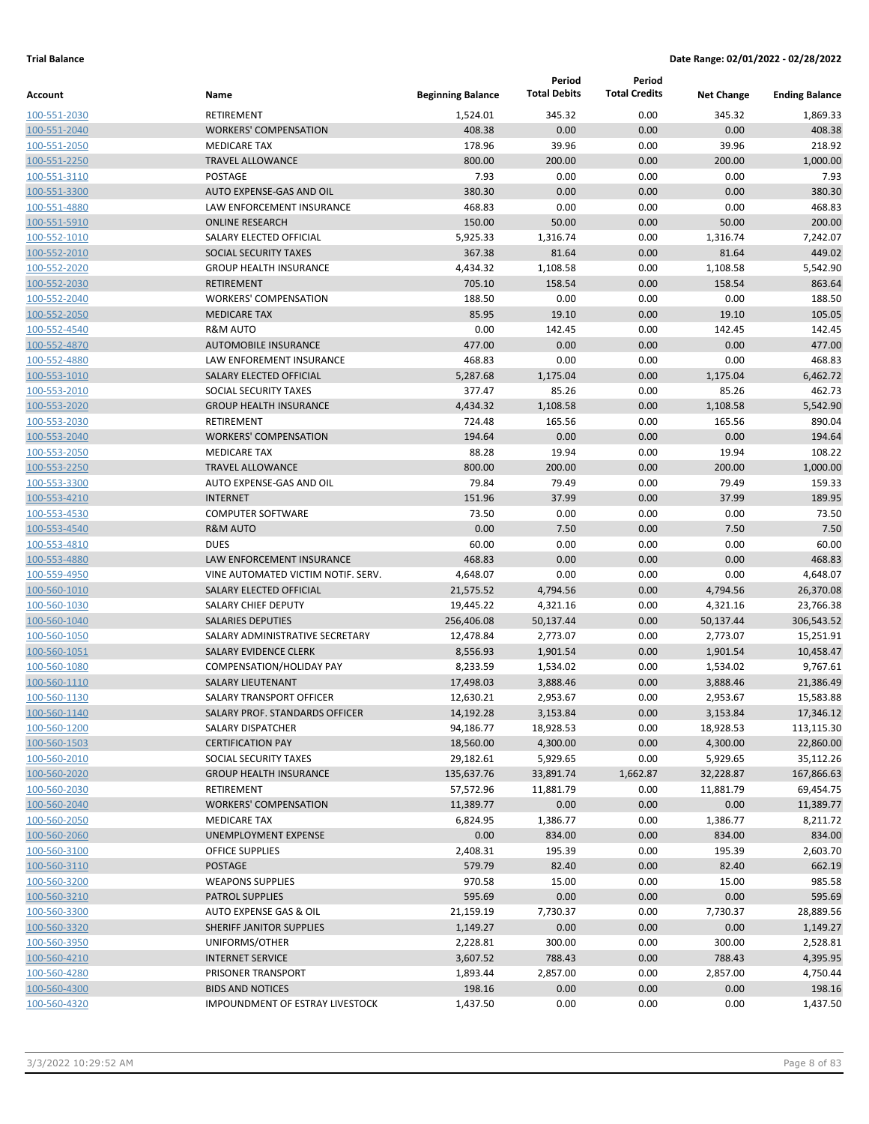|              |                                    |                          | Period              | Period               |                   |                       |
|--------------|------------------------------------|--------------------------|---------------------|----------------------|-------------------|-----------------------|
| Account      | Name                               | <b>Beginning Balance</b> | <b>Total Debits</b> | <b>Total Credits</b> | <b>Net Change</b> | <b>Ending Balance</b> |
| 100-551-2030 | RETIREMENT                         | 1,524.01                 | 345.32              | 0.00                 | 345.32            | 1,869.33              |
| 100-551-2040 | <b>WORKERS' COMPENSATION</b>       | 408.38                   | 0.00                | 0.00                 | 0.00              | 408.38                |
| 100-551-2050 | <b>MEDICARE TAX</b>                | 178.96                   | 39.96               | 0.00                 | 39.96             | 218.92                |
| 100-551-2250 | <b>TRAVEL ALLOWANCE</b>            | 800.00                   | 200.00              | 0.00                 | 200.00            | 1,000.00              |
| 100-551-3110 | <b>POSTAGE</b>                     | 7.93                     | 0.00                | 0.00                 | 0.00              | 7.93                  |
| 100-551-3300 | AUTO EXPENSE-GAS AND OIL           | 380.30                   | 0.00                | 0.00                 | 0.00              | 380.30                |
| 100-551-4880 | LAW ENFORCEMENT INSURANCE          | 468.83                   | 0.00                | 0.00                 | 0.00              | 468.83                |
| 100-551-5910 | <b>ONLINE RESEARCH</b>             | 150.00                   | 50.00               | 0.00                 | 50.00             | 200.00                |
| 100-552-1010 | SALARY ELECTED OFFICIAL            | 5,925.33                 | 1,316.74            | 0.00                 | 1,316.74          | 7,242.07              |
| 100-552-2010 | <b>SOCIAL SECURITY TAXES</b>       | 367.38                   | 81.64               | 0.00                 | 81.64             | 449.02                |
| 100-552-2020 | <b>GROUP HEALTH INSURANCE</b>      | 4,434.32                 | 1,108.58            | 0.00                 | 1,108.58          | 5,542.90              |
| 100-552-2030 | <b>RETIREMENT</b>                  | 705.10                   | 158.54              | 0.00                 | 158.54            | 863.64                |
| 100-552-2040 | <b>WORKERS' COMPENSATION</b>       | 188.50                   | 0.00                | 0.00                 | 0.00              | 188.50                |
| 100-552-2050 | <b>MEDICARE TAX</b>                | 85.95                    | 19.10               | 0.00                 | 19.10             | 105.05                |
| 100-552-4540 | <b>R&amp;M AUTO</b>                | 0.00                     | 142.45              | 0.00                 | 142.45            | 142.45                |
| 100-552-4870 | <b>AUTOMOBILE INSURANCE</b>        | 477.00                   | 0.00                | 0.00                 | 0.00              | 477.00                |
| 100-552-4880 | LAW ENFOREMENT INSURANCE           | 468.83                   | 0.00                | 0.00                 | 0.00              | 468.83                |
| 100-553-1010 | <b>SALARY ELECTED OFFICIAL</b>     | 5,287.68                 | 1,175.04            | 0.00                 | 1,175.04          | 6,462.72              |
| 100-553-2010 | SOCIAL SECURITY TAXES              | 377.47                   | 85.26               | 0.00                 | 85.26             | 462.73                |
| 100-553-2020 | <b>GROUP HEALTH INSURANCE</b>      | 4,434.32                 | 1,108.58            | 0.00                 | 1,108.58          | 5,542.90              |
| 100-553-2030 | RETIREMENT                         | 724.48                   | 165.56              | 0.00                 | 165.56            | 890.04                |
| 100-553-2040 | <b>WORKERS' COMPENSATION</b>       | 194.64                   | 0.00                | 0.00                 | 0.00              | 194.64                |
| 100-553-2050 | <b>MEDICARE TAX</b>                | 88.28                    | 19.94               | 0.00                 | 19.94             | 108.22                |
| 100-553-2250 | <b>TRAVEL ALLOWANCE</b>            | 800.00                   | 200.00              | 0.00                 | 200.00            | 1,000.00              |
| 100-553-3300 | AUTO EXPENSE-GAS AND OIL           | 79.84                    | 79.49               | 0.00                 | 79.49             | 159.33                |
| 100-553-4210 | <b>INTERNET</b>                    | 151.96                   | 37.99               | 0.00                 | 37.99             | 189.95                |
| 100-553-4530 | <b>COMPUTER SOFTWARE</b>           | 73.50                    | 0.00                | 0.00                 | 0.00              | 73.50                 |
| 100-553-4540 | <b>R&amp;M AUTO</b>                | 0.00                     | 7.50                | 0.00                 | 7.50              | 7.50                  |
| 100-553-4810 | <b>DUES</b>                        | 60.00                    | 0.00                | 0.00                 | 0.00              | 60.00                 |
| 100-553-4880 | <b>LAW ENFORCEMENT INSURANCE</b>   | 468.83                   | 0.00                | 0.00                 | 0.00              | 468.83                |
| 100-559-4950 | VINE AUTOMATED VICTIM NOTIF. SERV. | 4,648.07                 | 0.00                | 0.00                 | 0.00              | 4,648.07              |
| 100-560-1010 | SALARY ELECTED OFFICIAL            | 21,575.52                | 4,794.56            | 0.00                 | 4,794.56          | 26,370.08             |
| 100-560-1030 | SALARY CHIEF DEPUTY                | 19,445.22                | 4,321.16            | 0.00                 | 4,321.16          | 23,766.38             |
| 100-560-1040 | <b>SALARIES DEPUTIES</b>           | 256,406.08               | 50,137.44           | 0.00                 | 50,137.44         | 306,543.52            |
| 100-560-1050 | SALARY ADMINISTRATIVE SECRETARY    | 12,478.84                | 2,773.07            | 0.00                 | 2,773.07          | 15,251.91             |
| 100-560-1051 | <b>SALARY EVIDENCE CLERK</b>       | 8,556.93                 | 1,901.54            | 0.00                 | 1,901.54          | 10,458.47             |
| 100-560-1080 | COMPENSATION/HOLIDAY PAY           | 8,233.59                 | 1,534.02            | 0.00                 | 1,534.02          | 9,767.61              |
| 100-560-1110 | <b>SALARY LIEUTENANT</b>           | 17,498.03                | 3,888.46            | 0.00                 | 3,888.46          | 21,386.49             |
| 100-560-1130 | SALARY TRANSPORT OFFICER           | 12,630.21                | 2,953.67            | 0.00                 | 2,953.67          | 15,583.88             |
| 100-560-1140 | SALARY PROF. STANDARDS OFFICER     | 14,192.28                | 3,153.84            | 0.00                 | 3,153.84          | 17,346.12             |
| 100-560-1200 | SALARY DISPATCHER                  | 94,186.77                | 18,928.53           | 0.00                 | 18,928.53         | 113,115.30            |
| 100-560-1503 | <b>CERTIFICATION PAY</b>           | 18,560.00                | 4,300.00            | 0.00                 | 4,300.00          | 22,860.00             |
| 100-560-2010 | SOCIAL SECURITY TAXES              | 29,182.61                | 5,929.65            | 0.00                 | 5,929.65          | 35,112.26             |
| 100-560-2020 | <b>GROUP HEALTH INSURANCE</b>      | 135,637.76               | 33,891.74           | 1,662.87             | 32,228.87         | 167,866.63            |
| 100-560-2030 | RETIREMENT                         | 57,572.96                | 11,881.79           | 0.00                 | 11,881.79         | 69,454.75             |
| 100-560-2040 | <b>WORKERS' COMPENSATION</b>       | 11,389.77                | 0.00                | 0.00                 | 0.00              | 11,389.77             |
| 100-560-2050 | <b>MEDICARE TAX</b>                | 6,824.95                 | 1,386.77            | 0.00                 | 1,386.77          | 8,211.72              |
| 100-560-2060 | UNEMPLOYMENT EXPENSE               | 0.00                     | 834.00              | 0.00                 | 834.00            | 834.00                |
| 100-560-3100 | <b>OFFICE SUPPLIES</b>             | 2,408.31                 | 195.39              | 0.00                 | 195.39            | 2,603.70              |
| 100-560-3110 | POSTAGE                            | 579.79                   | 82.40               | 0.00                 | 82.40             | 662.19                |
| 100-560-3200 | <b>WEAPONS SUPPLIES</b>            | 970.58                   | 15.00               | 0.00                 | 15.00             | 985.58                |
| 100-560-3210 | <b>PATROL SUPPLIES</b>             | 595.69                   | 0.00                | 0.00                 | 0.00              | 595.69                |
| 100-560-3300 | AUTO EXPENSE GAS & OIL             | 21,159.19                | 7,730.37            | 0.00                 | 7,730.37          | 28,889.56             |
| 100-560-3320 | SHERIFF JANITOR SUPPLIES           | 1,149.27                 | 0.00                | 0.00                 | 0.00              | 1,149.27              |
| 100-560-3950 | UNIFORMS/OTHER                     | 2,228.81                 | 300.00              | 0.00                 | 300.00            | 2,528.81              |
| 100-560-4210 | <b>INTERNET SERVICE</b>            | 3,607.52                 | 788.43              | 0.00                 | 788.43            | 4,395.95              |
| 100-560-4280 | PRISONER TRANSPORT                 | 1,893.44                 | 2,857.00            | 0.00                 | 2,857.00          | 4,750.44              |
| 100-560-4300 | <b>BIDS AND NOTICES</b>            | 198.16                   | 0.00                | 0.00                 | 0.00              | 198.16                |
| 100-560-4320 | IMPOUNDMENT OF ESTRAY LIVESTOCK    | 1,437.50                 | 0.00                | 0.00                 | 0.00              | 1,437.50              |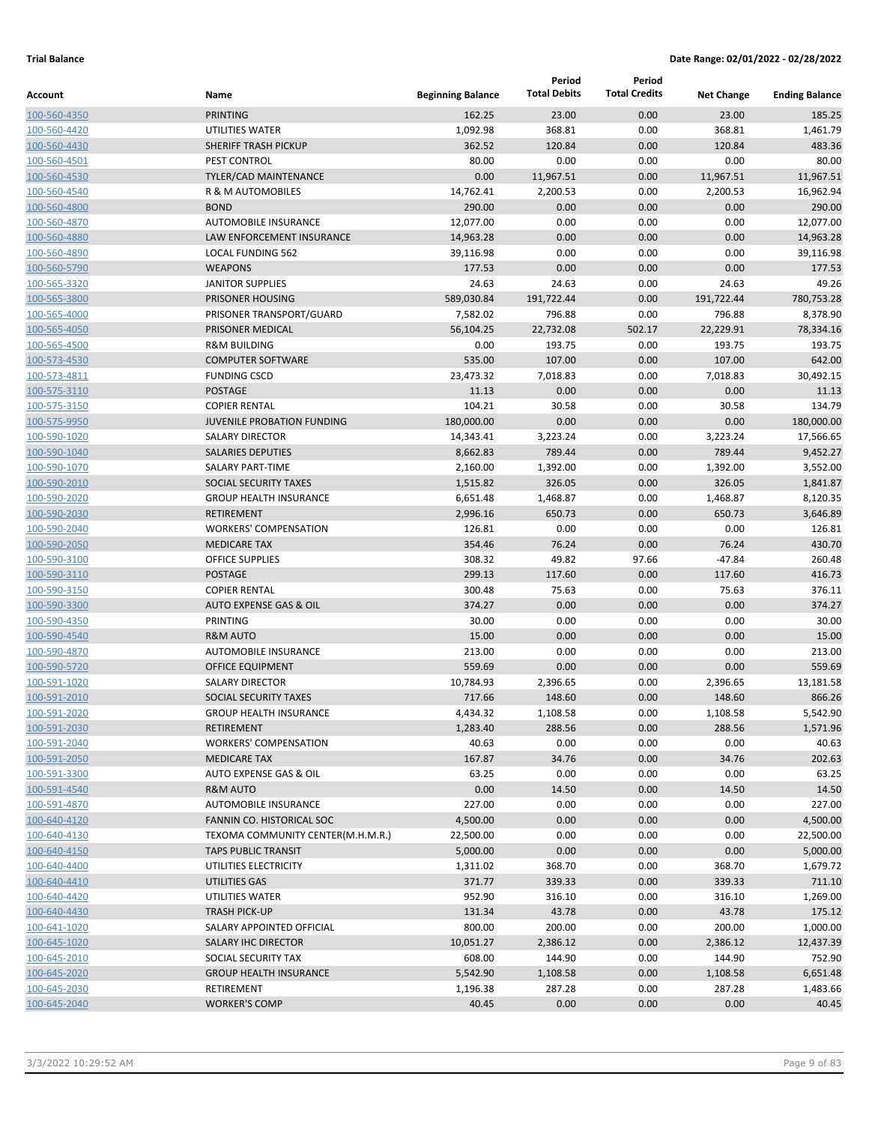|                              |                                   |                          | Period<br><b>Total Debits</b> | Period<br><b>Total Credits</b> |                   |                       |
|------------------------------|-----------------------------------|--------------------------|-------------------------------|--------------------------------|-------------------|-----------------------|
| <b>Account</b>               | Name                              | <b>Beginning Balance</b> |                               |                                | <b>Net Change</b> | <b>Ending Balance</b> |
| 100-560-4350                 | <b>PRINTING</b>                   | 162.25                   | 23.00                         | 0.00                           | 23.00             | 185.25                |
| 100-560-4420                 | UTILITIES WATER                   | 1,092.98                 | 368.81                        | 0.00                           | 368.81            | 1,461.79              |
| 100-560-4430                 | SHERIFF TRASH PICKUP              | 362.52                   | 120.84                        | 0.00                           | 120.84            | 483.36                |
| 100-560-4501                 | PEST CONTROL                      | 80.00                    | 0.00                          | 0.00                           | 0.00              | 80.00                 |
| 100-560-4530                 | <b>TYLER/CAD MAINTENANCE</b>      | 0.00                     | 11,967.51                     | 0.00                           | 11,967.51         | 11,967.51             |
| 100-560-4540                 | R & M AUTOMOBILES<br><b>BOND</b>  | 14,762.41<br>290.00      | 2,200.53<br>0.00              | 0.00                           | 2,200.53<br>0.00  | 16,962.94             |
| 100-560-4800                 | AUTOMOBILE INSURANCE              | 12,077.00                | 0.00                          | 0.00                           | 0.00              | 290.00<br>12,077.00   |
| 100-560-4870<br>100-560-4880 | LAW ENFORCEMENT INSURANCE         | 14,963.28                | 0.00                          | 0.00<br>0.00                   | 0.00              | 14,963.28             |
| 100-560-4890                 | <b>LOCAL FUNDING 562</b>          | 39,116.98                | 0.00                          | 0.00                           | 0.00              | 39,116.98             |
| 100-560-5790                 | <b>WEAPONS</b>                    | 177.53                   | 0.00                          | 0.00                           | 0.00              | 177.53                |
| 100-565-3320                 | <b>JANITOR SUPPLIES</b>           | 24.63                    | 24.63                         | 0.00                           | 24.63             | 49.26                 |
| 100-565-3800                 | PRISONER HOUSING                  | 589,030.84               | 191,722.44                    | 0.00                           | 191,722.44        | 780,753.28            |
| 100-565-4000                 | PRISONER TRANSPORT/GUARD          | 7,582.02                 | 796.88                        | 0.00                           | 796.88            | 8,378.90              |
| 100-565-4050                 | PRISONER MEDICAL                  | 56,104.25                | 22,732.08                     | 502.17                         | 22,229.91         | 78,334.16             |
| 100-565-4500                 | <b>R&amp;M BUILDING</b>           | 0.00                     | 193.75                        | 0.00                           | 193.75            | 193.75                |
| 100-573-4530                 | <b>COMPUTER SOFTWARE</b>          | 535.00                   | 107.00                        | 0.00                           | 107.00            | 642.00                |
| 100-573-4811                 | <b>FUNDING CSCD</b>               | 23,473.32                | 7,018.83                      | 0.00                           | 7,018.83          | 30,492.15             |
| 100-575-3110                 | <b>POSTAGE</b>                    | 11.13                    | 0.00                          | 0.00                           | 0.00              | 11.13                 |
| 100-575-3150                 | <b>COPIER RENTAL</b>              | 104.21                   | 30.58                         | 0.00                           | 30.58             | 134.79                |
| 100-575-9950                 | <b>JUVENILE PROBATION FUNDING</b> | 180,000.00               | 0.00                          | 0.00                           | 0.00              | 180,000.00            |
| 100-590-1020                 | <b>SALARY DIRECTOR</b>            | 14,343.41                | 3,223.24                      | 0.00                           | 3,223.24          | 17,566.65             |
| 100-590-1040                 | <b>SALARIES DEPUTIES</b>          | 8,662.83                 | 789.44                        | 0.00                           | 789.44            | 9,452.27              |
| 100-590-1070                 | SALARY PART-TIME                  | 2,160.00                 | 1,392.00                      | 0.00                           | 1,392.00          | 3,552.00              |
| 100-590-2010                 | SOCIAL SECURITY TAXES             | 1,515.82                 | 326.05                        | 0.00                           | 326.05            | 1,841.87              |
| 100-590-2020                 | <b>GROUP HEALTH INSURANCE</b>     | 6,651.48                 | 1,468.87                      | 0.00                           | 1,468.87          | 8,120.35              |
| 100-590-2030                 | <b>RETIREMENT</b>                 | 2,996.16                 | 650.73                        | 0.00                           | 650.73            | 3,646.89              |
| 100-590-2040                 | <b>WORKERS' COMPENSATION</b>      | 126.81                   | 0.00                          | 0.00                           | 0.00              | 126.81                |
| 100-590-2050                 | <b>MEDICARE TAX</b>               | 354.46                   | 76.24                         | 0.00                           | 76.24             | 430.70                |
| 100-590-3100                 | <b>OFFICE SUPPLIES</b>            | 308.32                   | 49.82                         | 97.66                          | $-47.84$          | 260.48                |
| 100-590-3110                 | <b>POSTAGE</b>                    | 299.13                   | 117.60                        | 0.00                           | 117.60            | 416.73                |
| 100-590-3150                 | <b>COPIER RENTAL</b>              | 300.48                   | 75.63                         | 0.00                           | 75.63             | 376.11                |
| 100-590-3300                 | AUTO EXPENSE GAS & OIL            | 374.27                   | 0.00                          | 0.00                           | 0.00              | 374.27                |
| 100-590-4350                 | <b>PRINTING</b>                   | 30.00                    | 0.00                          | 0.00                           | 0.00              | 30.00                 |
| 100-590-4540                 | <b>R&amp;M AUTO</b>               | 15.00                    | 0.00                          | 0.00                           | 0.00              | 15.00                 |
| 100-590-4870                 | AUTOMOBILE INSURANCE              | 213.00                   | 0.00                          | 0.00                           | 0.00              | 213.00                |
| 100-590-5720                 | <b>OFFICE EQUIPMENT</b>           | 559.69                   | 0.00                          | 0.00                           | 0.00              | 559.69                |
| 100-591-1020                 | <b>SALARY DIRECTOR</b>            | 10,784.93                | 2,396.65                      | 0.00                           | 2,396.65          | 13,181.58             |
| 100-591-2010                 | SOCIAL SECURITY TAXES             | 717.66                   | 148.60                        | 0.00                           | 148.60            | 866.26                |
| 100-591-2020                 | <b>GROUP HEALTH INSURANCE</b>     | 4,434.32                 | 1,108.58                      | 0.00                           | 1,108.58          | 5,542.90              |
| 100-591-2030                 | RETIREMENT                        | 1,283.40                 | 288.56                        | 0.00                           | 288.56            | 1,571.96              |
| 100-591-2040                 | <b>WORKERS' COMPENSATION</b>      | 40.63                    | 0.00                          | 0.00                           | 0.00              | 40.63                 |
| 100-591-2050                 | <b>MEDICARE TAX</b>               | 167.87                   | 34.76                         | 0.00                           | 34.76             | 202.63                |
| 100-591-3300                 | AUTO EXPENSE GAS & OIL            | 63.25                    | 0.00                          | 0.00                           | 0.00              | 63.25                 |
| 100-591-4540                 | <b>R&amp;M AUTO</b>               | 0.00                     | 14.50                         | 0.00                           | 14.50             | 14.50                 |
| 100-591-4870                 | AUTOMOBILE INSURANCE              | 227.00                   | 0.00                          | 0.00                           | 0.00              | 227.00                |
| 100-640-4120                 | FANNIN CO. HISTORICAL SOC         | 4,500.00                 | 0.00                          | 0.00                           | 0.00              | 4,500.00              |
| 100-640-4130                 | TEXOMA COMMUNITY CENTER(M.H.M.R.) | 22,500.00                | 0.00                          | 0.00                           | 0.00              | 22,500.00             |
| 100-640-4150                 | <b>TAPS PUBLIC TRANSIT</b>        | 5,000.00                 | 0.00                          | 0.00                           | 0.00              | 5,000.00              |
| 100-640-4400                 | UTILITIES ELECTRICITY             | 1,311.02                 | 368.70                        | 0.00                           | 368.70            | 1,679.72              |
| 100-640-4410                 | UTILITIES GAS                     | 371.77                   | 339.33                        | 0.00                           | 339.33            | 711.10                |
| 100-640-4420                 | UTILITIES WATER                   | 952.90                   | 316.10                        | 0.00                           | 316.10            | 1,269.00              |
| 100-640-4430                 | <b>TRASH PICK-UP</b>              | 131.34                   | 43.78                         | 0.00                           | 43.78             | 175.12                |
| 100-641-1020                 | SALARY APPOINTED OFFICIAL         | 800.00                   | 200.00                        | 0.00                           | 200.00            | 1,000.00              |
| 100-645-1020                 | SALARY IHC DIRECTOR               | 10,051.27                | 2,386.12                      | 0.00                           | 2,386.12          | 12,437.39             |
| 100-645-2010                 | SOCIAL SECURITY TAX               | 608.00                   | 144.90                        | 0.00                           | 144.90            | 752.90                |
| 100-645-2020                 | <b>GROUP HEALTH INSURANCE</b>     | 5,542.90                 | 1,108.58                      | 0.00                           | 1,108.58          | 6,651.48              |
| 100-645-2030                 | RETIREMENT                        | 1,196.38                 | 287.28                        | 0.00                           | 287.28            | 1,483.66              |
| 100-645-2040                 | <b>WORKER'S COMP</b>              | 40.45                    | 0.00                          | 0.00                           | 0.00              | 40.45                 |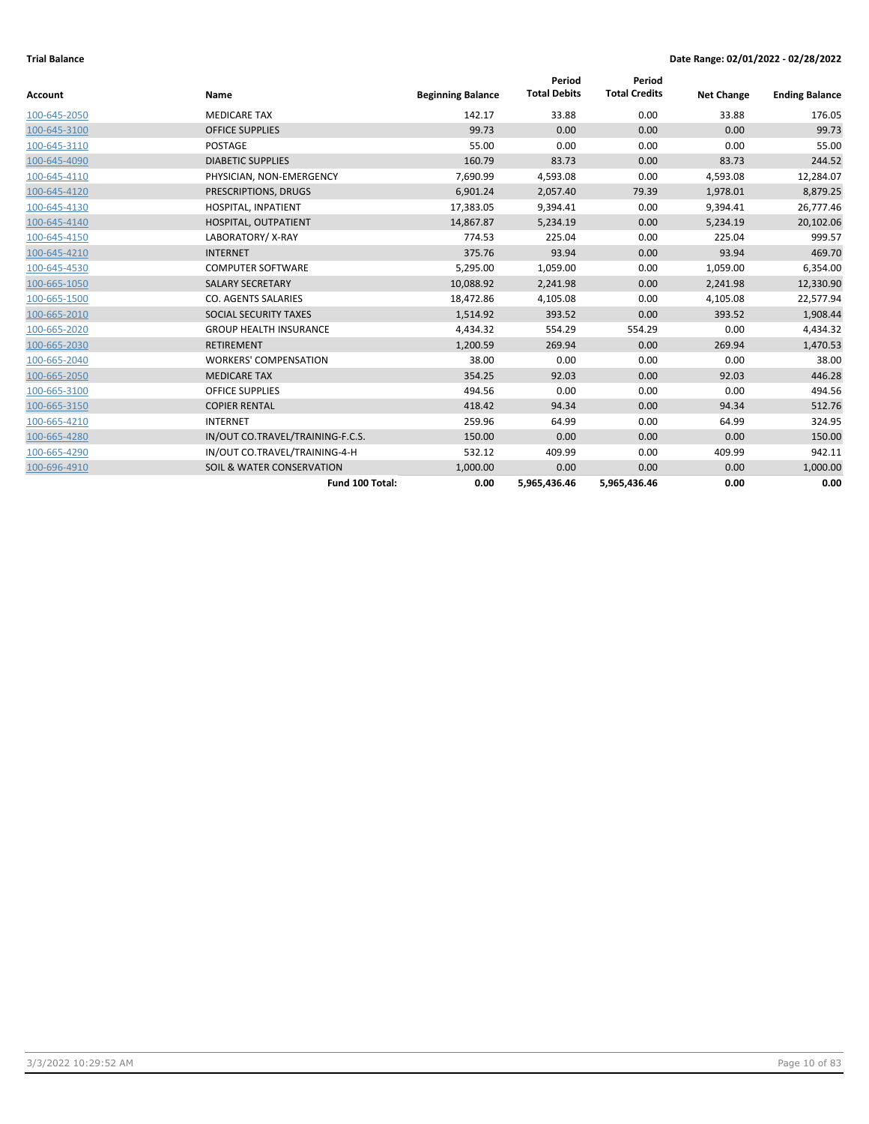|              |                                  |                          | Period              | Period               |                   |                       |
|--------------|----------------------------------|--------------------------|---------------------|----------------------|-------------------|-----------------------|
| Account      | Name                             | <b>Beginning Balance</b> | <b>Total Debits</b> | <b>Total Credits</b> | <b>Net Change</b> | <b>Ending Balance</b> |
| 100-645-2050 | <b>MEDICARE TAX</b>              | 142.17                   | 33.88               | 0.00                 | 33.88             | 176.05                |
| 100-645-3100 | <b>OFFICE SUPPLIES</b>           | 99.73                    | 0.00                | 0.00                 | 0.00              | 99.73                 |
| 100-645-3110 | POSTAGE                          | 55.00                    | 0.00                | 0.00                 | 0.00              | 55.00                 |
| 100-645-4090 | <b>DIABETIC SUPPLIES</b>         | 160.79                   | 83.73               | 0.00                 | 83.73             | 244.52                |
| 100-645-4110 | PHYSICIAN, NON-EMERGENCY         | 7,690.99                 | 4,593.08            | 0.00                 | 4,593.08          | 12,284.07             |
| 100-645-4120 | PRESCRIPTIONS, DRUGS             | 6,901.24                 | 2,057.40            | 79.39                | 1,978.01          | 8,879.25              |
| 100-645-4130 | HOSPITAL, INPATIENT              | 17,383.05                | 9,394.41            | 0.00                 | 9,394.41          | 26,777.46             |
| 100-645-4140 | HOSPITAL, OUTPATIENT             | 14,867.87                | 5,234.19            | 0.00                 | 5,234.19          | 20,102.06             |
| 100-645-4150 | LABORATORY/X-RAY                 | 774.53                   | 225.04              | 0.00                 | 225.04            | 999.57                |
| 100-645-4210 | <b>INTERNET</b>                  | 375.76                   | 93.94               | 0.00                 | 93.94             | 469.70                |
| 100-645-4530 | <b>COMPUTER SOFTWARE</b>         | 5,295.00                 | 1,059.00            | 0.00                 | 1,059.00          | 6,354.00              |
| 100-665-1050 | <b>SALARY SECRETARY</b>          | 10,088.92                | 2,241.98            | 0.00                 | 2,241.98          | 12,330.90             |
| 100-665-1500 | <b>CO. AGENTS SALARIES</b>       | 18,472.86                | 4,105.08            | 0.00                 | 4,105.08          | 22,577.94             |
| 100-665-2010 | SOCIAL SECURITY TAXES            | 1,514.92                 | 393.52              | 0.00                 | 393.52            | 1,908.44              |
| 100-665-2020 | <b>GROUP HEALTH INSURANCE</b>    | 4,434.32                 | 554.29              | 554.29               | 0.00              | 4,434.32              |
| 100-665-2030 | <b>RETIREMENT</b>                | 1,200.59                 | 269.94              | 0.00                 | 269.94            | 1,470.53              |
| 100-665-2040 | <b>WORKERS' COMPENSATION</b>     | 38.00                    | 0.00                | 0.00                 | 0.00              | 38.00                 |
| 100-665-2050 | <b>MEDICARE TAX</b>              | 354.25                   | 92.03               | 0.00                 | 92.03             | 446.28                |
| 100-665-3100 | <b>OFFICE SUPPLIES</b>           | 494.56                   | 0.00                | 0.00                 | 0.00              | 494.56                |
| 100-665-3150 | <b>COPIER RENTAL</b>             | 418.42                   | 94.34               | 0.00                 | 94.34             | 512.76                |
| 100-665-4210 | <b>INTERNET</b>                  | 259.96                   | 64.99               | 0.00                 | 64.99             | 324.95                |
| 100-665-4280 | IN/OUT CO.TRAVEL/TRAINING-F.C.S. | 150.00                   | 0.00                | 0.00                 | 0.00              | 150.00                |
| 100-665-4290 | IN/OUT CO.TRAVEL/TRAINING-4-H    | 532.12                   | 409.99              | 0.00                 | 409.99            | 942.11                |
| 100-696-4910 | SOIL & WATER CONSERVATION        | 1,000.00                 | 0.00                | 0.00                 | 0.00              | 1,000.00              |
|              | Fund 100 Total:                  | 0.00                     | 5,965,436.46        | 5,965,436.46         | 0.00              | 0.00                  |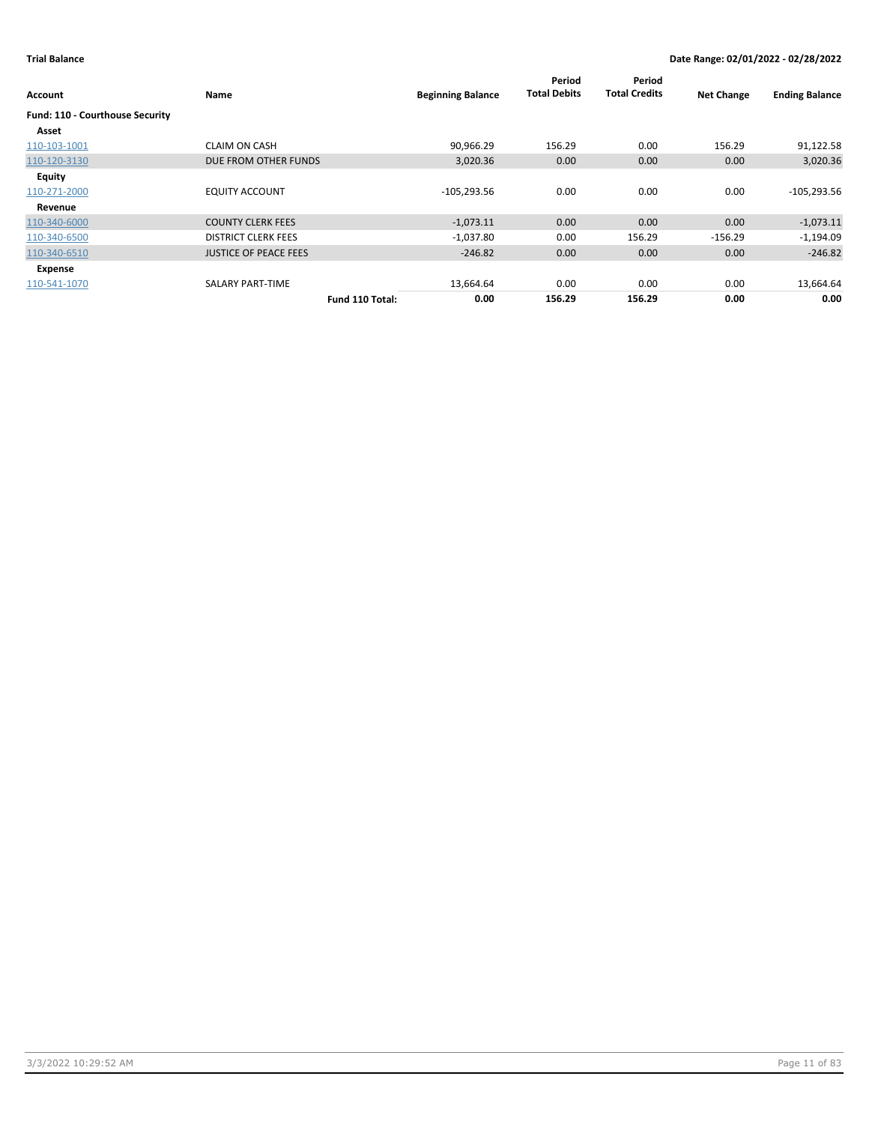| Account                         | Name                         | <b>Beginning Balance</b> | Period<br><b>Total Debits</b> | Period<br><b>Total Credits</b> | <b>Net Change</b> | <b>Ending Balance</b> |
|---------------------------------|------------------------------|--------------------------|-------------------------------|--------------------------------|-------------------|-----------------------|
| Fund: 110 - Courthouse Security |                              |                          |                               |                                |                   |                       |
| Asset                           |                              |                          |                               |                                |                   |                       |
| 110-103-1001                    | <b>CLAIM ON CASH</b>         | 90,966.29                | 156.29                        | 0.00                           | 156.29            | 91,122.58             |
| 110-120-3130                    | DUE FROM OTHER FUNDS         | 3,020.36                 | 0.00                          | 0.00                           | 0.00              | 3,020.36              |
| Equity                          |                              |                          |                               |                                |                   |                       |
| 110-271-2000                    | <b>EQUITY ACCOUNT</b>        | $-105,293.56$            | 0.00                          | 0.00                           | 0.00              | $-105,293.56$         |
| Revenue                         |                              |                          |                               |                                |                   |                       |
| 110-340-6000                    | <b>COUNTY CLERK FEES</b>     | $-1,073.11$              | 0.00                          | 0.00                           | 0.00              | $-1,073.11$           |
| 110-340-6500                    | <b>DISTRICT CLERK FEES</b>   | $-1,037.80$              | 0.00                          | 156.29                         | $-156.29$         | $-1,194.09$           |
| 110-340-6510                    | <b>JUSTICE OF PEACE FEES</b> | $-246.82$                | 0.00                          | 0.00                           | 0.00              | $-246.82$             |
| Expense                         |                              |                          |                               |                                |                   |                       |
| 110-541-1070                    | SALARY PART-TIME             | 13,664.64                | 0.00                          | 0.00                           | 0.00              | 13,664.64             |
|                                 | Fund 110 Total:              | 0.00                     | 156.29                        | 156.29                         | 0.00              | 0.00                  |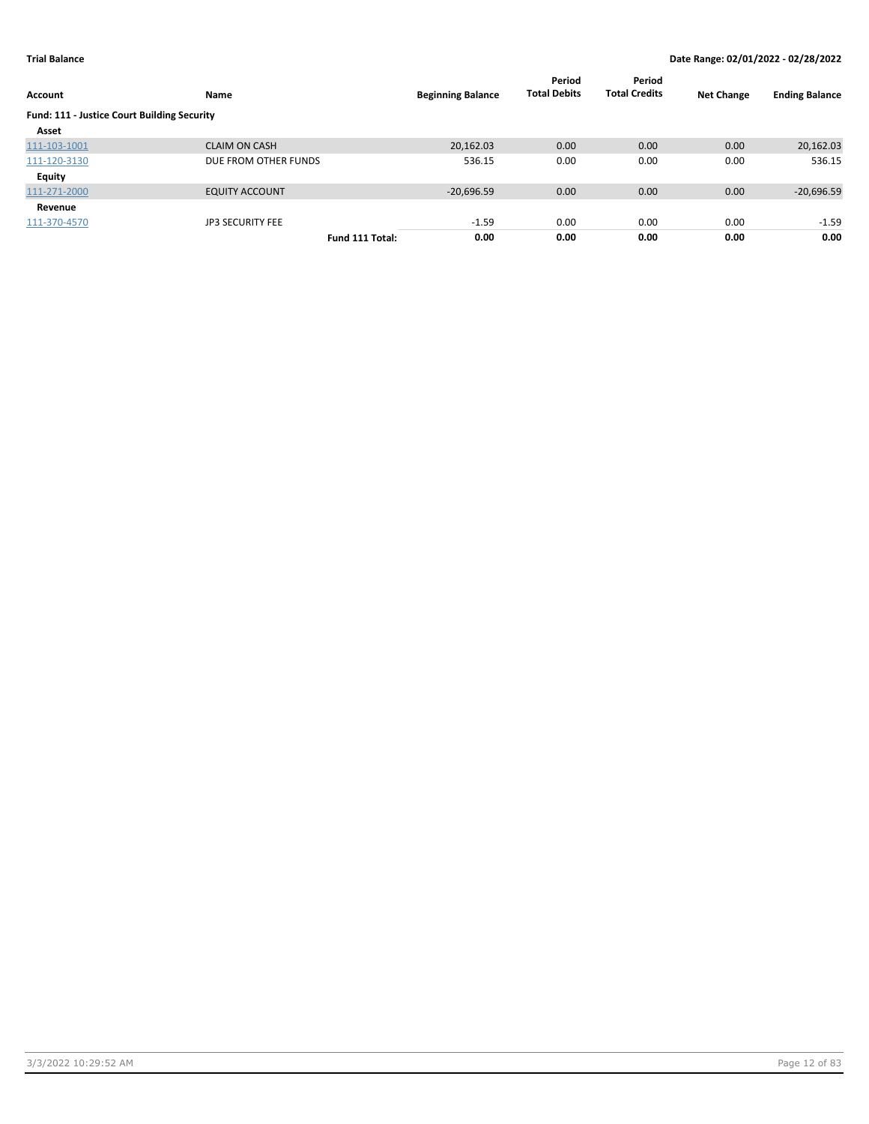| Account                                     | Name                    |                 | <b>Beginning Balance</b> | Period<br><b>Total Debits</b> | Period<br><b>Total Credits</b> | <b>Net Change</b> | <b>Ending Balance</b> |
|---------------------------------------------|-------------------------|-----------------|--------------------------|-------------------------------|--------------------------------|-------------------|-----------------------|
| Fund: 111 - Justice Court Building Security |                         |                 |                          |                               |                                |                   |                       |
| Asset                                       |                         |                 |                          |                               |                                |                   |                       |
| 111-103-1001                                | <b>CLAIM ON CASH</b>    |                 | 20,162.03                | 0.00                          | 0.00                           | 0.00              | 20,162.03             |
| 111-120-3130                                | DUE FROM OTHER FUNDS    |                 | 536.15                   | 0.00                          | 0.00                           | 0.00              | 536.15                |
| Equity                                      |                         |                 |                          |                               |                                |                   |                       |
| 111-271-2000                                | <b>EQUITY ACCOUNT</b>   |                 | $-20,696.59$             | 0.00                          | 0.00                           | 0.00              | $-20,696.59$          |
| Revenue                                     |                         |                 |                          |                               |                                |                   |                       |
| 111-370-4570                                | <b>JP3 SECURITY FEE</b> |                 | $-1.59$                  | 0.00                          | 0.00                           | 0.00              | $-1.59$               |
|                                             |                         | Fund 111 Total: | 0.00                     | 0.00                          | 0.00                           | 0.00              | 0.00                  |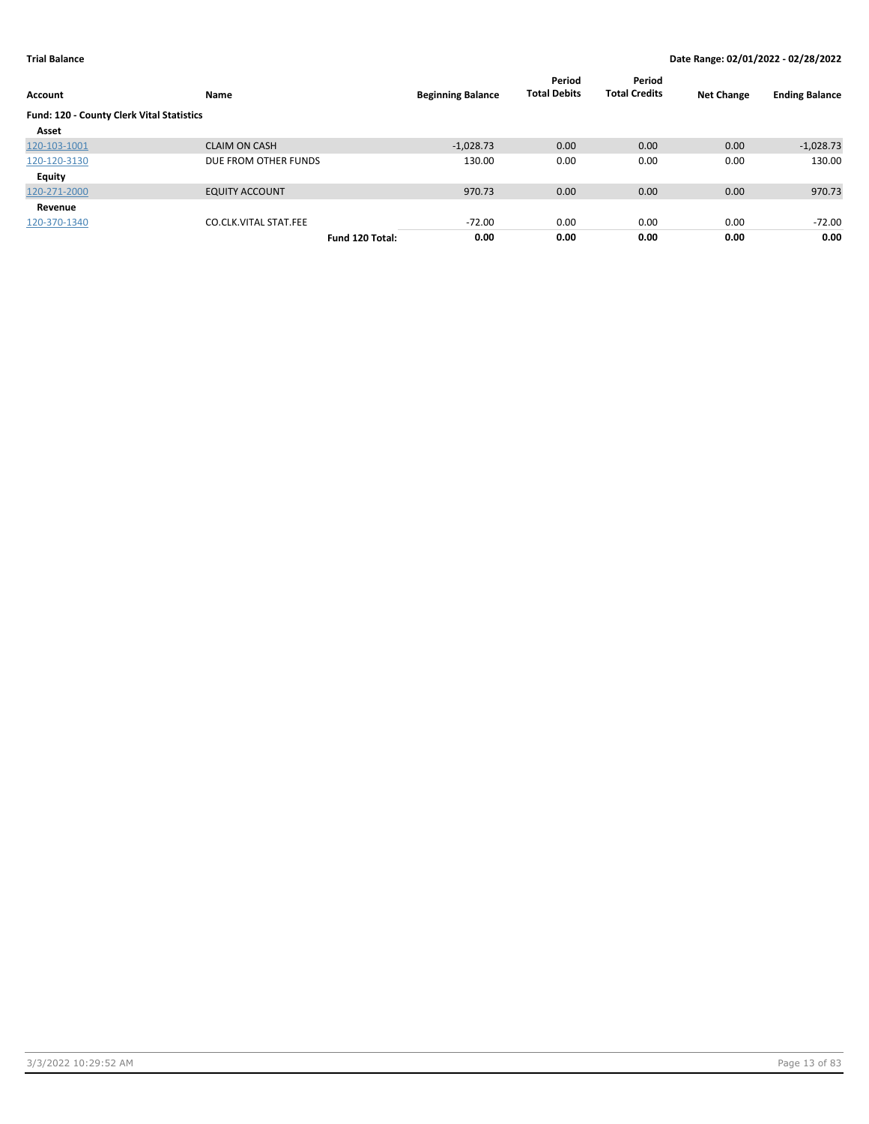| Account                                   | Name                         |                 | <b>Beginning Balance</b> | Period<br><b>Total Debits</b> | Period<br><b>Total Credits</b> | <b>Net Change</b> | <b>Ending Balance</b> |
|-------------------------------------------|------------------------------|-----------------|--------------------------|-------------------------------|--------------------------------|-------------------|-----------------------|
| Fund: 120 - County Clerk Vital Statistics |                              |                 |                          |                               |                                |                   |                       |
| Asset                                     |                              |                 |                          |                               |                                |                   |                       |
| 120-103-1001                              | <b>CLAIM ON CASH</b>         |                 | $-1,028.73$              | 0.00                          | 0.00                           | 0.00              | $-1,028.73$           |
| 120-120-3130                              | DUE FROM OTHER FUNDS         |                 | 130.00                   | 0.00                          | 0.00                           | 0.00              | 130.00                |
| Equity                                    |                              |                 |                          |                               |                                |                   |                       |
| 120-271-2000                              | <b>EQUITY ACCOUNT</b>        |                 | 970.73                   | 0.00                          | 0.00                           | 0.00              | 970.73                |
| Revenue                                   |                              |                 |                          |                               |                                |                   |                       |
| 120-370-1340                              | <b>CO.CLK.VITAL STAT.FEE</b> |                 | $-72.00$                 | 0.00                          | 0.00                           | 0.00              | -72.00                |
|                                           |                              | Fund 120 Total: | 0.00                     | 0.00                          | 0.00                           | 0.00              | 0.00                  |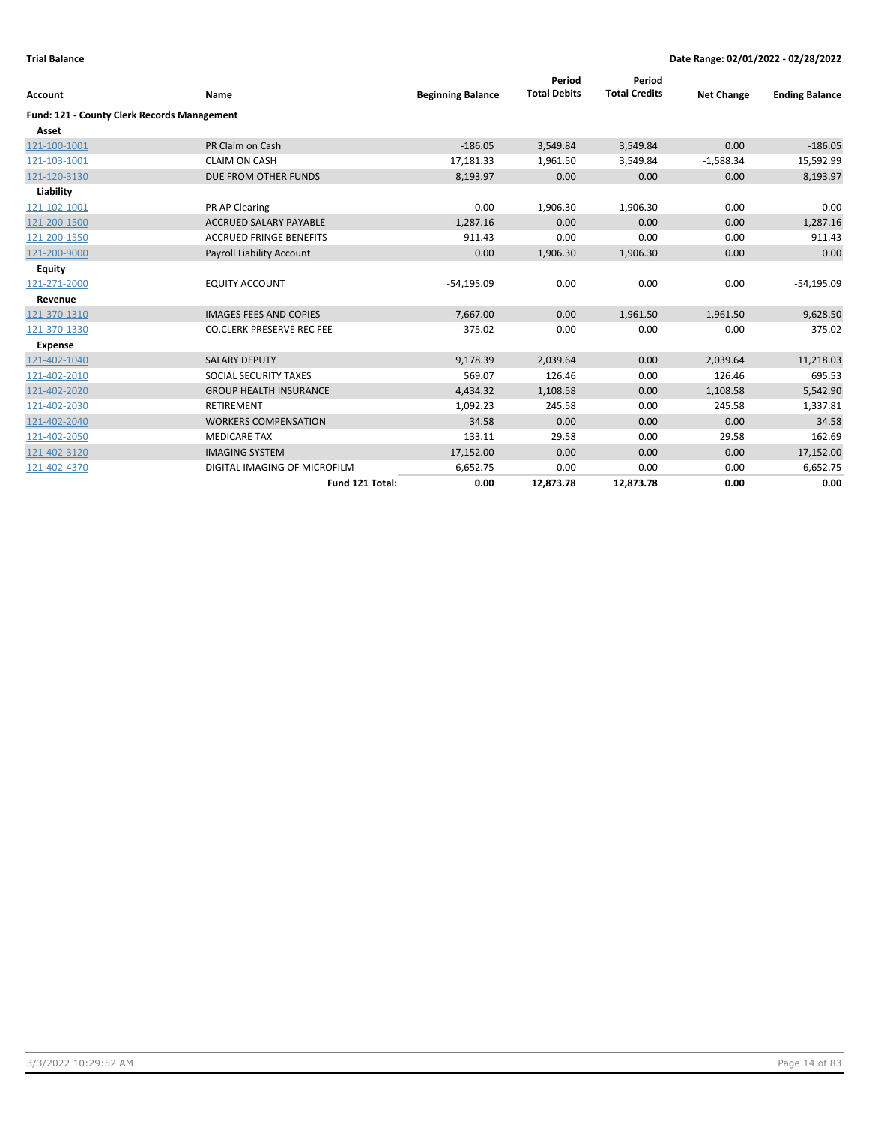| <b>Account</b>                                     | Name                             | <b>Beginning Balance</b> | Period<br><b>Total Debits</b> | Period<br><b>Total Credits</b> | <b>Net Change</b> | <b>Ending Balance</b> |
|----------------------------------------------------|----------------------------------|--------------------------|-------------------------------|--------------------------------|-------------------|-----------------------|
| <b>Fund: 121 - County Clerk Records Management</b> |                                  |                          |                               |                                |                   |                       |
| Asset                                              |                                  |                          |                               |                                |                   |                       |
| 121-100-1001                                       | PR Claim on Cash                 | $-186.05$                | 3,549.84                      | 3,549.84                       | 0.00              | $-186.05$             |
| 121-103-1001                                       | <b>CLAIM ON CASH</b>             | 17,181.33                | 1,961.50                      | 3,549.84                       | $-1,588.34$       | 15,592.99             |
| 121-120-3130                                       | DUE FROM OTHER FUNDS             | 8,193.97                 | 0.00                          | 0.00                           | 0.00              | 8,193.97              |
| Liability                                          |                                  |                          |                               |                                |                   |                       |
| 121-102-1001                                       | PR AP Clearing                   | 0.00                     | 1,906.30                      | 1,906.30                       | 0.00              | 0.00                  |
| 121-200-1500                                       | <b>ACCRUED SALARY PAYABLE</b>    | $-1,287.16$              | 0.00                          | 0.00                           | 0.00              | $-1,287.16$           |
| 121-200-1550                                       | <b>ACCRUED FRINGE BENEFITS</b>   | $-911.43$                | 0.00                          | 0.00                           | 0.00              | $-911.43$             |
| 121-200-9000                                       | Payroll Liability Account        | 0.00                     | 1,906.30                      | 1,906.30                       | 0.00              | 0.00                  |
| <b>Equity</b>                                      |                                  |                          |                               |                                |                   |                       |
| 121-271-2000                                       | <b>EQUITY ACCOUNT</b>            | $-54,195.09$             | 0.00                          | 0.00                           | 0.00              | $-54,195.09$          |
| Revenue                                            |                                  |                          |                               |                                |                   |                       |
| 121-370-1310                                       | <b>IMAGES FEES AND COPIES</b>    | $-7,667.00$              | 0.00                          | 1,961.50                       | $-1,961.50$       | $-9,628.50$           |
| 121-370-1330                                       | <b>CO.CLERK PRESERVE REC FEE</b> | $-375.02$                | 0.00                          | 0.00                           | 0.00              | $-375.02$             |
| <b>Expense</b>                                     |                                  |                          |                               |                                |                   |                       |
| 121-402-1040                                       | <b>SALARY DEPUTY</b>             | 9,178.39                 | 2,039.64                      | 0.00                           | 2,039.64          | 11,218.03             |
| 121-402-2010                                       | SOCIAL SECURITY TAXES            | 569.07                   | 126.46                        | 0.00                           | 126.46            | 695.53                |
| 121-402-2020                                       | <b>GROUP HEALTH INSURANCE</b>    | 4,434.32                 | 1,108.58                      | 0.00                           | 1,108.58          | 5,542.90              |
| 121-402-2030                                       | <b>RETIREMENT</b>                | 1,092.23                 | 245.58                        | 0.00                           | 245.58            | 1,337.81              |
| 121-402-2040                                       | <b>WORKERS COMPENSATION</b>      | 34.58                    | 0.00                          | 0.00                           | 0.00              | 34.58                 |
| 121-402-2050                                       | <b>MEDICARE TAX</b>              | 133.11                   | 29.58                         | 0.00                           | 29.58             | 162.69                |
| 121-402-3120                                       | <b>IMAGING SYSTEM</b>            | 17,152.00                | 0.00                          | 0.00                           | 0.00              | 17,152.00             |
| 121-402-4370                                       | DIGITAL IMAGING OF MICROFILM     | 6,652.75                 | 0.00                          | 0.00                           | 0.00              | 6,652.75              |
|                                                    | Fund 121 Total:                  | 0.00                     | 12,873.78                     | 12,873.78                      | 0.00              | 0.00                  |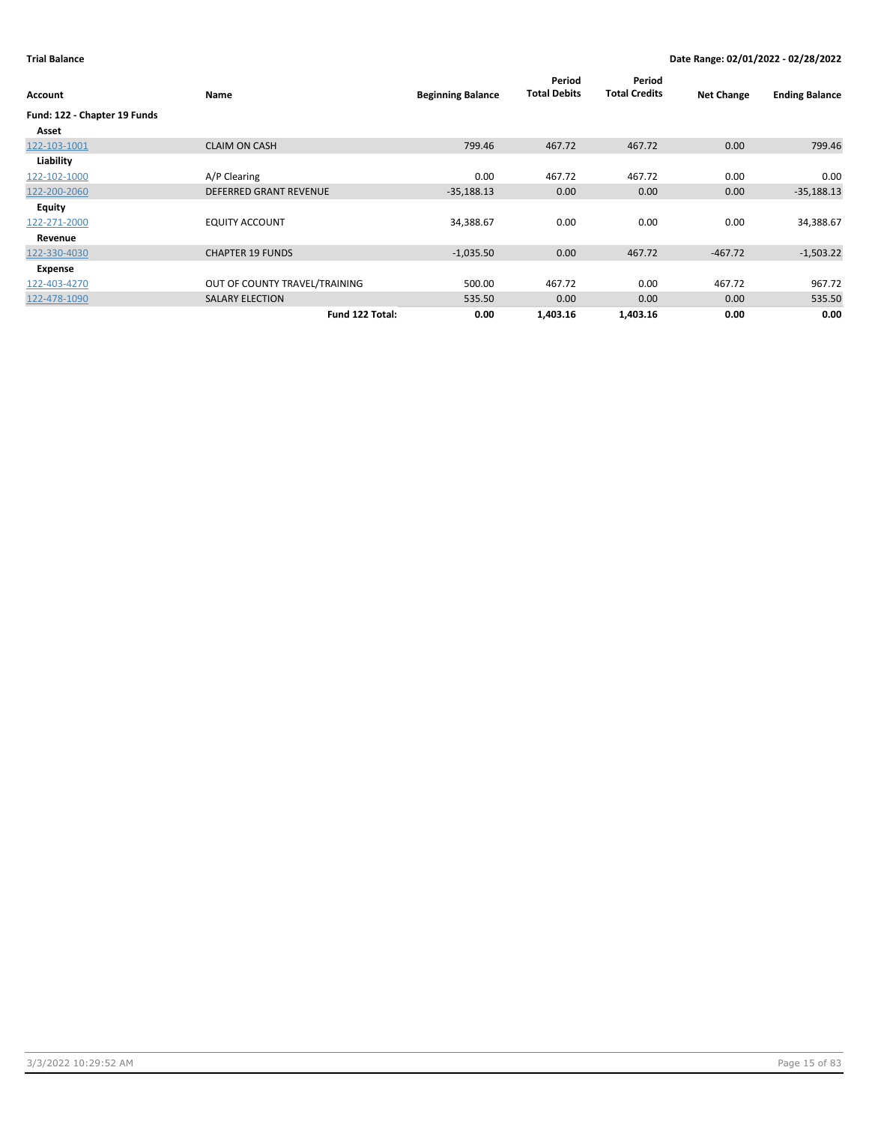| Account                      | Name                          | <b>Beginning Balance</b> | Period<br><b>Total Debits</b> | Period<br><b>Total Credits</b> | <b>Net Change</b> | <b>Ending Balance</b> |
|------------------------------|-------------------------------|--------------------------|-------------------------------|--------------------------------|-------------------|-----------------------|
| Fund: 122 - Chapter 19 Funds |                               |                          |                               |                                |                   |                       |
| Asset                        |                               |                          |                               |                                |                   |                       |
| 122-103-1001                 | <b>CLAIM ON CASH</b>          | 799.46                   | 467.72                        | 467.72                         | 0.00              | 799.46                |
| Liability                    |                               |                          |                               |                                |                   |                       |
| 122-102-1000                 | A/P Clearing                  | 0.00                     | 467.72                        | 467.72                         | 0.00              | 0.00                  |
| 122-200-2060                 | <b>DEFERRED GRANT REVENUE</b> | $-35,188.13$             | 0.00                          | 0.00                           | 0.00              | $-35,188.13$          |
| <b>Equity</b>                |                               |                          |                               |                                |                   |                       |
| 122-271-2000                 | <b>EQUITY ACCOUNT</b>         | 34,388.67                | 0.00                          | 0.00                           | 0.00              | 34,388.67             |
| Revenue                      |                               |                          |                               |                                |                   |                       |
| 122-330-4030                 | <b>CHAPTER 19 FUNDS</b>       | $-1,035.50$              | 0.00                          | 467.72                         | $-467.72$         | $-1,503.22$           |
| Expense                      |                               |                          |                               |                                |                   |                       |
| 122-403-4270                 | OUT OF COUNTY TRAVEL/TRAINING | 500.00                   | 467.72                        | 0.00                           | 467.72            | 967.72                |
| 122-478-1090                 | <b>SALARY ELECTION</b>        | 535.50                   | 0.00                          | 0.00                           | 0.00              | 535.50                |
|                              | Fund 122 Total:               | 0.00                     | 1,403.16                      | 1,403.16                       | 0.00              | 0.00                  |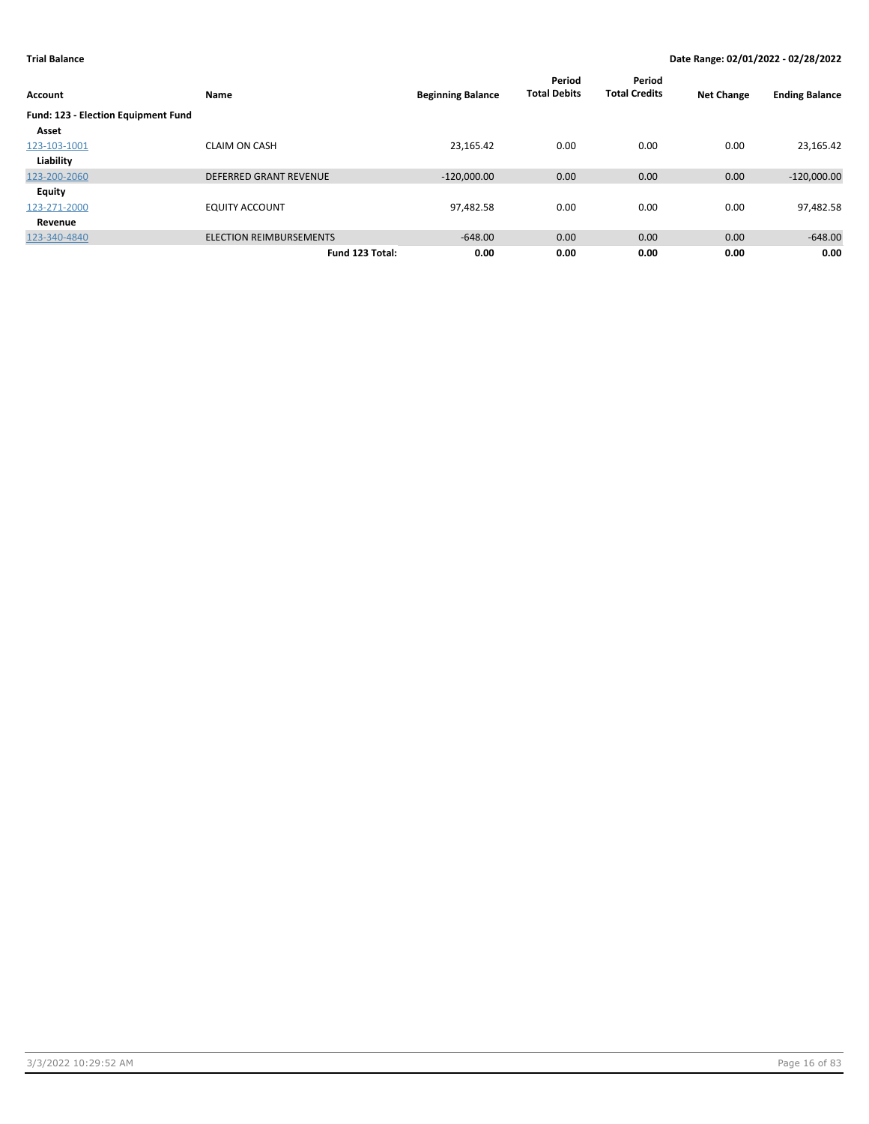| Account                             | Name                           | <b>Beginning Balance</b> | Period<br><b>Total Debits</b> | Period<br><b>Total Credits</b> | <b>Net Change</b> | <b>Ending Balance</b> |
|-------------------------------------|--------------------------------|--------------------------|-------------------------------|--------------------------------|-------------------|-----------------------|
| Fund: 123 - Election Equipment Fund |                                |                          |                               |                                |                   |                       |
| Asset                               |                                |                          |                               |                                |                   |                       |
| 123-103-1001                        | <b>CLAIM ON CASH</b>           | 23,165.42                | 0.00                          | 0.00                           | 0.00              | 23,165.42             |
| Liability                           |                                |                          |                               |                                |                   |                       |
| 123-200-2060                        | <b>DEFERRED GRANT REVENUE</b>  | $-120,000.00$            | 0.00                          | 0.00                           | 0.00              | $-120,000.00$         |
| Equity                              |                                |                          |                               |                                |                   |                       |
| 123-271-2000                        | <b>EQUITY ACCOUNT</b>          | 97,482.58                | 0.00                          | 0.00                           | 0.00              | 97,482.58             |
| Revenue                             |                                |                          |                               |                                |                   |                       |
| 123-340-4840                        | <b>ELECTION REIMBURSEMENTS</b> | $-648.00$                | 0.00                          | 0.00                           | 0.00              | $-648.00$             |
|                                     | Fund 123 Total:                | 0.00                     | 0.00                          | 0.00                           | 0.00              | 0.00                  |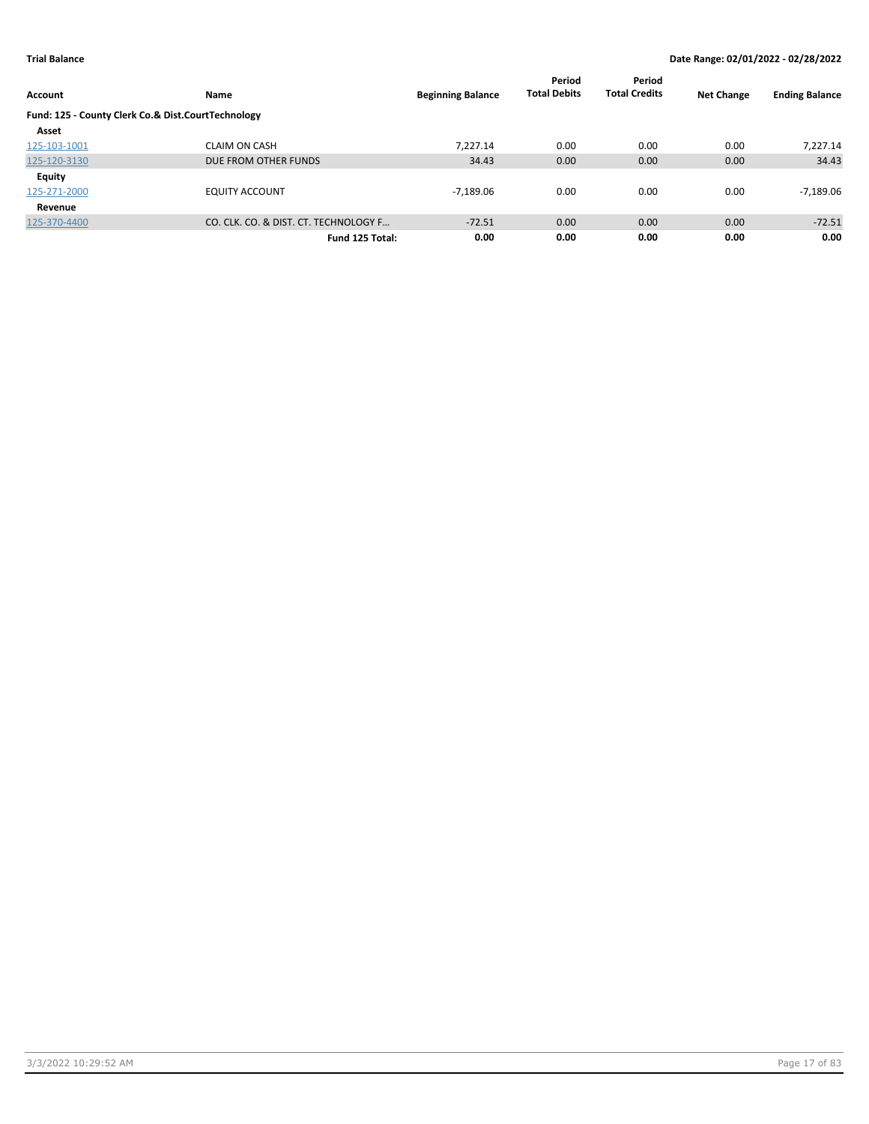| <b>Account</b>                                     | Name                                  | <b>Beginning Balance</b> | Period<br><b>Total Debits</b> | Period<br><b>Total Credits</b> | <b>Net Change</b> | <b>Ending Balance</b> |
|----------------------------------------------------|---------------------------------------|--------------------------|-------------------------------|--------------------------------|-------------------|-----------------------|
|                                                    |                                       |                          |                               |                                |                   |                       |
| Fund: 125 - County Clerk Co.& Dist.CourtTechnology |                                       |                          |                               |                                |                   |                       |
| Asset                                              |                                       |                          |                               |                                |                   |                       |
| 125-103-1001                                       | <b>CLAIM ON CASH</b>                  | 7,227.14                 | 0.00                          | 0.00                           | 0.00              | 7,227.14              |
| 125-120-3130                                       | DUE FROM OTHER FUNDS                  | 34.43                    | 0.00                          | 0.00                           | 0.00              | 34.43                 |
| <b>Equity</b>                                      |                                       |                          |                               |                                |                   |                       |
| 125-271-2000                                       | <b>EQUITY ACCOUNT</b>                 | $-7,189.06$              | 0.00                          | 0.00                           | 0.00              | -7,189.06             |
| Revenue                                            |                                       |                          |                               |                                |                   |                       |
| 125-370-4400                                       | CO. CLK. CO. & DIST. CT. TECHNOLOGY F | $-72.51$                 | 0.00                          | 0.00                           | 0.00              | $-72.51$              |
|                                                    | Fund 125 Total:                       | 0.00                     | 0.00                          | 0.00                           | 0.00              | 0.00                  |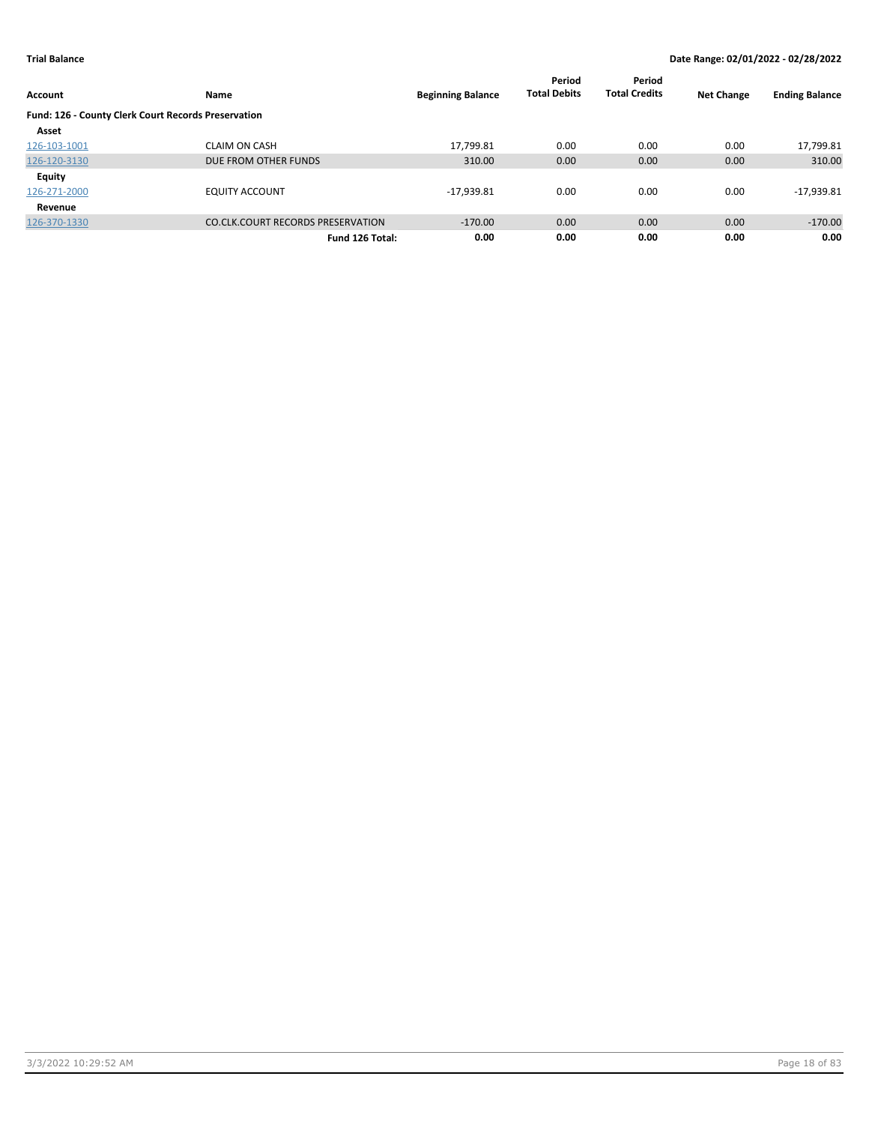|                                                     |                                          |                          | Period              | Period               |                   |                       |
|-----------------------------------------------------|------------------------------------------|--------------------------|---------------------|----------------------|-------------------|-----------------------|
| <b>Account</b>                                      | Name                                     | <b>Beginning Balance</b> | <b>Total Debits</b> | <b>Total Credits</b> | <b>Net Change</b> | <b>Ending Balance</b> |
| Fund: 126 - County Clerk Court Records Preservation |                                          |                          |                     |                      |                   |                       |
| Asset                                               |                                          |                          |                     |                      |                   |                       |
| 126-103-1001                                        | <b>CLAIM ON CASH</b>                     | 17,799.81                | 0.00                | 0.00                 | 0.00              | 17,799.81             |
| 126-120-3130                                        | DUE FROM OTHER FUNDS                     | 310.00                   | 0.00                | 0.00                 | 0.00              | 310.00                |
| <b>Equity</b>                                       |                                          |                          |                     |                      |                   |                       |
| 126-271-2000                                        | <b>EQUITY ACCOUNT</b>                    | $-17,939.81$             | 0.00                | 0.00                 | 0.00              | $-17,939.81$          |
| Revenue                                             |                                          |                          |                     |                      |                   |                       |
| 126-370-1330                                        | <b>CO.CLK.COURT RECORDS PRESERVATION</b> | $-170.00$                | 0.00                | 0.00                 | 0.00              | $-170.00$             |
|                                                     | Fund 126 Total:                          | 0.00                     | 0.00                | 0.00                 | 0.00              | 0.00                  |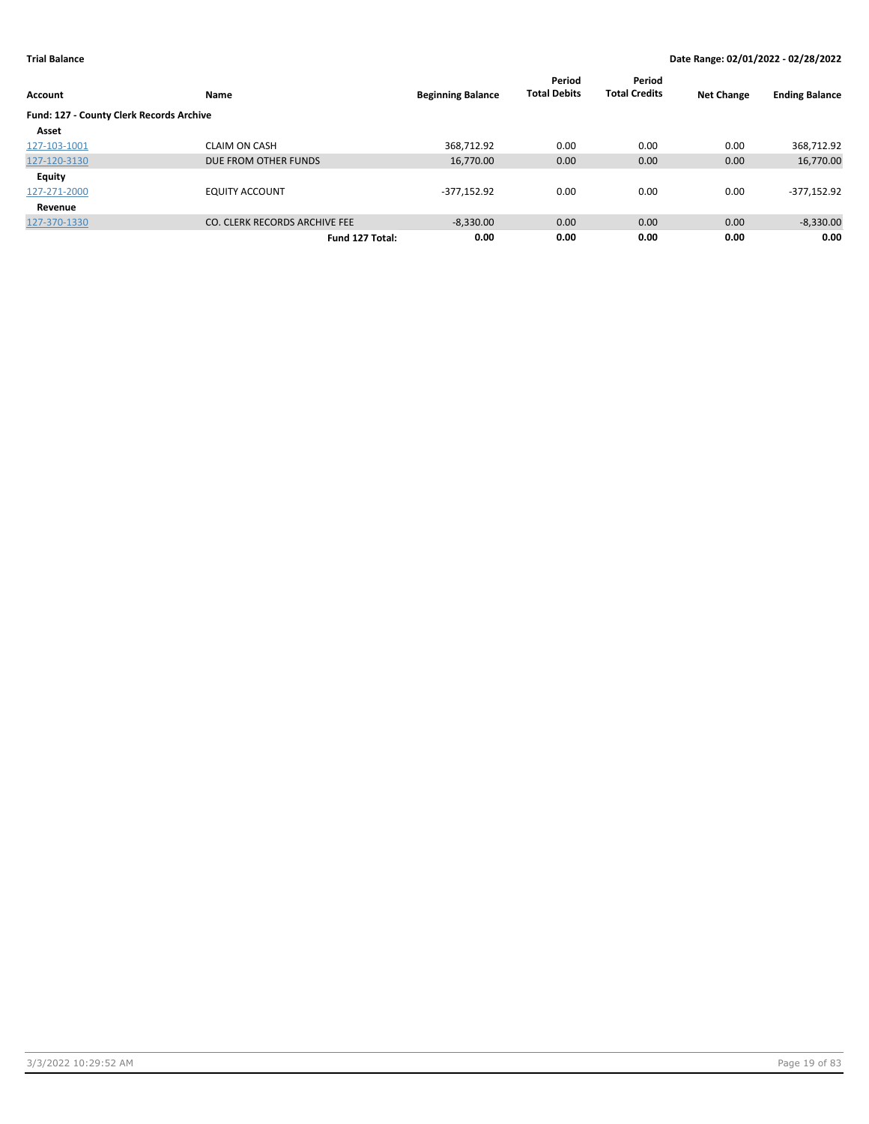|                                                 |                               |                          | Period              | Period               |                   |                       |
|-------------------------------------------------|-------------------------------|--------------------------|---------------------|----------------------|-------------------|-----------------------|
| <b>Account</b>                                  | Name                          | <b>Beginning Balance</b> | <b>Total Debits</b> | <b>Total Credits</b> | <b>Net Change</b> | <b>Ending Balance</b> |
| <b>Fund: 127 - County Clerk Records Archive</b> |                               |                          |                     |                      |                   |                       |
| Asset                                           |                               |                          |                     |                      |                   |                       |
| 127-103-1001                                    | <b>CLAIM ON CASH</b>          | 368,712.92               | 0.00                | 0.00                 | 0.00              | 368,712.92            |
| 127-120-3130                                    | DUE FROM OTHER FUNDS          | 16,770.00                | 0.00                | 0.00                 | 0.00              | 16,770.00             |
| <b>Equity</b>                                   |                               |                          |                     |                      |                   |                       |
| 127-271-2000                                    | <b>EQUITY ACCOUNT</b>         | $-377,152.92$            | 0.00                | 0.00                 | 0.00              | -377,152.92           |
| Revenue                                         |                               |                          |                     |                      |                   |                       |
| 127-370-1330                                    | CO. CLERK RECORDS ARCHIVE FEE | $-8,330.00$              | 0.00                | 0.00                 | 0.00              | $-8,330.00$           |
|                                                 | Fund 127 Total:               | 0.00                     | 0.00                | 0.00                 | 0.00              | 0.00                  |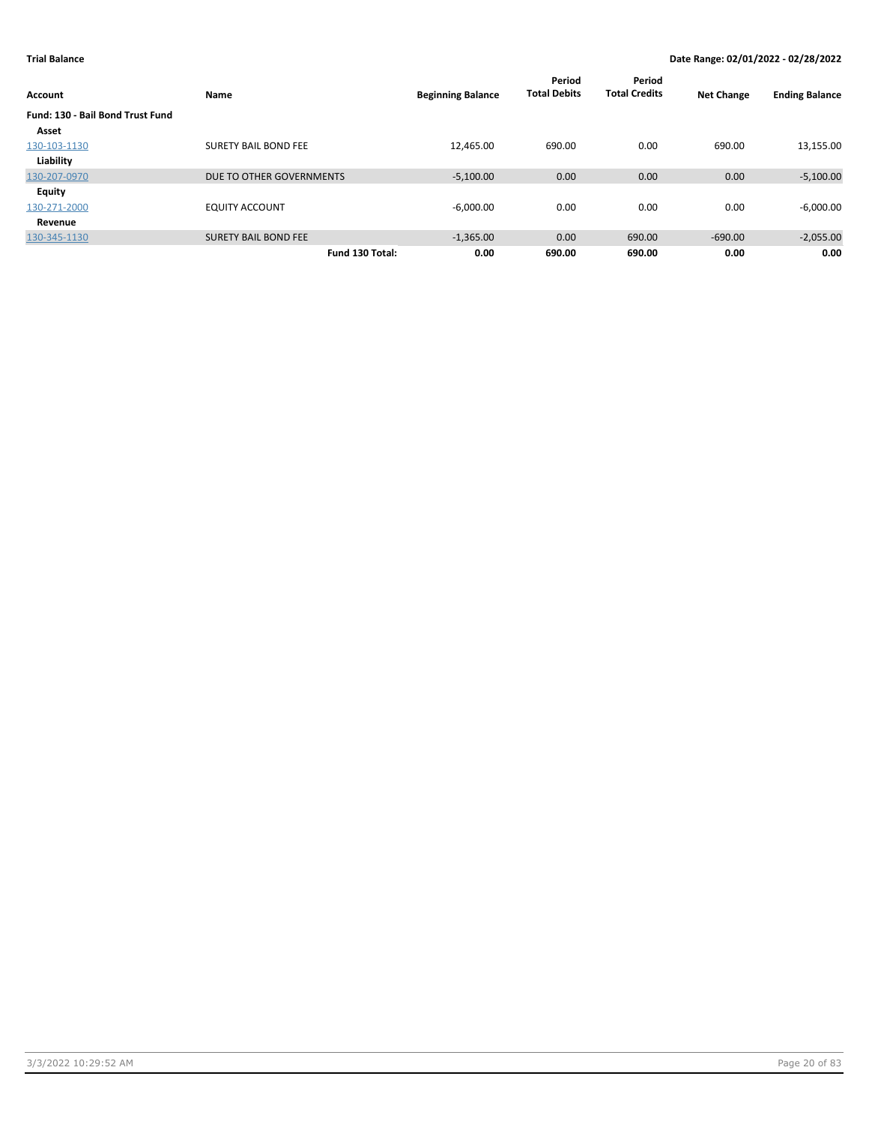| Account                          | Name                        | <b>Beginning Balance</b> | Period<br><b>Total Debits</b> | Period<br><b>Total Credits</b> | <b>Net Change</b> | <b>Ending Balance</b> |
|----------------------------------|-----------------------------|--------------------------|-------------------------------|--------------------------------|-------------------|-----------------------|
| Fund: 130 - Bail Bond Trust Fund |                             |                          |                               |                                |                   |                       |
| Asset                            |                             |                          |                               |                                |                   |                       |
| 130-103-1130                     | <b>SURETY BAIL BOND FEE</b> | 12,465.00                | 690.00                        | 0.00                           | 690.00            | 13,155.00             |
| Liability                        |                             |                          |                               |                                |                   |                       |
| 130-207-0970                     | DUE TO OTHER GOVERNMENTS    | $-5,100.00$              | 0.00                          | 0.00                           | 0.00              | $-5,100.00$           |
| Equity                           |                             |                          |                               |                                |                   |                       |
| 130-271-2000                     | <b>EQUITY ACCOUNT</b>       | $-6,000.00$              | 0.00                          | 0.00                           | 0.00              | $-6,000.00$           |
| Revenue                          |                             |                          |                               |                                |                   |                       |
| 130-345-1130                     | <b>SURETY BAIL BOND FEE</b> | $-1,365.00$              | 0.00                          | 690.00                         | $-690.00$         | $-2,055.00$           |
|                                  | Fund 130 Total:             | 0.00                     | 690.00                        | 690.00                         | 0.00              | 0.00                  |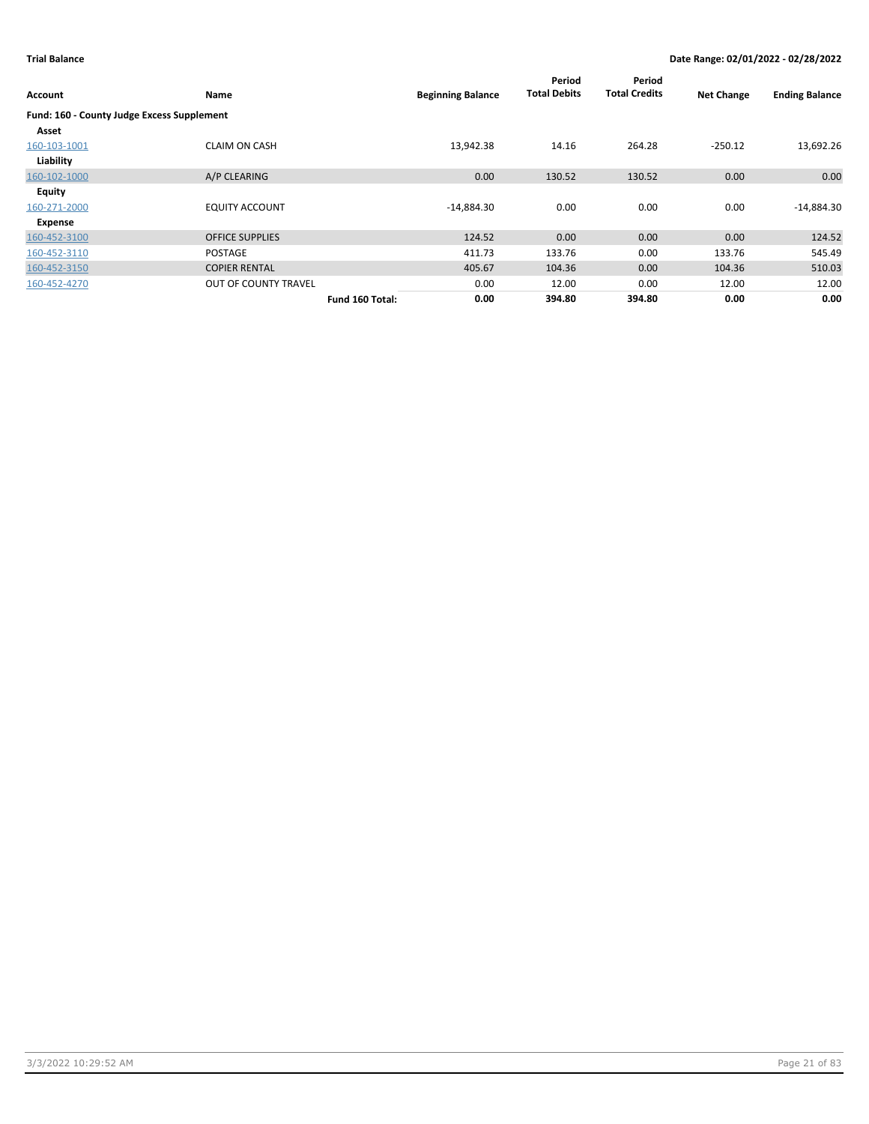| Account                                    | Name                        | <b>Beginning Balance</b> | Period<br><b>Total Debits</b> | Period<br><b>Total Credits</b> | <b>Net Change</b> | <b>Ending Balance</b> |
|--------------------------------------------|-----------------------------|--------------------------|-------------------------------|--------------------------------|-------------------|-----------------------|
| Fund: 160 - County Judge Excess Supplement |                             |                          |                               |                                |                   |                       |
| Asset                                      |                             |                          |                               |                                |                   |                       |
| 160-103-1001                               | <b>CLAIM ON CASH</b>        | 13,942.38                | 14.16                         | 264.28                         | $-250.12$         | 13,692.26             |
| Liability                                  |                             |                          |                               |                                |                   |                       |
| 160-102-1000                               | A/P CLEARING                | 0.00                     | 130.52                        | 130.52                         | 0.00              | 0.00                  |
| <b>Equity</b>                              |                             |                          |                               |                                |                   |                       |
| 160-271-2000                               | <b>EQUITY ACCOUNT</b>       | $-14,884.30$             | 0.00                          | 0.00                           | 0.00              | $-14,884.30$          |
| Expense                                    |                             |                          |                               |                                |                   |                       |
| 160-452-3100                               | <b>OFFICE SUPPLIES</b>      | 124.52                   | 0.00                          | 0.00                           | 0.00              | 124.52                |
| 160-452-3110                               | <b>POSTAGE</b>              | 411.73                   | 133.76                        | 0.00                           | 133.76            | 545.49                |
| 160-452-3150                               | <b>COPIER RENTAL</b>        | 405.67                   | 104.36                        | 0.00                           | 104.36            | 510.03                |
| 160-452-4270                               | <b>OUT OF COUNTY TRAVEL</b> | 0.00                     | 12.00                         | 0.00                           | 12.00             | 12.00                 |
|                                            | Fund 160 Total:             | 0.00                     | 394.80                        | 394.80                         | 0.00              | 0.00                  |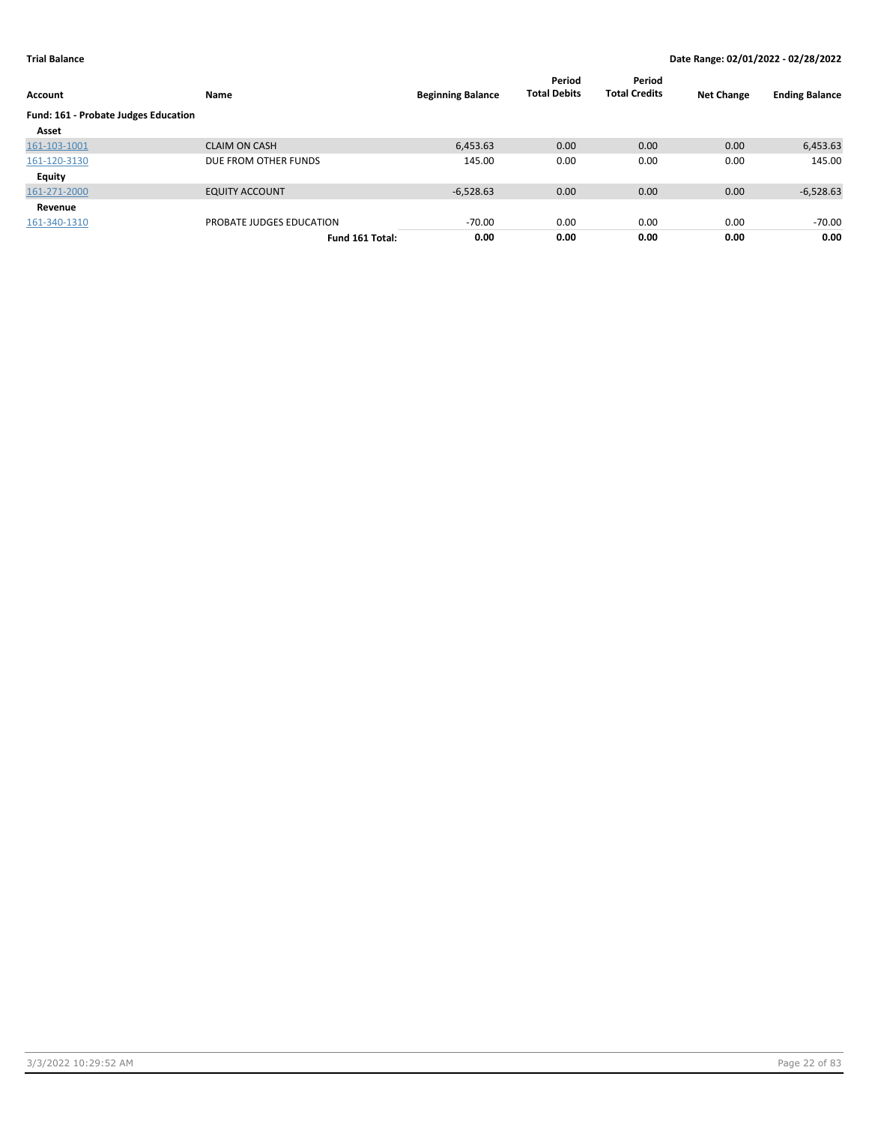| Account                              | Name                     | <b>Beginning Balance</b> | Period<br><b>Total Debits</b> | Period<br><b>Total Credits</b> | <b>Net Change</b> | <b>Ending Balance</b> |
|--------------------------------------|--------------------------|--------------------------|-------------------------------|--------------------------------|-------------------|-----------------------|
| Fund: 161 - Probate Judges Education |                          |                          |                               |                                |                   |                       |
| Asset                                |                          |                          |                               |                                |                   |                       |
| 161-103-1001                         | <b>CLAIM ON CASH</b>     | 6,453.63                 | 0.00                          | 0.00                           | 0.00              | 6,453.63              |
| 161-120-3130                         | DUE FROM OTHER FUNDS     | 145.00                   | 0.00                          | 0.00                           | 0.00              | 145.00                |
| Equity                               |                          |                          |                               |                                |                   |                       |
| 161-271-2000                         | <b>EQUITY ACCOUNT</b>    | $-6,528.63$              | 0.00                          | 0.00                           | 0.00              | $-6,528.63$           |
| Revenue                              |                          |                          |                               |                                |                   |                       |
| 161-340-1310                         | PROBATE JUDGES EDUCATION | $-70.00$                 | 0.00                          | 0.00                           | 0.00              | -70.00                |
|                                      | Fund 161 Total:          | 0.00                     | 0.00                          | 0.00                           | 0.00              | 0.00                  |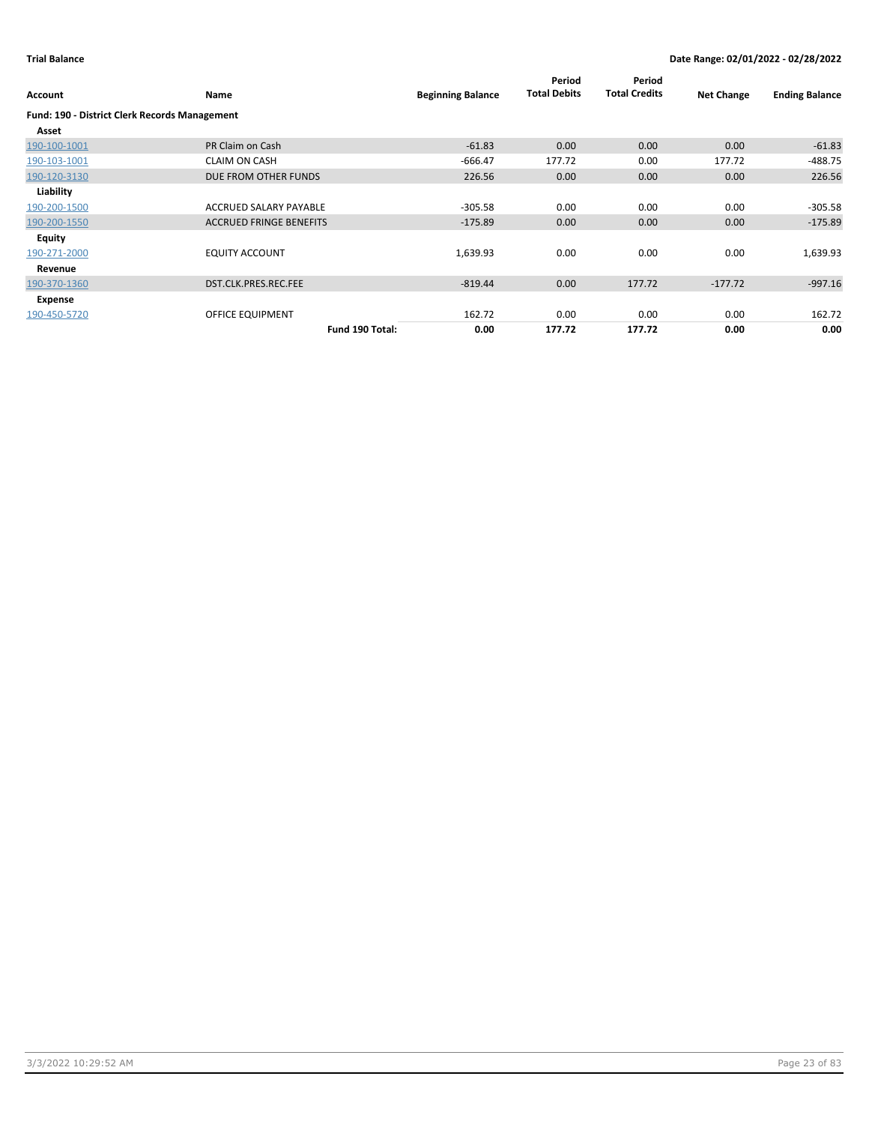| Account                                              | Name                           | <b>Beginning Balance</b> | Period<br><b>Total Debits</b> | Period<br><b>Total Credits</b> | <b>Net Change</b> | <b>Ending Balance</b> |
|------------------------------------------------------|--------------------------------|--------------------------|-------------------------------|--------------------------------|-------------------|-----------------------|
| <b>Fund: 190 - District Clerk Records Management</b> |                                |                          |                               |                                |                   |                       |
| Asset                                                |                                |                          |                               |                                |                   |                       |
| 190-100-1001                                         | PR Claim on Cash               | $-61.83$                 | 0.00                          | 0.00                           | 0.00              | $-61.83$              |
| 190-103-1001                                         | <b>CLAIM ON CASH</b>           | $-666.47$                | 177.72                        | 0.00                           | 177.72            | $-488.75$             |
| 190-120-3130                                         | DUE FROM OTHER FUNDS           | 226.56                   | 0.00                          | 0.00                           | 0.00              | 226.56                |
| Liability                                            |                                |                          |                               |                                |                   |                       |
| 190-200-1500                                         | ACCRUED SALARY PAYABLE         | $-305.58$                | 0.00                          | 0.00                           | 0.00              | $-305.58$             |
| 190-200-1550                                         | <b>ACCRUED FRINGE BENEFITS</b> | $-175.89$                | 0.00                          | 0.00                           | 0.00              | $-175.89$             |
| Equity                                               |                                |                          |                               |                                |                   |                       |
| 190-271-2000                                         | <b>EQUITY ACCOUNT</b>          | 1,639.93                 | 0.00                          | 0.00                           | 0.00              | 1,639.93              |
| Revenue                                              |                                |                          |                               |                                |                   |                       |
| 190-370-1360                                         | DST.CLK.PRES.REC.FEE           | $-819.44$                | 0.00                          | 177.72                         | $-177.72$         | $-997.16$             |
| Expense                                              |                                |                          |                               |                                |                   |                       |
| 190-450-5720                                         | OFFICE EQUIPMENT               | 162.72                   | 0.00                          | 0.00                           | 0.00              | 162.72                |
|                                                      | Fund 190 Total:                | 0.00                     | 177.72                        | 177.72                         | 0.00              | 0.00                  |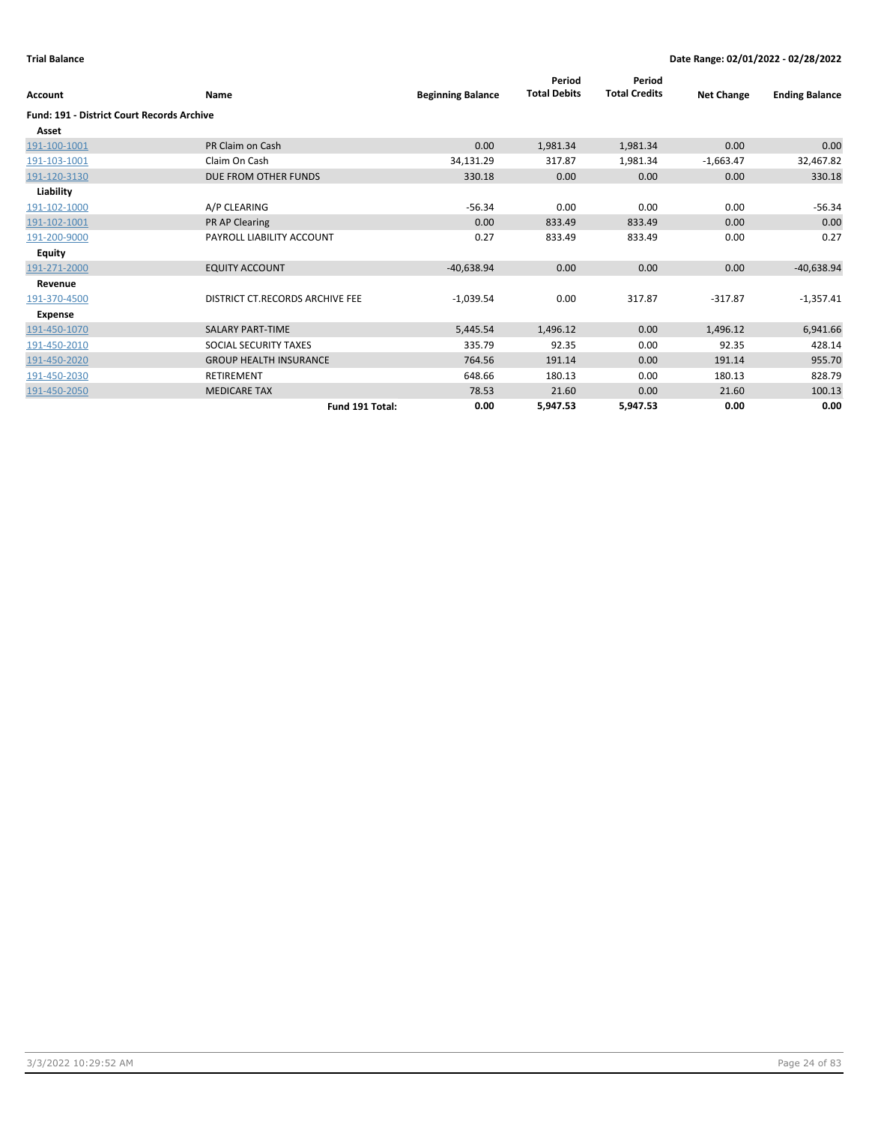| Account                                           | <b>Name</b>                     | <b>Beginning Balance</b> | Period<br><b>Total Debits</b> | Period<br><b>Total Credits</b> | <b>Net Change</b> | <b>Ending Balance</b> |
|---------------------------------------------------|---------------------------------|--------------------------|-------------------------------|--------------------------------|-------------------|-----------------------|
| <b>Fund: 191 - District Court Records Archive</b> |                                 |                          |                               |                                |                   |                       |
| Asset                                             |                                 |                          |                               |                                |                   |                       |
| 191-100-1001                                      | PR Claim on Cash                | 0.00                     | 1,981.34                      | 1,981.34                       | 0.00              | 0.00                  |
| 191-103-1001                                      | Claim On Cash                   | 34,131.29                | 317.87                        | 1,981.34                       | $-1,663.47$       | 32,467.82             |
| 191-120-3130                                      | DUE FROM OTHER FUNDS            | 330.18                   | 0.00                          | 0.00                           | 0.00              | 330.18                |
| Liability                                         |                                 |                          |                               |                                |                   |                       |
| 191-102-1000                                      | A/P CLEARING                    | $-56.34$                 | 0.00                          | 0.00                           | 0.00              | $-56.34$              |
| 191-102-1001                                      | PR AP Clearing                  | 0.00                     | 833.49                        | 833.49                         | 0.00              | 0.00                  |
| 191-200-9000                                      | PAYROLL LIABILITY ACCOUNT       | 0.27                     | 833.49                        | 833.49                         | 0.00              | 0.27                  |
| <b>Equity</b>                                     |                                 |                          |                               |                                |                   |                       |
| 191-271-2000                                      | <b>EQUITY ACCOUNT</b>           | $-40,638.94$             | 0.00                          | 0.00                           | 0.00              | $-40,638.94$          |
| Revenue                                           |                                 |                          |                               |                                |                   |                       |
| 191-370-4500                                      | DISTRICT CT.RECORDS ARCHIVE FEE | $-1,039.54$              | 0.00                          | 317.87                         | $-317.87$         | $-1,357.41$           |
| Expense                                           |                                 |                          |                               |                                |                   |                       |
| 191-450-1070                                      | <b>SALARY PART-TIME</b>         | 5,445.54                 | 1,496.12                      | 0.00                           | 1,496.12          | 6,941.66              |
| 191-450-2010                                      | SOCIAL SECURITY TAXES           | 335.79                   | 92.35                         | 0.00                           | 92.35             | 428.14                |
| 191-450-2020                                      | <b>GROUP HEALTH INSURANCE</b>   | 764.56                   | 191.14                        | 0.00                           | 191.14            | 955.70                |
| 191-450-2030                                      | <b>RETIREMENT</b>               | 648.66                   | 180.13                        | 0.00                           | 180.13            | 828.79                |
| 191-450-2050                                      | <b>MEDICARE TAX</b>             | 78.53                    | 21.60                         | 0.00                           | 21.60             | 100.13                |
|                                                   | Fund 191 Total:                 | 0.00                     | 5,947.53                      | 5,947.53                       | 0.00              | 0.00                  |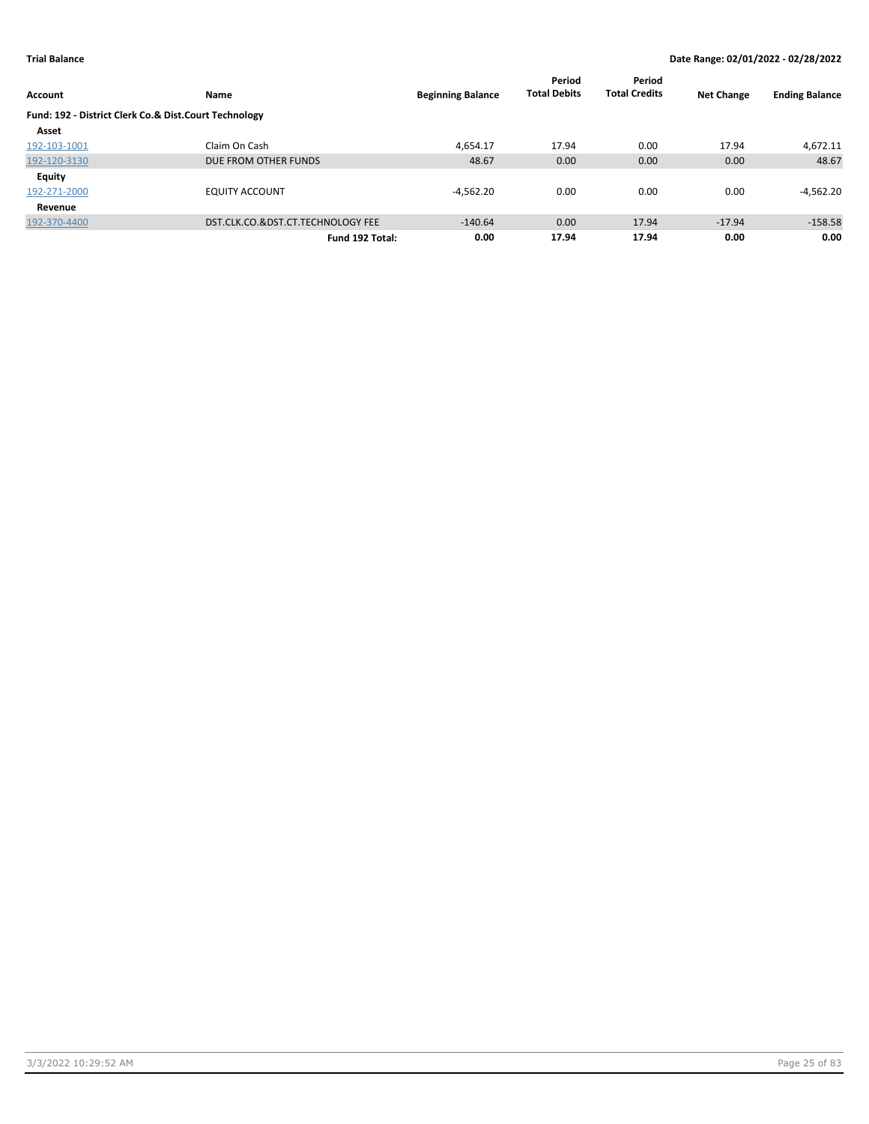|                                                       |                                   |                          | Period              | Period               |                   |                       |
|-------------------------------------------------------|-----------------------------------|--------------------------|---------------------|----------------------|-------------------|-----------------------|
| <b>Account</b>                                        | Name                              | <b>Beginning Balance</b> | <b>Total Debits</b> | <b>Total Credits</b> | <b>Net Change</b> | <b>Ending Balance</b> |
| Fund: 192 - District Clerk Co.& Dist.Court Technology |                                   |                          |                     |                      |                   |                       |
| Asset                                                 |                                   |                          |                     |                      |                   |                       |
| 192-103-1001                                          | Claim On Cash                     | 4.654.17                 | 17.94               | 0.00                 | 17.94             | 4,672.11              |
| 192-120-3130                                          | DUE FROM OTHER FUNDS              | 48.67                    | 0.00                | 0.00                 | 0.00              | 48.67                 |
| <b>Equity</b>                                         |                                   |                          |                     |                      |                   |                       |
| 192-271-2000                                          | <b>EQUITY ACCOUNT</b>             | $-4,562.20$              | 0.00                | 0.00                 | 0.00              | $-4,562.20$           |
| Revenue                                               |                                   |                          |                     |                      |                   |                       |
| 192-370-4400                                          | DST.CLK.CO.&DST.CT.TECHNOLOGY FEE | $-140.64$                | 0.00                | 17.94                | $-17.94$          | $-158.58$             |
|                                                       | Fund 192 Total:                   | 0.00                     | 17.94               | 17.94                | 0.00              | 0.00                  |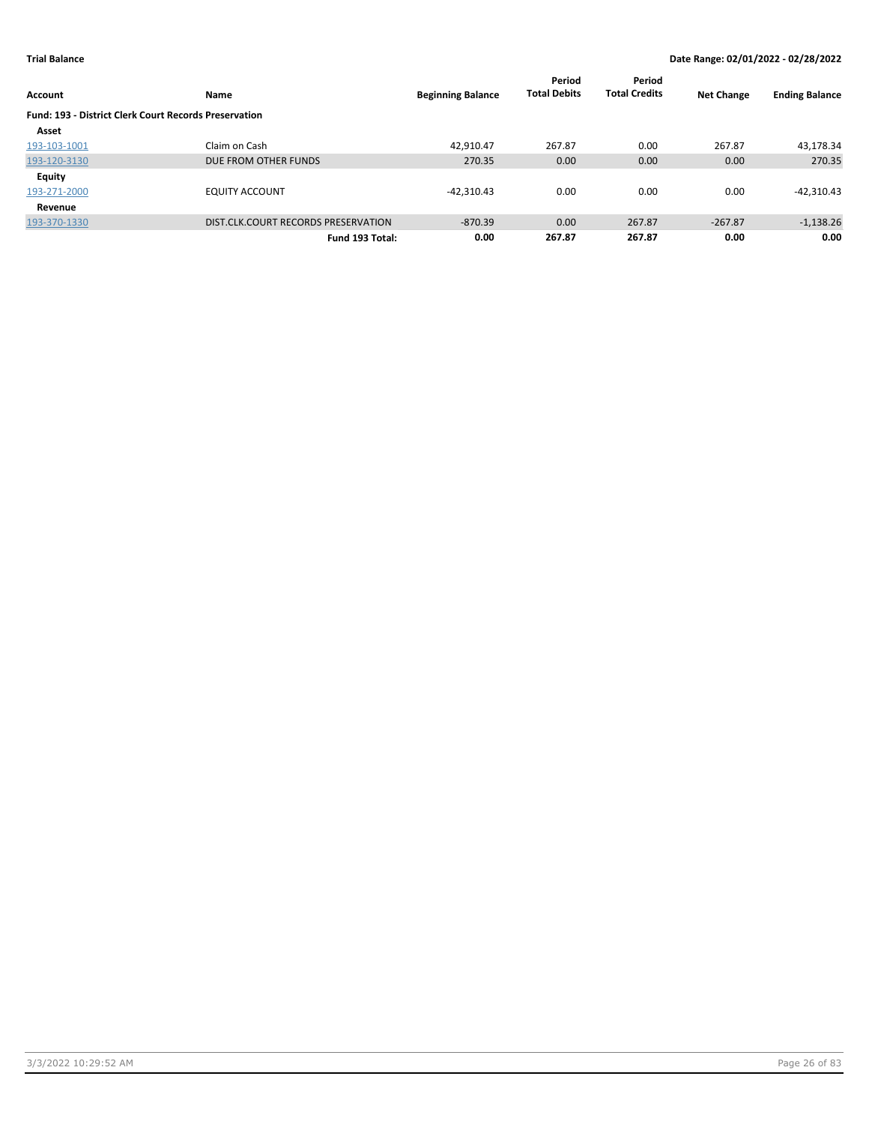| Account                                                      | Name                                |                          | Period<br><b>Total Debits</b> | Period<br><b>Total Credits</b> | <b>Net Change</b> | <b>Ending Balance</b> |  |
|--------------------------------------------------------------|-------------------------------------|--------------------------|-------------------------------|--------------------------------|-------------------|-----------------------|--|
|                                                              |                                     | <b>Beginning Balance</b> |                               |                                |                   |                       |  |
| <b>Fund: 193 - District Clerk Court Records Preservation</b> |                                     |                          |                               |                                |                   |                       |  |
| Asset                                                        |                                     |                          |                               |                                |                   |                       |  |
| 193-103-1001                                                 | Claim on Cash                       | 42.910.47                | 267.87                        | 0.00                           | 267.87            | 43,178.34             |  |
| 193-120-3130                                                 | DUE FROM OTHER FUNDS                | 270.35                   | 0.00                          | 0.00                           | 0.00              | 270.35                |  |
| <b>Equity</b>                                                |                                     |                          |                               |                                |                   |                       |  |
| 193-271-2000                                                 | <b>EQUITY ACCOUNT</b>               | $-42,310.43$             | 0.00                          | 0.00                           | 0.00              | $-42,310.43$          |  |
| Revenue                                                      |                                     |                          |                               |                                |                   |                       |  |
| 193-370-1330                                                 | DIST.CLK.COURT RECORDS PRESERVATION | $-870.39$                | 0.00                          | 267.87                         | $-267.87$         | $-1,138.26$           |  |
|                                                              | Fund 193 Total:                     | 0.00                     | 267.87                        | 267.87                         | 0.00              | 0.00                  |  |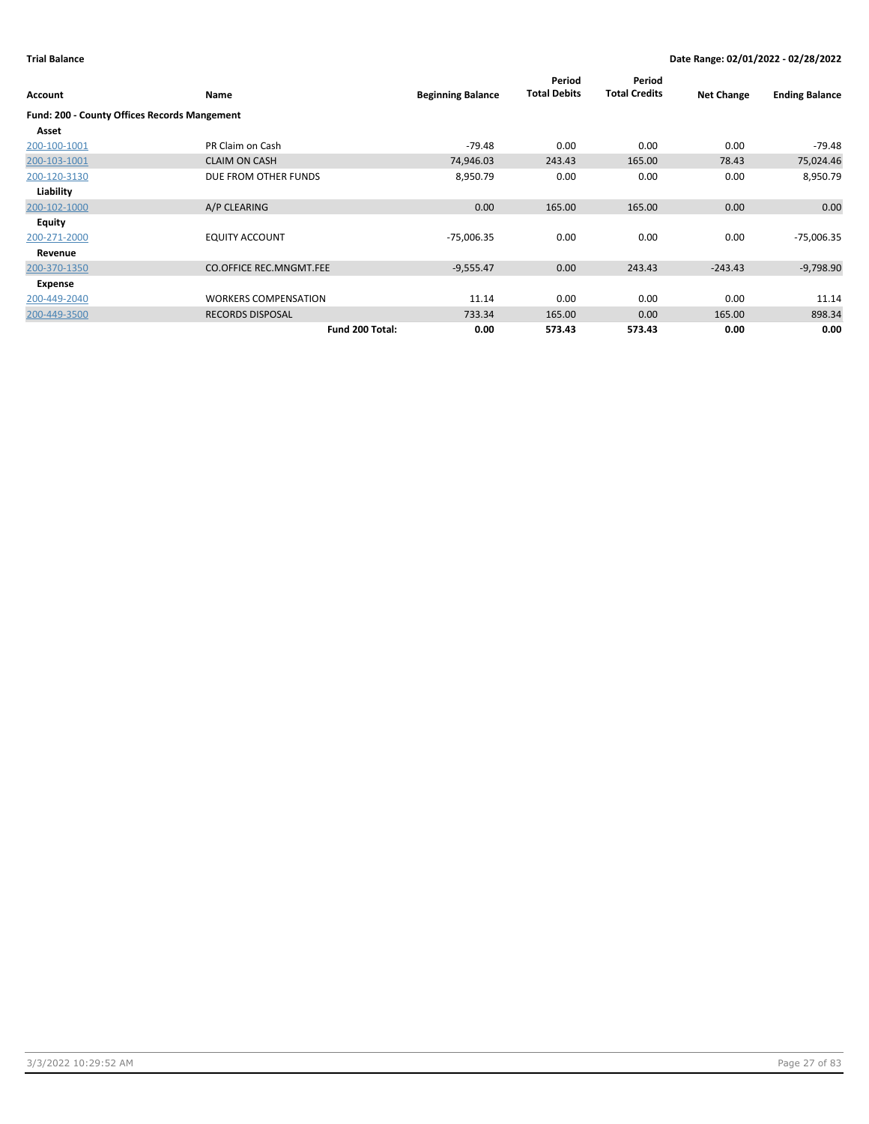| Account                                             | Name                           | <b>Beginning Balance</b> | Period<br><b>Total Debits</b> | Period<br><b>Total Credits</b> | <b>Net Change</b> | <b>Ending Balance</b> |
|-----------------------------------------------------|--------------------------------|--------------------------|-------------------------------|--------------------------------|-------------------|-----------------------|
| <b>Fund: 200 - County Offices Records Mangement</b> |                                |                          |                               |                                |                   |                       |
| Asset                                               |                                |                          |                               |                                |                   |                       |
| 200-100-1001                                        | PR Claim on Cash               | $-79.48$                 | 0.00                          | 0.00                           | 0.00              | $-79.48$              |
| 200-103-1001                                        | <b>CLAIM ON CASH</b>           | 74,946.03                | 243.43                        | 165.00                         | 78.43             | 75,024.46             |
| 200-120-3130                                        | DUE FROM OTHER FUNDS           | 8,950.79                 | 0.00                          | 0.00                           | 0.00              | 8,950.79              |
| Liability                                           |                                |                          |                               |                                |                   |                       |
| 200-102-1000                                        | A/P CLEARING                   | 0.00                     | 165.00                        | 165.00                         | 0.00              | 0.00                  |
| Equity                                              |                                |                          |                               |                                |                   |                       |
| 200-271-2000                                        | <b>EQUITY ACCOUNT</b>          | $-75,006.35$             | 0.00                          | 0.00                           | 0.00              | $-75,006.35$          |
| Revenue                                             |                                |                          |                               |                                |                   |                       |
| 200-370-1350                                        | <b>CO.OFFICE REC.MNGMT.FEE</b> | $-9,555.47$              | 0.00                          | 243.43                         | $-243.43$         | $-9,798.90$           |
| Expense                                             |                                |                          |                               |                                |                   |                       |
| 200-449-2040                                        | <b>WORKERS COMPENSATION</b>    | 11.14                    | 0.00                          | 0.00                           | 0.00              | 11.14                 |
| 200-449-3500                                        | <b>RECORDS DISPOSAL</b>        | 733.34                   | 165.00                        | 0.00                           | 165.00            | 898.34                |
|                                                     | Fund 200 Total:                | 0.00                     | 573.43                        | 573.43                         | 0.00              | 0.00                  |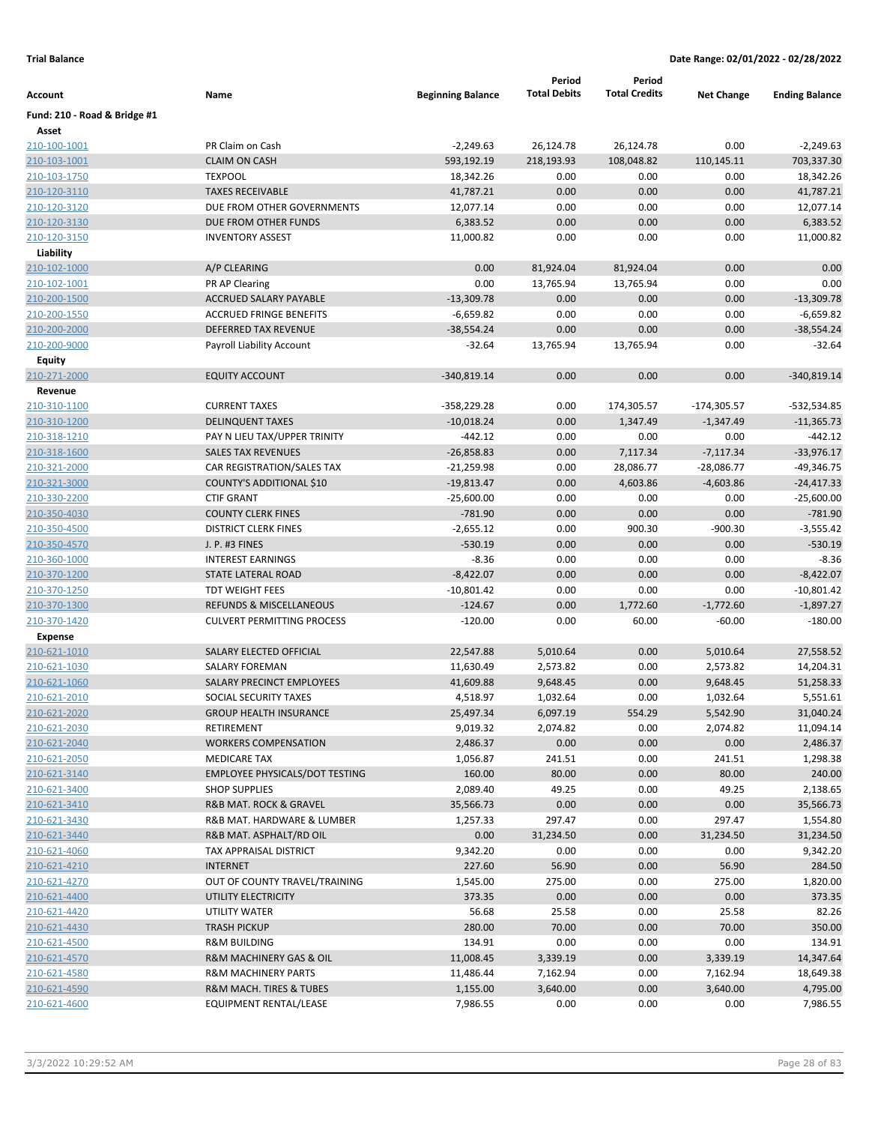|                              |                                       |                          | Period              | Period               |                   |                       |
|------------------------------|---------------------------------------|--------------------------|---------------------|----------------------|-------------------|-----------------------|
| Account                      | Name                                  | <b>Beginning Balance</b> | <b>Total Debits</b> | <b>Total Credits</b> | <b>Net Change</b> | <b>Ending Balance</b> |
| Fund: 210 - Road & Bridge #1 |                                       |                          |                     |                      |                   |                       |
| Asset                        |                                       |                          |                     |                      |                   |                       |
| 210-100-1001                 | PR Claim on Cash                      | $-2,249.63$              | 26,124.78           | 26,124.78            | 0.00              | $-2,249.63$           |
| 210-103-1001                 | <b>CLAIM ON CASH</b>                  | 593,192.19               | 218,193.93          | 108,048.82           | 110,145.11        | 703,337.30            |
| 210-103-1750                 | <b>TEXPOOL</b>                        | 18,342.26                | 0.00                | 0.00                 | 0.00              | 18,342.26             |
| 210-120-3110                 | <b>TAXES RECEIVABLE</b>               | 41,787.21                | 0.00                | 0.00                 | 0.00              | 41,787.21             |
| 210-120-3120                 | DUE FROM OTHER GOVERNMENTS            | 12,077.14                | 0.00                | 0.00                 | 0.00              | 12,077.14             |
| 210-120-3130                 | DUE FROM OTHER FUNDS                  | 6,383.52                 | 0.00                | 0.00                 | 0.00              | 6,383.52              |
| 210-120-3150                 | <b>INVENTORY ASSEST</b>               | 11,000.82                | 0.00                | 0.00                 | 0.00              | 11,000.82             |
| Liability                    |                                       |                          |                     |                      |                   |                       |
| 210-102-1000                 | A/P CLEARING                          | 0.00                     | 81,924.04           | 81,924.04            | 0.00              | 0.00                  |
| 210-102-1001                 | PR AP Clearing                        | 0.00                     | 13,765.94           | 13,765.94            | 0.00              | 0.00                  |
| 210-200-1500                 | ACCRUED SALARY PAYABLE                | $-13,309.78$             | 0.00                | 0.00                 | 0.00              | $-13,309.78$          |
| 210-200-1550                 | <b>ACCRUED FRINGE BENEFITS</b>        | $-6,659.82$              | 0.00                | 0.00                 | 0.00              | $-6,659.82$           |
| 210-200-2000                 | DEFERRED TAX REVENUE                  | $-38,554.24$             | 0.00                | 0.00                 | 0.00              | $-38,554.24$          |
| 210-200-9000                 | Payroll Liability Account             | $-32.64$                 | 13,765.94           | 13,765.94            | 0.00              | $-32.64$              |
| Equity                       |                                       |                          |                     |                      |                   |                       |
| 210-271-2000                 | <b>EQUITY ACCOUNT</b>                 | $-340,819.14$            | 0.00                | 0.00                 | 0.00              | $-340,819.14$         |
| Revenue                      |                                       |                          |                     |                      |                   |                       |
| 210-310-1100                 | <b>CURRENT TAXES</b>                  | $-358,229.28$            | 0.00                | 174,305.57           | $-174,305.57$     | -532,534.85           |
| 210-310-1200                 | <b>DELINQUENT TAXES</b>               | $-10,018.24$             | 0.00                | 1,347.49             | $-1,347.49$       | $-11,365.73$          |
| 210-318-1210                 | PAY N LIEU TAX/UPPER TRINITY          | $-442.12$                | 0.00                | 0.00                 | 0.00              | $-442.12$             |
| 210-318-1600                 | <b>SALES TAX REVENUES</b>             | $-26,858.83$             | 0.00                | 7,117.34             | $-7,117.34$       | $-33,976.17$          |
| 210-321-2000                 | CAR REGISTRATION/SALES TAX            | $-21,259.98$             | 0.00                | 28,086.77            | $-28,086.77$      | -49,346.75            |
| 210-321-3000                 | COUNTY'S ADDITIONAL \$10              | $-19,813.47$             | 0.00                | 4,603.86             | $-4,603.86$       | $-24,417.33$          |
| 210-330-2200                 | <b>CTIF GRANT</b>                     | $-25,600.00$             | 0.00                | 0.00                 | 0.00              | $-25,600.00$          |
| 210-350-4030                 | <b>COUNTY CLERK FINES</b>             | $-781.90$                | 0.00                | 0.00                 | 0.00              | $-781.90$             |
| 210-350-4500                 | <b>DISTRICT CLERK FINES</b>           | $-2,655.12$              | 0.00                | 900.30               | $-900.30$         | $-3,555.42$           |
| 210-350-4570                 | J. P. #3 FINES                        | $-530.19$                | 0.00                | 0.00                 | 0.00              | $-530.19$             |
| 210-360-1000                 | <b>INTEREST EARNINGS</b>              | $-8.36$                  | 0.00                | 0.00                 | 0.00              | $-8.36$               |
| 210-370-1200                 | <b>STATE LATERAL ROAD</b>             | $-8,422.07$              | 0.00                | 0.00                 | 0.00              | $-8,422.07$           |
| 210-370-1250                 | <b>TDT WEIGHT FEES</b>                | $-10,801.42$             | 0.00                | 0.00                 | 0.00              | $-10,801.42$          |
| 210-370-1300                 | <b>REFUNDS &amp; MISCELLANEOUS</b>    | $-124.67$                | 0.00                | 1,772.60             | $-1,772.60$       | $-1,897.27$           |
| 210-370-1420                 | <b>CULVERT PERMITTING PROCESS</b>     | $-120.00$                | 0.00                | 60.00                | $-60.00$          | $-180.00$             |
| <b>Expense</b>               |                                       |                          |                     |                      |                   |                       |
| 210-621-1010                 | SALARY ELECTED OFFICIAL               | 22,547.88                | 5,010.64            | 0.00                 | 5,010.64          | 27,558.52             |
| 210-621-1030                 | <b>SALARY FOREMAN</b>                 | 11,630.49                | 2,573.82            | 0.00                 | 2,573.82          | 14,204.31             |
| 210-621-1060                 | <b>SALARY PRECINCT EMPLOYEES</b>      | 41,609.88                | 9,648.45            | 0.00                 | 9,648.45          | 51,258.33             |
| 210-621-2010                 | SOCIAL SECURITY TAXES                 | 4,518.97                 | 1,032.64            | 0.00                 | 1,032.64          | 5,551.61              |
| 210-621-2020                 | <b>GROUP HEALTH INSURANCE</b>         | 25,497.34                | 6,097.19            | 554.29               | 5,542.90          | 31,040.24             |
| 210-621-2030                 | RETIREMENT                            | 9,019.32                 | 2,074.82            | 0.00                 | 2,074.82          | 11,094.14             |
| 210-621-2040                 | <b>WORKERS COMPENSATION</b>           | 2,486.37                 | 0.00                | 0.00                 | 0.00              | 2,486.37              |
| 210-621-2050                 | <b>MEDICARE TAX</b>                   | 1,056.87                 | 241.51              | 0.00                 | 241.51            | 1,298.38              |
| 210-621-3140                 | <b>EMPLOYEE PHYSICALS/DOT TESTING</b> | 160.00                   | 80.00               | 0.00                 | 80.00             | 240.00                |
| 210-621-3400                 | <b>SHOP SUPPLIES</b>                  | 2,089.40                 | 49.25               | 0.00                 | 49.25             | 2,138.65              |
| 210-621-3410                 | R&B MAT. ROCK & GRAVEL                | 35,566.73                | 0.00                | 0.00                 | 0.00              | 35,566.73             |
|                              |                                       | 1,257.33                 |                     |                      |                   |                       |
| 210-621-3430                 | R&B MAT. HARDWARE & LUMBER            |                          | 297.47              | 0.00                 | 297.47            | 1,554.80              |
| 210-621-3440                 | R&B MAT. ASPHALT/RD OIL               | 0.00                     | 31,234.50           | 0.00                 | 31,234.50         | 31,234.50             |
| 210-621-4060                 | TAX APPRAISAL DISTRICT                | 9,342.20                 | 0.00                | 0.00                 | 0.00              | 9,342.20              |
| 210-621-4210                 | <b>INTERNET</b>                       | 227.60                   | 56.90               | 0.00                 | 56.90             | 284.50                |
| 210-621-4270                 | OUT OF COUNTY TRAVEL/TRAINING         | 1,545.00                 | 275.00              | 0.00                 | 275.00            | 1,820.00              |
| 210-621-4400                 | UTILITY ELECTRICITY                   | 373.35                   | 0.00                | 0.00                 | 0.00              | 373.35                |
| 210-621-4420                 | UTILITY WATER                         | 56.68                    | 25.58               | 0.00                 | 25.58             | 82.26                 |
| 210-621-4430                 | <b>TRASH PICKUP</b>                   | 280.00                   | 70.00               | 0.00                 | 70.00             | 350.00                |
| 210-621-4500                 | <b>R&amp;M BUILDING</b>               | 134.91                   | 0.00                | 0.00                 | 0.00              | 134.91                |
| 210-621-4570                 | R&M MACHINERY GAS & OIL               | 11,008.45                | 3,339.19            | 0.00                 | 3,339.19          | 14,347.64             |
| 210-621-4580                 | <b>R&amp;M MACHINERY PARTS</b>        | 11,486.44                | 7,162.94            | 0.00                 | 7,162.94          | 18,649.38             |
| 210-621-4590                 | R&M MACH. TIRES & TUBES               | 1,155.00                 | 3,640.00            | 0.00                 | 3,640.00          | 4,795.00              |
| 210-621-4600                 | EQUIPMENT RENTAL/LEASE                | 7,986.55                 | 0.00                | 0.00                 | 0.00              | 7,986.55              |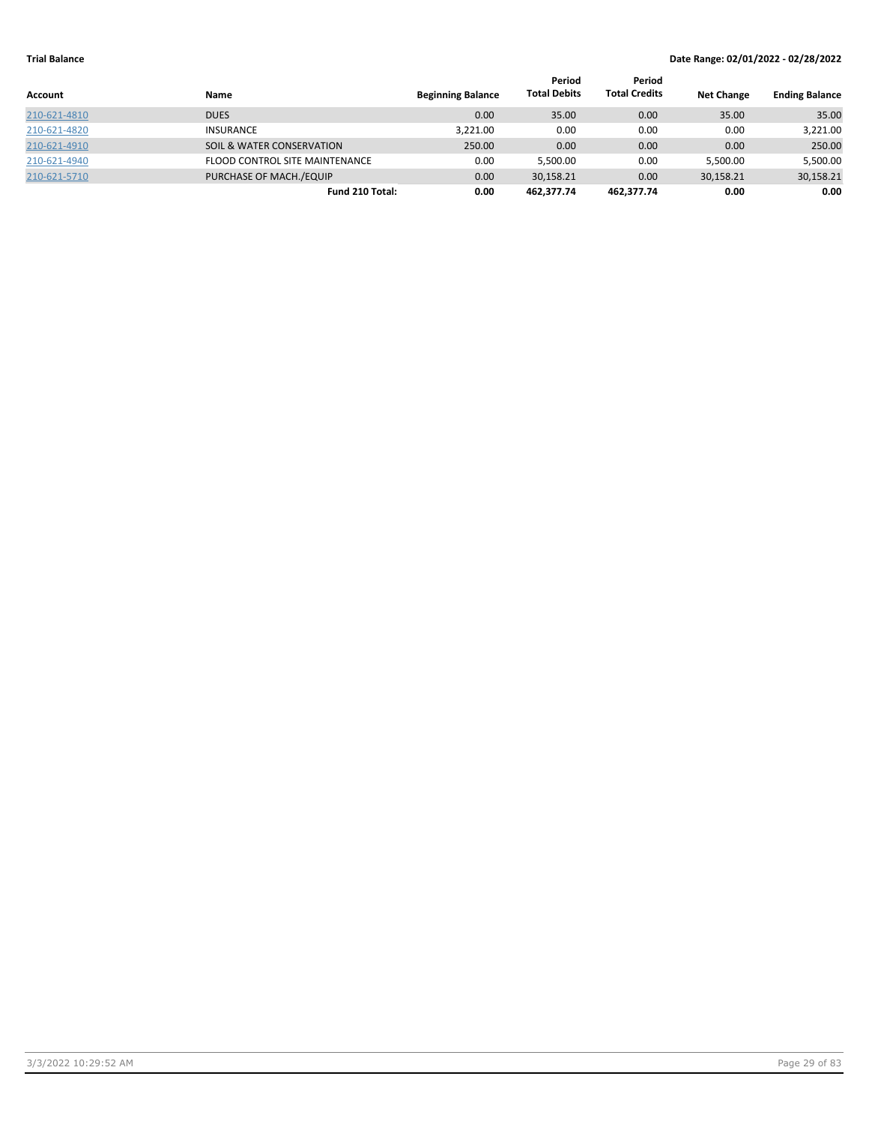|              |                                       |                          | Period              | Period               |                   |                       |
|--------------|---------------------------------------|--------------------------|---------------------|----------------------|-------------------|-----------------------|
| Account      | Name                                  | <b>Beginning Balance</b> | <b>Total Debits</b> | <b>Total Credits</b> | <b>Net Change</b> | <b>Ending Balance</b> |
| 210-621-4810 | <b>DUES</b>                           | 0.00                     | 35.00               | 0.00                 | 35.00             | 35.00                 |
| 210-621-4820 | <b>INSURANCE</b>                      | 3.221.00                 | 0.00                | 0.00                 | 0.00              | 3,221.00              |
| 210-621-4910 | <b>SOIL &amp; WATER CONSERVATION</b>  | 250.00                   | 0.00                | 0.00                 | 0.00              | 250.00                |
| 210-621-4940 | <b>FLOOD CONTROL SITE MAINTENANCE</b> | 0.00                     | 5.500.00            | 0.00                 | 5.500.00          | 5,500.00              |
| 210-621-5710 | PURCHASE OF MACH./EQUIP               | 0.00                     | 30,158.21           | 0.00                 | 30,158.21         | 30,158.21             |
|              | Fund 210 Total:                       | 0.00                     | 462.377.74          | 462.377.74           | 0.00              | 0.00                  |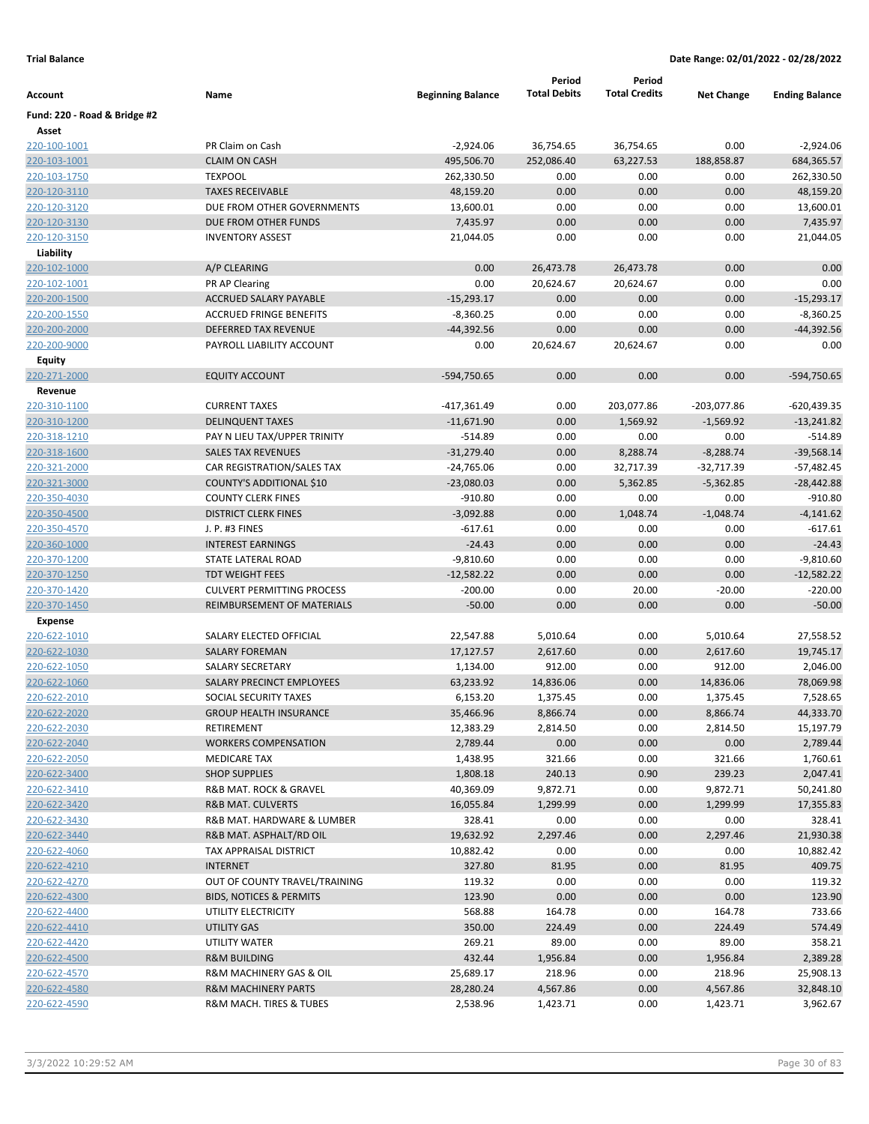|                              |                                    |                             | Period              | Period               |                   |                       |
|------------------------------|------------------------------------|-----------------------------|---------------------|----------------------|-------------------|-----------------------|
| Account                      | Name                               | <b>Beginning Balance</b>    | <b>Total Debits</b> | <b>Total Credits</b> | <b>Net Change</b> | <b>Ending Balance</b> |
| Fund: 220 - Road & Bridge #2 |                                    |                             |                     |                      |                   |                       |
| Asset                        |                                    |                             |                     |                      |                   |                       |
| 220-100-1001                 | PR Claim on Cash                   | $-2,924.06$                 | 36,754.65           | 36,754.65            | 0.00              | $-2,924.06$           |
| 220-103-1001                 | <b>CLAIM ON CASH</b>               | 495,506.70                  | 252,086.40          | 63,227.53            | 188,858.87        | 684,365.57            |
| 220-103-1750                 | <b>TEXPOOL</b>                     | 262,330.50                  | 0.00                | 0.00                 | 0.00              | 262,330.50            |
| 220-120-3110                 | <b>TAXES RECEIVABLE</b>            | 48,159.20                   | 0.00                | 0.00                 | 0.00              | 48,159.20             |
| 220-120-3120                 | DUE FROM OTHER GOVERNMENTS         | 13,600.01                   | 0.00                | 0.00                 | 0.00              | 13,600.01             |
| 220-120-3130                 | DUE FROM OTHER FUNDS               | 7,435.97                    | 0.00                | 0.00                 | 0.00              | 7,435.97              |
| 220-120-3150                 | <b>INVENTORY ASSEST</b>            | 21,044.05                   | 0.00                | 0.00                 | 0.00              | 21,044.05             |
| Liability                    |                                    |                             |                     |                      |                   |                       |
| 220-102-1000                 | A/P CLEARING                       | 0.00                        | 26,473.78           | 26,473.78            | 0.00              | 0.00                  |
| 220-102-1001                 | PR AP Clearing                     | 0.00                        | 20,624.67           | 20,624.67            | 0.00              | 0.00                  |
| 220-200-1500                 | ACCRUED SALARY PAYABLE             | $-15,293.17$                | 0.00                | 0.00                 | 0.00              | $-15,293.17$          |
| 220-200-1550                 | <b>ACCRUED FRINGE BENEFITS</b>     | $-8,360.25$                 | 0.00                | 0.00                 | 0.00              | $-8,360.25$           |
| 220-200-2000                 | DEFERRED TAX REVENUE               | $-44,392.56$                | 0.00                | 0.00                 | 0.00              | $-44,392.56$          |
| 220-200-9000                 | PAYROLL LIABILITY ACCOUNT          | 0.00                        | 20,624.67           | 20,624.67            | 0.00              | 0.00                  |
| Equity                       |                                    |                             |                     |                      |                   |                       |
| 220-271-2000                 | <b>EQUITY ACCOUNT</b>              | -594,750.65                 | 0.00                | 0.00                 | 0.00              | -594,750.65           |
| Revenue<br>220-310-1100      | <b>CURRENT TAXES</b>               |                             | 0.00                | 203,077.86           | $-203,077.86$     | -620,439.35           |
| 220-310-1200                 | <b>DELINQUENT TAXES</b>            | -417,361.49<br>$-11,671.90$ | 0.00                | 1,569.92             | $-1,569.92$       | $-13,241.82$          |
| 220-318-1210                 | PAY N LIEU TAX/UPPER TRINITY       | $-514.89$                   | 0.00                | 0.00                 | 0.00              | $-514.89$             |
| 220-318-1600                 | <b>SALES TAX REVENUES</b>          | $-31,279.40$                | 0.00                | 8,288.74             | $-8,288.74$       | $-39,568.14$          |
| 220-321-2000                 | CAR REGISTRATION/SALES TAX         | $-24,765.06$                | 0.00                | 32,717.39            | $-32,717.39$      | $-57,482.45$          |
| 220-321-3000                 | COUNTY'S ADDITIONAL \$10           | $-23,080.03$                | 0.00                | 5,362.85             | $-5,362.85$       | $-28,442.88$          |
| 220-350-4030                 | <b>COUNTY CLERK FINES</b>          | $-910.80$                   | 0.00                | 0.00                 | 0.00              | $-910.80$             |
| 220-350-4500                 | <b>DISTRICT CLERK FINES</b>        | $-3,092.88$                 | 0.00                | 1,048.74             | $-1,048.74$       | $-4,141.62$           |
| 220-350-4570                 | J. P. #3 FINES                     | $-617.61$                   | 0.00                | 0.00                 | 0.00              | $-617.61$             |
| 220-360-1000                 | <b>INTEREST EARNINGS</b>           | $-24.43$                    | 0.00                | 0.00                 | 0.00              | $-24.43$              |
| 220-370-1200                 | STATE LATERAL ROAD                 | $-9,810.60$                 | 0.00                | 0.00                 | 0.00              | $-9,810.60$           |
| 220-370-1250                 | <b>TDT WEIGHT FEES</b>             | $-12,582.22$                | 0.00                | 0.00                 | 0.00              | $-12,582.22$          |
| 220-370-1420                 | <b>CULVERT PERMITTING PROCESS</b>  | $-200.00$                   | 0.00                | 20.00                | $-20.00$          | $-220.00$             |
| 220-370-1450                 | REIMBURSEMENT OF MATERIALS         | $-50.00$                    | 0.00                | 0.00                 | 0.00              | $-50.00$              |
| <b>Expense</b>               |                                    |                             |                     |                      |                   |                       |
| 220-622-1010                 | SALARY ELECTED OFFICIAL            | 22,547.88                   | 5,010.64            | 0.00                 | 5,010.64          | 27,558.52             |
| 220-622-1030                 | <b>SALARY FOREMAN</b>              | 17,127.57                   | 2,617.60            | 0.00                 | 2,617.60          | 19,745.17             |
| 220-622-1050                 | SALARY SECRETARY                   | 1,134.00                    | 912.00              | 0.00                 | 912.00            | 2,046.00              |
| 220-622-1060                 | SALARY PRECINCT EMPLOYEES          | 63,233.92                   | 14,836.06           | 0.00                 | 14,836.06         | 78,069.98             |
| 220-622-2010                 | SOCIAL SECURITY TAXES              | 6,153.20                    | 1,375.45            | 0.00                 | 1,375.45          | 7,528.65              |
| 220-622-2020                 | <b>GROUP HEALTH INSURANCE</b>      | 35,466.96                   | 8,866.74            | 0.00                 | 8,866.74          | 44,333.70             |
| 220-622-2030                 | RETIREMENT                         | 12,383.29                   | 2,814.50            | 0.00                 | 2,814.50          | 15,197.79             |
| 220-622-2040                 | <b>WORKERS COMPENSATION</b>        | 2,789.44                    | 0.00                | 0.00                 | 0.00              | 2,789.44              |
| 220-622-2050                 | MEDICARE TAX                       | 1,438.95                    | 321.66              | 0.00                 | 321.66            | 1,760.61              |
| 220-622-3400                 | <b>SHOP SUPPLIES</b>               | 1,808.18                    | 240.13              | 0.90                 | 239.23            | 2,047.41              |
| 220-622-3410                 | R&B MAT. ROCK & GRAVEL             | 40,369.09                   | 9,872.71            | 0.00                 | 9,872.71          | 50,241.80             |
| 220-622-3420                 | <b>R&amp;B MAT. CULVERTS</b>       | 16,055.84                   | 1,299.99            | 0.00                 | 1,299.99          | 17,355.83             |
| 220-622-3430                 | R&B MAT. HARDWARE & LUMBER         | 328.41                      | 0.00                | 0.00                 | 0.00              | 328.41                |
| 220-622-3440                 | R&B MAT. ASPHALT/RD OIL            | 19,632.92                   | 2,297.46            | 0.00                 | 2,297.46          | 21,930.38             |
| 220-622-4060                 | TAX APPRAISAL DISTRICT             | 10,882.42                   | 0.00                | 0.00                 | 0.00              | 10,882.42             |
| 220-622-4210                 | <b>INTERNET</b>                    | 327.80                      | 81.95               | 0.00                 | 81.95             | 409.75                |
| 220-622-4270                 | OUT OF COUNTY TRAVEL/TRAINING      | 119.32                      | 0.00                | 0.00                 | 0.00              | 119.32                |
| 220-622-4300                 | <b>BIDS, NOTICES &amp; PERMITS</b> | 123.90                      | 0.00                | 0.00                 | 0.00              | 123.90                |
| 220-622-4400                 | UTILITY ELECTRICITY                | 568.88                      | 164.78              | 0.00                 | 164.78            | 733.66                |
| 220-622-4410                 | UTILITY GAS                        | 350.00                      | 224.49              | 0.00                 | 224.49            | 574.49                |
| 220-622-4420                 | UTILITY WATER                      | 269.21                      | 89.00               | 0.00                 | 89.00             | 358.21                |
| 220-622-4500                 | <b>R&amp;M BUILDING</b>            | 432.44                      | 1,956.84            | 0.00                 | 1,956.84          | 2,389.28              |
| 220-622-4570                 | R&M MACHINERY GAS & OIL            | 25,689.17                   | 218.96              | 0.00                 | 218.96            | 25,908.13             |
| 220-622-4580                 | <b>R&amp;M MACHINERY PARTS</b>     | 28,280.24                   | 4,567.86            | 0.00                 | 4,567.86          | 32,848.10             |
| 220-622-4590                 | R&M MACH. TIRES & TUBES            | 2,538.96                    | 1,423.71            | 0.00                 | 1,423.71          | 3,962.67              |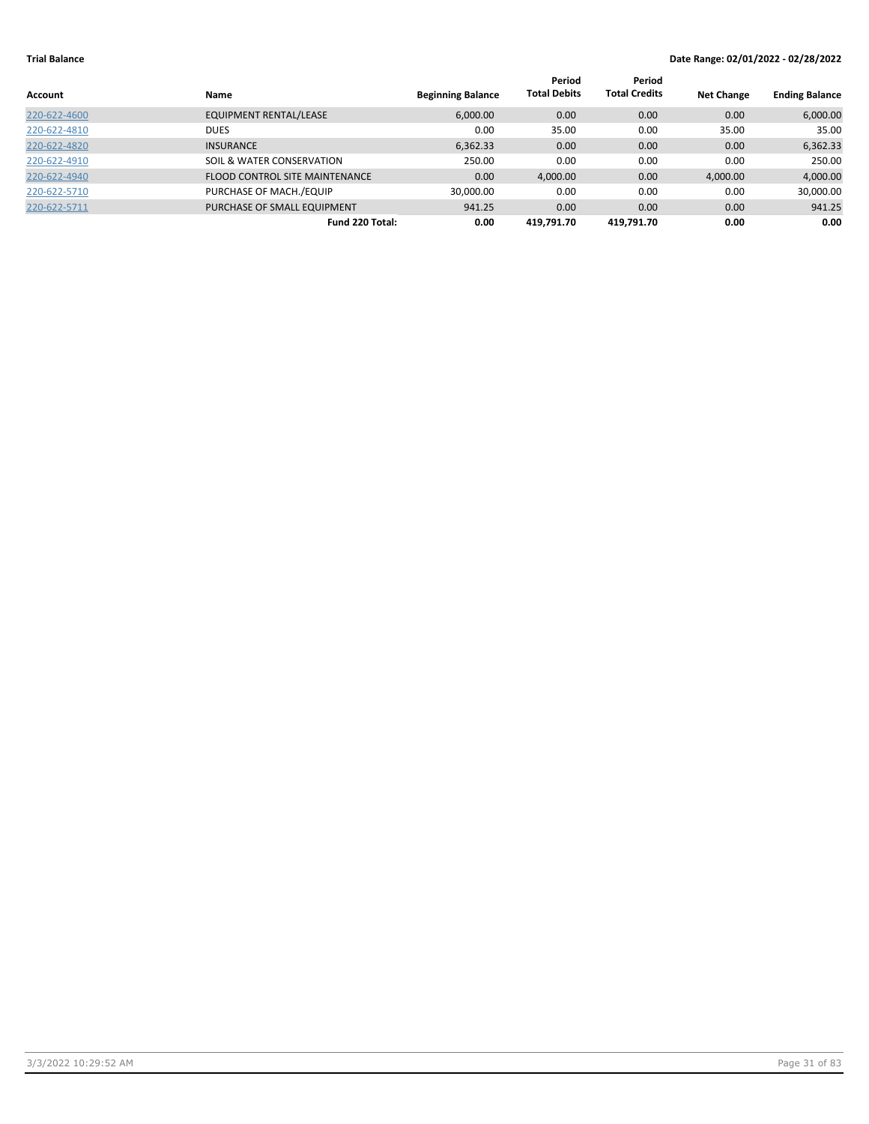| Account      | <b>Name</b>                           | <b>Beginning Balance</b> | Period<br><b>Total Debits</b> | Period<br><b>Total Credits</b> | <b>Net Change</b> | <b>Ending Balance</b> |
|--------------|---------------------------------------|--------------------------|-------------------------------|--------------------------------|-------------------|-----------------------|
| 220-622-4600 | <b>EQUIPMENT RENTAL/LEASE</b>         | 6,000.00                 | 0.00                          | 0.00                           | 0.00              | 6,000.00              |
| 220-622-4810 | <b>DUES</b>                           | 0.00                     | 35.00                         | 0.00                           | 35.00             | 35.00                 |
| 220-622-4820 | <b>INSURANCE</b>                      | 6,362.33                 | 0.00                          | 0.00                           | 0.00              | 6,362.33              |
| 220-622-4910 | SOIL & WATER CONSERVATION             | 250.00                   | 0.00                          | 0.00                           | 0.00              | 250.00                |
| 220-622-4940 | <b>FLOOD CONTROL SITE MAINTENANCE</b> | 0.00                     | 4,000.00                      | 0.00                           | 4,000.00          | 4,000.00              |
| 220-622-5710 | PURCHASE OF MACH./EQUIP               | 30,000.00                | 0.00                          | 0.00                           | 0.00              | 30,000.00             |
| 220-622-5711 | PURCHASE OF SMALL EQUIPMENT           | 941.25                   | 0.00                          | 0.00                           | 0.00              | 941.25                |
|              | Fund 220 Total:                       | 0.00                     | 419.791.70                    | 419.791.70                     | 0.00              | 0.00                  |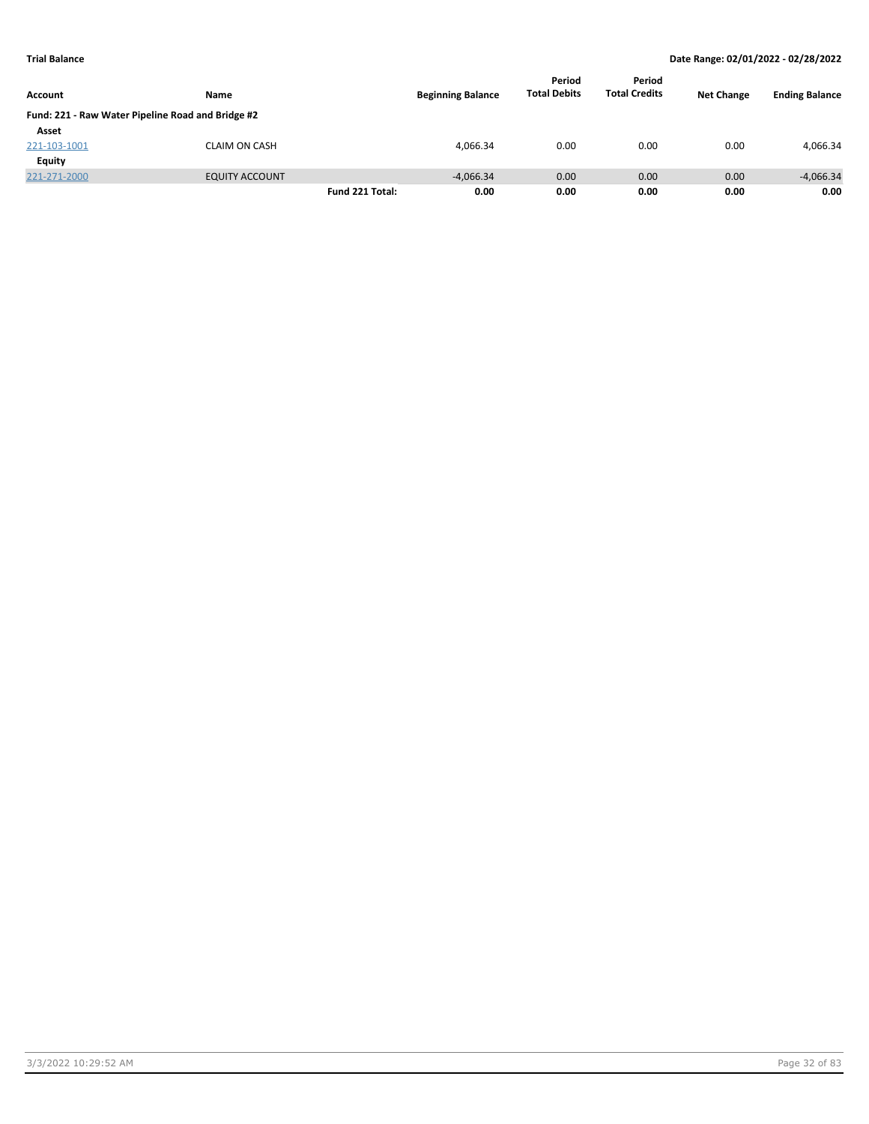|                |                                                   |                 |                          | Period              | Period               |                   |                       |
|----------------|---------------------------------------------------|-----------------|--------------------------|---------------------|----------------------|-------------------|-----------------------|
| <b>Account</b> | Name                                              |                 | <b>Beginning Balance</b> | <b>Total Debits</b> | <b>Total Credits</b> | <b>Net Change</b> | <b>Ending Balance</b> |
|                | Fund: 221 - Raw Water Pipeline Road and Bridge #2 |                 |                          |                     |                      |                   |                       |
| Asset          |                                                   |                 |                          |                     |                      |                   |                       |
| 221-103-1001   | <b>CLAIM ON CASH</b>                              |                 | 4.066.34                 | 0.00                | 0.00                 | 0.00              | 4,066.34              |
| Equity         |                                                   |                 |                          |                     |                      |                   |                       |
| 221-271-2000   | <b>EQUITY ACCOUNT</b>                             |                 | $-4.066.34$              | 0.00                | 0.00                 | 0.00              | $-4,066.34$           |
|                |                                                   | Fund 221 Total: | 0.00                     | 0.00                | 0.00                 | 0.00              | 0.00                  |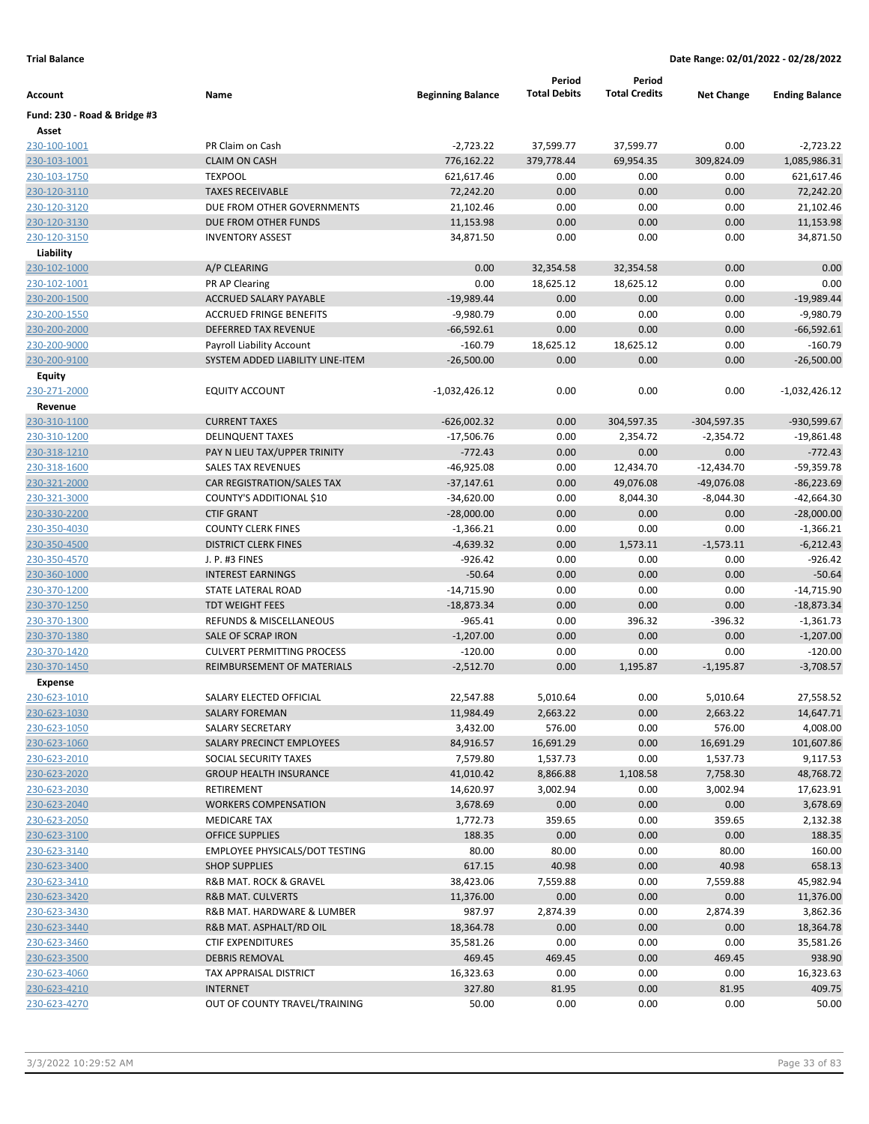| Account                      | Name                                  | <b>Beginning Balance</b> | Period<br><b>Total Debits</b> | Period<br><b>Total Credits</b> | <b>Net Change</b> | <b>Ending Balance</b> |
|------------------------------|---------------------------------------|--------------------------|-------------------------------|--------------------------------|-------------------|-----------------------|
| Fund: 230 - Road & Bridge #3 |                                       |                          |                               |                                |                   |                       |
| Asset                        |                                       |                          |                               |                                |                   |                       |
| 230-100-1001                 | PR Claim on Cash                      | $-2,723.22$              | 37,599.77                     | 37,599.77                      | 0.00              | $-2,723.22$           |
| 230-103-1001                 | <b>CLAIM ON CASH</b>                  | 776,162.22               | 379,778.44                    | 69,954.35                      | 309,824.09        | 1,085,986.31          |
| 230-103-1750                 | <b>TEXPOOL</b>                        | 621,617.46               | 0.00                          | 0.00                           | 0.00              | 621,617.46            |
| 230-120-3110                 | <b>TAXES RECEIVABLE</b>               | 72,242.20                | 0.00                          | 0.00                           | 0.00              | 72,242.20             |
| 230-120-3120                 | DUE FROM OTHER GOVERNMENTS            | 21,102.46                | 0.00                          | 0.00                           | 0.00              | 21,102.46             |
| 230-120-3130                 | DUE FROM OTHER FUNDS                  | 11,153.98                | 0.00                          | 0.00                           | 0.00              | 11,153.98             |
| 230-120-3150                 | <b>INVENTORY ASSEST</b>               | 34,871.50                | 0.00                          | 0.00                           | 0.00              | 34,871.50             |
| Liability                    |                                       |                          |                               |                                |                   |                       |
| 230-102-1000                 | A/P CLEARING                          | 0.00                     | 32,354.58                     | 32,354.58                      | 0.00              | 0.00                  |
| 230-102-1001                 | PR AP Clearing                        | 0.00                     | 18,625.12                     | 18,625.12                      | 0.00              | 0.00                  |
| 230-200-1500                 | ACCRUED SALARY PAYABLE                | $-19,989.44$             | 0.00                          | 0.00                           | 0.00              | $-19,989.44$          |
| 230-200-1550                 | <b>ACCRUED FRINGE BENEFITS</b>        | $-9,980.79$              | 0.00                          | 0.00                           | 0.00              | $-9,980.79$           |
| 230-200-2000                 | DEFERRED TAX REVENUE                  | $-66,592.61$             | 0.00                          | 0.00                           | 0.00              | $-66,592.61$          |
| 230-200-9000                 | Payroll Liability Account             | $-160.79$                | 18,625.12                     | 18,625.12                      | 0.00              | $-160.79$             |
| 230-200-9100                 | SYSTEM ADDED LIABILITY LINE-ITEM      | $-26,500.00$             | 0.00                          | 0.00                           | 0.00              | $-26,500.00$          |
| <b>Equity</b>                |                                       |                          |                               |                                |                   |                       |
| 230-271-2000                 | <b>EQUITY ACCOUNT</b>                 | -1,032,426.12            | 0.00                          | 0.00                           | 0.00              | $-1,032,426.12$       |
| Revenue                      |                                       |                          |                               |                                |                   |                       |
| 230-310-1100                 | <b>CURRENT TAXES</b>                  | $-626,002.32$            | 0.00                          | 304,597.35                     | $-304,597.35$     | -930,599.67           |
| 230-310-1200                 | <b>DELINQUENT TAXES</b>               | $-17,506.76$             | 0.00                          | 2,354.72                       | $-2,354.72$       | $-19,861.48$          |
| 230-318-1210                 | PAY N LIEU TAX/UPPER TRINITY          | $-772.43$                | 0.00                          | 0.00                           | 0.00              | $-772.43$             |
| 230-318-1600                 | <b>SALES TAX REVENUES</b>             | $-46,925.08$             | 0.00                          | 12,434.70                      | $-12,434.70$      | $-59,359.78$          |
| 230-321-2000                 | CAR REGISTRATION/SALES TAX            | $-37,147.61$             | 0.00                          | 49,076.08                      | $-49,076.08$      | $-86,223.69$          |
| 230-321-3000                 | COUNTY'S ADDITIONAL \$10              | $-34,620.00$             | 0.00                          | 8,044.30                       | $-8,044.30$       | -42,664.30            |
| <u>230-330-2200</u>          | <b>CTIF GRANT</b>                     | $-28,000.00$             | 0.00                          | 0.00                           | 0.00              | $-28,000.00$          |
| 230-350-4030                 | <b>COUNTY CLERK FINES</b>             | $-1,366.21$              | 0.00                          | 0.00                           | 0.00              | $-1,366.21$           |
| 230-350-4500                 | <b>DISTRICT CLERK FINES</b>           | $-4,639.32$              | 0.00                          | 1,573.11                       | $-1,573.11$       | $-6,212.43$           |
| 230-350-4570                 | J. P. #3 FINES                        | $-926.42$                | 0.00                          | 0.00                           | 0.00              | $-926.42$             |
| 230-360-1000                 | <b>INTEREST EARNINGS</b>              | $-50.64$                 | 0.00                          | 0.00                           | 0.00              | $-50.64$              |
| 230-370-1200                 | STATE LATERAL ROAD                    | $-14,715.90$             | 0.00                          | 0.00                           | 0.00              | $-14,715.90$          |
| 230-370-1250                 | <b>TDT WEIGHT FEES</b>                | $-18,873.34$             | 0.00                          | 0.00                           | 0.00              | $-18,873.34$          |
| 230-370-1300                 | <b>REFUNDS &amp; MISCELLANEOUS</b>    | $-965.41$                | 0.00                          | 396.32                         | $-396.32$         | $-1,361.73$           |
| 230-370-1380                 | SALE OF SCRAP IRON                    | $-1,207.00$              | 0.00                          | 0.00                           | 0.00              | $-1,207.00$           |
| 230-370-1420                 | <b>CULVERT PERMITTING PROCESS</b>     | $-120.00$                | 0.00                          | 0.00                           | 0.00              | $-120.00$             |
| 230-370-1450                 | REIMBURSEMENT OF MATERIALS            | $-2,512.70$              | 0.00                          | 1,195.87                       | $-1,195.87$       | $-3,708.57$           |
| <b>Expense</b>               |                                       |                          |                               |                                |                   |                       |
| 230-623-1010                 | SALARY ELECTED OFFICIAL               | 22,547.88                | 5,010.64                      | 0.00                           | 5,010.64          | 27,558.52             |
| 230-623-1030                 | SALARY FOREMAN                        | 11,984.49                | 2,663.22                      | 0.00                           | 2,663.22          | 14,647.71             |
| 230-623-1050                 | SALARY SECRETARY                      | 3,432.00                 | 576.00                        | 0.00                           | 576.00            | 4,008.00              |
| 230-623-1060                 | SALARY PRECINCT EMPLOYEES             | 84,916.57                | 16,691.29                     | 0.00                           | 16,691.29         | 101,607.86            |
| 230-623-2010                 | SOCIAL SECURITY TAXES                 | 7,579.80                 | 1,537.73                      | 0.00                           | 1,537.73          | 9,117.53              |
| 230-623-2020                 | <b>GROUP HEALTH INSURANCE</b>         | 41,010.42                | 8,866.88                      | 1,108.58                       | 7,758.30          | 48,768.72             |
| 230-623-2030                 | RETIREMENT                            | 14,620.97                | 3,002.94                      | 0.00                           | 3,002.94          | 17,623.91             |
| 230-623-2040                 | <b>WORKERS COMPENSATION</b>           | 3,678.69                 | 0.00                          | 0.00                           | 0.00              | 3,678.69              |
| 230-623-2050                 | <b>MEDICARE TAX</b>                   | 1,772.73                 | 359.65                        | 0.00                           | 359.65            | 2,132.38              |
| 230-623-3100                 | <b>OFFICE SUPPLIES</b>                | 188.35                   | 0.00                          | 0.00                           | 0.00              | 188.35                |
| 230-623-3140                 | <b>EMPLOYEE PHYSICALS/DOT TESTING</b> | 80.00                    | 80.00                         | 0.00                           | 80.00             | 160.00                |
| 230-623-3400                 | <b>SHOP SUPPLIES</b>                  | 617.15                   | 40.98                         | 0.00                           | 40.98             | 658.13                |
| 230-623-3410                 | R&B MAT. ROCK & GRAVEL                | 38,423.06                | 7,559.88                      | 0.00                           | 7,559.88          | 45,982.94             |
| 230-623-3420                 | <b>R&amp;B MAT. CULVERTS</b>          | 11,376.00                | 0.00                          | 0.00                           | 0.00              | 11,376.00             |
| 230-623-3430                 | R&B MAT. HARDWARE & LUMBER            | 987.97                   | 2,874.39                      | 0.00                           | 2,874.39          | 3,862.36              |
| 230-623-3440                 | R&B MAT. ASPHALT/RD OIL               | 18,364.78                | 0.00                          | 0.00                           | 0.00              | 18,364.78             |
| 230-623-3460                 | <b>CTIF EXPENDITURES</b>              | 35,581.26                | 0.00                          | 0.00                           | 0.00              | 35,581.26             |
| 230-623-3500                 | <b>DEBRIS REMOVAL</b>                 | 469.45                   | 469.45                        | 0.00                           | 469.45            | 938.90                |
| 230-623-4060                 | TAX APPRAISAL DISTRICT                | 16,323.63                | 0.00                          | 0.00                           | 0.00              | 16,323.63             |
| 230-623-4210                 | <b>INTERNET</b>                       | 327.80                   | 81.95                         | 0.00                           | 81.95             | 409.75                |
| 230-623-4270                 | OUT OF COUNTY TRAVEL/TRAINING         | 50.00                    | 0.00                          | 0.00                           | 0.00              | 50.00                 |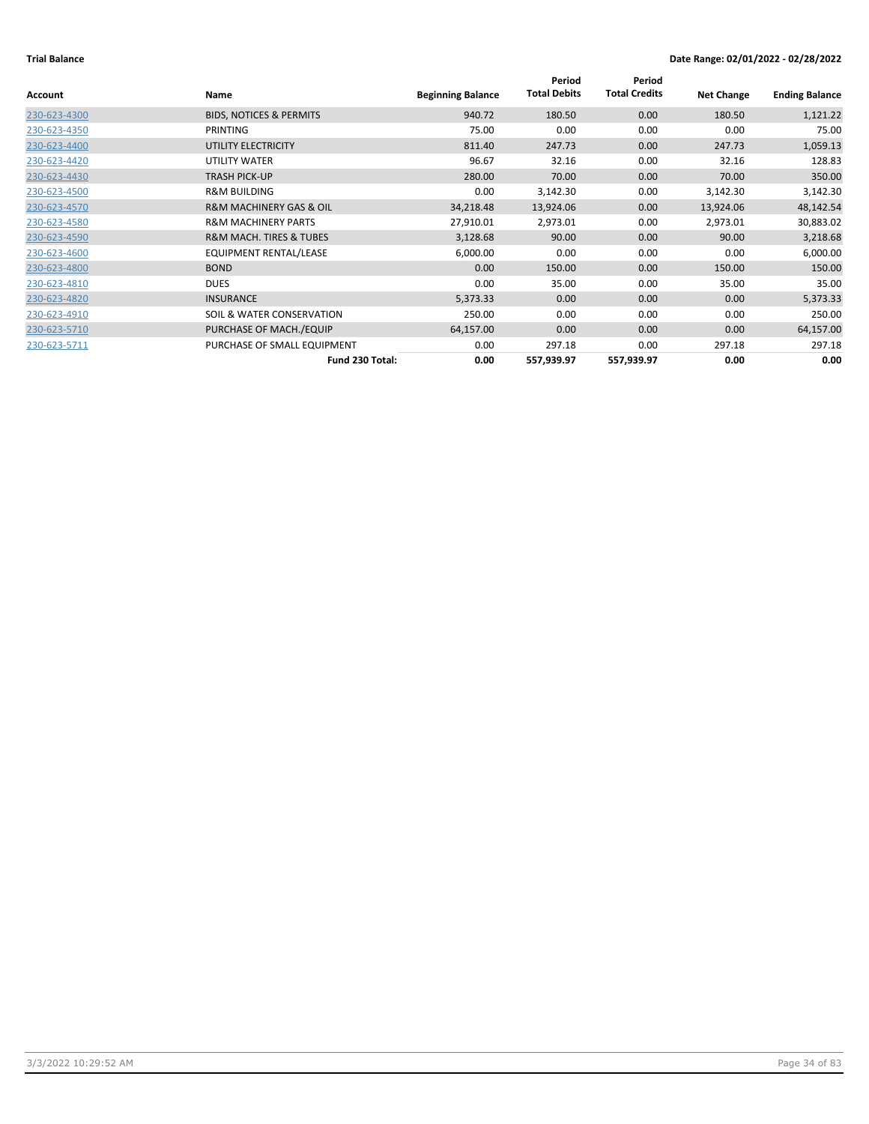| <b>Account</b> | Name                                   | <b>Beginning Balance</b> | Period<br><b>Total Debits</b> | Period<br><b>Total Credits</b> | <b>Net Change</b> | <b>Ending Balance</b> |
|----------------|----------------------------------------|--------------------------|-------------------------------|--------------------------------|-------------------|-----------------------|
| 230-623-4300   | <b>BIDS, NOTICES &amp; PERMITS</b>     | 940.72                   | 180.50                        | 0.00                           | 180.50            | 1,121.22              |
| 230-623-4350   | PRINTING                               | 75.00                    | 0.00                          | 0.00                           | 0.00              | 75.00                 |
| 230-623-4400   | UTILITY ELECTRICITY                    | 811.40                   | 247.73                        | 0.00                           | 247.73            | 1,059.13              |
| 230-623-4420   | UTILITY WATER                          | 96.67                    | 32.16                         | 0.00                           | 32.16             | 128.83                |
| 230-623-4430   | <b>TRASH PICK-UP</b>                   | 280.00                   | 70.00                         | 0.00                           | 70.00             | 350.00                |
| 230-623-4500   | <b>R&amp;M BUILDING</b>                | 0.00                     | 3,142.30                      | 0.00                           | 3,142.30          | 3,142.30              |
| 230-623-4570   | <b>R&amp;M MACHINERY GAS &amp; OIL</b> | 34,218.48                | 13,924.06                     | 0.00                           | 13,924.06         | 48,142.54             |
| 230-623-4580   | <b>R&amp;M MACHINERY PARTS</b>         | 27,910.01                | 2,973.01                      | 0.00                           | 2,973.01          | 30,883.02             |
| 230-623-4590   | R&M MACH. TIRES & TUBES                | 3,128.68                 | 90.00                         | 0.00                           | 90.00             | 3,218.68              |
| 230-623-4600   | <b>EQUIPMENT RENTAL/LEASE</b>          | 6,000.00                 | 0.00                          | 0.00                           | 0.00              | 6,000.00              |
| 230-623-4800   | <b>BOND</b>                            | 0.00                     | 150.00                        | 0.00                           | 150.00            | 150.00                |
| 230-623-4810   | <b>DUES</b>                            | 0.00                     | 35.00                         | 0.00                           | 35.00             | 35.00                 |
| 230-623-4820   | <b>INSURANCE</b>                       | 5,373.33                 | 0.00                          | 0.00                           | 0.00              | 5,373.33              |
| 230-623-4910   | SOIL & WATER CONSERVATION              | 250.00                   | 0.00                          | 0.00                           | 0.00              | 250.00                |
| 230-623-5710   | PURCHASE OF MACH./EQUIP                | 64,157.00                | 0.00                          | 0.00                           | 0.00              | 64,157.00             |
| 230-623-5711   | PURCHASE OF SMALL EQUIPMENT            | 0.00                     | 297.18                        | 0.00                           | 297.18            | 297.18                |
|                | Fund 230 Total:                        | 0.00                     | 557,939.97                    | 557,939.97                     | 0.00              | 0.00                  |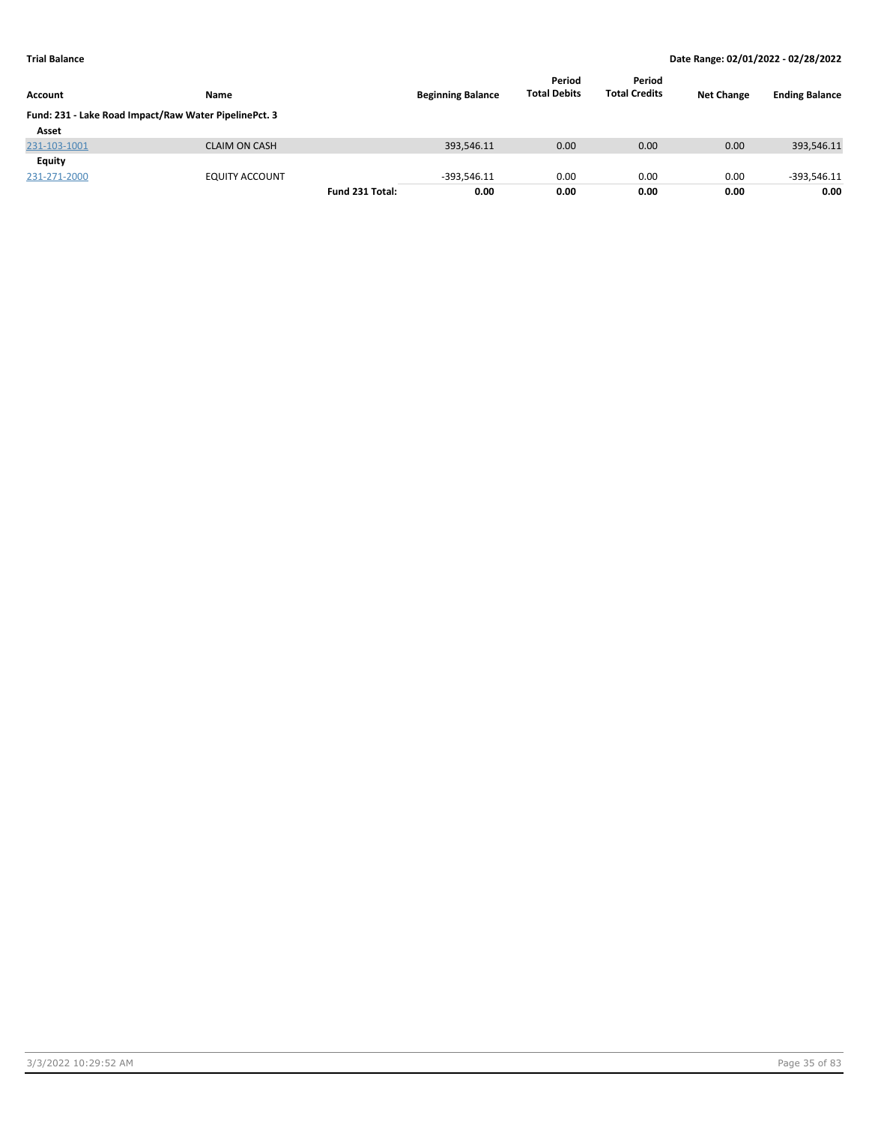| <b>Account</b>                                        | <b>Name</b>           |                 | <b>Beginning Balance</b> | Period<br><b>Total Debits</b> | Period<br><b>Total Credits</b> | <b>Net Change</b> | <b>Ending Balance</b> |
|-------------------------------------------------------|-----------------------|-----------------|--------------------------|-------------------------------|--------------------------------|-------------------|-----------------------|
| Fund: 231 - Lake Road Impact/Raw Water PipelinePct. 3 |                       |                 |                          |                               |                                |                   |                       |
| Asset                                                 |                       |                 |                          |                               |                                |                   |                       |
| 231-103-1001                                          | <b>CLAIM ON CASH</b>  |                 | 393,546.11               | 0.00                          | 0.00                           | 0.00              | 393,546.11            |
| <b>Equity</b>                                         |                       |                 |                          |                               |                                |                   |                       |
| 231-271-2000                                          | <b>EQUITY ACCOUNT</b> |                 | $-393,546.11$            | 0.00                          | 0.00                           | 0.00              | $-393,546.11$         |
|                                                       |                       | Fund 231 Total: | 0.00                     | 0.00                          | 0.00                           | 0.00              | 0.00                  |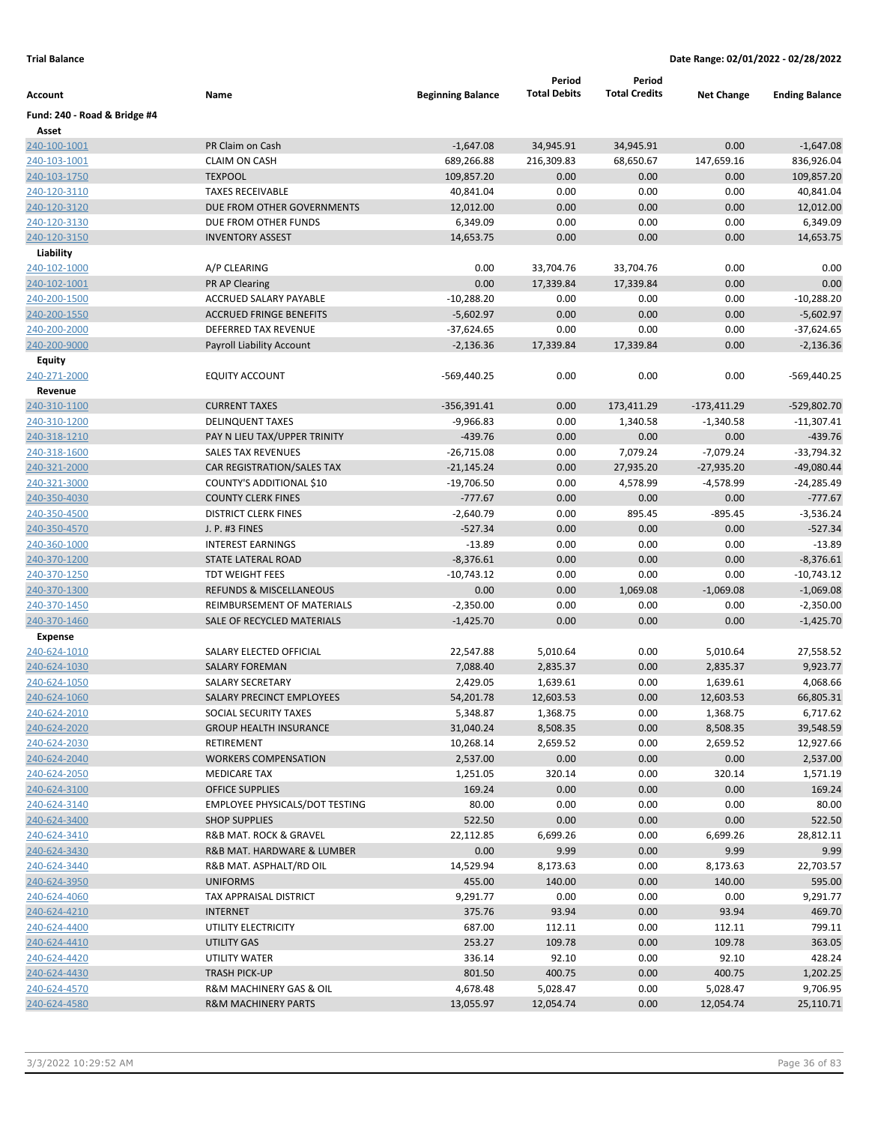|                              |                                                             |                          | Period                | Period               |                       |                       |
|------------------------------|-------------------------------------------------------------|--------------------------|-----------------------|----------------------|-----------------------|-----------------------|
| Account                      | Name                                                        | <b>Beginning Balance</b> | <b>Total Debits</b>   | <b>Total Credits</b> | <b>Net Change</b>     | <b>Ending Balance</b> |
| Fund: 240 - Road & Bridge #4 |                                                             |                          |                       |                      |                       |                       |
| Asset                        |                                                             |                          |                       |                      |                       |                       |
| 240-100-1001                 | PR Claim on Cash                                            | $-1,647.08$              | 34,945.91             | 34,945.91            | 0.00                  | $-1,647.08$           |
| <u>240-103-1001</u>          | <b>CLAIM ON CASH</b>                                        | 689,266.88               | 216,309.83            | 68,650.67            | 147,659.16            | 836,926.04            |
| 240-103-1750                 | <b>TEXPOOL</b>                                              | 109,857.20               | 0.00                  | 0.00                 | 0.00                  | 109,857.20            |
| 240-120-3110                 | <b>TAXES RECEIVABLE</b>                                     | 40,841.04                | 0.00                  | 0.00                 | 0.00                  | 40,841.04             |
| <u>240-120-3120</u>          | DUE FROM OTHER GOVERNMENTS                                  | 12,012.00                | 0.00                  | 0.00                 | 0.00                  | 12,012.00             |
| 240-120-3130                 | DUE FROM OTHER FUNDS                                        | 6,349.09                 | 0.00                  | 0.00                 | 0.00                  | 6,349.09              |
| 240-120-3150                 | <b>INVENTORY ASSEST</b>                                     | 14,653.75                | 0.00                  | 0.00                 | 0.00                  | 14,653.75             |
| Liability                    |                                                             |                          |                       |                      |                       |                       |
| 240-102-1000                 | A/P CLEARING                                                | 0.00                     | 33,704.76             | 33,704.76            | 0.00                  | 0.00                  |
| 240-102-1001                 | <b>PR AP Clearing</b>                                       | 0.00                     | 17,339.84             | 17,339.84            | 0.00                  | 0.00                  |
| 240-200-1500                 | ACCRUED SALARY PAYABLE                                      | $-10,288.20$             | 0.00                  | 0.00                 | 0.00                  | $-10,288.20$          |
| 240-200-1550                 | <b>ACCRUED FRINGE BENEFITS</b>                              | $-5,602.97$              | 0.00                  | 0.00                 | 0.00                  | $-5,602.97$           |
| 240-200-2000                 | DEFERRED TAX REVENUE                                        | $-37,624.65$             | 0.00                  | 0.00                 | 0.00                  | $-37,624.65$          |
| 240-200-9000                 | Payroll Liability Account                                   | $-2,136.36$              | 17,339.84             | 17,339.84            | 0.00                  | $-2,136.36$           |
| <b>Equity</b>                |                                                             |                          |                       |                      |                       |                       |
| 240-271-2000                 | <b>EQUITY ACCOUNT</b>                                       | -569,440.25              | 0.00                  | 0.00                 | 0.00                  | -569,440.25           |
| Revenue                      |                                                             |                          |                       |                      |                       |                       |
| 240-310-1100                 | <b>CURRENT TAXES</b>                                        | $-356,391.41$            | 0.00                  | 173,411.29           | $-173,411.29$         | -529,802.70           |
| 240-310-1200                 | <b>DELINQUENT TAXES</b>                                     | $-9,966.83$              | 0.00                  | 1,340.58             | $-1,340.58$           | $-11,307.41$          |
| 240-318-1210                 | PAY N LIEU TAX/UPPER TRINITY                                | $-439.76$                | 0.00                  | 0.00                 | 0.00                  | $-439.76$             |
| 240-318-1600                 | <b>SALES TAX REVENUES</b>                                   | $-26,715.08$             | 0.00                  | 7,079.24             | $-7,079.24$           | $-33,794.32$          |
| 240-321-2000                 | CAR REGISTRATION/SALES TAX                                  | $-21,145.24$             | 0.00                  | 27,935.20            | -27,935.20            | $-49,080.44$          |
| 240-321-3000                 | COUNTY'S ADDITIONAL \$10                                    | $-19,706.50$             | 0.00                  | 4,578.99             | $-4,578.99$           | $-24,285.49$          |
| 240-350-4030                 | <b>COUNTY CLERK FINES</b>                                   | $-777.67$                | 0.00                  | 0.00                 | 0.00                  | $-777.67$             |
| 240-350-4500                 | <b>DISTRICT CLERK FINES</b>                                 | $-2,640.79$              | 0.00                  | 895.45               | $-895.45$             | $-3,536.24$           |
| 240-350-4570                 | J. P. #3 FINES                                              | $-527.34$                | 0.00                  | 0.00                 | 0.00                  | $-527.34$             |
| 240-360-1000                 | <b>INTEREST EARNINGS</b>                                    | $-13.89$                 | 0.00                  | 0.00                 | 0.00                  | $-13.89$              |
| 240-370-1200                 | STATE LATERAL ROAD                                          | $-8,376.61$              | 0.00                  | 0.00                 | 0.00                  | $-8,376.61$           |
| 240-370-1250                 | <b>TDT WEIGHT FEES</b>                                      | $-10,743.12$             | 0.00                  | 0.00                 | 0.00                  | $-10,743.12$          |
| 240-370-1300                 | <b>REFUNDS &amp; MISCELLANEOUS</b>                          | 0.00                     | 0.00                  | 1,069.08             | $-1,069.08$           | $-1,069.08$           |
| 240-370-1450                 | REIMBURSEMENT OF MATERIALS                                  | $-2,350.00$              | 0.00                  | 0.00                 | 0.00                  | $-2,350.00$           |
| 240-370-1460                 | SALE OF RECYCLED MATERIALS                                  | $-1,425.70$              | 0.00                  | 0.00                 | 0.00                  | $-1,425.70$           |
| Expense                      | SALARY ELECTED OFFICIAL                                     |                          |                       |                      |                       |                       |
| 240-624-1010                 | <b>SALARY FOREMAN</b>                                       | 22,547.88                | 5,010.64              | 0.00                 | 5,010.64<br>2,835.37  | 27,558.52             |
| 240-624-1030                 |                                                             | 7,088.40                 | 2,835.37              | 0.00                 |                       | 9,923.77              |
| 240-624-1050                 | <b>SALARY SECRETARY</b><br><b>SALARY PRECINCT EMPLOYEES</b> | 2,429.05                 | 1,639.61<br>12,603.53 | 0.00<br>0.00         | 1,639.61<br>12,603.53 | 4,068.66<br>66,805.31 |
| 240-624-1060<br>240-624-2010 | SOCIAL SECURITY TAXES                                       | 54,201.78<br>5,348.87    | 1,368.75              | 0.00                 | 1,368.75              | 6,717.62              |
| 240-624-2020                 | <b>GROUP HEALTH INSURANCE</b>                               | 31,040.24                | 8,508.35              | 0.00                 | 8,508.35              | 39,548.59             |
| 240-624-2030                 | <b>RETIREMENT</b>                                           | 10,268.14                | 2,659.52              | 0.00                 | 2,659.52              | 12,927.66             |
| 240-624-2040                 | <b>WORKERS COMPENSATION</b>                                 | 2,537.00                 | 0.00                  | 0.00                 | 0.00                  | 2,537.00              |
| 240-624-2050                 | <b>MEDICARE TAX</b>                                         | 1,251.05                 | 320.14                | 0.00                 | 320.14                | 1,571.19              |
| 240-624-3100                 | <b>OFFICE SUPPLIES</b>                                      | 169.24                   | 0.00                  | 0.00                 | 0.00                  | 169.24                |
| 240-624-3140                 | <b>EMPLOYEE PHYSICALS/DOT TESTING</b>                       | 80.00                    | 0.00                  | 0.00                 | 0.00                  | 80.00                 |
| 240-624-3400                 | <b>SHOP SUPPLIES</b>                                        | 522.50                   | 0.00                  | 0.00                 | 0.00                  | 522.50                |
| 240-624-3410                 | R&B MAT. ROCK & GRAVEL                                      | 22,112.85                | 6,699.26              | 0.00                 | 6,699.26              | 28,812.11             |
| 240-624-3430                 | R&B MAT. HARDWARE & LUMBER                                  | 0.00                     | 9.99                  | 0.00                 | 9.99                  | 9.99                  |
| 240-624-3440                 | R&B MAT. ASPHALT/RD OIL                                     | 14,529.94                | 8,173.63              | 0.00                 | 8,173.63              | 22,703.57             |
| 240-624-3950                 | <b>UNIFORMS</b>                                             | 455.00                   | 140.00                | 0.00                 | 140.00                | 595.00                |
| 240-624-4060                 | TAX APPRAISAL DISTRICT                                      | 9,291.77                 | 0.00                  | 0.00                 | 0.00                  | 9,291.77              |
| 240-624-4210                 | <b>INTERNET</b>                                             | 375.76                   | 93.94                 | 0.00                 | 93.94                 | 469.70                |
| 240-624-4400                 | UTILITY ELECTRICITY                                         | 687.00                   | 112.11                | 0.00                 | 112.11                | 799.11                |
| 240-624-4410                 | UTILITY GAS                                                 | 253.27                   | 109.78                | 0.00                 | 109.78                | 363.05                |
| 240-624-4420                 | UTILITY WATER                                               | 336.14                   | 92.10                 | 0.00                 | 92.10                 | 428.24                |
| 240-624-4430                 | <b>TRASH PICK-UP</b>                                        | 801.50                   | 400.75                | 0.00                 | 400.75                | 1,202.25              |
| 240-624-4570                 | R&M MACHINERY GAS & OIL                                     | 4,678.48                 | 5,028.47              | 0.00                 | 5,028.47              | 9,706.95              |
| 240-624-4580                 | <b>R&amp;M MACHINERY PARTS</b>                              | 13,055.97                | 12,054.74             | 0.00                 | 12,054.74             | 25,110.71             |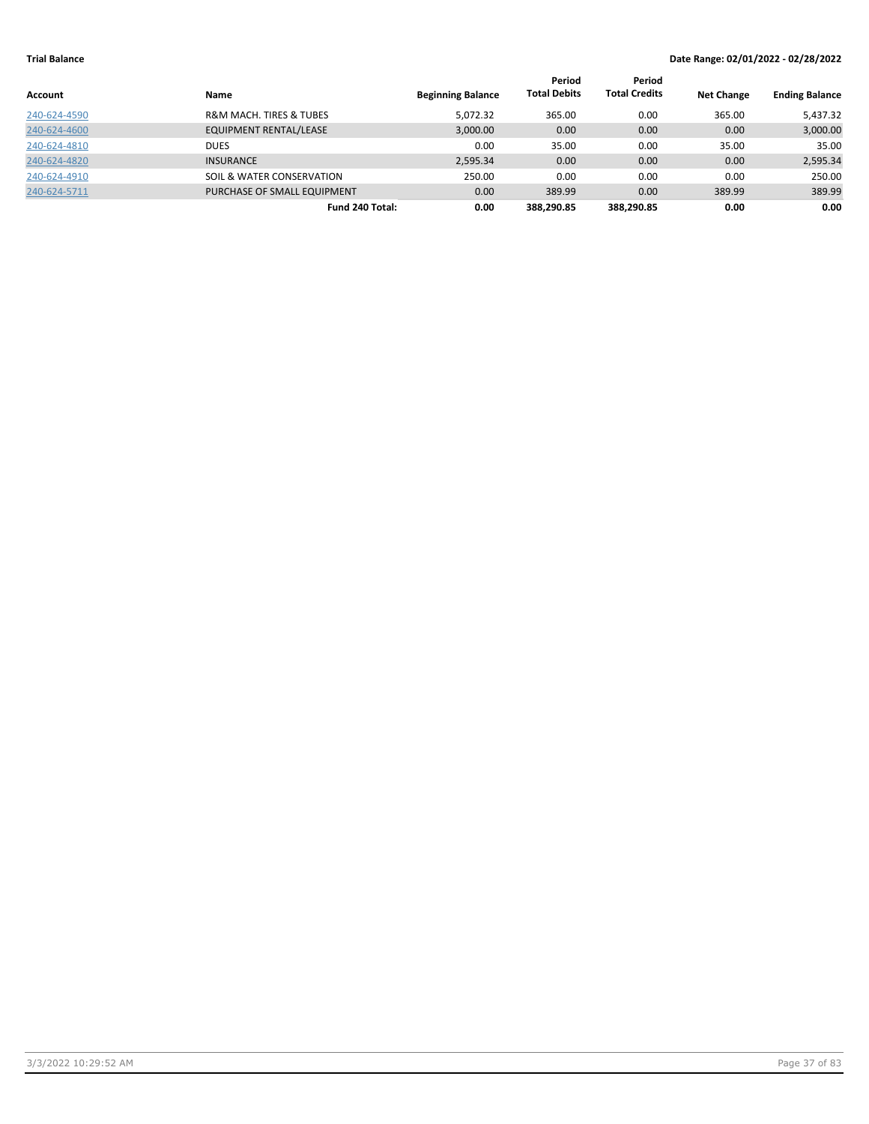|              |                                        |                          | Period              | Period               |                   |                       |
|--------------|----------------------------------------|--------------------------|---------------------|----------------------|-------------------|-----------------------|
| Account      | Name                                   | <b>Beginning Balance</b> | <b>Total Debits</b> | <b>Total Credits</b> | <b>Net Change</b> | <b>Ending Balance</b> |
| 240-624-4590 | <b>R&amp;M MACH. TIRES &amp; TUBES</b> | 5,072.32                 | 365.00              | 0.00                 | 365.00            | 5,437.32              |
| 240-624-4600 | <b>EQUIPMENT RENTAL/LEASE</b>          | 3,000.00                 | 0.00                | 0.00                 | 0.00              | 3,000.00              |
| 240-624-4810 | DUES                                   | 0.00                     | 35.00               | 0.00                 | 35.00             | 35.00                 |
| 240-624-4820 | <b>INSURANCE</b>                       | 2,595.34                 | 0.00                | 0.00                 | 0.00              | 2,595.34              |
| 240-624-4910 | SOIL & WATER CONSERVATION              | 250.00                   | 0.00                | 0.00                 | 0.00              | 250.00                |
| 240-624-5711 | PURCHASE OF SMALL EQUIPMENT            | 0.00                     | 389.99              | 0.00                 | 389.99            | 389.99                |
|              | Fund 240 Total:                        | 0.00                     | 388.290.85          | 388.290.85           | 0.00              | 0.00                  |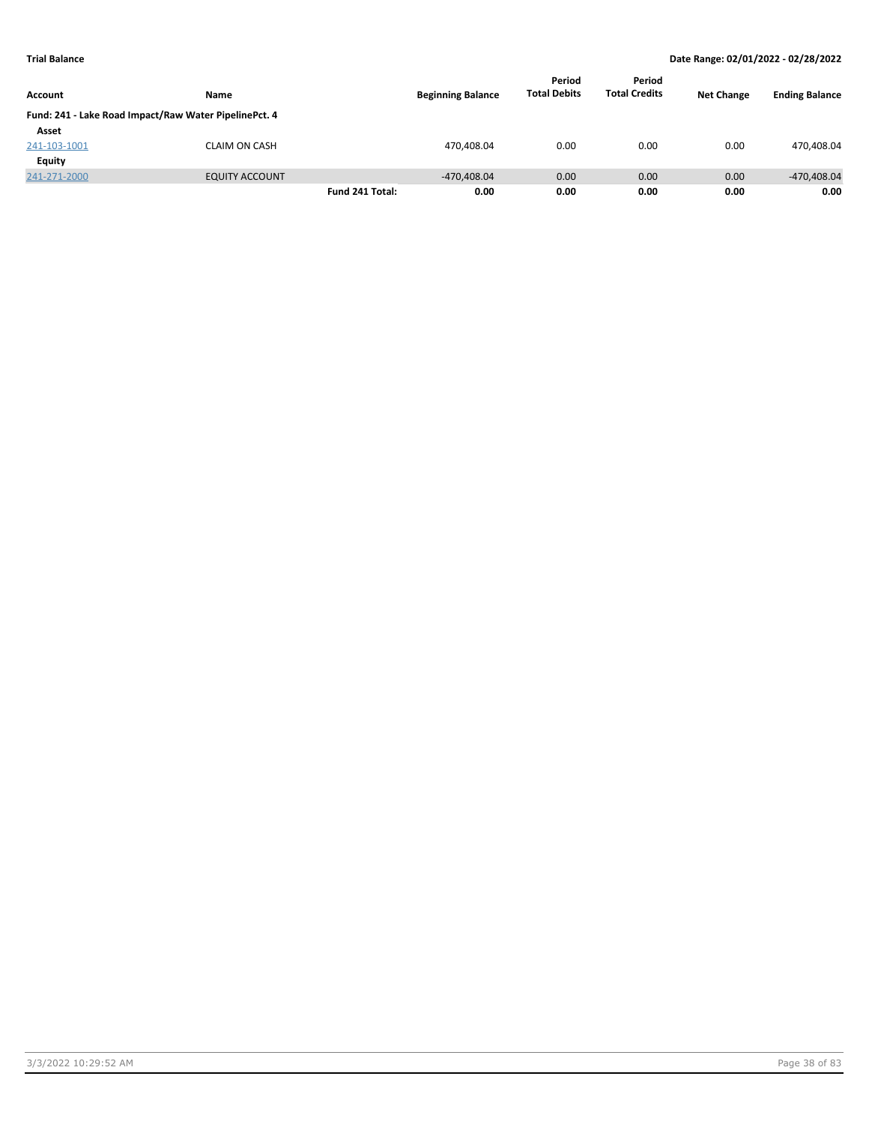|                |                                                       |                 |                          | Period              | Period               |                   |                       |
|----------------|-------------------------------------------------------|-----------------|--------------------------|---------------------|----------------------|-------------------|-----------------------|
| <b>Account</b> | Name                                                  |                 | <b>Beginning Balance</b> | <b>Total Debits</b> | <b>Total Credits</b> | <b>Net Change</b> | <b>Ending Balance</b> |
|                | Fund: 241 - Lake Road Impact/Raw Water PipelinePct. 4 |                 |                          |                     |                      |                   |                       |
| Asset          |                                                       |                 |                          |                     |                      |                   |                       |
| 241-103-1001   | <b>CLAIM ON CASH</b>                                  |                 | 470,408.04               | 0.00                | 0.00                 | 0.00              | 470,408.04            |
| Equity         |                                                       |                 |                          |                     |                      |                   |                       |
| 241-271-2000   | <b>EQUITY ACCOUNT</b>                                 |                 | $-470.408.04$            | 0.00                | 0.00                 | 0.00              | -470,408.04           |
|                |                                                       | Fund 241 Total: | 0.00                     | 0.00                | 0.00                 | 0.00              | 0.00                  |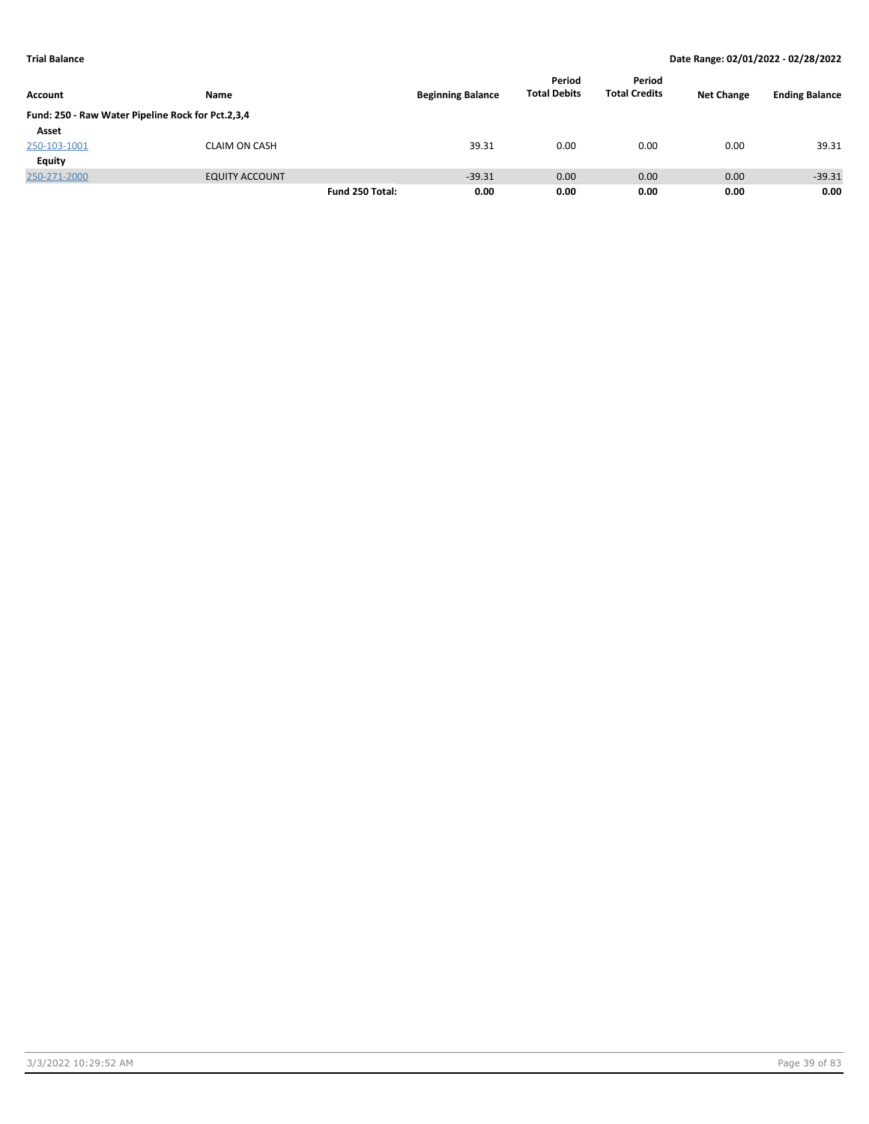|                                                   |                       |                 |                          | Period              | Period               |                   |                       |
|---------------------------------------------------|-----------------------|-----------------|--------------------------|---------------------|----------------------|-------------------|-----------------------|
| Account                                           | Name                  |                 | <b>Beginning Balance</b> | <b>Total Debits</b> | <b>Total Credits</b> | <b>Net Change</b> | <b>Ending Balance</b> |
| Fund: 250 - Raw Water Pipeline Rock for Pct.2,3,4 |                       |                 |                          |                     |                      |                   |                       |
| Asset                                             |                       |                 |                          |                     |                      |                   |                       |
| 250-103-1001                                      | <b>CLAIM ON CASH</b>  |                 | 39.31                    | 0.00                | 0.00                 | 0.00              | 39.31                 |
| Equity                                            |                       |                 |                          |                     |                      |                   |                       |
| 250-271-2000                                      | <b>EQUITY ACCOUNT</b> |                 | $-39.31$                 | 0.00                | 0.00                 | 0.00              | $-39.31$              |
|                                                   |                       | Fund 250 Total: | 0.00                     | 0.00                | 0.00                 | 0.00              | 0.00                  |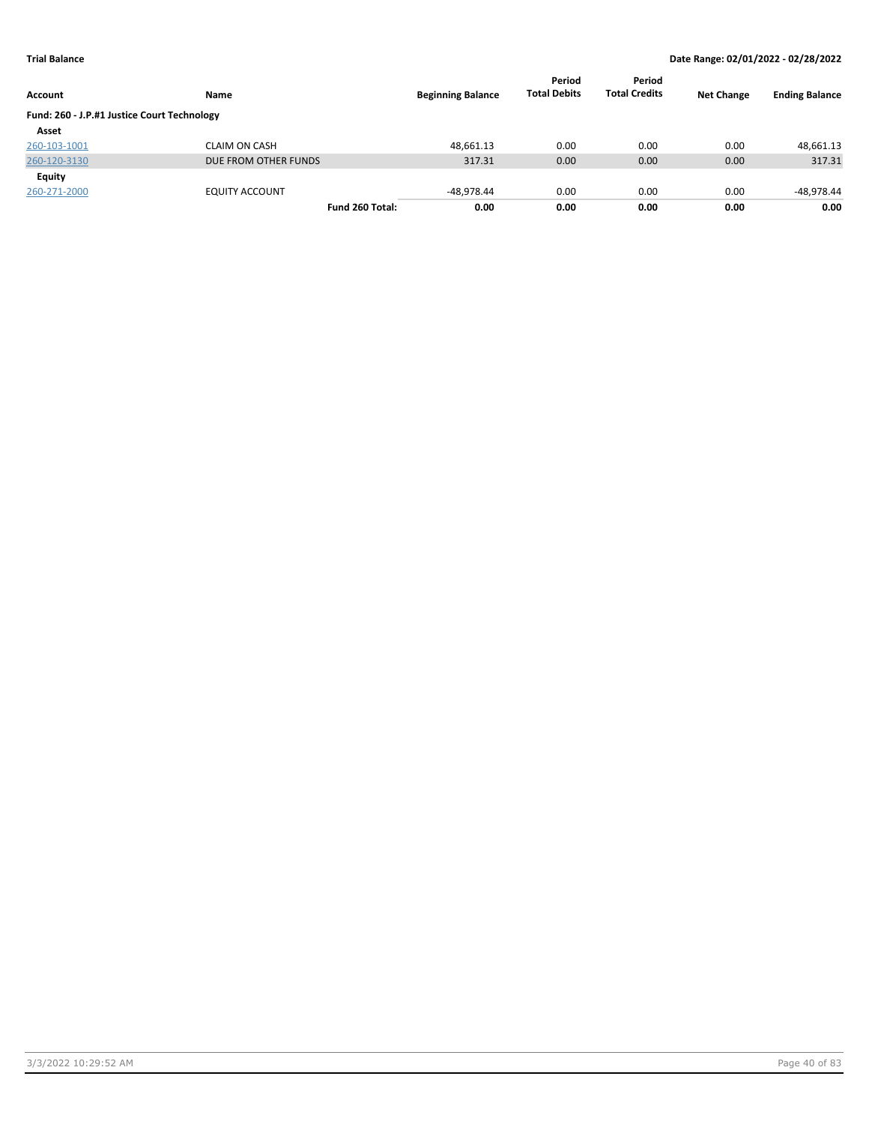| Account                                     | <b>Name</b>           | <b>Beginning Balance</b> | Period<br><b>Total Debits</b> | Period<br><b>Total Credits</b> | <b>Net Change</b> | <b>Ending Balance</b> |
|---------------------------------------------|-----------------------|--------------------------|-------------------------------|--------------------------------|-------------------|-----------------------|
| Fund: 260 - J.P.#1 Justice Court Technology |                       |                          |                               |                                |                   |                       |
| Asset                                       |                       |                          |                               |                                |                   |                       |
| 260-103-1001                                | <b>CLAIM ON CASH</b>  | 48.661.13                | 0.00                          | 0.00                           | 0.00              | 48,661.13             |
| 260-120-3130                                | DUE FROM OTHER FUNDS  | 317.31                   | 0.00                          | 0.00                           | 0.00              | 317.31                |
| Equity                                      |                       |                          |                               |                                |                   |                       |
| 260-271-2000                                | <b>EQUITY ACCOUNT</b> | -48.978.44               | 0.00                          | 0.00                           | 0.00              | -48,978.44            |
|                                             | Fund 260 Total:       | 0.00                     | 0.00                          | 0.00                           | 0.00              | 0.00                  |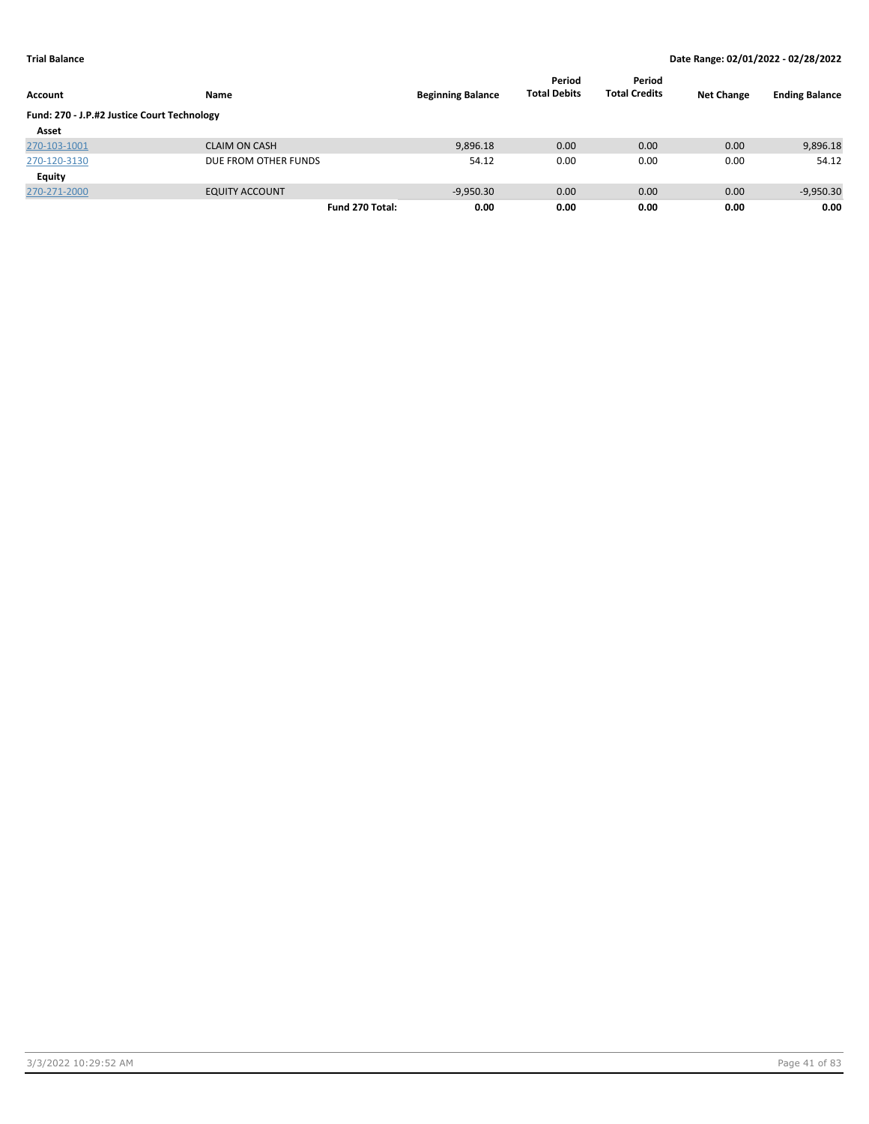| Account                                     | Name                  | <b>Beginning Balance</b> | Period<br><b>Total Debits</b> | Period<br><b>Total Credits</b> | <b>Net Change</b> | <b>Ending Balance</b> |
|---------------------------------------------|-----------------------|--------------------------|-------------------------------|--------------------------------|-------------------|-----------------------|
| Fund: 270 - J.P.#2 Justice Court Technology |                       |                          |                               |                                |                   |                       |
| Asset                                       |                       |                          |                               |                                |                   |                       |
| 270-103-1001                                | <b>CLAIM ON CASH</b>  | 9,896.18                 | 0.00                          | 0.00                           | 0.00              | 9,896.18              |
| 270-120-3130                                | DUE FROM OTHER FUNDS  | 54.12                    | 0.00                          | 0.00                           | 0.00              | 54.12                 |
| Equity                                      |                       |                          |                               |                                |                   |                       |
| 270-271-2000                                | <b>EQUITY ACCOUNT</b> | $-9,950.30$              | 0.00                          | 0.00                           | 0.00              | $-9,950.30$           |
|                                             | Fund 270 Total:       | 0.00                     | 0.00                          | 0.00                           | 0.00              | 0.00                  |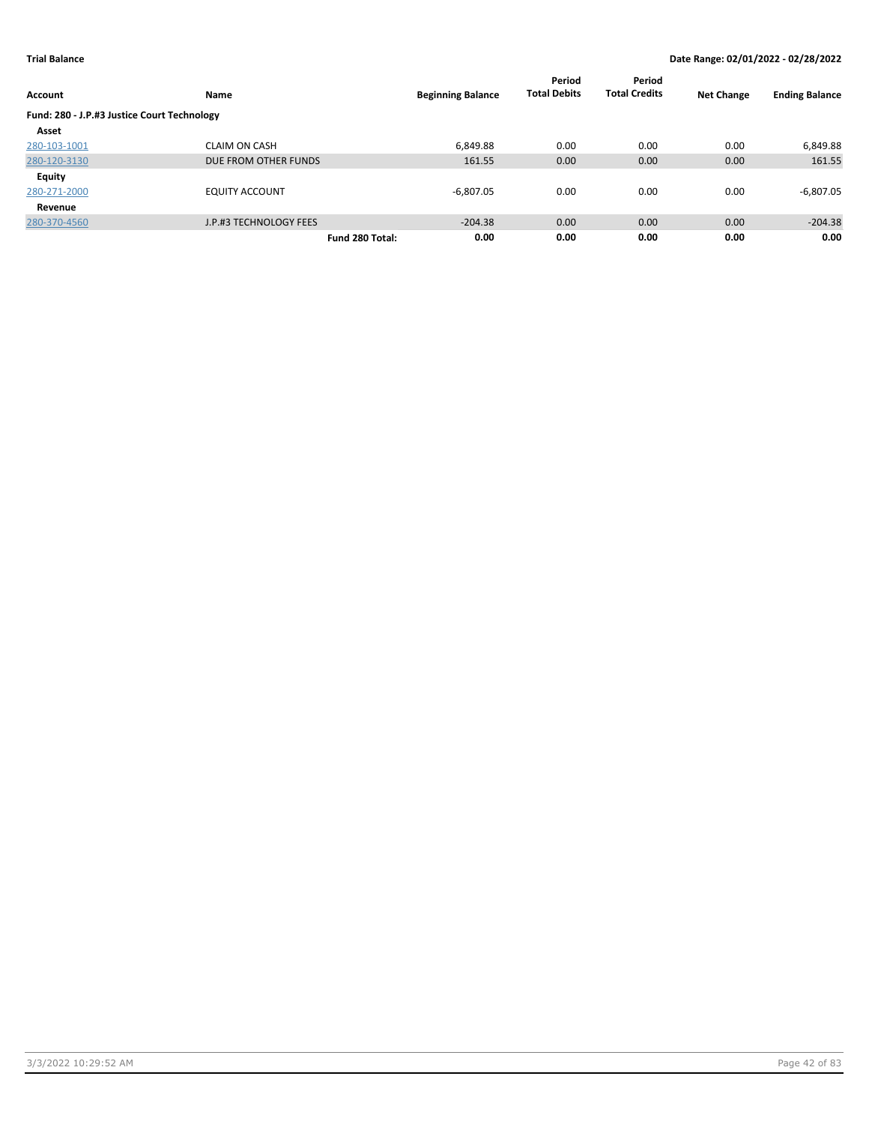| Account                                     | Name                   | <b>Beginning Balance</b> | Period<br><b>Total Debits</b> | Period<br><b>Total Credits</b> | <b>Net Change</b> | <b>Ending Balance</b> |
|---------------------------------------------|------------------------|--------------------------|-------------------------------|--------------------------------|-------------------|-----------------------|
| Fund: 280 - J.P.#3 Justice Court Technology |                        |                          |                               |                                |                   |                       |
| Asset                                       |                        |                          |                               |                                |                   |                       |
| 280-103-1001                                | <b>CLAIM ON CASH</b>   | 6,849.88                 | 0.00                          | 0.00                           | 0.00              | 6,849.88              |
| 280-120-3130                                | DUE FROM OTHER FUNDS   | 161.55                   | 0.00                          | 0.00                           | 0.00              | 161.55                |
| Equity                                      |                        |                          |                               |                                |                   |                       |
| 280-271-2000                                | <b>EQUITY ACCOUNT</b>  | $-6,807.05$              | 0.00                          | 0.00                           | 0.00              | $-6,807.05$           |
| Revenue                                     |                        |                          |                               |                                |                   |                       |
| 280-370-4560                                | J.P.#3 TECHNOLOGY FEES | $-204.38$                | 0.00                          | 0.00                           | 0.00              | $-204.38$             |
|                                             | Fund 280 Total:        | 0.00                     | 0.00                          | 0.00                           | 0.00              | 0.00                  |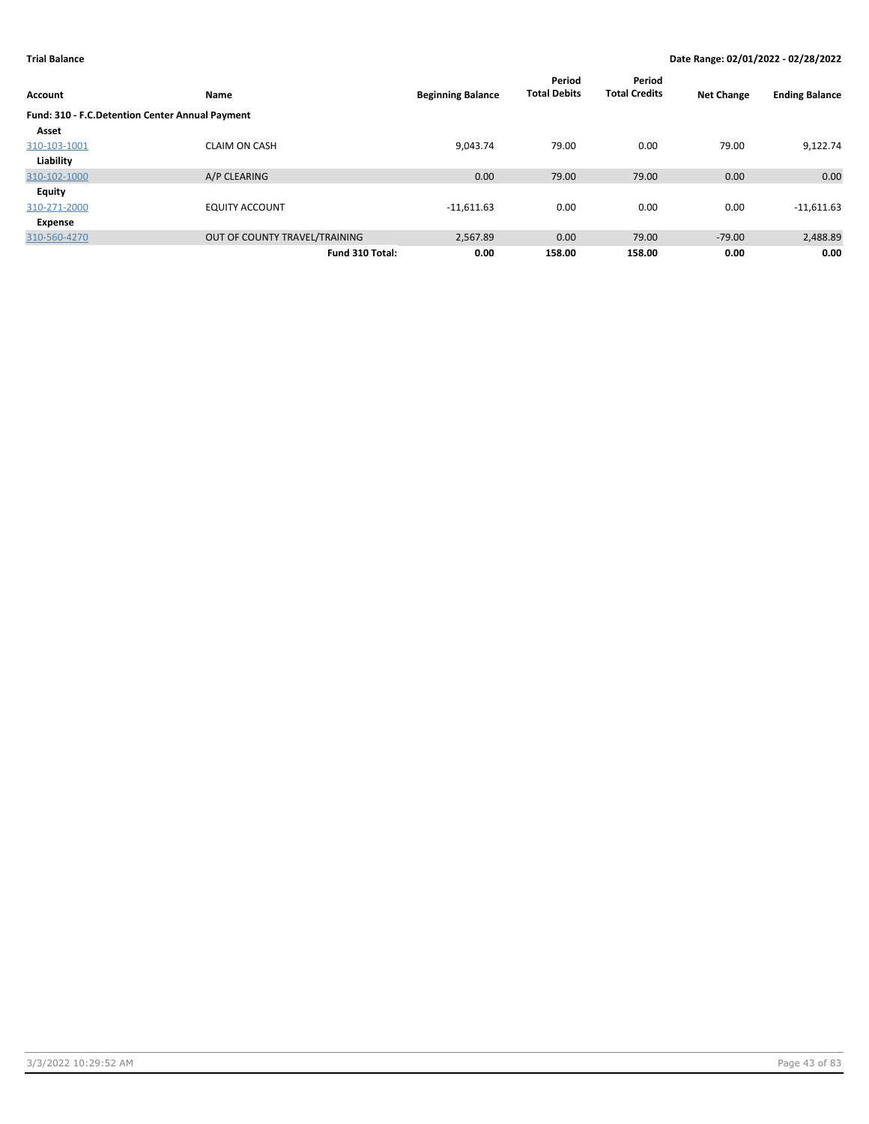| Account                                         | Name                          | <b>Beginning Balance</b> | Period<br><b>Total Debits</b> | Period<br><b>Total Credits</b> | <b>Net Change</b> | <b>Ending Balance</b> |
|-------------------------------------------------|-------------------------------|--------------------------|-------------------------------|--------------------------------|-------------------|-----------------------|
| Fund: 310 - F.C.Detention Center Annual Payment |                               |                          |                               |                                |                   |                       |
| Asset                                           |                               |                          |                               |                                |                   |                       |
| 310-103-1001                                    | <b>CLAIM ON CASH</b>          | 9.043.74                 | 79.00                         | 0.00                           | 79.00             | 9.122.74              |
| Liability                                       |                               |                          |                               |                                |                   |                       |
| 310-102-1000                                    | A/P CLEARING                  | 0.00                     | 79.00                         | 79.00                          | 0.00              | 0.00                  |
| Equity                                          |                               |                          |                               |                                |                   |                       |
| 310-271-2000                                    | <b>EQUITY ACCOUNT</b>         | $-11,611.63$             | 0.00                          | 0.00                           | 0.00              | $-11,611.63$          |
| Expense                                         |                               |                          |                               |                                |                   |                       |
| 310-560-4270                                    | OUT OF COUNTY TRAVEL/TRAINING | 2,567.89                 | 0.00                          | 79.00                          | $-79.00$          | 2,488.89              |
|                                                 | Fund 310 Total:               | 0.00                     | 158.00                        | 158.00                         | 0.00              | 0.00                  |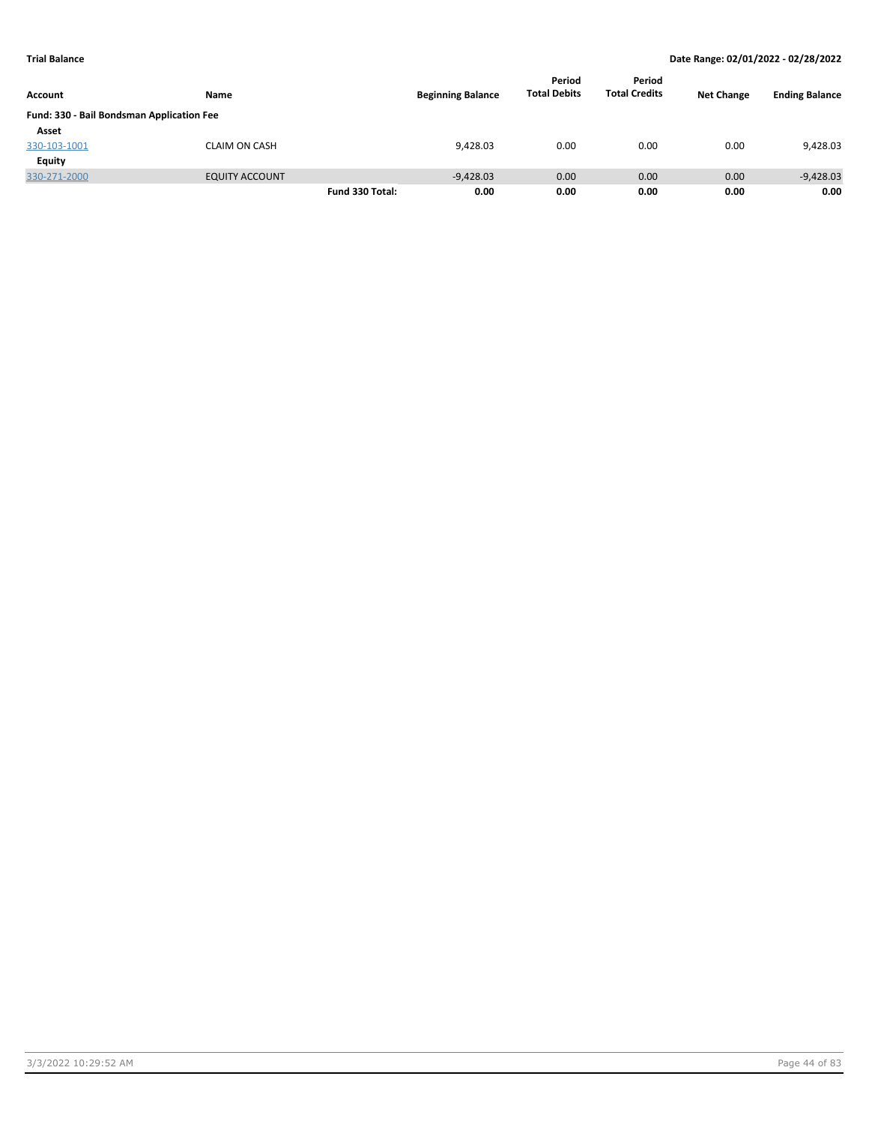|                                           |                       | <b>Beginning Balance</b> | Period<br><b>Total Debits</b> | Period<br><b>Total Credits</b> | <b>Net Change</b> |      |                       |
|-------------------------------------------|-----------------------|--------------------------|-------------------------------|--------------------------------|-------------------|------|-----------------------|
| Account                                   | Name                  |                          |                               |                                |                   |      | <b>Ending Balance</b> |
| Fund: 330 - Bail Bondsman Application Fee |                       |                          |                               |                                |                   |      |                       |
| Asset                                     |                       |                          |                               |                                |                   |      |                       |
| 330-103-1001                              | <b>CLAIM ON CASH</b>  |                          | 9,428.03                      | 0.00                           | 0.00              | 0.00 | 9,428.03              |
| Equity                                    |                       |                          |                               |                                |                   |      |                       |
| 330-271-2000                              | <b>EQUITY ACCOUNT</b> |                          | $-9,428.03$                   | 0.00                           | 0.00              | 0.00 | $-9,428.03$           |
|                                           |                       | Fund 330 Total:          | 0.00                          | 0.00                           | 0.00              | 0.00 | 0.00                  |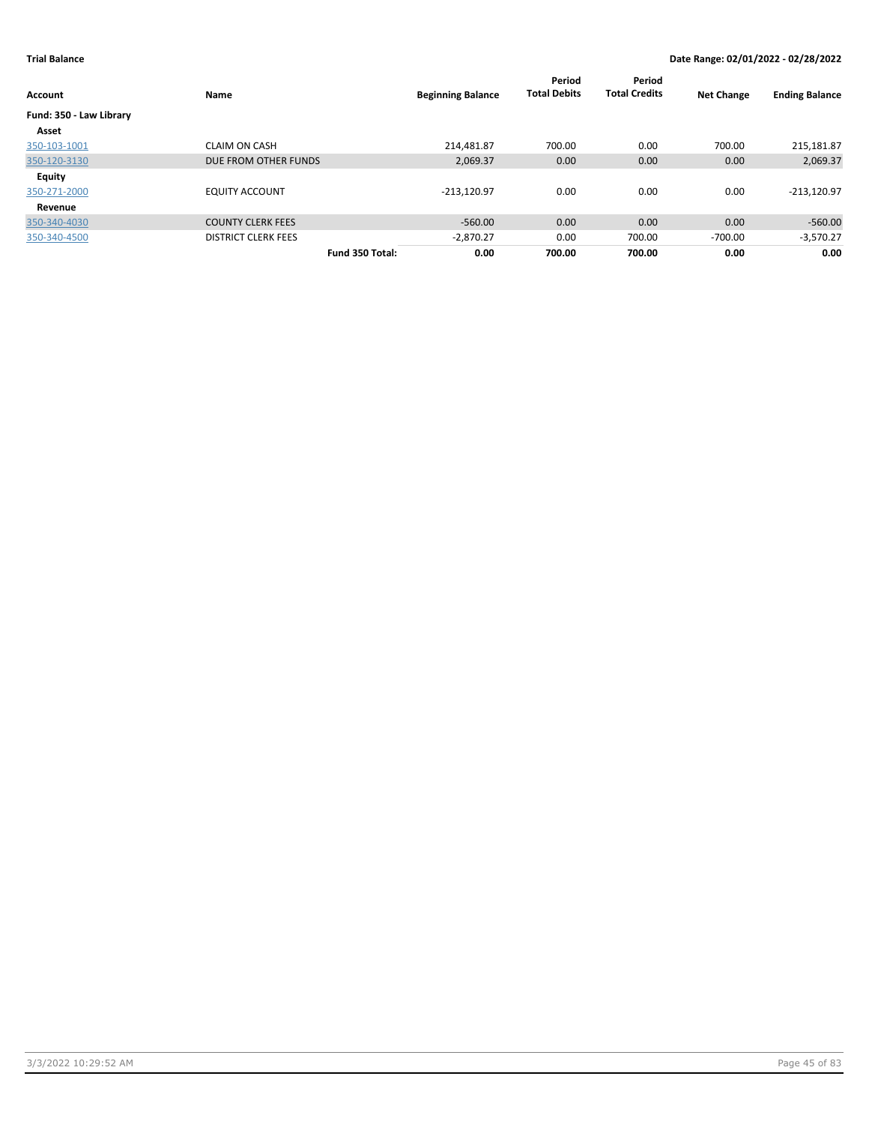| Account                 | Name                       | <b>Beginning Balance</b> | Period<br><b>Total Debits</b> | Period<br><b>Total Credits</b> | <b>Net Change</b> | <b>Ending Balance</b> |
|-------------------------|----------------------------|--------------------------|-------------------------------|--------------------------------|-------------------|-----------------------|
| Fund: 350 - Law Library |                            |                          |                               |                                |                   |                       |
| Asset                   |                            |                          |                               |                                |                   |                       |
| 350-103-1001            | <b>CLAIM ON CASH</b>       | 214.481.87               | 700.00                        | 0.00                           | 700.00            | 215,181.87            |
| 350-120-3130            | DUE FROM OTHER FUNDS       | 2,069.37                 | 0.00                          | 0.00                           | 0.00              | 2,069.37              |
| Equity                  |                            |                          |                               |                                |                   |                       |
| 350-271-2000            | <b>EQUITY ACCOUNT</b>      | $-213,120.97$            | 0.00                          | 0.00                           | 0.00              | $-213,120.97$         |
| Revenue                 |                            |                          |                               |                                |                   |                       |
| 350-340-4030            | <b>COUNTY CLERK FEES</b>   | $-560.00$                | 0.00                          | 0.00                           | 0.00              | $-560.00$             |
| 350-340-4500            | <b>DISTRICT CLERK FEES</b> | $-2,870.27$              | 0.00                          | 700.00                         | $-700.00$         | $-3,570.27$           |
|                         | Fund 350 Total:            | 0.00                     | 700.00                        | 700.00                         | 0.00              | 0.00                  |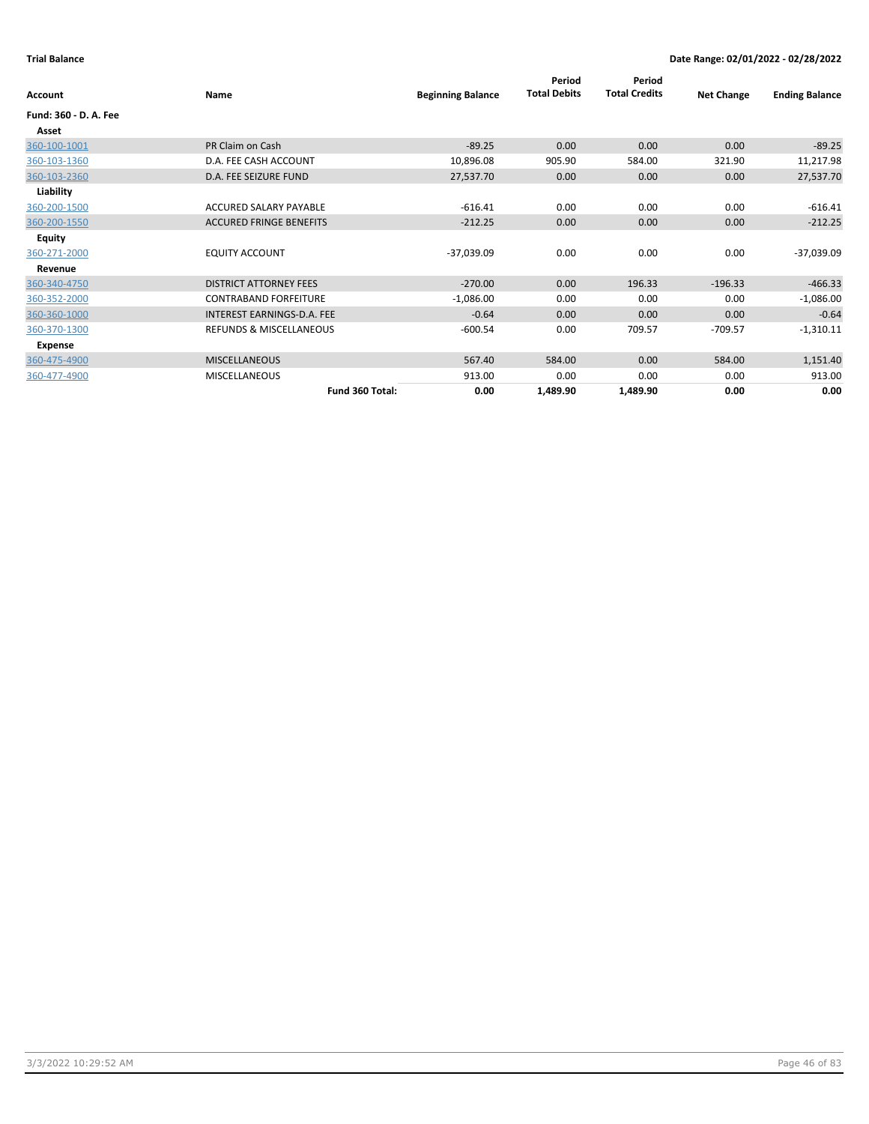| Account               | Name                               | <b>Beginning Balance</b> | Period<br><b>Total Debits</b> | Period<br><b>Total Credits</b> | <b>Net Change</b> | <b>Ending Balance</b> |
|-----------------------|------------------------------------|--------------------------|-------------------------------|--------------------------------|-------------------|-----------------------|
| Fund: 360 - D. A. Fee |                                    |                          |                               |                                |                   |                       |
| Asset                 |                                    |                          |                               |                                |                   |                       |
| 360-100-1001          | PR Claim on Cash                   | $-89.25$                 | 0.00                          | 0.00                           | 0.00              | $-89.25$              |
| 360-103-1360          | D.A. FEE CASH ACCOUNT              | 10,896.08                | 905.90                        | 584.00                         | 321.90            | 11,217.98             |
| 360-103-2360          | D.A. FEE SEIZURE FUND              | 27,537.70                | 0.00                          | 0.00                           | 0.00              | 27,537.70             |
| Liability             |                                    |                          |                               |                                |                   |                       |
| 360-200-1500          | ACCURED SALARY PAYABLE             | $-616.41$                | 0.00                          | 0.00                           | 0.00              | $-616.41$             |
| 360-200-1550          | <b>ACCURED FRINGE BENEFITS</b>     | $-212.25$                | 0.00                          | 0.00                           | 0.00              | $-212.25$             |
| Equity                |                                    |                          |                               |                                |                   |                       |
| 360-271-2000          | <b>EQUITY ACCOUNT</b>              | $-37,039.09$             | 0.00                          | 0.00                           | 0.00              | -37,039.09            |
| Revenue               |                                    |                          |                               |                                |                   |                       |
| 360-340-4750          | <b>DISTRICT ATTORNEY FEES</b>      | $-270.00$                | 0.00                          | 196.33                         | $-196.33$         | $-466.33$             |
| 360-352-2000          | <b>CONTRABAND FORFEITURE</b>       | $-1,086.00$              | 0.00                          | 0.00                           | 0.00              | $-1,086.00$           |
| 360-360-1000          | INTEREST EARNINGS-D.A. FEE         | $-0.64$                  | 0.00                          | 0.00                           | 0.00              | $-0.64$               |
| 360-370-1300          | <b>REFUNDS &amp; MISCELLANEOUS</b> | $-600.54$                | 0.00                          | 709.57                         | $-709.57$         | $-1,310.11$           |
| Expense               |                                    |                          |                               |                                |                   |                       |
| 360-475-4900          | <b>MISCELLANEOUS</b>               | 567.40                   | 584.00                        | 0.00                           | 584.00            | 1,151.40              |
| 360-477-4900          | <b>MISCELLANEOUS</b>               | 913.00                   | 0.00                          | 0.00                           | 0.00              | 913.00                |
|                       | Fund 360 Total:                    | 0.00                     | 1,489.90                      | 1,489.90                       | 0.00              | 0.00                  |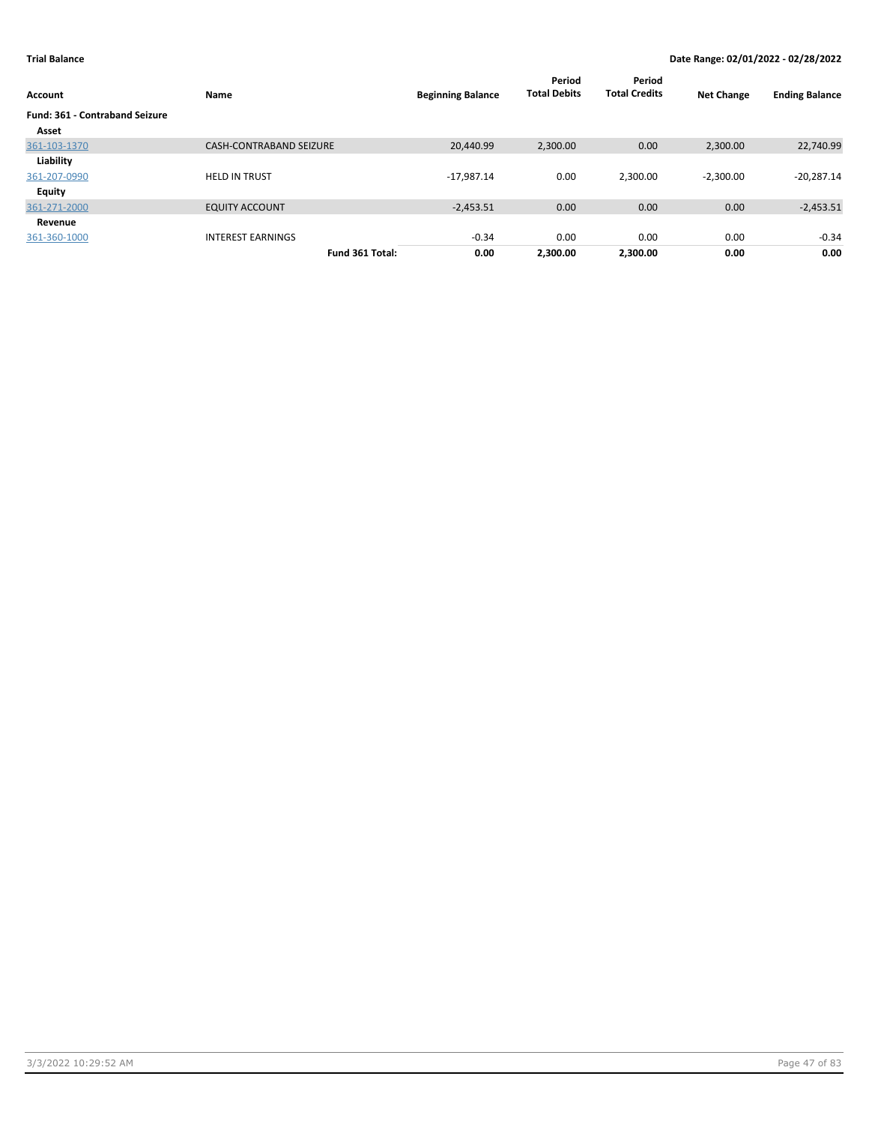| Account                               | Name                           | <b>Beginning Balance</b> | Period<br><b>Total Debits</b> | Period<br><b>Total Credits</b> | <b>Net Change</b> | <b>Ending Balance</b> |
|---------------------------------------|--------------------------------|--------------------------|-------------------------------|--------------------------------|-------------------|-----------------------|
| <b>Fund: 361 - Contraband Seizure</b> |                                |                          |                               |                                |                   |                       |
| Asset                                 |                                |                          |                               |                                |                   |                       |
| 361-103-1370                          | <b>CASH-CONTRABAND SEIZURE</b> | 20,440.99                | 2,300.00                      | 0.00                           | 2,300.00          | 22,740.99             |
| Liability                             |                                |                          |                               |                                |                   |                       |
| 361-207-0990                          | <b>HELD IN TRUST</b>           | $-17,987.14$             | 0.00                          | 2,300.00                       | $-2,300.00$       | $-20,287.14$          |
| Equity                                |                                |                          |                               |                                |                   |                       |
| 361-271-2000                          | <b>EQUITY ACCOUNT</b>          | $-2,453.51$              | 0.00                          | 0.00                           | 0.00              | $-2,453.51$           |
| Revenue                               |                                |                          |                               |                                |                   |                       |
| 361-360-1000                          | <b>INTEREST EARNINGS</b>       | $-0.34$                  | 0.00                          | 0.00                           | 0.00              | $-0.34$               |
|                                       | Fund 361 Total:                | 0.00                     | 2,300.00                      | 2,300.00                       | 0.00              | 0.00                  |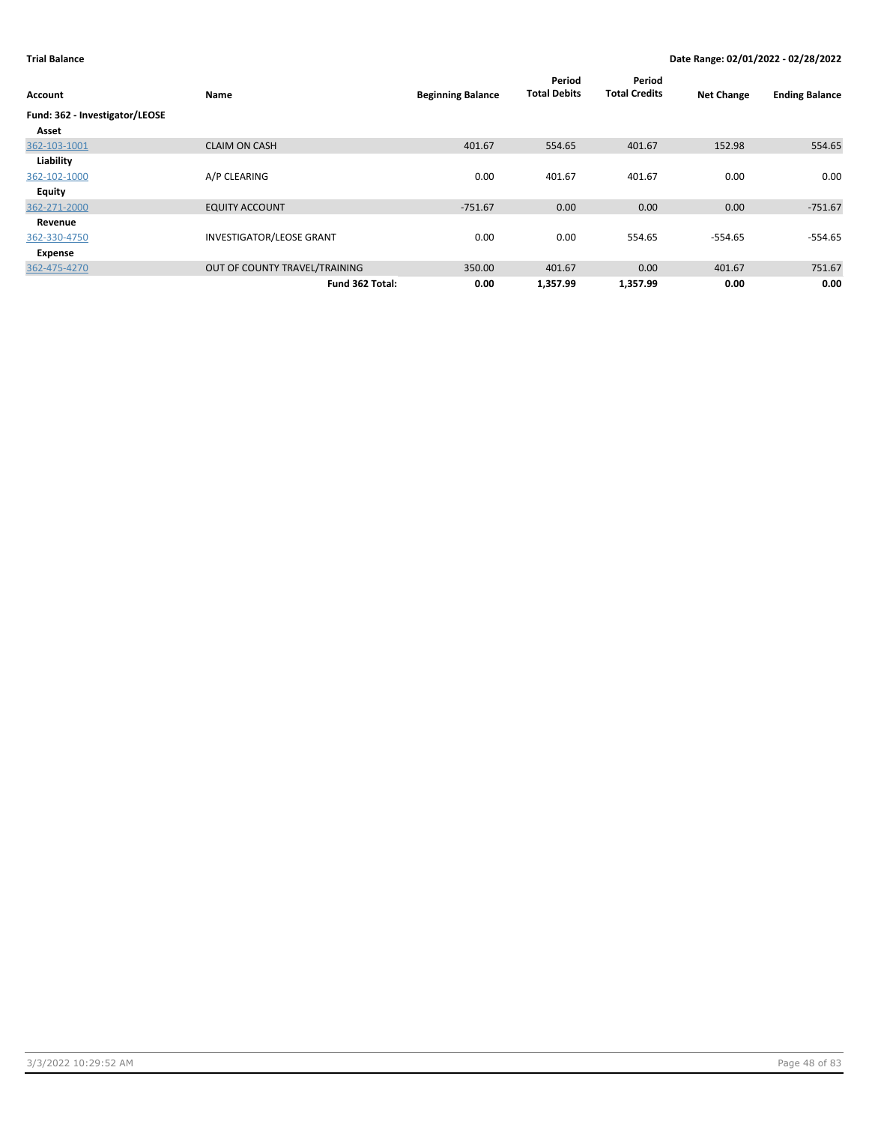| Account                        | Name                            | <b>Beginning Balance</b> | Period<br><b>Total Debits</b> | Period<br><b>Total Credits</b> | <b>Net Change</b> | <b>Ending Balance</b> |
|--------------------------------|---------------------------------|--------------------------|-------------------------------|--------------------------------|-------------------|-----------------------|
| Fund: 362 - Investigator/LEOSE |                                 |                          |                               |                                |                   |                       |
| Asset                          |                                 |                          |                               |                                |                   |                       |
| 362-103-1001                   | <b>CLAIM ON CASH</b>            | 401.67                   | 554.65                        | 401.67                         | 152.98            | 554.65                |
| Liability                      |                                 |                          |                               |                                |                   |                       |
| 362-102-1000                   | A/P CLEARING                    | 0.00                     | 401.67                        | 401.67                         | 0.00              | 0.00                  |
| <b>Equity</b>                  |                                 |                          |                               |                                |                   |                       |
| 362-271-2000                   | <b>EQUITY ACCOUNT</b>           | $-751.67$                | 0.00                          | 0.00                           | 0.00              | $-751.67$             |
| Revenue                        |                                 |                          |                               |                                |                   |                       |
| 362-330-4750                   | <b>INVESTIGATOR/LEOSE GRANT</b> | 0.00                     | 0.00                          | 554.65                         | $-554.65$         | $-554.65$             |
| Expense                        |                                 |                          |                               |                                |                   |                       |
| 362-475-4270                   | OUT OF COUNTY TRAVEL/TRAINING   | 350.00                   | 401.67                        | 0.00                           | 401.67            | 751.67                |
|                                | Fund 362 Total:                 | 0.00                     | 1,357.99                      | 1,357.99                       | 0.00              | 0.00                  |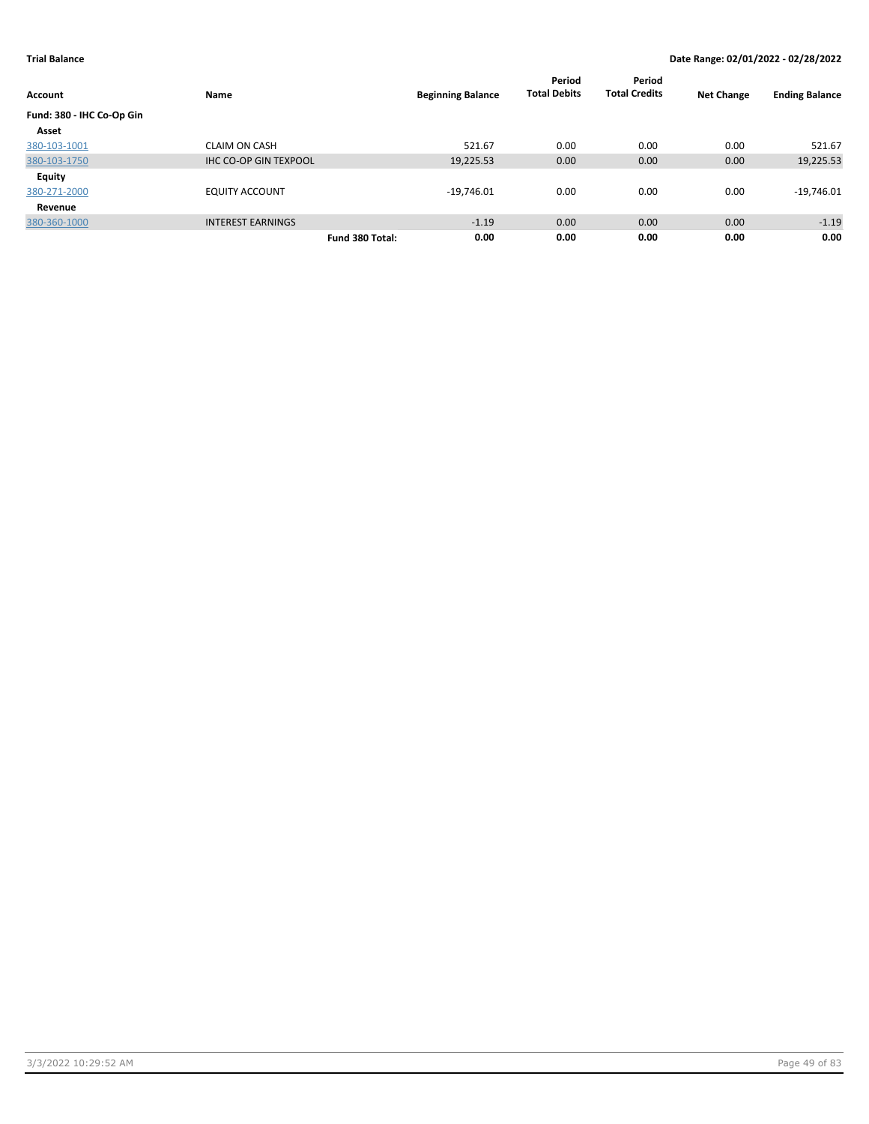|                           |                              |                          | Period<br><b>Total Debits</b> | Period<br><b>Total Credits</b> |                   |                       |
|---------------------------|------------------------------|--------------------------|-------------------------------|--------------------------------|-------------------|-----------------------|
| <b>Account</b>            | Name                         | <b>Beginning Balance</b> |                               |                                | <b>Net Change</b> | <b>Ending Balance</b> |
| Fund: 380 - IHC Co-Op Gin |                              |                          |                               |                                |                   |                       |
| Asset                     |                              |                          |                               |                                |                   |                       |
| 380-103-1001              | <b>CLAIM ON CASH</b>         | 521.67                   | 0.00                          | 0.00                           | 0.00              | 521.67                |
| 380-103-1750              | <b>IHC CO-OP GIN TEXPOOL</b> | 19,225.53                | 0.00                          | 0.00                           | 0.00              | 19,225.53             |
| <b>Equity</b>             |                              |                          |                               |                                |                   |                       |
| 380-271-2000              | <b>EQUITY ACCOUNT</b>        | $-19,746.01$             | 0.00                          | 0.00                           | 0.00              | $-19,746.01$          |
| Revenue                   |                              |                          |                               |                                |                   |                       |
| 380-360-1000              | <b>INTEREST EARNINGS</b>     | $-1.19$                  | 0.00                          | 0.00                           | 0.00              | $-1.19$               |
|                           |                              | 0.00<br>Fund 380 Total:  | 0.00                          | 0.00                           | 0.00              | 0.00                  |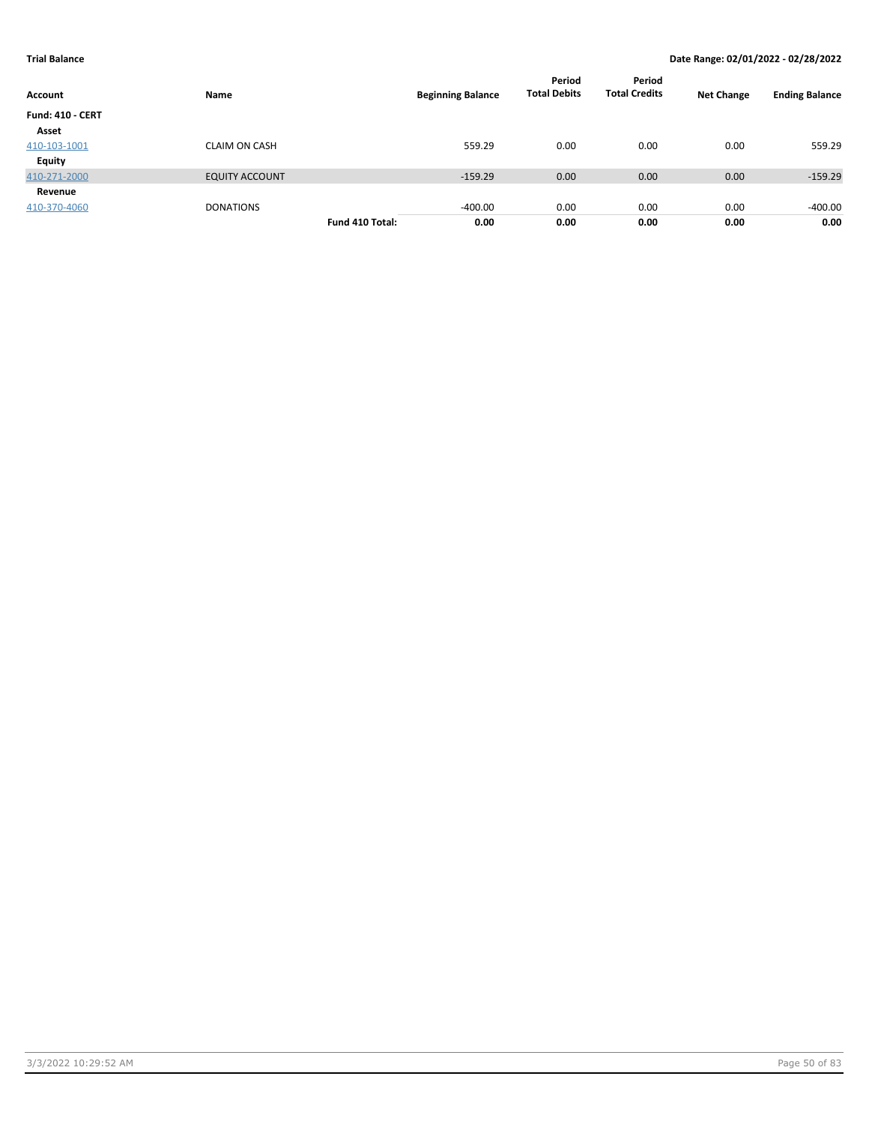| Account                 | Name                  | <b>Beginning Balance</b> | Period<br><b>Total Debits</b> | Period<br><b>Total Credits</b> | <b>Net Change</b> | <b>Ending Balance</b> |
|-------------------------|-----------------------|--------------------------|-------------------------------|--------------------------------|-------------------|-----------------------|
| <b>Fund: 410 - CERT</b> |                       |                          |                               |                                |                   |                       |
| Asset                   |                       |                          |                               |                                |                   |                       |
| 410-103-1001            | <b>CLAIM ON CASH</b>  | 559.29                   | 0.00                          | 0.00                           | 0.00              | 559.29                |
| Equity                  |                       |                          |                               |                                |                   |                       |
| 410-271-2000            | <b>EQUITY ACCOUNT</b> | $-159.29$                | 0.00                          | 0.00                           | 0.00              | $-159.29$             |
| Revenue                 |                       |                          |                               |                                |                   |                       |
| 410-370-4060            | <b>DONATIONS</b>      | $-400.00$                | 0.00                          | 0.00                           | 0.00              | $-400.00$             |
|                         |                       | 0.00<br>Fund 410 Total:  | 0.00                          | 0.00                           | 0.00              | 0.00                  |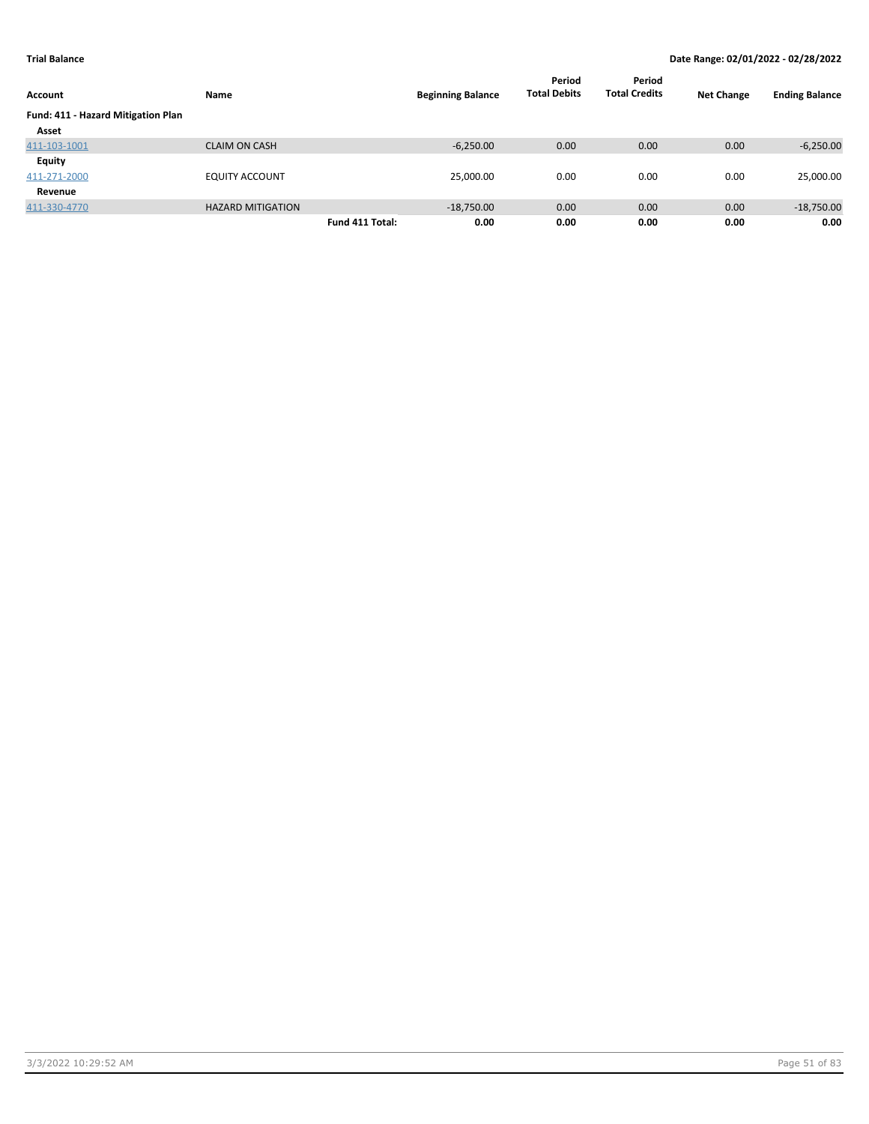| Account                            | Name                     |                 | <b>Beginning Balance</b> | Period<br><b>Total Debits</b> | Period<br><b>Total Credits</b> | <b>Net Change</b> | <b>Ending Balance</b> |
|------------------------------------|--------------------------|-----------------|--------------------------|-------------------------------|--------------------------------|-------------------|-----------------------|
| Fund: 411 - Hazard Mitigation Plan |                          |                 |                          |                               |                                |                   |                       |
| Asset                              |                          |                 |                          |                               |                                |                   |                       |
| 411-103-1001                       | <b>CLAIM ON CASH</b>     |                 | $-6,250.00$              | 0.00                          | 0.00                           | 0.00              | $-6,250.00$           |
| Equity                             |                          |                 |                          |                               |                                |                   |                       |
| 411-271-2000                       | <b>EQUITY ACCOUNT</b>    |                 | 25,000.00                | 0.00                          | 0.00                           | 0.00              | 25,000.00             |
| Revenue                            |                          |                 |                          |                               |                                |                   |                       |
| 411-330-4770                       | <b>HAZARD MITIGATION</b> |                 | $-18,750.00$             | 0.00                          | 0.00                           | 0.00              | $-18,750.00$          |
|                                    |                          | Fund 411 Total: | 0.00                     | 0.00                          | 0.00                           | 0.00              | 0.00                  |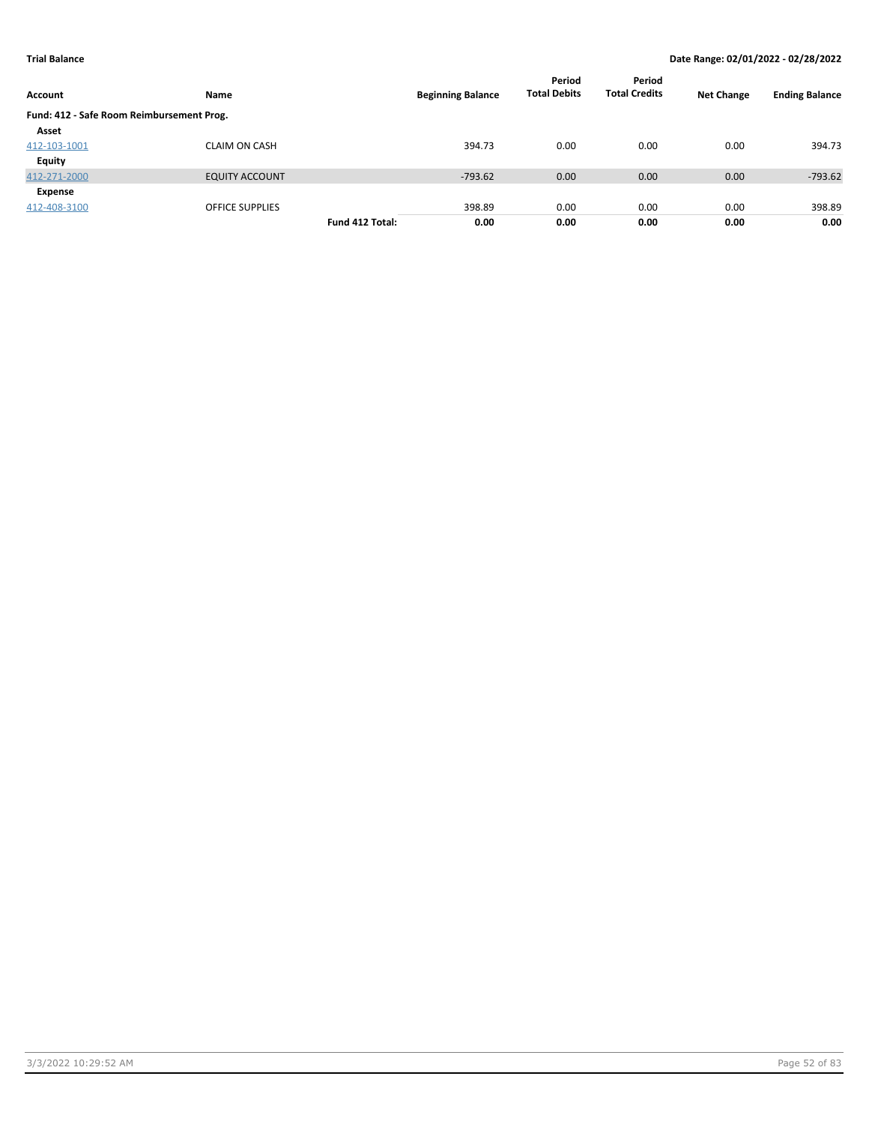| Account                                   | Name                   |                 | <b>Beginning Balance</b> | Period<br><b>Total Debits</b> | Period<br><b>Total Credits</b> | <b>Net Change</b> | <b>Ending Balance</b> |
|-------------------------------------------|------------------------|-----------------|--------------------------|-------------------------------|--------------------------------|-------------------|-----------------------|
| Fund: 412 - Safe Room Reimbursement Prog. |                        |                 |                          |                               |                                |                   |                       |
| Asset                                     |                        |                 |                          |                               |                                |                   |                       |
| 412-103-1001                              | <b>CLAIM ON CASH</b>   |                 | 394.73                   | 0.00                          | 0.00                           | 0.00              | 394.73                |
| <b>Equity</b>                             |                        |                 |                          |                               |                                |                   |                       |
| 412-271-2000                              | <b>EQUITY ACCOUNT</b>  |                 | $-793.62$                | 0.00                          | 0.00                           | 0.00              | $-793.62$             |
| Expense                                   |                        |                 |                          |                               |                                |                   |                       |
| 412-408-3100                              | <b>OFFICE SUPPLIES</b> |                 | 398.89                   | 0.00                          | 0.00                           | 0.00              | 398.89                |
|                                           |                        | Fund 412 Total: | 0.00                     | 0.00                          | 0.00                           | 0.00              | 0.00                  |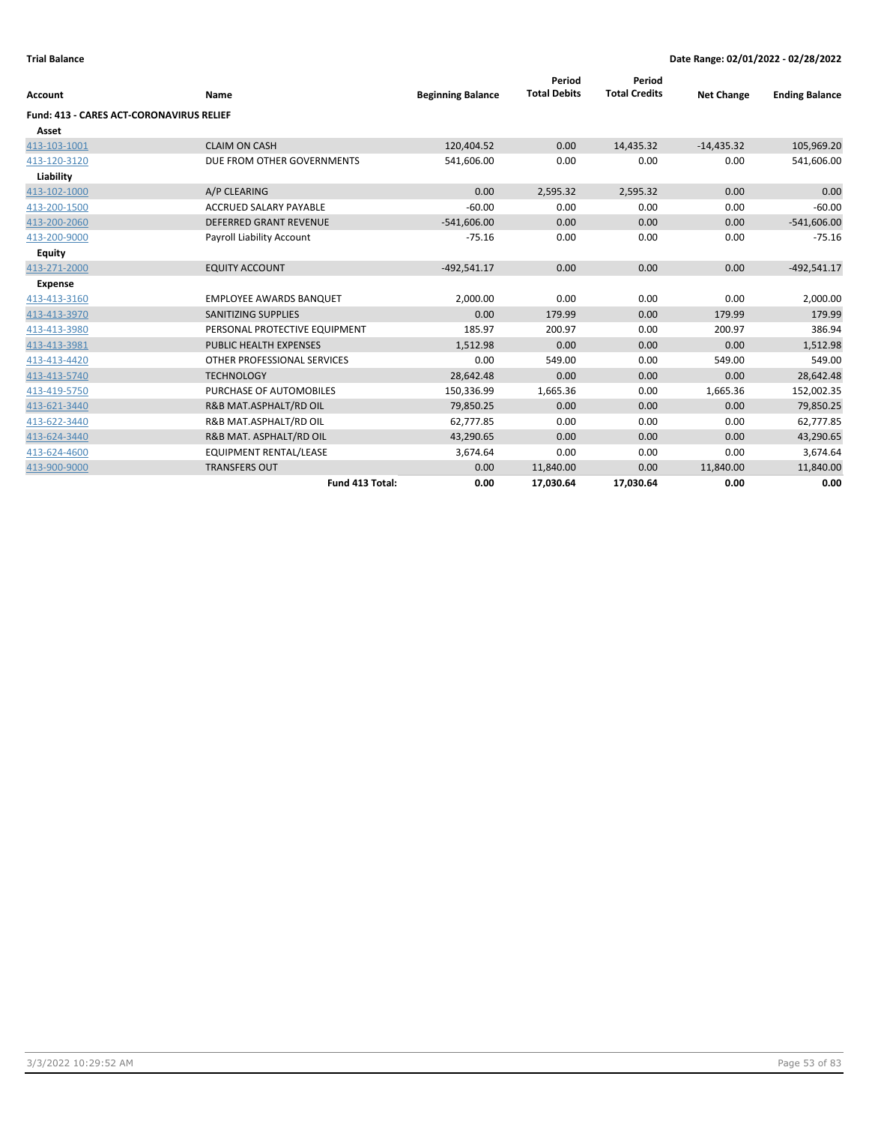| <b>Account</b>                                  | Name                           | <b>Beginning Balance</b> | Period<br><b>Total Debits</b> | Period<br><b>Total Credits</b> | <b>Net Change</b> | <b>Ending Balance</b> |
|-------------------------------------------------|--------------------------------|--------------------------|-------------------------------|--------------------------------|-------------------|-----------------------|
| <b>Fund: 413 - CARES ACT-CORONAVIRUS RELIEF</b> |                                |                          |                               |                                |                   |                       |
| Asset                                           |                                |                          |                               |                                |                   |                       |
| 413-103-1001                                    | <b>CLAIM ON CASH</b>           | 120,404.52               | 0.00                          | 14,435.32                      | $-14,435.32$      | 105,969.20            |
| 413-120-3120                                    | DUE FROM OTHER GOVERNMENTS     | 541,606.00               | 0.00                          | 0.00                           | 0.00              | 541,606.00            |
| Liability                                       |                                |                          |                               |                                |                   |                       |
| 413-102-1000                                    | A/P CLEARING                   | 0.00                     | 2,595.32                      | 2,595.32                       | 0.00              | 0.00                  |
| 413-200-1500                                    | <b>ACCRUED SALARY PAYABLE</b>  | $-60.00$                 | 0.00                          | 0.00                           | 0.00              | $-60.00$              |
| 413-200-2060                                    | <b>DEFERRED GRANT REVENUE</b>  | $-541,606.00$            | 0.00                          | 0.00                           | 0.00              | $-541,606.00$         |
| 413-200-9000                                    | Payroll Liability Account      | $-75.16$                 | 0.00                          | 0.00                           | 0.00              | $-75.16$              |
| <b>Equity</b>                                   |                                |                          |                               |                                |                   |                       |
| 413-271-2000                                    | <b>EQUITY ACCOUNT</b>          | $-492.541.17$            | 0.00                          | 0.00                           | 0.00              | $-492,541.17$         |
| <b>Expense</b>                                  |                                |                          |                               |                                |                   |                       |
| 413-413-3160                                    | <b>EMPLOYEE AWARDS BANQUET</b> | 2,000.00                 | 0.00                          | 0.00                           | 0.00              | 2,000.00              |
| 413-413-3970                                    | <b>SANITIZING SUPPLIES</b>     | 0.00                     | 179.99                        | 0.00                           | 179.99            | 179.99                |
| 413-413-3980                                    | PERSONAL PROTECTIVE EQUIPMENT  | 185.97                   | 200.97                        | 0.00                           | 200.97            | 386.94                |
| 413-413-3981                                    | <b>PUBLIC HEALTH EXPENSES</b>  | 1,512.98                 | 0.00                          | 0.00                           | 0.00              | 1,512.98              |
| 413-413-4420                                    | OTHER PROFESSIONAL SERVICES    | 0.00                     | 549.00                        | 0.00                           | 549.00            | 549.00                |
| 413-413-5740                                    | <b>TECHNOLOGY</b>              | 28,642.48                | 0.00                          | 0.00                           | 0.00              | 28,642.48             |
| 413-419-5750                                    | PURCHASE OF AUTOMOBILES        | 150,336.99               | 1,665.36                      | 0.00                           | 1,665.36          | 152,002.35            |
| 413-621-3440                                    | R&B MAT.ASPHALT/RD OIL         | 79,850.25                | 0.00                          | 0.00                           | 0.00              | 79,850.25             |
| 413-622-3440                                    | R&B MAT.ASPHALT/RD OIL         | 62,777.85                | 0.00                          | 0.00                           | 0.00              | 62,777.85             |
| 413-624-3440                                    | R&B MAT. ASPHALT/RD OIL        | 43,290.65                | 0.00                          | 0.00                           | 0.00              | 43,290.65             |
| 413-624-4600                                    | <b>EQUIPMENT RENTAL/LEASE</b>  | 3,674.64                 | 0.00                          | 0.00                           | 0.00              | 3,674.64              |
| 413-900-9000                                    | <b>TRANSFERS OUT</b>           | 0.00                     | 11,840.00                     | 0.00                           | 11,840.00         | 11,840.00             |
|                                                 | Fund 413 Total:                | 0.00                     | 17.030.64                     | 17,030.64                      | 0.00              | 0.00                  |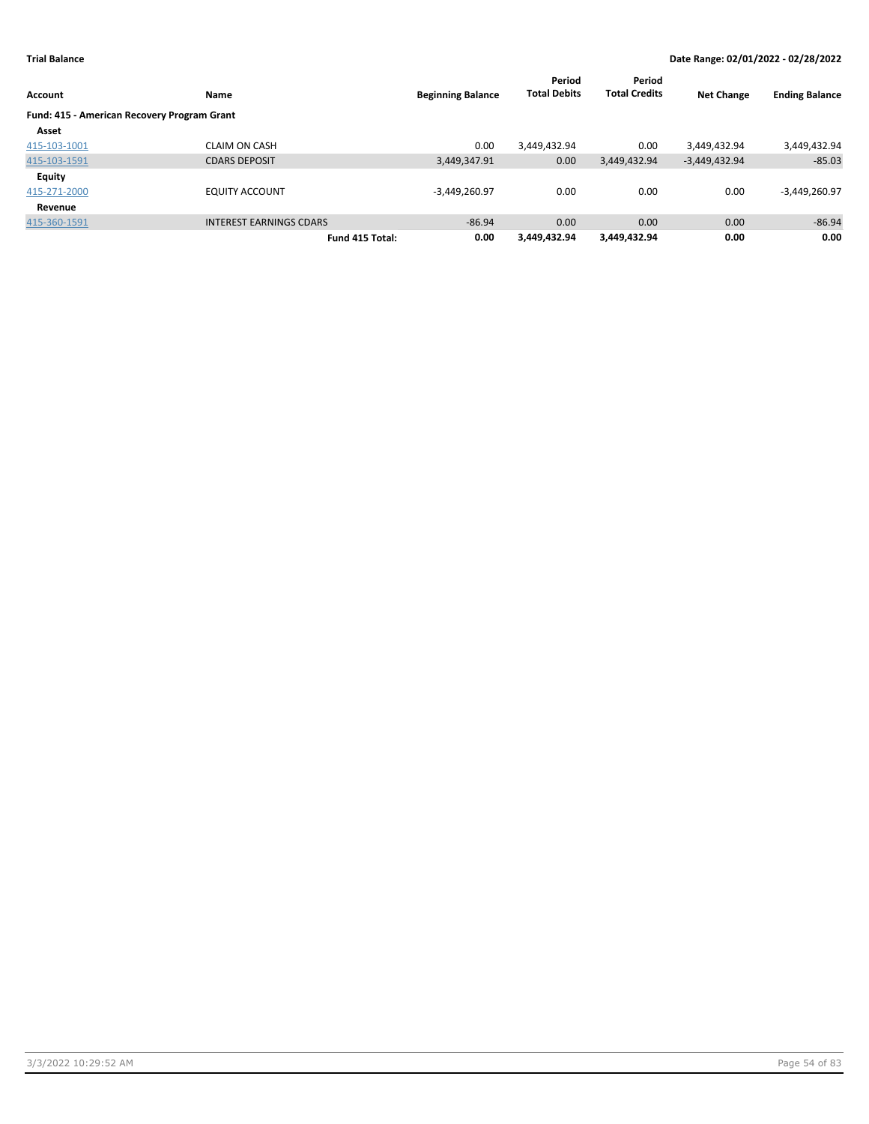|                                             |                                |                          | Period              | Period               |                   |                       |
|---------------------------------------------|--------------------------------|--------------------------|---------------------|----------------------|-------------------|-----------------------|
| <b>Account</b>                              | Name                           | <b>Beginning Balance</b> | <b>Total Debits</b> | <b>Total Credits</b> | <b>Net Change</b> | <b>Ending Balance</b> |
| Fund: 415 - American Recovery Program Grant |                                |                          |                     |                      |                   |                       |
| Asset                                       |                                |                          |                     |                      |                   |                       |
| 415-103-1001                                | <b>CLAIM ON CASH</b>           | 0.00                     | 3,449,432.94        | 0.00                 | 3,449,432.94      | 3,449,432.94          |
| 415-103-1591                                | <b>CDARS DEPOSIT</b>           | 3,449,347.91             | 0.00                | 3,449,432.94         | $-3,449,432.94$   | $-85.03$              |
| <b>Equity</b>                               |                                |                          |                     |                      |                   |                       |
| 415-271-2000                                | <b>EQUITY ACCOUNT</b>          | $-3,449,260.97$          | 0.00                | 0.00                 | 0.00              | $-3,449,260.97$       |
| Revenue                                     |                                |                          |                     |                      |                   |                       |
| 415-360-1591                                | <b>INTEREST EARNINGS CDARS</b> | $-86.94$                 | 0.00                | 0.00                 | 0.00              | $-86.94$              |
|                                             | Fund 415 Total:                | 0.00                     | 3.449.432.94        | 3,449,432.94         | 0.00              | 0.00                  |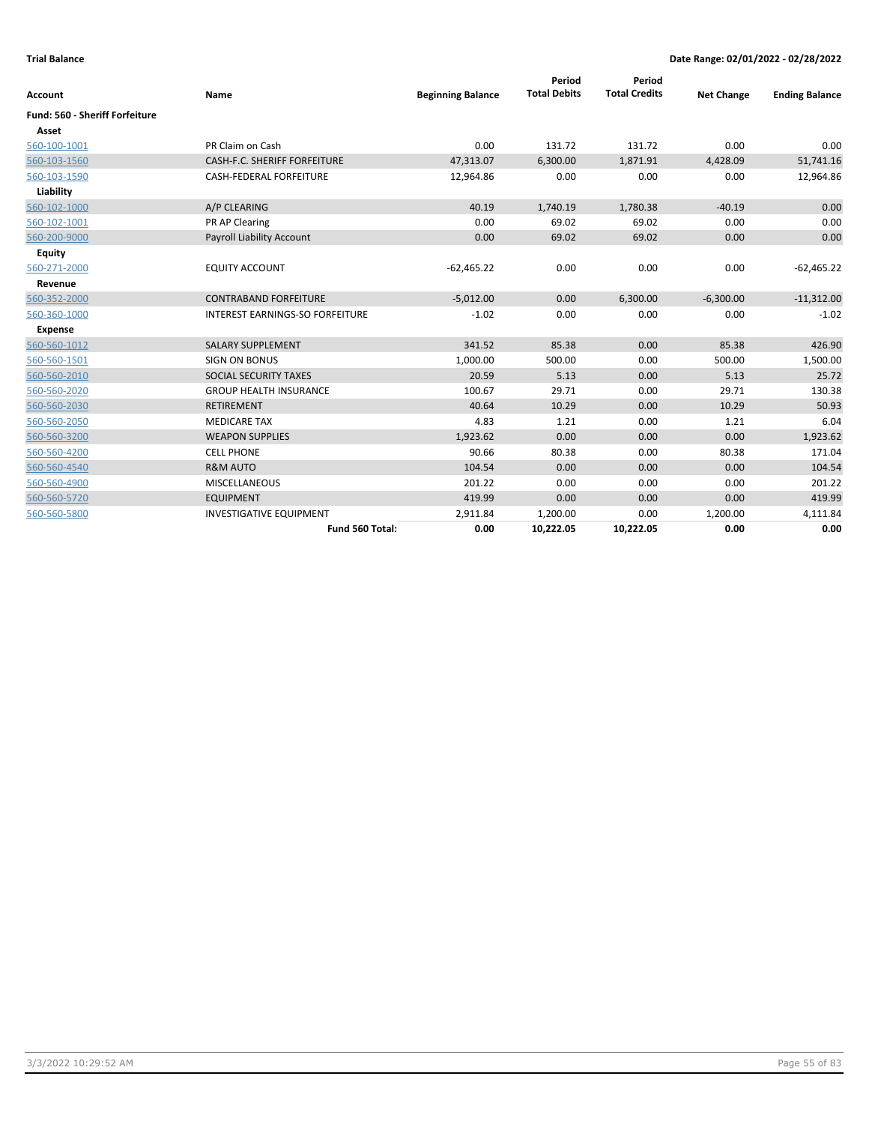|                                |                                        |                          | Period              | Period               |                   |                       |
|--------------------------------|----------------------------------------|--------------------------|---------------------|----------------------|-------------------|-----------------------|
| Account                        | Name                                   | <b>Beginning Balance</b> | <b>Total Debits</b> | <b>Total Credits</b> | <b>Net Change</b> | <b>Ending Balance</b> |
| Fund: 560 - Sheriff Forfeiture |                                        |                          |                     |                      |                   |                       |
| Asset                          |                                        |                          |                     |                      |                   |                       |
| 560-100-1001                   | PR Claim on Cash                       | 0.00                     | 131.72              | 131.72               | 0.00              | 0.00                  |
| 560-103-1560                   | CASH-F.C. SHERIFF FORFEITURE           | 47,313.07                | 6,300.00            | 1,871.91             | 4,428.09          | 51,741.16             |
| 560-103-1590                   | CASH-FEDERAL FORFEITURE                | 12,964.86                | 0.00                | 0.00                 | 0.00              | 12,964.86             |
| Liability                      |                                        |                          |                     |                      |                   |                       |
| 560-102-1000                   | A/P CLEARING                           | 40.19                    | 1,740.19            | 1,780.38             | $-40.19$          | 0.00                  |
| 560-102-1001                   | PR AP Clearing                         | 0.00                     | 69.02               | 69.02                | 0.00              | 0.00                  |
| 560-200-9000                   | <b>Payroll Liability Account</b>       | 0.00                     | 69.02               | 69.02                | 0.00              | 0.00                  |
| <b>Equity</b>                  |                                        |                          |                     |                      |                   |                       |
| 560-271-2000                   | <b>EQUITY ACCOUNT</b>                  | $-62,465.22$             | 0.00                | 0.00                 | 0.00              | $-62,465.22$          |
| Revenue                        |                                        |                          |                     |                      |                   |                       |
| 560-352-2000                   | <b>CONTRABAND FORFEITURE</b>           | $-5,012.00$              | 0.00                | 6,300.00             | $-6,300.00$       | $-11,312.00$          |
| 560-360-1000                   | <b>INTEREST EARNINGS-SO FORFEITURE</b> | $-1.02$                  | 0.00                | 0.00                 | 0.00              | $-1.02$               |
| <b>Expense</b>                 |                                        |                          |                     |                      |                   |                       |
| 560-560-1012                   | <b>SALARY SUPPLEMENT</b>               | 341.52                   | 85.38               | 0.00                 | 85.38             | 426.90                |
| 560-560-1501                   | <b>SIGN ON BONUS</b>                   | 1,000.00                 | 500.00              | 0.00                 | 500.00            | 1,500.00              |
| 560-560-2010                   | SOCIAL SECURITY TAXES                  | 20.59                    | 5.13                | 0.00                 | 5.13              | 25.72                 |
| 560-560-2020                   | <b>GROUP HEALTH INSURANCE</b>          | 100.67                   | 29.71               | 0.00                 | 29.71             | 130.38                |
| 560-560-2030                   | RETIREMENT                             | 40.64                    | 10.29               | 0.00                 | 10.29             | 50.93                 |
| 560-560-2050                   | <b>MEDICARE TAX</b>                    | 4.83                     | 1.21                | 0.00                 | 1.21              | 6.04                  |
| 560-560-3200                   | <b>WEAPON SUPPLIES</b>                 | 1,923.62                 | 0.00                | 0.00                 | 0.00              | 1,923.62              |
| 560-560-4200                   | <b>CELL PHONE</b>                      | 90.66                    | 80.38               | 0.00                 | 80.38             | 171.04                |
| 560-560-4540                   | <b>R&amp;M AUTO</b>                    | 104.54                   | 0.00                | 0.00                 | 0.00              | 104.54                |
| 560-560-4900                   | <b>MISCELLANEOUS</b>                   | 201.22                   | 0.00                | 0.00                 | 0.00              | 201.22                |
| 560-560-5720                   | <b>EQUIPMENT</b>                       | 419.99                   | 0.00                | 0.00                 | 0.00              | 419.99                |
| 560-560-5800                   | <b>INVESTIGATIVE EQUIPMENT</b>         | 2,911.84                 | 1,200.00            | 0.00                 | 1,200.00          | 4,111.84              |
|                                | Fund 560 Total:                        | 0.00                     | 10,222.05           | 10,222.05            | 0.00              | 0.00                  |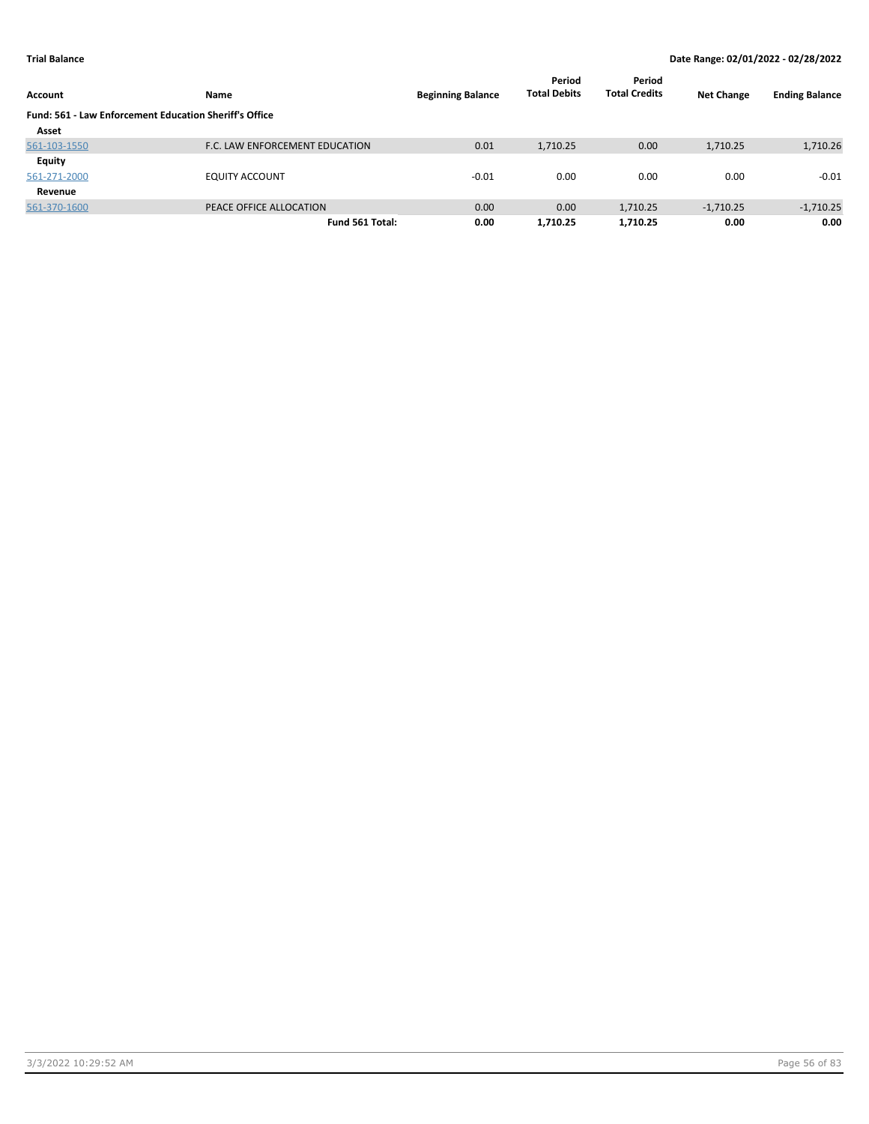| Account                                                       | Name                           | <b>Beginning Balance</b> | Period<br><b>Total Debits</b> | Period<br><b>Total Credits</b> | <b>Net Change</b> | <b>Ending Balance</b> |
|---------------------------------------------------------------|--------------------------------|--------------------------|-------------------------------|--------------------------------|-------------------|-----------------------|
| <b>Fund: 561 - Law Enforcement Education Sheriff's Office</b> |                                |                          |                               |                                |                   |                       |
| Asset                                                         |                                |                          |                               |                                |                   |                       |
| 561-103-1550                                                  | F.C. LAW ENFORCEMENT EDUCATION | 0.01                     | 1,710.25                      | 0.00                           | 1,710.25          | 1,710.26              |
| Equity                                                        |                                |                          |                               |                                |                   |                       |
| 561-271-2000                                                  | <b>EQUITY ACCOUNT</b>          | $-0.01$                  | 0.00                          | 0.00                           | 0.00              | $-0.01$               |
| Revenue                                                       |                                |                          |                               |                                |                   |                       |
| 561-370-1600                                                  | PEACE OFFICE ALLOCATION        | 0.00                     | 0.00                          | 1,710.25                       | $-1,710.25$       | $-1,710.25$           |
|                                                               | Fund 561 Total:                | 0.00                     | 1,710.25                      | 1,710.25                       | 0.00              | 0.00                  |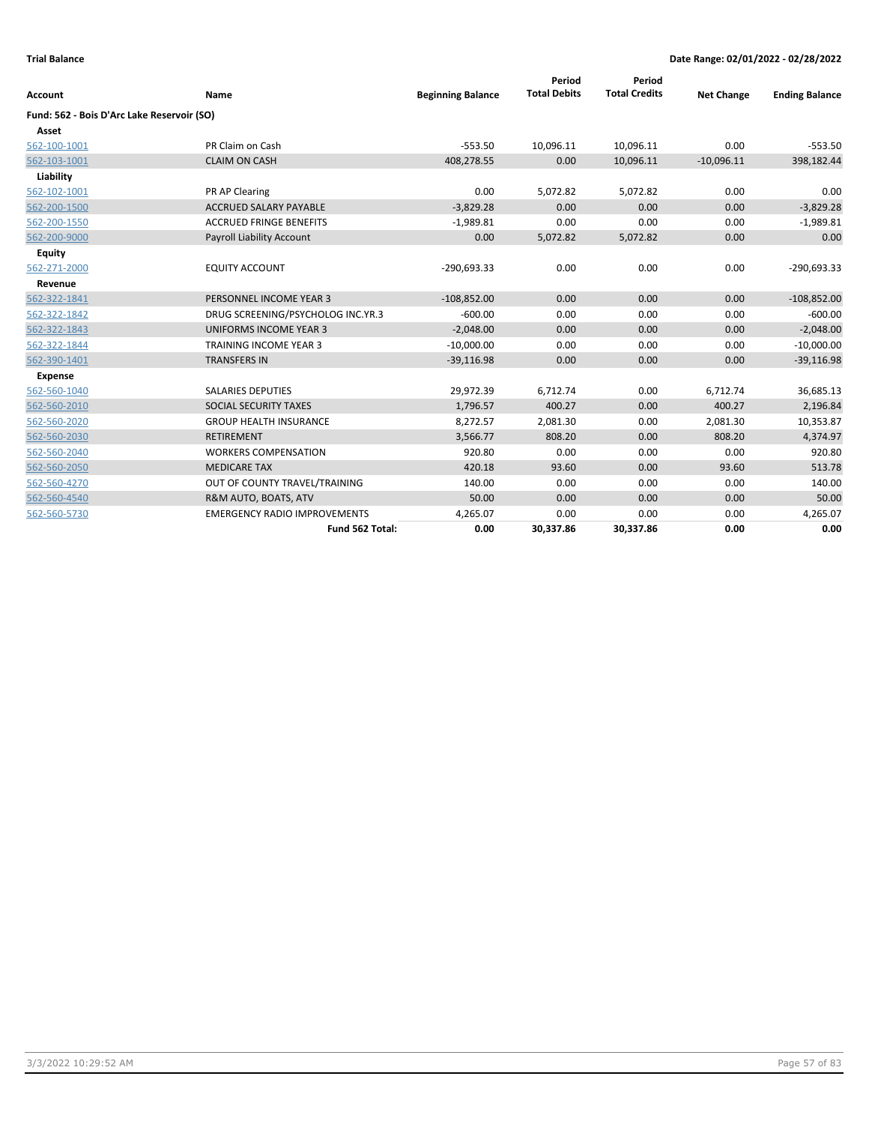| <b>Account</b>                             | Name                                | <b>Beginning Balance</b> | Period<br><b>Total Debits</b> | Period<br><b>Total Credits</b> | <b>Net Change</b> | <b>Ending Balance</b> |
|--------------------------------------------|-------------------------------------|--------------------------|-------------------------------|--------------------------------|-------------------|-----------------------|
|                                            |                                     |                          |                               |                                |                   |                       |
| Fund: 562 - Bois D'Arc Lake Reservoir (SO) |                                     |                          |                               |                                |                   |                       |
| Asset                                      |                                     |                          |                               |                                |                   |                       |
| 562-100-1001                               | PR Claim on Cash                    | $-553.50$                | 10,096.11                     | 10,096.11                      | 0.00              | $-553.50$             |
| 562-103-1001                               | <b>CLAIM ON CASH</b>                | 408,278.55               | 0.00                          | 10,096.11                      | $-10,096.11$      | 398,182.44            |
| Liability                                  |                                     |                          |                               |                                |                   |                       |
| 562-102-1001                               | PR AP Clearing                      | 0.00                     | 5,072.82                      | 5,072.82                       | 0.00              | 0.00                  |
| 562-200-1500                               | <b>ACCRUED SALARY PAYABLE</b>       | $-3,829.28$              | 0.00                          | 0.00                           | 0.00              | $-3,829.28$           |
| 562-200-1550                               | <b>ACCRUED FRINGE BENEFITS</b>      | $-1,989.81$              | 0.00                          | 0.00                           | 0.00              | $-1,989.81$           |
| 562-200-9000                               | Payroll Liability Account           | 0.00                     | 5,072.82                      | 5,072.82                       | 0.00              | 0.00                  |
| <b>Equity</b>                              |                                     |                          |                               |                                |                   |                       |
| 562-271-2000                               | <b>EQUITY ACCOUNT</b>               | $-290,693.33$            | 0.00                          | 0.00                           | 0.00              | $-290,693.33$         |
| Revenue                                    |                                     |                          |                               |                                |                   |                       |
| 562-322-1841                               | PERSONNEL INCOME YEAR 3             | $-108,852.00$            | 0.00                          | 0.00                           | 0.00              | $-108,852.00$         |
| 562-322-1842                               | DRUG SCREENING/PSYCHOLOG INC.YR.3   | $-600.00$                | 0.00                          | 0.00                           | 0.00              | $-600.00$             |
| 562-322-1843                               | <b>UNIFORMS INCOME YEAR 3</b>       | $-2,048.00$              | 0.00                          | 0.00                           | 0.00              | $-2,048.00$           |
| 562-322-1844                               | <b>TRAINING INCOME YEAR 3</b>       | $-10,000.00$             | 0.00                          | 0.00                           | 0.00              | $-10,000.00$          |
| 562-390-1401                               | <b>TRANSFERS IN</b>                 | $-39,116.98$             | 0.00                          | 0.00                           | 0.00              | $-39,116.98$          |
| Expense                                    |                                     |                          |                               |                                |                   |                       |
| 562-560-1040                               | <b>SALARIES DEPUTIES</b>            | 29,972.39                | 6,712.74                      | 0.00                           | 6,712.74          | 36,685.13             |
| 562-560-2010                               | SOCIAL SECURITY TAXES               | 1,796.57                 | 400.27                        | 0.00                           | 400.27            | 2,196.84              |
| 562-560-2020                               | <b>GROUP HEALTH INSURANCE</b>       | 8,272.57                 | 2,081.30                      | 0.00                           | 2,081.30          | 10,353.87             |
| 562-560-2030                               | <b>RETIREMENT</b>                   | 3,566.77                 | 808.20                        | 0.00                           | 808.20            | 4,374.97              |
| 562-560-2040                               | <b>WORKERS COMPENSATION</b>         | 920.80                   | 0.00                          | 0.00                           | 0.00              | 920.80                |
| 562-560-2050                               | <b>MEDICARE TAX</b>                 | 420.18                   | 93.60                         | 0.00                           | 93.60             | 513.78                |
| 562-560-4270                               | OUT OF COUNTY TRAVEL/TRAINING       | 140.00                   | 0.00                          | 0.00                           | 0.00              | 140.00                |
| 562-560-4540                               | R&M AUTO, BOATS, ATV                | 50.00                    | 0.00                          | 0.00                           | 0.00              | 50.00                 |
| 562-560-5730                               | <b>EMERGENCY RADIO IMPROVEMENTS</b> | 4,265.07                 | 0.00                          | 0.00                           | 0.00              | 4,265.07              |
|                                            | Fund 562 Total:                     | 0.00                     | 30,337.86                     | 30,337.86                      | 0.00              | 0.00                  |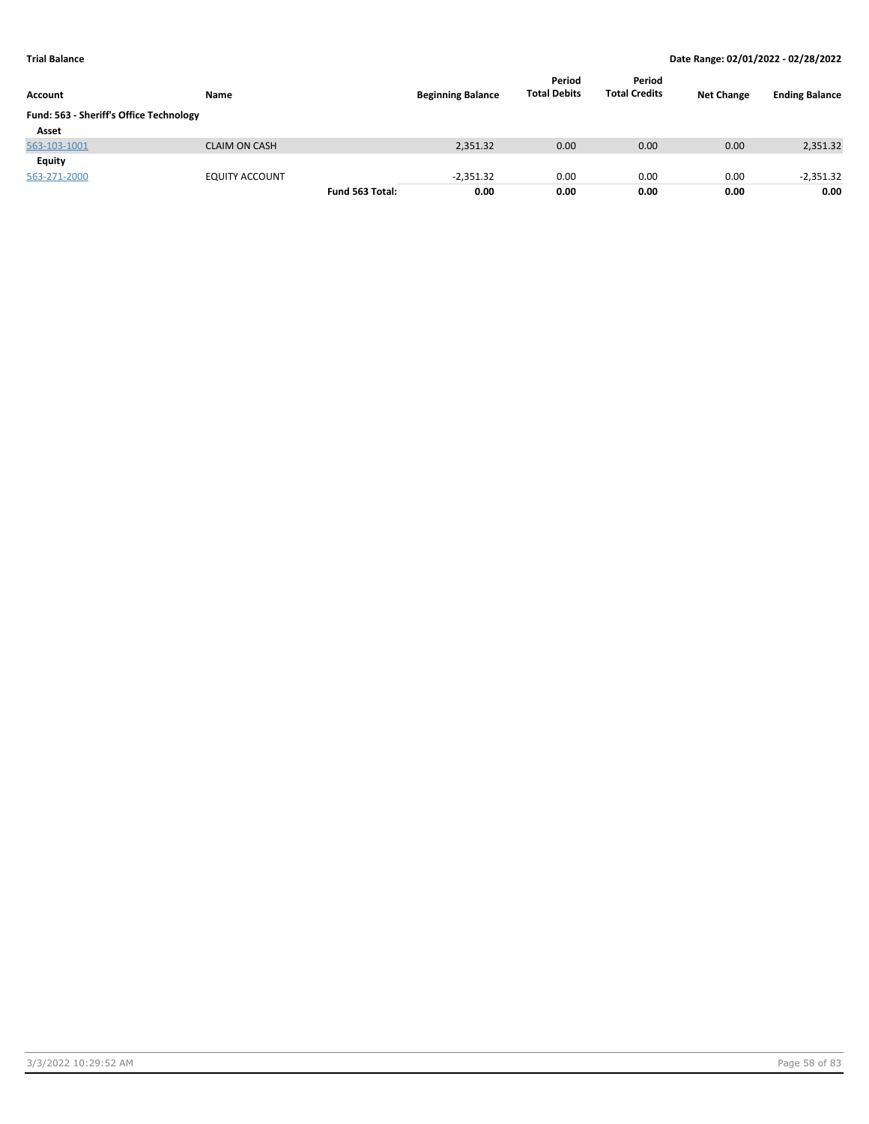| Account                                 | Name                  |                 | <b>Beginning Balance</b> | Period<br><b>Total Debits</b> | Period<br><b>Total Credits</b> | <b>Net Change</b> | <b>Ending Balance</b> |
|-----------------------------------------|-----------------------|-----------------|--------------------------|-------------------------------|--------------------------------|-------------------|-----------------------|
| Fund: 563 - Sheriff's Office Technology |                       |                 |                          |                               |                                |                   |                       |
| Asset                                   |                       |                 |                          |                               |                                |                   |                       |
| 563-103-1001                            | <b>CLAIM ON CASH</b>  |                 | 2,351.32                 | 0.00                          | 0.00                           | 0.00              | 2,351.32              |
| Equity                                  |                       |                 |                          |                               |                                |                   |                       |
| 563-271-2000                            | <b>EQUITY ACCOUNT</b> |                 | $-2,351.32$              | 0.00                          | 0.00                           | 0.00              | $-2,351.32$           |
|                                         |                       | Fund 563 Total: | 0.00                     | 0.00                          | 0.00                           | 0.00              | 0.00                  |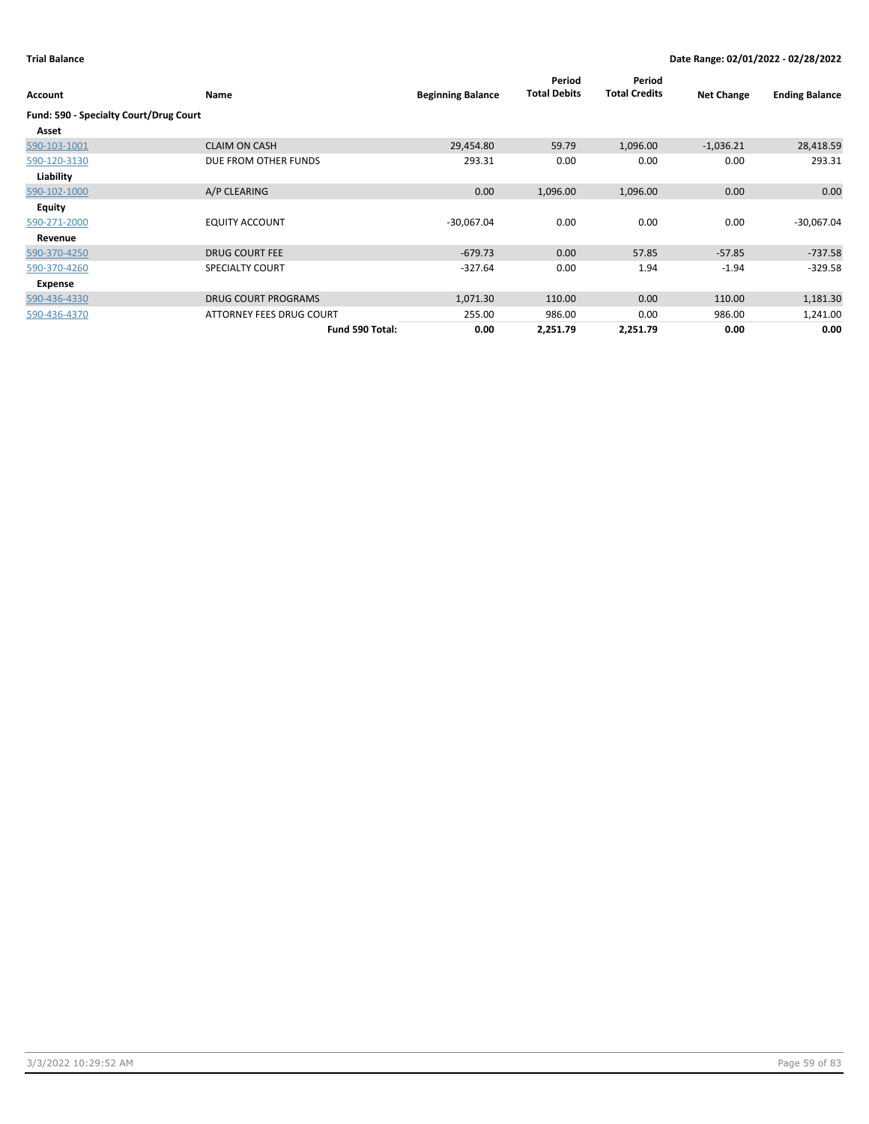| Account                                | <b>Name</b>                | <b>Beginning Balance</b> | Period<br><b>Total Debits</b> | Period<br><b>Total Credits</b> | <b>Net Change</b> | <b>Ending Balance</b> |
|----------------------------------------|----------------------------|--------------------------|-------------------------------|--------------------------------|-------------------|-----------------------|
| Fund: 590 - Specialty Court/Drug Court |                            |                          |                               |                                |                   |                       |
| Asset                                  |                            |                          |                               |                                |                   |                       |
| 590-103-1001                           | <b>CLAIM ON CASH</b>       | 29,454.80                | 59.79                         | 1,096.00                       | $-1,036.21$       | 28,418.59             |
| 590-120-3130                           | DUE FROM OTHER FUNDS       | 293.31                   | 0.00                          | 0.00                           | 0.00              | 293.31                |
| Liability                              |                            |                          |                               |                                |                   |                       |
| 590-102-1000                           | A/P CLEARING               | 0.00                     | 1,096.00                      | 1,096.00                       | 0.00              | 0.00                  |
| <b>Equity</b>                          |                            |                          |                               |                                |                   |                       |
| 590-271-2000                           | <b>EQUITY ACCOUNT</b>      | $-30,067.04$             | 0.00                          | 0.00                           | 0.00              | $-30,067.04$          |
| Revenue                                |                            |                          |                               |                                |                   |                       |
| 590-370-4250                           | <b>DRUG COURT FEE</b>      | $-679.73$                | 0.00                          | 57.85                          | $-57.85$          | $-737.58$             |
| 590-370-4260                           | <b>SPECIALTY COURT</b>     | $-327.64$                | 0.00                          | 1.94                           | $-1.94$           | $-329.58$             |
| Expense                                |                            |                          |                               |                                |                   |                       |
| 590-436-4330                           | <b>DRUG COURT PROGRAMS</b> | 1,071.30                 | 110.00                        | 0.00                           | 110.00            | 1,181.30              |
| 590-436-4370                           | ATTORNEY FEES DRUG COURT   | 255.00                   | 986.00                        | 0.00                           | 986.00            | 1,241.00              |
|                                        | Fund 590 Total:            | 0.00                     | 2,251.79                      | 2,251.79                       | 0.00              | 0.00                  |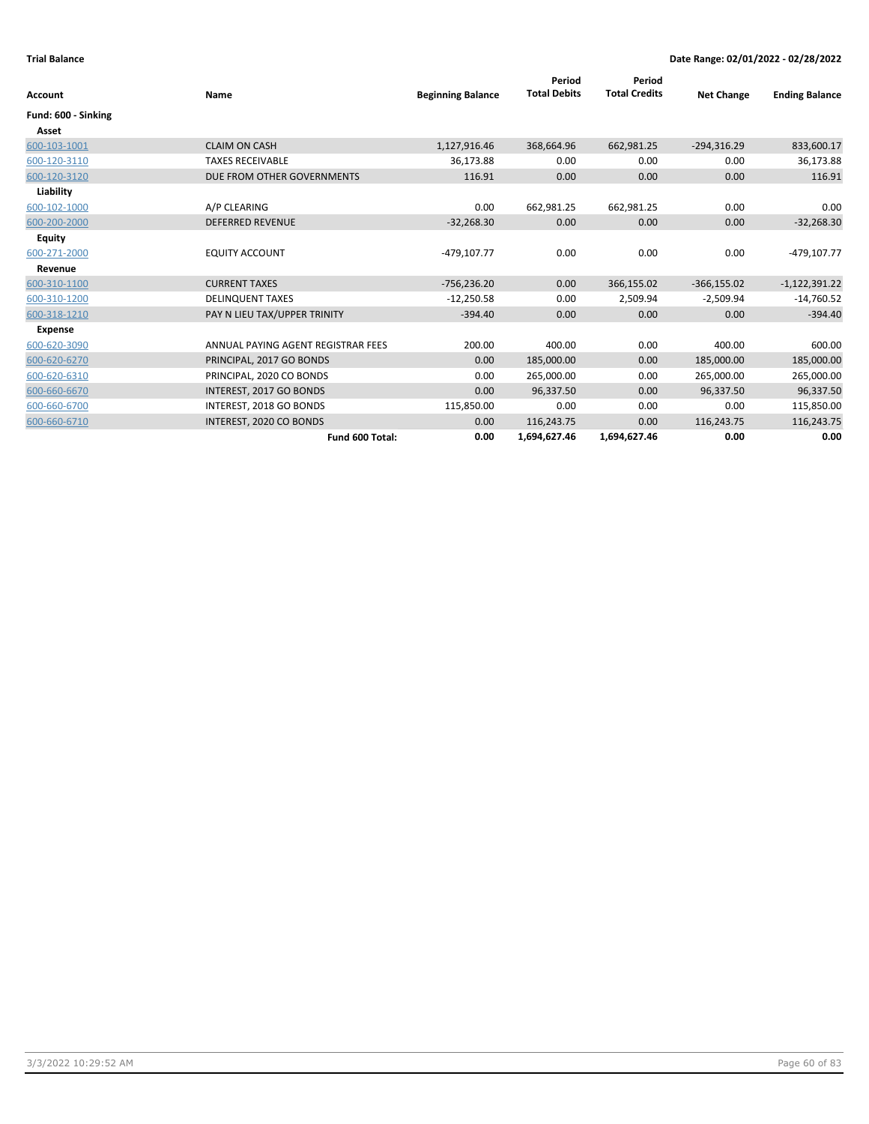|                     |                                    |                          | Period              | Period               |                   |                       |
|---------------------|------------------------------------|--------------------------|---------------------|----------------------|-------------------|-----------------------|
| Account             | Name                               | <b>Beginning Balance</b> | <b>Total Debits</b> | <b>Total Credits</b> | <b>Net Change</b> | <b>Ending Balance</b> |
| Fund: 600 - Sinking |                                    |                          |                     |                      |                   |                       |
| Asset               |                                    |                          |                     |                      |                   |                       |
| 600-103-1001        | <b>CLAIM ON CASH</b>               | 1,127,916.46             | 368,664.96          | 662,981.25           | $-294,316.29$     | 833,600.17            |
| 600-120-3110        | <b>TAXES RECEIVABLE</b>            | 36,173.88                | 0.00                | 0.00                 | 0.00              | 36,173.88             |
| 600-120-3120        | DUE FROM OTHER GOVERNMENTS         | 116.91                   | 0.00                | 0.00                 | 0.00              | 116.91                |
| Liability           |                                    |                          |                     |                      |                   |                       |
| 600-102-1000        | A/P CLEARING                       | 0.00                     | 662,981.25          | 662,981.25           | 0.00              | 0.00                  |
| 600-200-2000        | <b>DEFERRED REVENUE</b>            | $-32,268.30$             | 0.00                | 0.00                 | 0.00              | $-32,268.30$          |
| <b>Equity</b>       |                                    |                          |                     |                      |                   |                       |
| 600-271-2000        | <b>EQUITY ACCOUNT</b>              | $-479, 107.77$           | 0.00                | 0.00                 | 0.00              | -479,107.77           |
| Revenue             |                                    |                          |                     |                      |                   |                       |
| 600-310-1100        | <b>CURRENT TAXES</b>               | $-756,236.20$            | 0.00                | 366,155.02           | $-366, 155.02$    | $-1,122,391.22$       |
| 600-310-1200        | <b>DELINQUENT TAXES</b>            | $-12,250.58$             | 0.00                | 2,509.94             | $-2,509.94$       | $-14,760.52$          |
| 600-318-1210        | PAY N LIEU TAX/UPPER TRINITY       | $-394.40$                | 0.00                | 0.00                 | 0.00              | $-394.40$             |
| <b>Expense</b>      |                                    |                          |                     |                      |                   |                       |
| 600-620-3090        | ANNUAL PAYING AGENT REGISTRAR FEES | 200.00                   | 400.00              | 0.00                 | 400.00            | 600.00                |
| 600-620-6270        | PRINCIPAL, 2017 GO BONDS           | 0.00                     | 185,000.00          | 0.00                 | 185,000.00        | 185,000.00            |
| 600-620-6310        | PRINCIPAL, 2020 CO BONDS           | 0.00                     | 265,000.00          | 0.00                 | 265,000.00        | 265,000.00            |
| 600-660-6670        | INTEREST, 2017 GO BONDS            | 0.00                     | 96,337.50           | 0.00                 | 96,337.50         | 96,337.50             |
| 600-660-6700        | INTEREST, 2018 GO BONDS            | 115,850.00               | 0.00                | 0.00                 | 0.00              | 115,850.00            |
| 600-660-6710        | INTEREST, 2020 CO BONDS            | 0.00                     | 116,243.75          | 0.00                 | 116,243.75        | 116,243.75            |
|                     | Fund 600 Total:                    | 0.00                     | 1,694,627.46        | 1,694,627.46         | 0.00              | 0.00                  |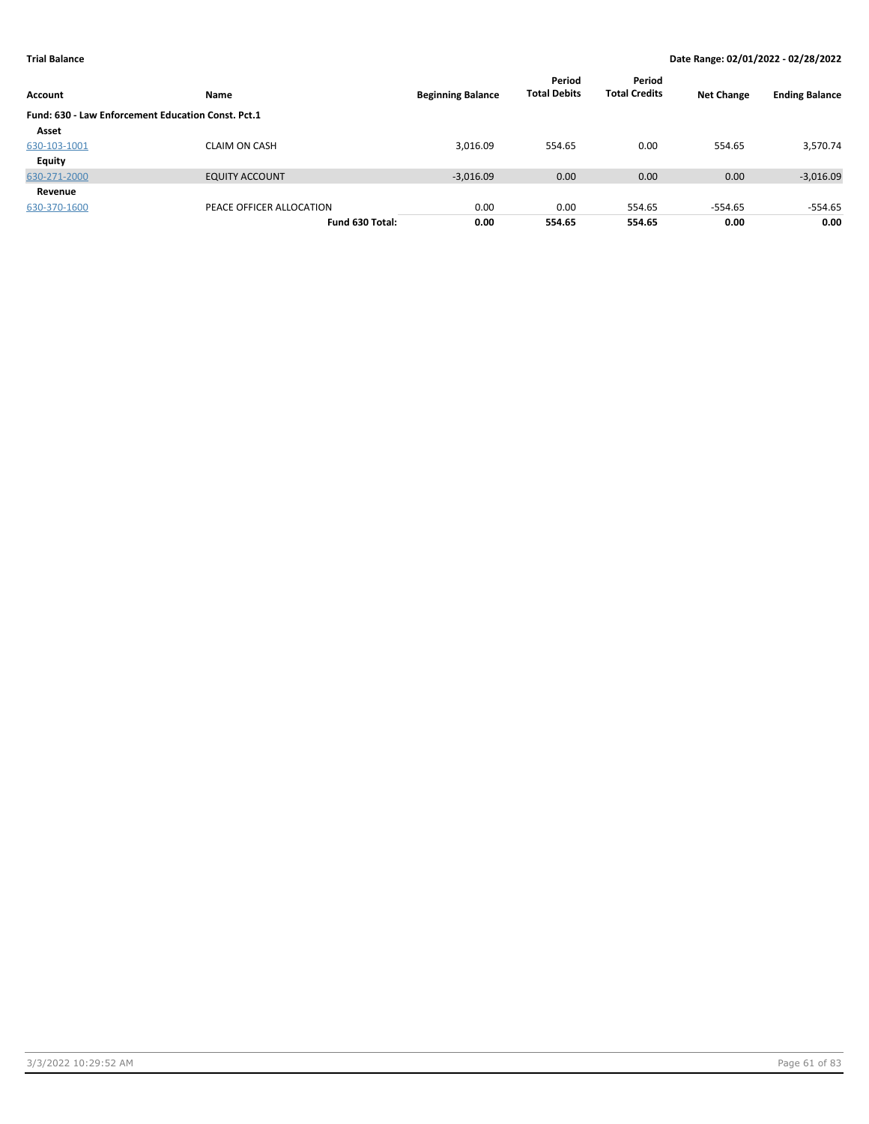| Account                                            | Name                     | <b>Beginning Balance</b> | Period<br><b>Total Debits</b> | Period<br><b>Total Credits</b> | <b>Net Change</b> | <b>Ending Balance</b> |
|----------------------------------------------------|--------------------------|--------------------------|-------------------------------|--------------------------------|-------------------|-----------------------|
| Fund: 630 - Law Enforcement Education Const. Pct.1 |                          |                          |                               |                                |                   |                       |
| Asset                                              |                          |                          |                               |                                |                   |                       |
| 630-103-1001                                       | <b>CLAIM ON CASH</b>     | 3,016.09                 | 554.65                        | 0.00                           | 554.65            | 3,570.74              |
| Equity                                             |                          |                          |                               |                                |                   |                       |
| 630-271-2000                                       | <b>EQUITY ACCOUNT</b>    | $-3,016.09$              | 0.00                          | 0.00                           | 0.00              | $-3,016.09$           |
| Revenue                                            |                          |                          |                               |                                |                   |                       |
| 630-370-1600                                       | PEACE OFFICER ALLOCATION | 0.00                     | 0.00                          | 554.65                         | $-554.65$         | $-554.65$             |
|                                                    | Fund 630 Total:          | 0.00                     | 554.65                        | 554.65                         | 0.00              | 0.00                  |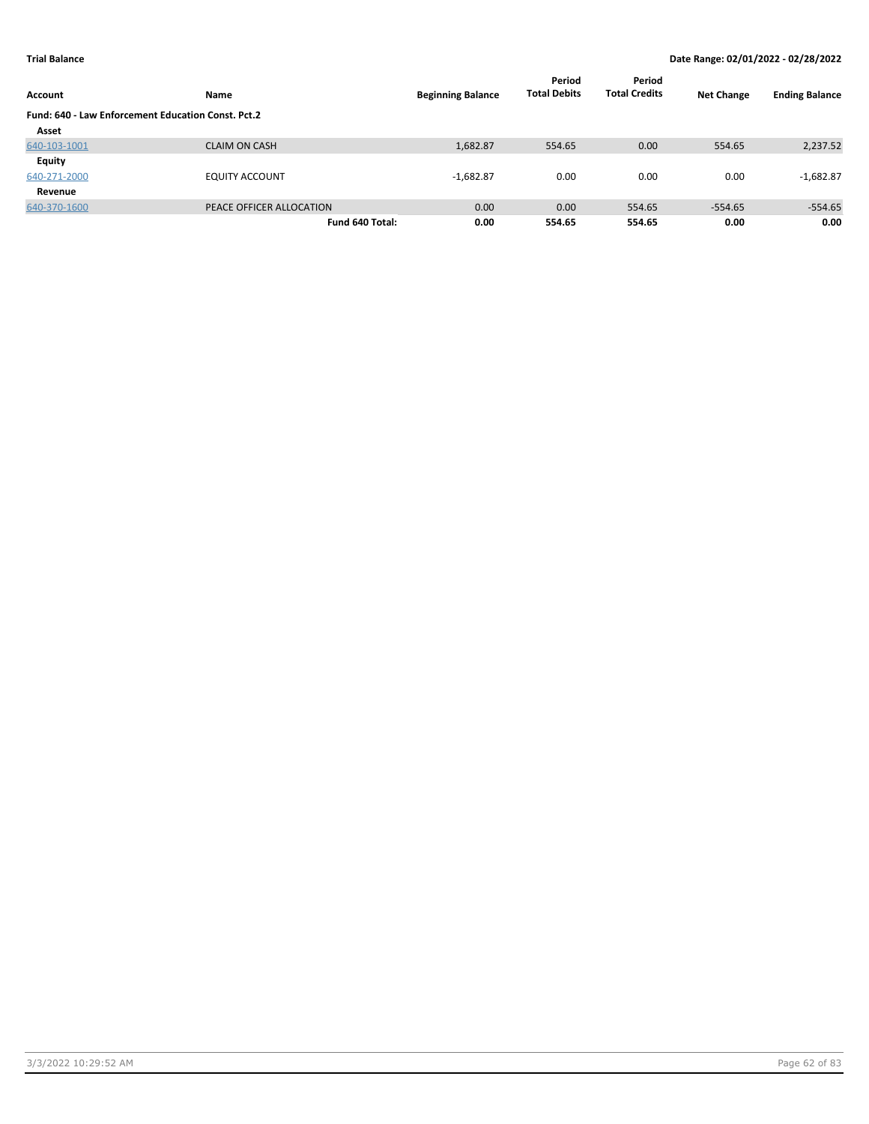| Account                                            | Name                     | <b>Beginning Balance</b> | Period<br><b>Total Debits</b> | Period<br><b>Total Credits</b> | <b>Net Change</b> | <b>Ending Balance</b> |
|----------------------------------------------------|--------------------------|--------------------------|-------------------------------|--------------------------------|-------------------|-----------------------|
| Fund: 640 - Law Enforcement Education Const. Pct.2 |                          |                          |                               |                                |                   |                       |
| Asset                                              |                          |                          |                               |                                |                   |                       |
| 640-103-1001                                       | <b>CLAIM ON CASH</b>     | 1,682.87                 | 554.65                        | 0.00                           | 554.65            | 2,237.52              |
| Equity                                             |                          |                          |                               |                                |                   |                       |
| 640-271-2000                                       | <b>EQUITY ACCOUNT</b>    | $-1,682.87$              | 0.00                          | 0.00                           | 0.00              | $-1,682.87$           |
| Revenue                                            |                          |                          |                               |                                |                   |                       |
| 640-370-1600                                       | PEACE OFFICER ALLOCATION | 0.00                     | 0.00                          | 554.65                         | $-554.65$         | $-554.65$             |
|                                                    | Fund 640 Total:          | 0.00                     | 554.65                        | 554.65                         | 0.00              | 0.00                  |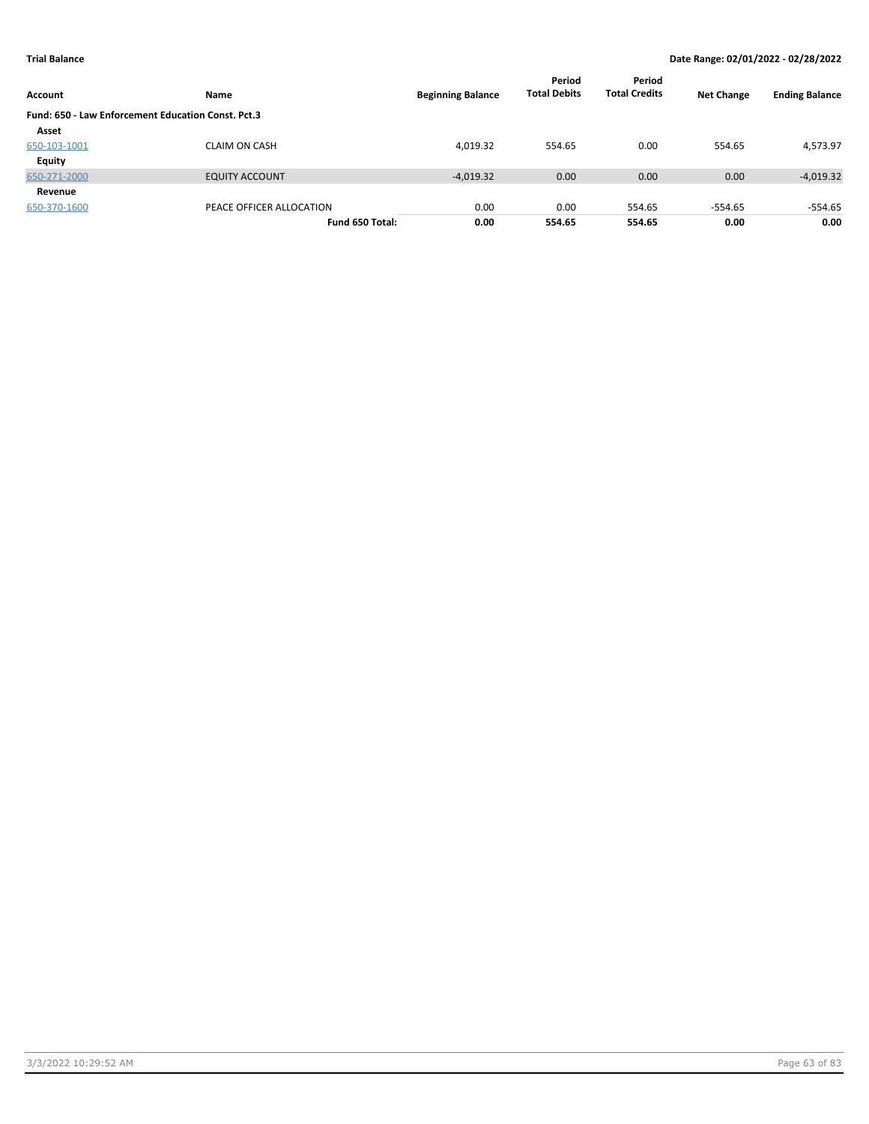| Account                                            | Name                     | <b>Beginning Balance</b> | Period<br><b>Total Debits</b> | Period<br><b>Total Credits</b> | <b>Net Change</b> | <b>Ending Balance</b> |
|----------------------------------------------------|--------------------------|--------------------------|-------------------------------|--------------------------------|-------------------|-----------------------|
| Fund: 650 - Law Enforcement Education Const. Pct.3 |                          |                          |                               |                                |                   |                       |
| Asset                                              |                          |                          |                               |                                |                   |                       |
| 650-103-1001                                       | <b>CLAIM ON CASH</b>     | 4,019.32                 | 554.65                        | 0.00                           | 554.65            | 4,573.97              |
| Equity                                             |                          |                          |                               |                                |                   |                       |
| 650-271-2000                                       | <b>EQUITY ACCOUNT</b>    | $-4,019.32$              | 0.00                          | 0.00                           | 0.00              | $-4,019.32$           |
| Revenue                                            |                          |                          |                               |                                |                   |                       |
| 650-370-1600                                       | PEACE OFFICER ALLOCATION | 0.00                     | 0.00                          | 554.65                         | $-554.65$         | $-554.65$             |
|                                                    | Fund 650 Total:          | 0.00                     | 554.65                        | 554.65                         | 0.00              | 0.00                  |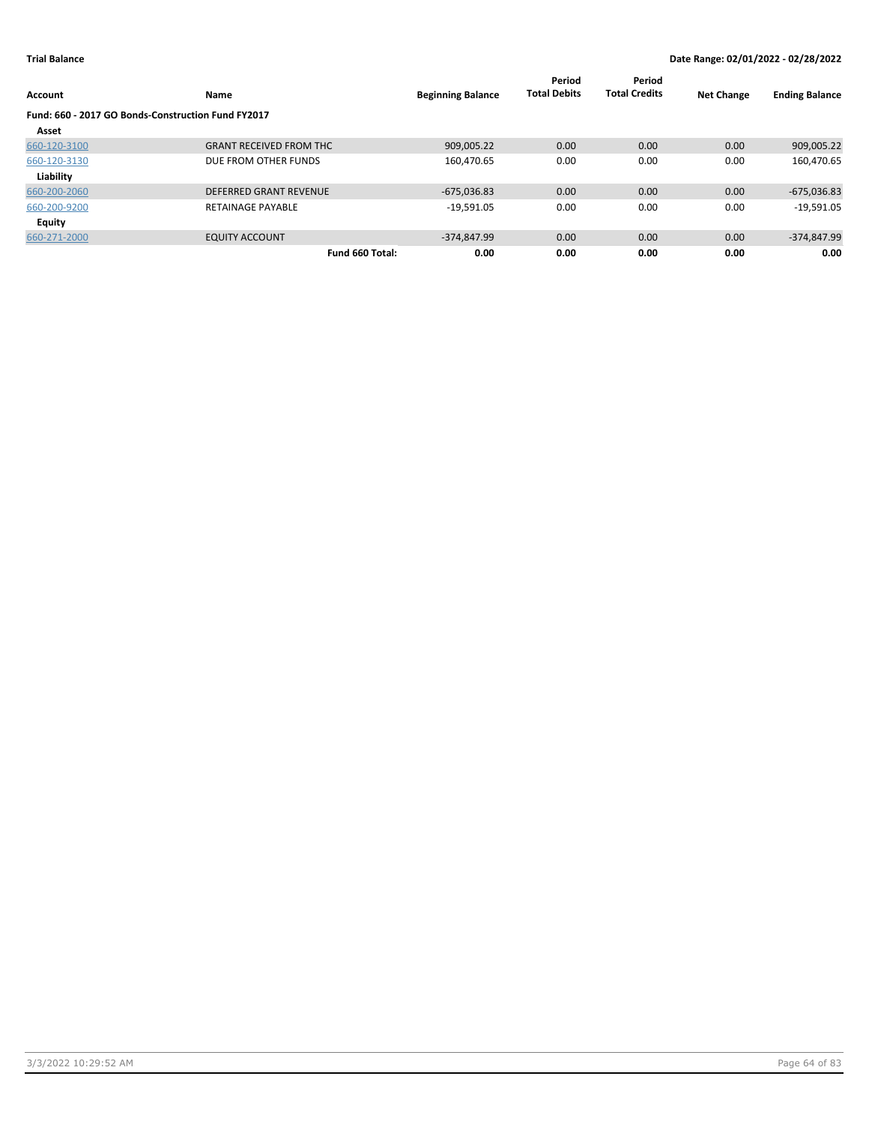| Account                                            | Name                           | <b>Beginning Balance</b> | Period<br><b>Total Debits</b> | Period<br><b>Total Credits</b> | <b>Net Change</b> | <b>Ending Balance</b> |
|----------------------------------------------------|--------------------------------|--------------------------|-------------------------------|--------------------------------|-------------------|-----------------------|
| Fund: 660 - 2017 GO Bonds-Construction Fund FY2017 |                                |                          |                               |                                |                   |                       |
| Asset                                              |                                |                          |                               |                                |                   |                       |
| 660-120-3100                                       | <b>GRANT RECEIVED FROM THC</b> | 909,005.22               | 0.00                          | 0.00                           | 0.00              | 909,005.22            |
| 660-120-3130                                       | DUE FROM OTHER FUNDS           | 160,470.65               | 0.00                          | 0.00                           | 0.00              | 160,470.65            |
| Liability                                          |                                |                          |                               |                                |                   |                       |
| 660-200-2060                                       | <b>DEFERRED GRANT REVENUE</b>  | $-675,036.83$            | 0.00                          | 0.00                           | 0.00              | $-675,036.83$         |
| 660-200-9200                                       | <b>RETAINAGE PAYABLE</b>       | $-19,591.05$             | 0.00                          | 0.00                           | 0.00              | $-19,591.05$          |
| <b>Equity</b>                                      |                                |                          |                               |                                |                   |                       |
| 660-271-2000                                       | <b>EQUITY ACCOUNT</b>          | $-374.847.99$            | 0.00                          | 0.00                           | 0.00              | $-374,847.99$         |
|                                                    | Fund 660 Total:                | 0.00                     | 0.00                          | 0.00                           | 0.00              | 0.00                  |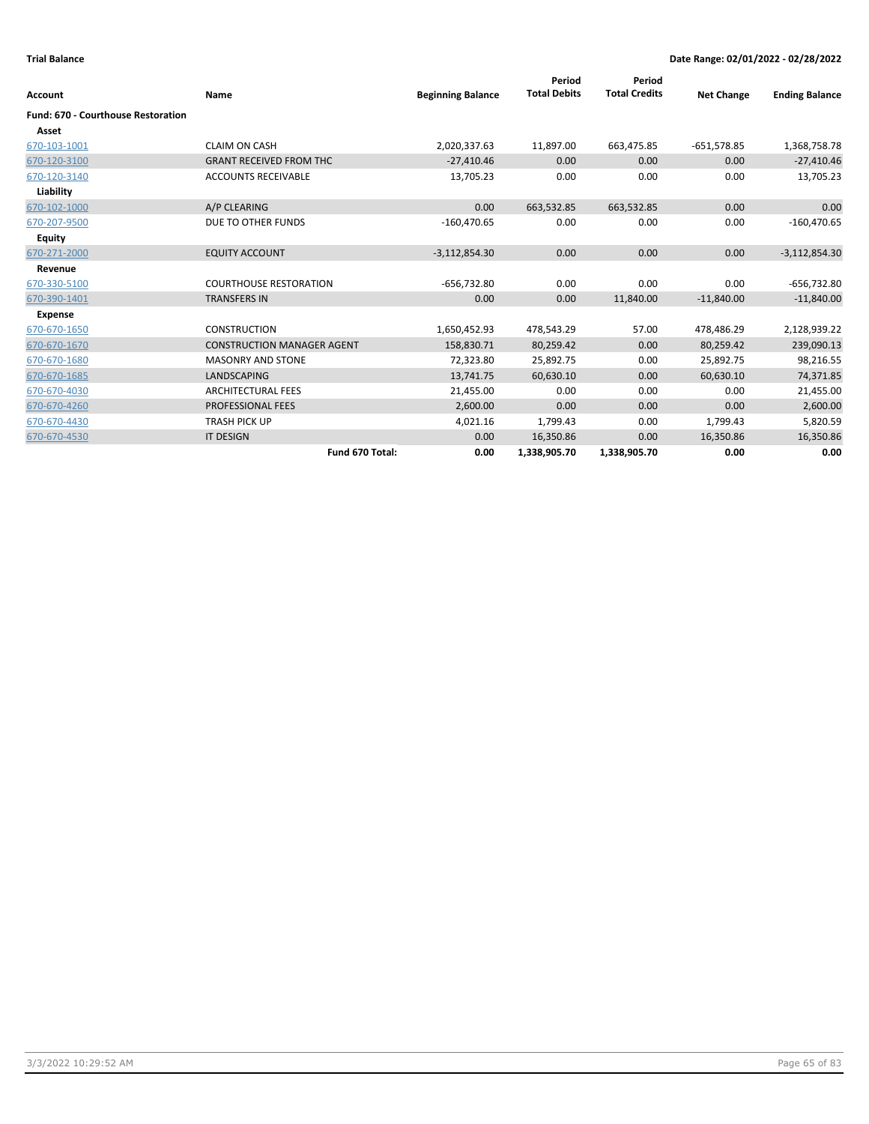| <b>Account</b>                            | Name                              | <b>Beginning Balance</b> | Period<br><b>Total Debits</b> | Period<br><b>Total Credits</b> | <b>Net Change</b> | <b>Ending Balance</b> |
|-------------------------------------------|-----------------------------------|--------------------------|-------------------------------|--------------------------------|-------------------|-----------------------|
| <b>Fund: 670 - Courthouse Restoration</b> |                                   |                          |                               |                                |                   |                       |
| Asset                                     |                                   |                          |                               |                                |                   |                       |
| 670-103-1001                              | <b>CLAIM ON CASH</b>              | 2,020,337.63             | 11,897.00                     | 663,475.85                     | $-651,578.85$     | 1,368,758.78          |
| 670-120-3100                              | <b>GRANT RECEIVED FROM THC</b>    | $-27,410.46$             | 0.00                          | 0.00                           | 0.00              | $-27,410.46$          |
| 670-120-3140                              | <b>ACCOUNTS RECEIVABLE</b>        | 13,705.23                | 0.00                          | 0.00                           | 0.00              | 13,705.23             |
| Liability                                 |                                   |                          |                               |                                |                   |                       |
| 670-102-1000                              | A/P CLEARING                      | 0.00                     | 663,532.85                    | 663,532.85                     | 0.00              | 0.00                  |
| 670-207-9500                              | DUE TO OTHER FUNDS                | $-160,470.65$            | 0.00                          | 0.00                           | 0.00              | $-160,470.65$         |
| <b>Equity</b>                             |                                   |                          |                               |                                |                   |                       |
| 670-271-2000                              | <b>EQUITY ACCOUNT</b>             | $-3,112,854.30$          | 0.00                          | 0.00                           | 0.00              | $-3,112,854.30$       |
| Revenue                                   |                                   |                          |                               |                                |                   |                       |
| 670-330-5100                              | <b>COURTHOUSE RESTORATION</b>     | $-656,732.80$            | 0.00                          | 0.00                           | 0.00              | $-656,732.80$         |
| 670-390-1401                              | <b>TRANSFERS IN</b>               | 0.00                     | 0.00                          | 11,840.00                      | $-11,840.00$      | $-11,840.00$          |
| <b>Expense</b>                            |                                   |                          |                               |                                |                   |                       |
| 670-670-1650                              | <b>CONSTRUCTION</b>               | 1,650,452.93             | 478,543.29                    | 57.00                          | 478,486.29        | 2,128,939.22          |
| 670-670-1670                              | <b>CONSTRUCTION MANAGER AGENT</b> | 158,830.71               | 80,259.42                     | 0.00                           | 80,259.42         | 239,090.13            |
| 670-670-1680                              | <b>MASONRY AND STONE</b>          | 72,323.80                | 25,892.75                     | 0.00                           | 25,892.75         | 98,216.55             |
| 670-670-1685                              | <b>LANDSCAPING</b>                | 13,741.75                | 60,630.10                     | 0.00                           | 60,630.10         | 74,371.85             |
| 670-670-4030                              | <b>ARCHITECTURAL FEES</b>         | 21,455.00                | 0.00                          | 0.00                           | 0.00              | 21,455.00             |
| 670-670-4260                              | <b>PROFESSIONAL FEES</b>          | 2,600.00                 | 0.00                          | 0.00                           | 0.00              | 2,600.00              |
| 670-670-4430                              | <b>TRASH PICK UP</b>              | 4,021.16                 | 1,799.43                      | 0.00                           | 1,799.43          | 5,820.59              |
| 670-670-4530                              | <b>IT DESIGN</b>                  | 0.00                     | 16,350.86                     | 0.00                           | 16,350.86         | 16,350.86             |
|                                           | Fund 670 Total:                   | 0.00                     | 1,338,905.70                  | 1,338,905.70                   | 0.00              | 0.00                  |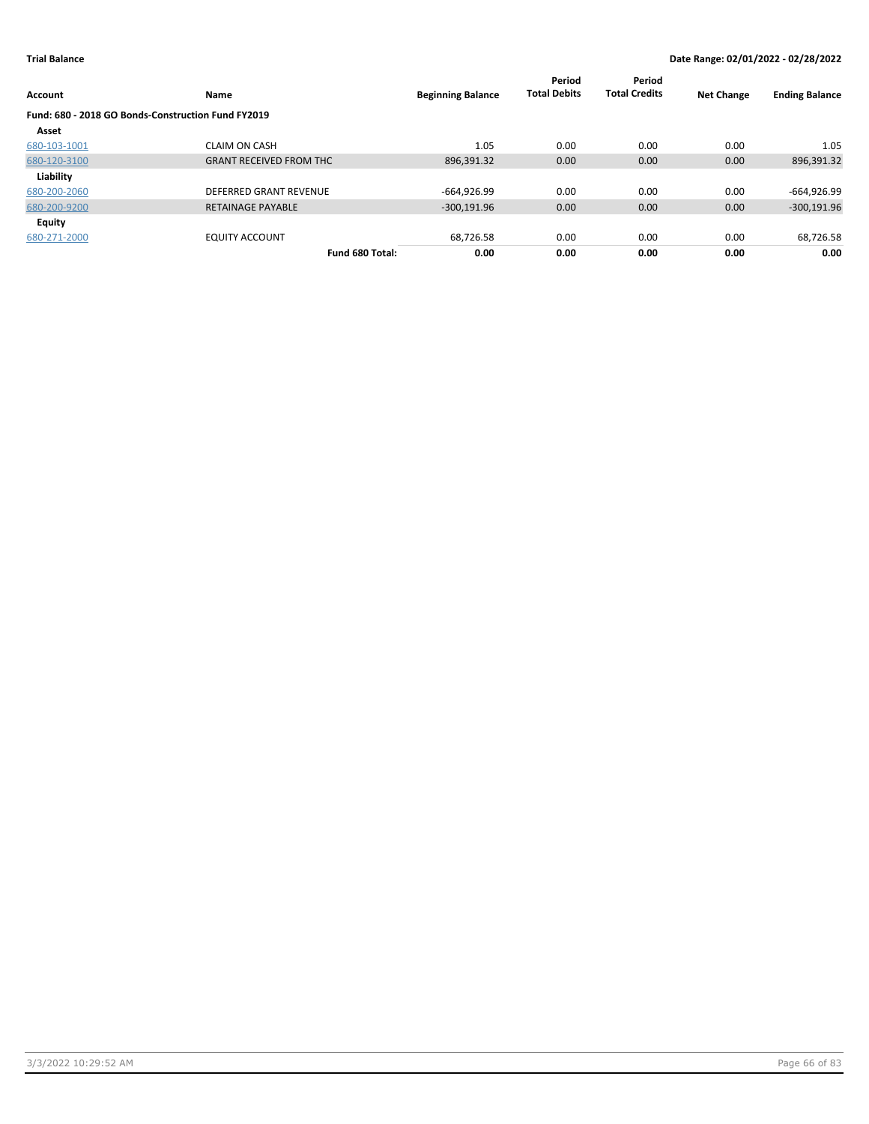| Account                                            | Name                           | <b>Beginning Balance</b> | Period<br><b>Total Debits</b> | Period<br><b>Total Credits</b> | <b>Net Change</b> | <b>Ending Balance</b> |
|----------------------------------------------------|--------------------------------|--------------------------|-------------------------------|--------------------------------|-------------------|-----------------------|
| Fund: 680 - 2018 GO Bonds-Construction Fund FY2019 |                                |                          |                               |                                |                   |                       |
| Asset                                              |                                |                          |                               |                                |                   |                       |
| 680-103-1001                                       | <b>CLAIM ON CASH</b>           | 1.05                     | 0.00                          | 0.00                           | 0.00              | 1.05                  |
| 680-120-3100                                       | <b>GRANT RECEIVED FROM THC</b> | 896,391.32               | 0.00                          | 0.00                           | 0.00              | 896,391.32            |
| Liability                                          |                                |                          |                               |                                |                   |                       |
| 680-200-2060                                       | DEFERRED GRANT REVENUE         | $-664,926.99$            | 0.00                          | 0.00                           | 0.00              | -664,926.99           |
| 680-200-9200                                       | <b>RETAINAGE PAYABLE</b>       | $-300,191.96$            | 0.00                          | 0.00                           | 0.00              | $-300,191.96$         |
| Equity                                             |                                |                          |                               |                                |                   |                       |
| 680-271-2000                                       | <b>EQUITY ACCOUNT</b>          | 68,726.58                | 0.00                          | 0.00                           | 0.00              | 68,726.58             |
|                                                    | Fund 680 Total:                | 0.00                     | 0.00                          | 0.00                           | 0.00              | 0.00                  |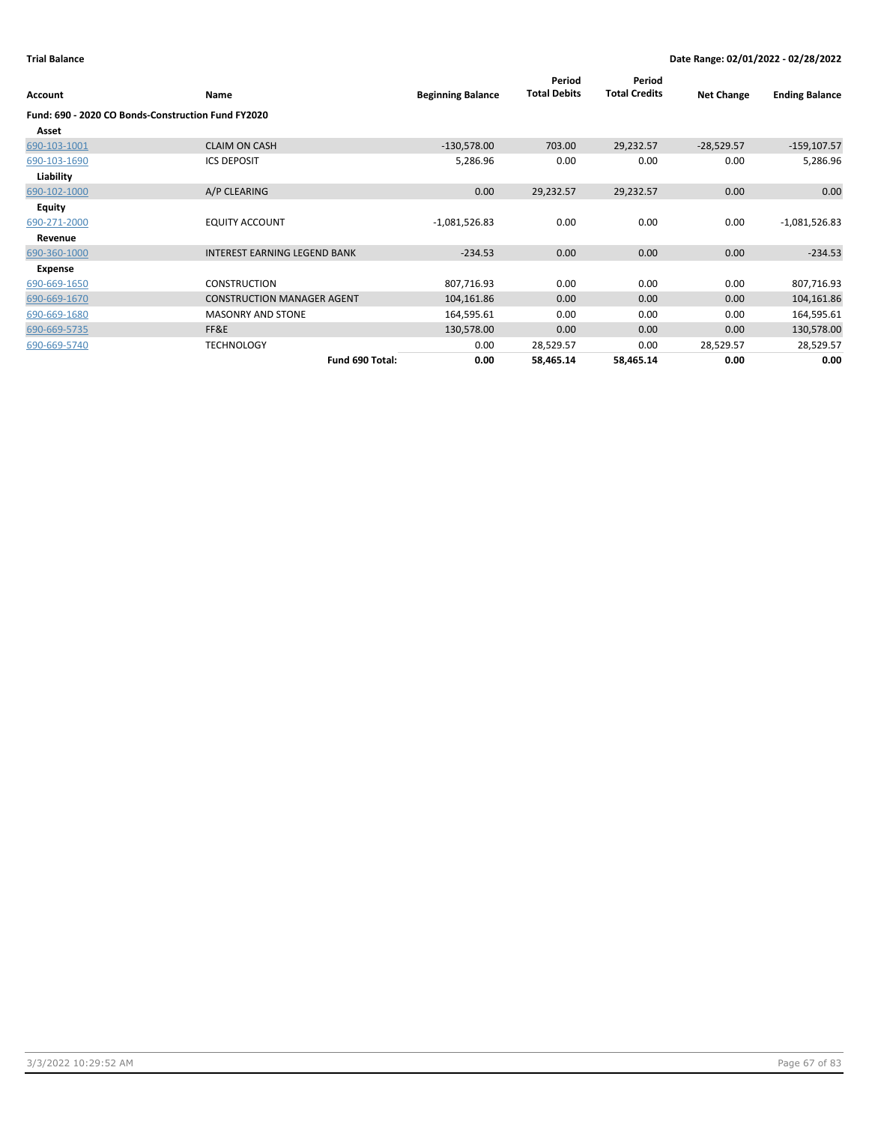| Account       | Name                                               | <b>Beginning Balance</b> | Period<br><b>Total Debits</b> | Period<br><b>Total Credits</b> | <b>Net Change</b> | <b>Ending Balance</b> |
|---------------|----------------------------------------------------|--------------------------|-------------------------------|--------------------------------|-------------------|-----------------------|
|               | Fund: 690 - 2020 CO Bonds-Construction Fund FY2020 |                          |                               |                                |                   |                       |
| Asset         |                                                    |                          |                               |                                |                   |                       |
| 690-103-1001  | <b>CLAIM ON CASH</b>                               | $-130,578.00$            | 703.00                        | 29,232.57                      | $-28,529.57$      | $-159, 107.57$        |
| 690-103-1690  | <b>ICS DEPOSIT</b>                                 | 5,286.96                 | 0.00                          | 0.00                           | 0.00              | 5,286.96              |
| Liability     |                                                    |                          |                               |                                |                   |                       |
| 690-102-1000  | A/P CLEARING                                       | 0.00                     | 29,232.57                     | 29,232.57                      | 0.00              | 0.00                  |
| <b>Equity</b> |                                                    |                          |                               |                                |                   |                       |
| 690-271-2000  | <b>EQUITY ACCOUNT</b>                              | $-1,081,526.83$          | 0.00                          | 0.00                           | 0.00              | $-1,081,526.83$       |
| Revenue       |                                                    |                          |                               |                                |                   |                       |
| 690-360-1000  | <b>INTEREST EARNING LEGEND BANK</b>                | $-234.53$                | 0.00                          | 0.00                           | 0.00              | $-234.53$             |
| Expense       |                                                    |                          |                               |                                |                   |                       |
| 690-669-1650  | <b>CONSTRUCTION</b>                                | 807,716.93               | 0.00                          | 0.00                           | 0.00              | 807,716.93            |
| 690-669-1670  | <b>CONSTRUCTION MANAGER AGENT</b>                  | 104,161.86               | 0.00                          | 0.00                           | 0.00              | 104,161.86            |
| 690-669-1680  | <b>MASONRY AND STONE</b>                           | 164,595.61               | 0.00                          | 0.00                           | 0.00              | 164,595.61            |
| 690-669-5735  | FF&E                                               | 130,578.00               | 0.00                          | 0.00                           | 0.00              | 130,578.00            |
| 690-669-5740  | <b>TECHNOLOGY</b>                                  | 0.00                     | 28,529.57                     | 0.00                           | 28,529.57         | 28,529.57             |
|               | Fund 690 Total:                                    | 0.00                     | 58,465.14                     | 58,465.14                      | 0.00              | 0.00                  |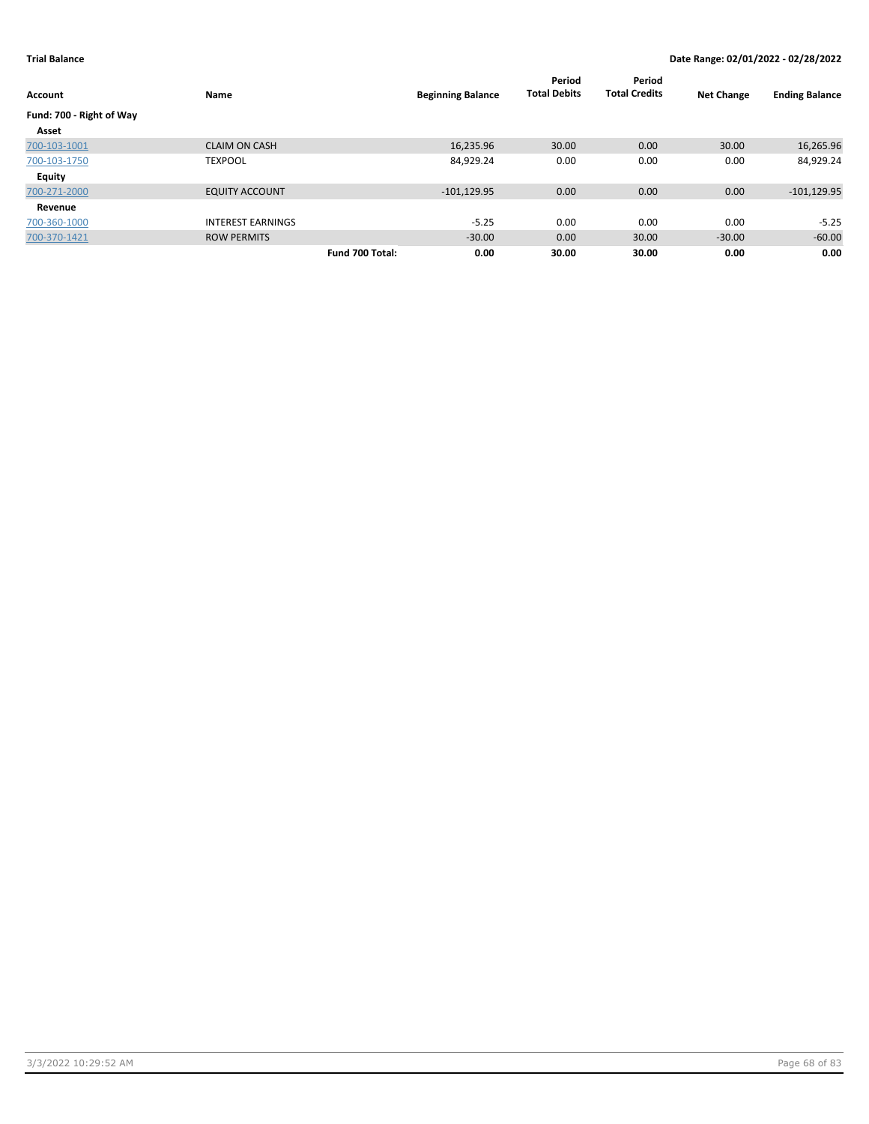| Account                  | Name                     |                 | <b>Beginning Balance</b> | Period<br><b>Total Debits</b> | Period<br><b>Total Credits</b> | <b>Net Change</b> | <b>Ending Balance</b> |
|--------------------------|--------------------------|-----------------|--------------------------|-------------------------------|--------------------------------|-------------------|-----------------------|
| Fund: 700 - Right of Way |                          |                 |                          |                               |                                |                   |                       |
| Asset                    |                          |                 |                          |                               |                                |                   |                       |
| 700-103-1001             | <b>CLAIM ON CASH</b>     |                 | 16,235.96                | 30.00                         | 0.00                           | 30.00             | 16,265.96             |
| 700-103-1750             | <b>TEXPOOL</b>           |                 | 84,929.24                | 0.00                          | 0.00                           | 0.00              | 84,929.24             |
| <b>Equity</b>            |                          |                 |                          |                               |                                |                   |                       |
| 700-271-2000             | <b>EQUITY ACCOUNT</b>    |                 | $-101, 129.95$           | 0.00                          | 0.00                           | 0.00              | $-101, 129.95$        |
| Revenue                  |                          |                 |                          |                               |                                |                   |                       |
| 700-360-1000             | <b>INTEREST EARNINGS</b> |                 | $-5.25$                  | 0.00                          | 0.00                           | 0.00              | $-5.25$               |
| 700-370-1421             | <b>ROW PERMITS</b>       |                 | $-30.00$                 | 0.00                          | 30.00                          | $-30.00$          | $-60.00$              |
|                          |                          | Fund 700 Total: | 0.00                     | 30.00                         | 30.00                          | 0.00              | 0.00                  |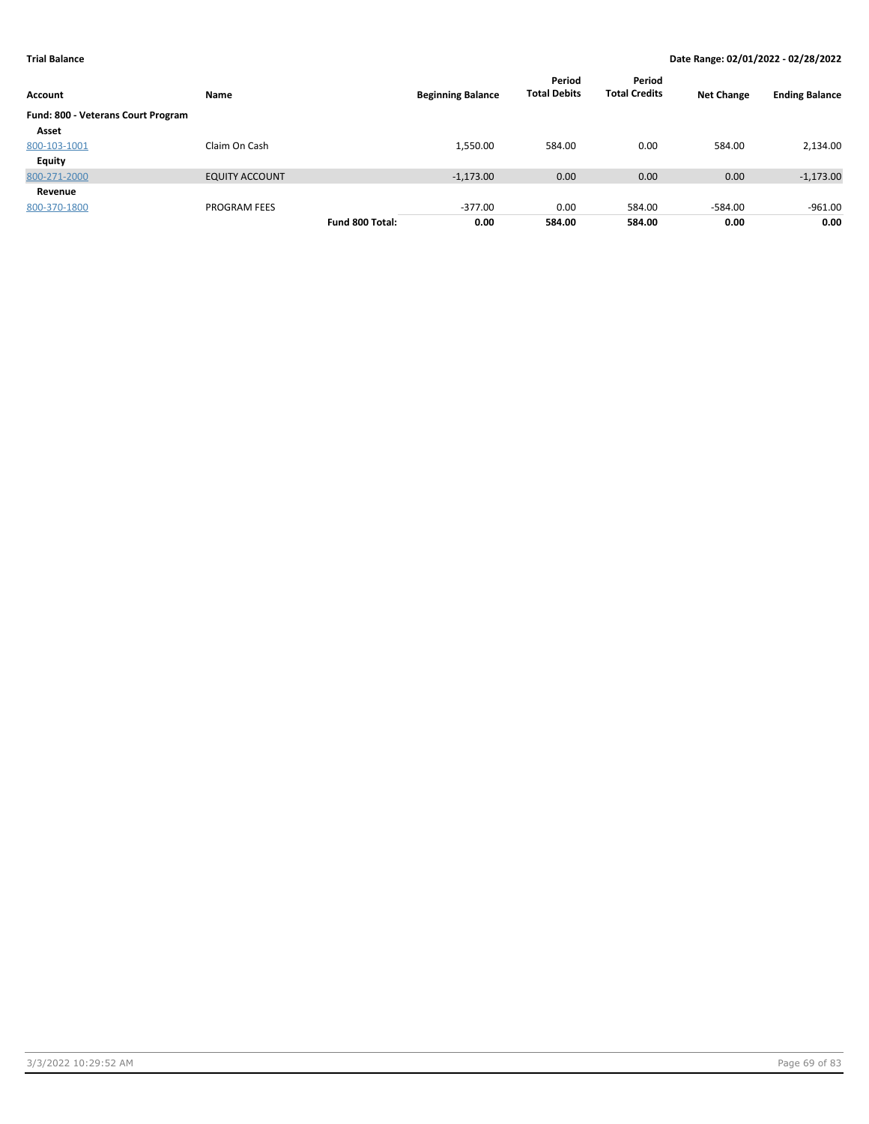| Account                            | Name                  |                 | <b>Beginning Balance</b> | Period<br><b>Total Debits</b> | Period<br><b>Total Credits</b> | <b>Net Change</b> | <b>Ending Balance</b> |
|------------------------------------|-----------------------|-----------------|--------------------------|-------------------------------|--------------------------------|-------------------|-----------------------|
| Fund: 800 - Veterans Court Program |                       |                 |                          |                               |                                |                   |                       |
| Asset                              |                       |                 |                          |                               |                                |                   |                       |
| 800-103-1001                       | Claim On Cash         |                 | 1,550.00                 | 584.00                        | 0.00                           | 584.00            | 2,134.00              |
| <b>Equity</b>                      |                       |                 |                          |                               |                                |                   |                       |
| 800-271-2000                       | <b>EQUITY ACCOUNT</b> |                 | $-1,173.00$              | 0.00                          | 0.00                           | 0.00              | $-1,173.00$           |
| Revenue                            |                       |                 |                          |                               |                                |                   |                       |
| 800-370-1800                       | <b>PROGRAM FEES</b>   |                 | $-377.00$                | 0.00                          | 584.00                         | $-584.00$         | $-961.00$             |
|                                    |                       | Fund 800 Total: | 0.00                     | 584.00                        | 584.00                         | 0.00              | 0.00                  |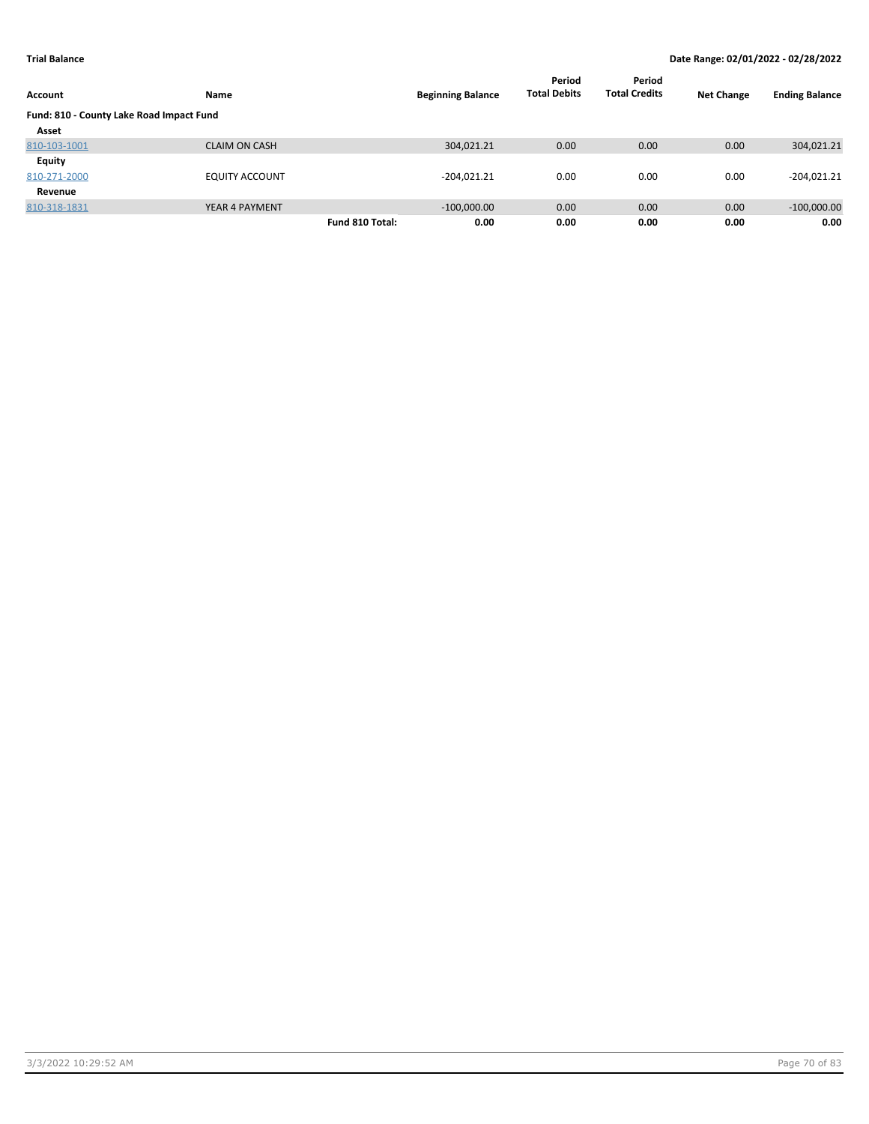| Account                                  | Name                  |                 | <b>Beginning Balance</b> | Period<br><b>Total Debits</b> | Period<br><b>Total Credits</b> | <b>Net Change</b> | <b>Ending Balance</b> |
|------------------------------------------|-----------------------|-----------------|--------------------------|-------------------------------|--------------------------------|-------------------|-----------------------|
| Fund: 810 - County Lake Road Impact Fund |                       |                 |                          |                               |                                |                   |                       |
| Asset                                    |                       |                 |                          |                               |                                |                   |                       |
| 810-103-1001                             | <b>CLAIM ON CASH</b>  |                 | 304,021.21               | 0.00                          | 0.00                           | 0.00              | 304,021.21            |
| Equity                                   |                       |                 |                          |                               |                                |                   |                       |
| 810-271-2000                             | <b>EQUITY ACCOUNT</b> |                 | $-204,021.21$            | 0.00                          | 0.00                           | 0.00              | $-204,021.21$         |
| Revenue                                  |                       |                 |                          |                               |                                |                   |                       |
| 810-318-1831                             | YEAR 4 PAYMENT        |                 | $-100,000.00$            | 0.00                          | 0.00                           | 0.00              | $-100,000.00$         |
|                                          |                       | Fund 810 Total: | 0.00                     | 0.00                          | 0.00                           | 0.00              | 0.00                  |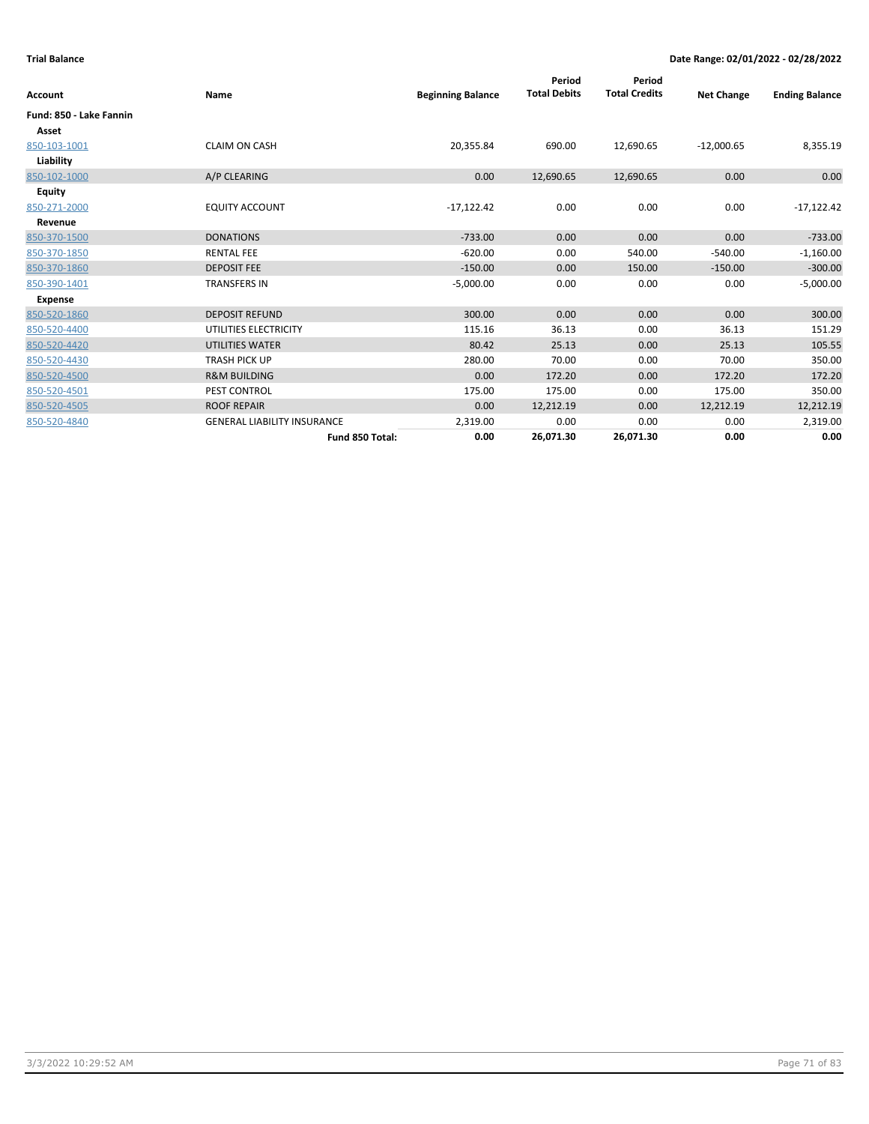| <b>Account</b>          | Name                               | <b>Beginning Balance</b> | Period<br><b>Total Debits</b> | Period<br><b>Total Credits</b> | <b>Net Change</b> | <b>Ending Balance</b> |
|-------------------------|------------------------------------|--------------------------|-------------------------------|--------------------------------|-------------------|-----------------------|
| Fund: 850 - Lake Fannin |                                    |                          |                               |                                |                   |                       |
| Asset                   |                                    |                          |                               |                                |                   |                       |
| 850-103-1001            | <b>CLAIM ON CASH</b>               | 20,355.84                | 690.00                        | 12,690.65                      | $-12,000.65$      | 8,355.19              |
| Liability               |                                    |                          |                               |                                |                   |                       |
| 850-102-1000            | A/P CLEARING                       | 0.00                     | 12,690.65                     | 12,690.65                      | 0.00              | 0.00                  |
| Equity                  |                                    |                          |                               |                                |                   |                       |
| 850-271-2000            | <b>EQUITY ACCOUNT</b>              | $-17,122.42$             | 0.00                          | 0.00                           | 0.00              | $-17,122.42$          |
| Revenue                 |                                    |                          |                               |                                |                   |                       |
| 850-370-1500            | <b>DONATIONS</b>                   | $-733.00$                | 0.00                          | 0.00                           | 0.00              | $-733.00$             |
| 850-370-1850            | <b>RENTAL FEE</b>                  | $-620.00$                | 0.00                          | 540.00                         | $-540.00$         | $-1,160.00$           |
| 850-370-1860            | <b>DEPOSIT FEE</b>                 | $-150.00$                | 0.00                          | 150.00                         | $-150.00$         | $-300.00$             |
| 850-390-1401            | <b>TRANSFERS IN</b>                | $-5,000.00$              | 0.00                          | 0.00                           | 0.00              | $-5,000.00$           |
| Expense                 |                                    |                          |                               |                                |                   |                       |
| 850-520-1860            | <b>DEPOSIT REFUND</b>              | 300.00                   | 0.00                          | 0.00                           | 0.00              | 300.00                |
| 850-520-4400            | UTILITIES ELECTRICITY              | 115.16                   | 36.13                         | 0.00                           | 36.13             | 151.29                |
| 850-520-4420            | <b>UTILITIES WATER</b>             | 80.42                    | 25.13                         | 0.00                           | 25.13             | 105.55                |
| 850-520-4430            | <b>TRASH PICK UP</b>               | 280.00                   | 70.00                         | 0.00                           | 70.00             | 350.00                |
| 850-520-4500            | <b>R&amp;M BUILDING</b>            | 0.00                     | 172.20                        | 0.00                           | 172.20            | 172.20                |
| 850-520-4501            | PEST CONTROL                       | 175.00                   | 175.00                        | 0.00                           | 175.00            | 350.00                |
| 850-520-4505            | <b>ROOF REPAIR</b>                 | 0.00                     | 12,212.19                     | 0.00                           | 12,212.19         | 12,212.19             |
| 850-520-4840            | <b>GENERAL LIABILITY INSURANCE</b> | 2,319.00                 | 0.00                          | 0.00                           | 0.00              | 2,319.00              |
|                         | Fund 850 Total:                    | 0.00                     | 26,071.30                     | 26,071.30                      | 0.00              | 0.00                  |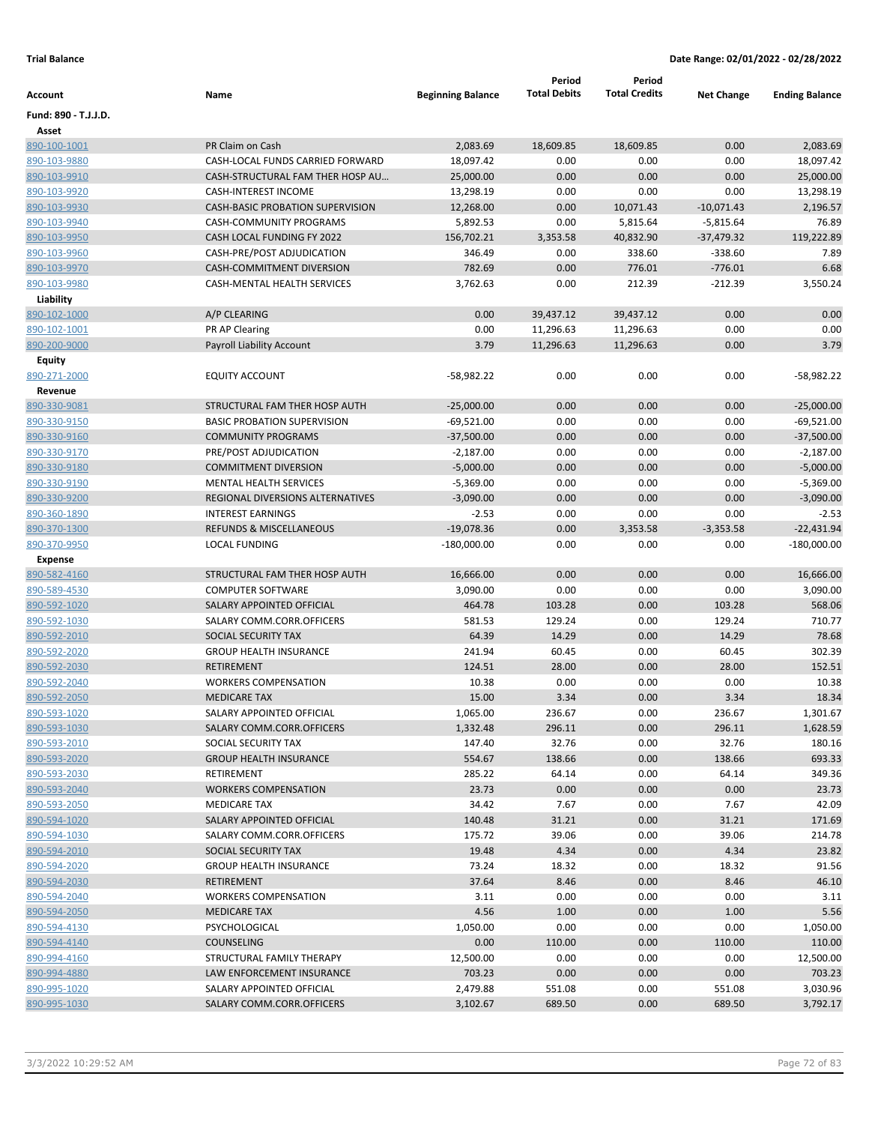|                      |                                         |                          | Period              | Period               |                   |                       |
|----------------------|-----------------------------------------|--------------------------|---------------------|----------------------|-------------------|-----------------------|
| Account              | Name                                    | <b>Beginning Balance</b> | <b>Total Debits</b> | <b>Total Credits</b> | <b>Net Change</b> | <b>Ending Balance</b> |
| Fund: 890 - T.J.J.D. |                                         |                          |                     |                      |                   |                       |
| Asset                |                                         |                          |                     |                      |                   |                       |
| 890-100-1001         | PR Claim on Cash                        | 2,083.69                 | 18,609.85           | 18,609.85            | 0.00              | 2,083.69              |
| 890-103-9880         | CASH-LOCAL FUNDS CARRIED FORWARD        | 18,097.42                | 0.00                | 0.00                 | 0.00              | 18,097.42             |
| 890-103-9910         | CASH-STRUCTURAL FAM THER HOSP AU        | 25,000.00                | 0.00                | 0.00                 | 0.00              | 25,000.00             |
| 890-103-9920         | <b>CASH-INTEREST INCOME</b>             | 13,298.19                | 0.00                | 0.00                 | 0.00              | 13,298.19             |
| 890-103-9930         | <b>CASH-BASIC PROBATION SUPERVISION</b> | 12,268.00                | 0.00                | 10,071.43            | $-10,071.43$      | 2,196.57              |
| 890-103-9940         | CASH-COMMUNITY PROGRAMS                 | 5,892.53                 | 0.00                | 5,815.64             | $-5,815.64$       | 76.89                 |
| 890-103-9950         | CASH LOCAL FUNDING FY 2022              | 156,702.21               | 3,353.58            | 40,832.90            | -37,479.32        | 119,222.89            |
| 890-103-9960         | CASH-PRE/POST ADJUDICATION              | 346.49                   | 0.00                | 338.60               | $-338.60$         | 7.89                  |
| 890-103-9970         | CASH-COMMITMENT DIVERSION               | 782.69                   | 0.00                | 776.01               | $-776.01$         | 6.68                  |
| 890-103-9980         | <b>CASH-MENTAL HEALTH SERVICES</b>      | 3,762.63                 | 0.00                | 212.39               | $-212.39$         | 3,550.24              |
| Liability            |                                         |                          |                     |                      |                   |                       |
| 890-102-1000         | A/P CLEARING                            | 0.00                     | 39,437.12           | 39,437.12            | 0.00              | 0.00                  |
| 890-102-1001         | PR AP Clearing                          | 0.00                     | 11,296.63           | 11,296.63            | 0.00              | 0.00                  |
| 890-200-9000         | Payroll Liability Account               | 3.79                     | 11,296.63           | 11,296.63            | 0.00              | 3.79                  |
| Equity               |                                         |                          |                     |                      |                   |                       |
| 890-271-2000         | <b>EQUITY ACCOUNT</b>                   | $-58,982.22$             | 0.00                | 0.00                 | 0.00              | $-58,982.22$          |
| Revenue              |                                         |                          |                     |                      |                   |                       |
| 890-330-9081         | STRUCTURAL FAM THER HOSP AUTH           | $-25,000.00$             | 0.00                | 0.00                 | 0.00              | $-25,000.00$          |
| 890-330-9150         | <b>BASIC PROBATION SUPERVISION</b>      | $-69,521.00$             | 0.00                | 0.00                 | 0.00              | $-69,521.00$          |
| 890-330-9160         | <b>COMMUNITY PROGRAMS</b>               | $-37,500.00$             | 0.00                | 0.00                 | 0.00              | $-37,500.00$          |
| 890-330-9170         | PRE/POST ADJUDICATION                   | $-2,187.00$              | 0.00                | 0.00                 | 0.00              | $-2,187.00$           |
| 890-330-9180         | <b>COMMITMENT DIVERSION</b>             | $-5,000.00$              | 0.00                | 0.00                 | 0.00              | $-5,000.00$           |
| 890-330-9190         | <b>MENTAL HEALTH SERVICES</b>           | $-5,369.00$              | 0.00                | 0.00                 | 0.00              | $-5,369.00$           |
| 890-330-9200         | REGIONAL DIVERSIONS ALTERNATIVES        | $-3,090.00$              | 0.00                | 0.00                 | 0.00              | $-3,090.00$           |
| 890-360-1890         | <b>INTEREST EARNINGS</b>                | $-2.53$                  | 0.00                | 0.00                 | 0.00              | $-2.53$               |
| 890-370-1300         | <b>REFUNDS &amp; MISCELLANEOUS</b>      | $-19,078.36$             | 0.00                | 3,353.58             | $-3,353.58$       | $-22,431.94$          |
| 890-370-9950         | <b>LOCAL FUNDING</b>                    | $-180,000.00$            | 0.00                | 0.00                 | 0.00              | $-180,000.00$         |
| <b>Expense</b>       |                                         |                          |                     |                      |                   |                       |
| 890-582-4160         | STRUCTURAL FAM THER HOSP AUTH           | 16,666.00                | 0.00                | 0.00                 | 0.00              | 16,666.00             |
| 890-589-4530         | <b>COMPUTER SOFTWARE</b>                | 3,090.00                 | 0.00                | 0.00                 | 0.00              | 3,090.00              |
| 890-592-1020         | SALARY APPOINTED OFFICIAL               | 464.78                   | 103.28              | 0.00                 | 103.28            | 568.06                |
| 890-592-1030         | SALARY COMM.CORR.OFFICERS               | 581.53                   | 129.24              | 0.00                 | 129.24            | 710.77                |
| 890-592-2010         | SOCIAL SECURITY TAX                     | 64.39                    | 14.29               | 0.00                 | 14.29             | 78.68                 |
| 890-592-2020         | <b>GROUP HEALTH INSURANCE</b>           | 241.94                   | 60.45               | 0.00                 | 60.45             | 302.39                |
| 890-592-2030         | <b>RETIREMENT</b>                       | 124.51                   | 28.00               | 0.00                 | 28.00             | 152.51                |
| 890-592-2040         | <b>WORKERS COMPENSATION</b>             | 10.38                    | 0.00                | 0.00                 | 0.00              | 10.38                 |
| 890-592-2050         | <b>MEDICARE TAX</b>                     | 15.00                    | 3.34                | 0.00                 | 3.34              | 18.34                 |
| 890-593-1020         | SALARY APPOINTED OFFICIAL               | 1,065.00                 | 236.67              | 0.00                 | 236.67            | 1,301.67              |
| 890-593-1030         | SALARY COMM.CORR.OFFICERS               | 1,332.48                 | 296.11              | 0.00                 | 296.11            | 1,628.59              |
| 890-593-2010         | SOCIAL SECURITY TAX                     | 147.40                   | 32.76               | 0.00                 | 32.76             | 180.16                |
| 890-593-2020         | <b>GROUP HEALTH INSURANCE</b>           | 554.67                   | 138.66              | 0.00                 | 138.66            | 693.33                |
| 890-593-2030         | RETIREMENT                              | 285.22                   | 64.14               | 0.00                 | 64.14             | 349.36                |
| 890-593-2040         | <b>WORKERS COMPENSATION</b>             | 23.73                    | 0.00                | 0.00                 | 0.00              | 23.73                 |
| 890-593-2050         | <b>MEDICARE TAX</b>                     | 34.42                    | 7.67                | 0.00                 | 7.67              | 42.09                 |
| 890-594-1020         | SALARY APPOINTED OFFICIAL               | 140.48                   | 31.21               | 0.00                 | 31.21             | 171.69                |
| 890-594-1030         | SALARY COMM.CORR.OFFICERS               | 175.72                   | 39.06               | 0.00                 | 39.06             | 214.78                |
| 890-594-2010         | SOCIAL SECURITY TAX                     | 19.48                    | 4.34                | 0.00                 | 4.34              | 23.82                 |
| 890-594-2020         | <b>GROUP HEALTH INSURANCE</b>           | 73.24                    | 18.32               | 0.00                 | 18.32             | 91.56                 |
| 890-594-2030         | RETIREMENT                              | 37.64                    | 8.46                | 0.00                 | 8.46              | 46.10                 |
| 890-594-2040         | <b>WORKERS COMPENSATION</b>             | 3.11                     | 0.00                | 0.00                 | 0.00              | 3.11                  |
| 890-594-2050         | <b>MEDICARE TAX</b>                     | 4.56                     | 1.00                | 0.00                 | 1.00              | 5.56                  |
| 890-594-4130         | PSYCHOLOGICAL                           | 1,050.00                 | 0.00                | 0.00                 | 0.00              | 1,050.00              |
| 890-594-4140         | <b>COUNSELING</b>                       | 0.00                     | 110.00              | 0.00                 | 110.00            | 110.00                |
| 890-994-4160         | STRUCTURAL FAMILY THERAPY               | 12,500.00                | 0.00                | 0.00                 | 0.00              | 12,500.00             |
| 890-994-4880         | LAW ENFORCEMENT INSURANCE               | 703.23                   | 0.00                | 0.00                 | 0.00              | 703.23                |
| 890-995-1020         | SALARY APPOINTED OFFICIAL               | 2,479.88                 | 551.08              | 0.00                 | 551.08            | 3,030.96              |
| 890-995-1030         | SALARY COMM.CORR.OFFICERS               | 3,102.67                 | 689.50              | 0.00                 | 689.50            | 3,792.17              |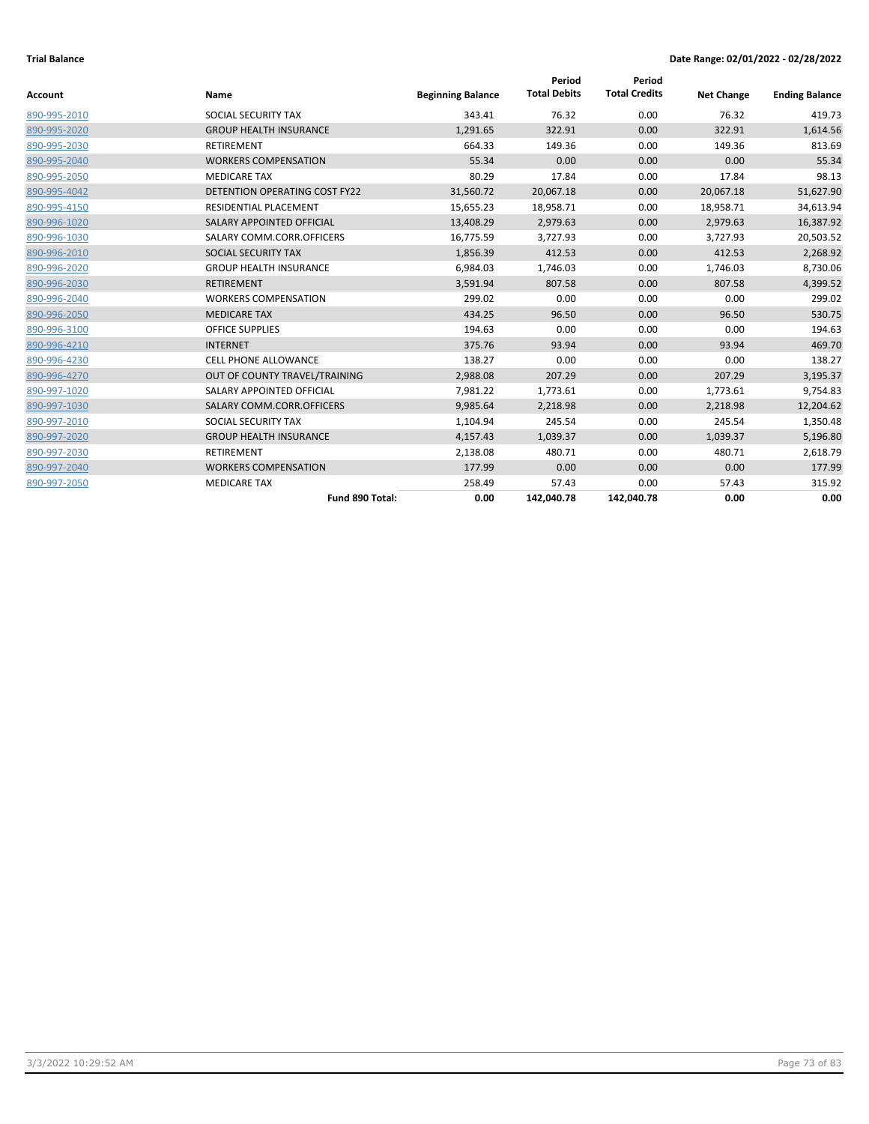| <b>Account</b> | Name                                 | <b>Beginning Balance</b> | Period<br><b>Total Debits</b> | Period<br><b>Total Credits</b> | <b>Net Change</b> | <b>Ending Balance</b> |
|----------------|--------------------------------------|--------------------------|-------------------------------|--------------------------------|-------------------|-----------------------|
| 890-995-2010   | SOCIAL SECURITY TAX                  | 343.41                   | 76.32                         | 0.00                           | 76.32             | 419.73                |
| 890-995-2020   | <b>GROUP HEALTH INSURANCE</b>        | 1,291.65                 | 322.91                        | 0.00                           | 322.91            | 1,614.56              |
| 890-995-2030   | <b>RETIREMENT</b>                    | 664.33                   | 149.36                        | 0.00                           | 149.36            | 813.69                |
| 890-995-2040   | <b>WORKERS COMPENSATION</b>          | 55.34                    | 0.00                          | 0.00                           | 0.00              | 55.34                 |
| 890-995-2050   | <b>MEDICARE TAX</b>                  | 80.29                    | 17.84                         | 0.00                           | 17.84             | 98.13                 |
| 890-995-4042   | <b>DETENTION OPERATING COST FY22</b> | 31,560.72                | 20,067.18                     | 0.00                           | 20,067.18         | 51,627.90             |
| 890-995-4150   | RESIDENTIAL PLACEMENT                | 15,655.23                | 18,958.71                     | 0.00                           | 18,958.71         | 34,613.94             |
| 890-996-1020   | SALARY APPOINTED OFFICIAL            | 13,408.29                | 2,979.63                      | 0.00                           | 2,979.63          | 16,387.92             |
| 890-996-1030   | SALARY COMM.CORR.OFFICERS            | 16,775.59                | 3,727.93                      | 0.00                           | 3,727.93          | 20,503.52             |
| 890-996-2010   | SOCIAL SECURITY TAX                  | 1,856.39                 | 412.53                        | 0.00                           | 412.53            | 2,268.92              |
| 890-996-2020   | <b>GROUP HEALTH INSURANCE</b>        | 6,984.03                 | 1,746.03                      | 0.00                           | 1,746.03          | 8,730.06              |
| 890-996-2030   | <b>RETIREMENT</b>                    | 3,591.94                 | 807.58                        | 0.00                           | 807.58            | 4,399.52              |
| 890-996-2040   | <b>WORKERS COMPENSATION</b>          | 299.02                   | 0.00                          | 0.00                           | 0.00              | 299.02                |
| 890-996-2050   | <b>MEDICARE TAX</b>                  | 434.25                   | 96.50                         | 0.00                           | 96.50             | 530.75                |
| 890-996-3100   | <b>OFFICE SUPPLIES</b>               | 194.63                   | 0.00                          | 0.00                           | 0.00              | 194.63                |
| 890-996-4210   | <b>INTERNET</b>                      | 375.76                   | 93.94                         | 0.00                           | 93.94             | 469.70                |
| 890-996-4230   | <b>CELL PHONE ALLOWANCE</b>          | 138.27                   | 0.00                          | 0.00                           | 0.00              | 138.27                |
| 890-996-4270   | OUT OF COUNTY TRAVEL/TRAINING        | 2,988.08                 | 207.29                        | 0.00                           | 207.29            | 3,195.37              |
| 890-997-1020   | SALARY APPOINTED OFFICIAL            | 7,981.22                 | 1,773.61                      | 0.00                           | 1,773.61          | 9,754.83              |
| 890-997-1030   | SALARY COMM.CORR.OFFICERS            | 9,985.64                 | 2,218.98                      | 0.00                           | 2,218.98          | 12,204.62             |
| 890-997-2010   | SOCIAL SECURITY TAX                  | 1,104.94                 | 245.54                        | 0.00                           | 245.54            | 1,350.48              |
| 890-997-2020   | <b>GROUP HEALTH INSURANCE</b>        | 4,157.43                 | 1,039.37                      | 0.00                           | 1,039.37          | 5,196.80              |
| 890-997-2030   | <b>RETIREMENT</b>                    | 2,138.08                 | 480.71                        | 0.00                           | 480.71            | 2,618.79              |
| 890-997-2040   | <b>WORKERS COMPENSATION</b>          | 177.99                   | 0.00                          | 0.00                           | 0.00              | 177.99                |
| 890-997-2050   | <b>MEDICARE TAX</b>                  | 258.49                   | 57.43                         | 0.00                           | 57.43             | 315.92                |
|                | Fund 890 Total:                      | 0.00                     | 142,040.78                    | 142,040.78                     | 0.00              | 0.00                  |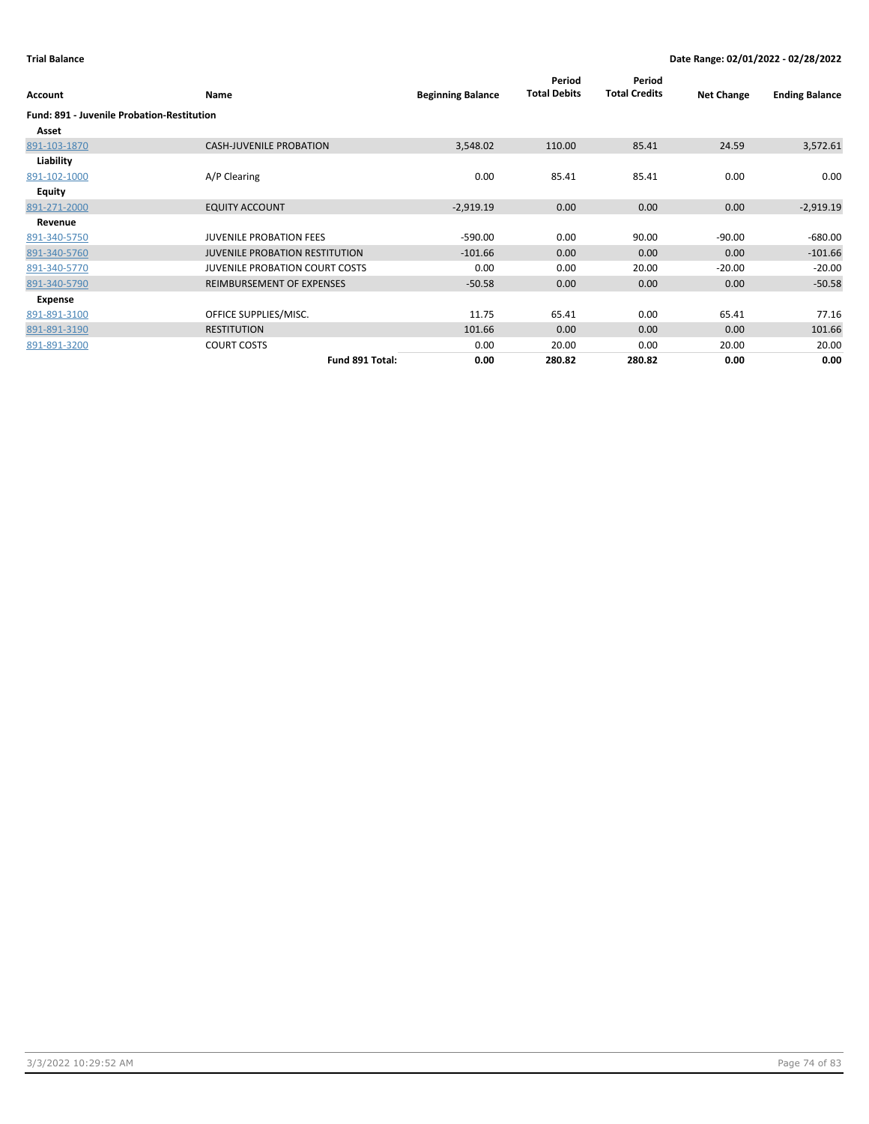| Account                                           | Name                                  | <b>Beginning Balance</b> | Period<br><b>Total Debits</b> | Period<br><b>Total Credits</b> | <b>Net Change</b> | <b>Ending Balance</b> |
|---------------------------------------------------|---------------------------------------|--------------------------|-------------------------------|--------------------------------|-------------------|-----------------------|
| <b>Fund: 891 - Juvenile Probation-Restitution</b> |                                       |                          |                               |                                |                   |                       |
| Asset                                             |                                       |                          |                               |                                |                   |                       |
| 891-103-1870                                      | <b>CASH-JUVENILE PROBATION</b>        | 3,548.02                 | 110.00                        | 85.41                          | 24.59             | 3,572.61              |
| Liability                                         |                                       |                          |                               |                                |                   |                       |
| 891-102-1000                                      | A/P Clearing                          | 0.00                     | 85.41                         | 85.41                          | 0.00              | 0.00                  |
| <b>Equity</b>                                     |                                       |                          |                               |                                |                   |                       |
| 891-271-2000                                      | <b>EQUITY ACCOUNT</b>                 | $-2,919.19$              | 0.00                          | 0.00                           | 0.00              | $-2,919.19$           |
| Revenue                                           |                                       |                          |                               |                                |                   |                       |
| 891-340-5750                                      | <b>JUVENILE PROBATION FEES</b>        | $-590.00$                | 0.00                          | 90.00                          | $-90.00$          | $-680.00$             |
| 891-340-5760                                      | <b>JUVENILE PROBATION RESTITUTION</b> | $-101.66$                | 0.00                          | 0.00                           | 0.00              | $-101.66$             |
| 891-340-5770                                      | <b>JUVENILE PROBATION COURT COSTS</b> | 0.00                     | 0.00                          | 20.00                          | $-20.00$          | $-20.00$              |
| 891-340-5790                                      | REIMBURSEMENT OF EXPENSES             | $-50.58$                 | 0.00                          | 0.00                           | 0.00              | $-50.58$              |
| Expense                                           |                                       |                          |                               |                                |                   |                       |
| 891-891-3100                                      | OFFICE SUPPLIES/MISC.                 | 11.75                    | 65.41                         | 0.00                           | 65.41             | 77.16                 |
| 891-891-3190                                      | <b>RESTITUTION</b>                    | 101.66                   | 0.00                          | 0.00                           | 0.00              | 101.66                |
| 891-891-3200                                      | <b>COURT COSTS</b>                    | 0.00                     | 20.00                         | 0.00                           | 20.00             | 20.00                 |
|                                                   | Fund 891 Total:                       | 0.00                     | 280.82                        | 280.82                         | 0.00              | 0.00                  |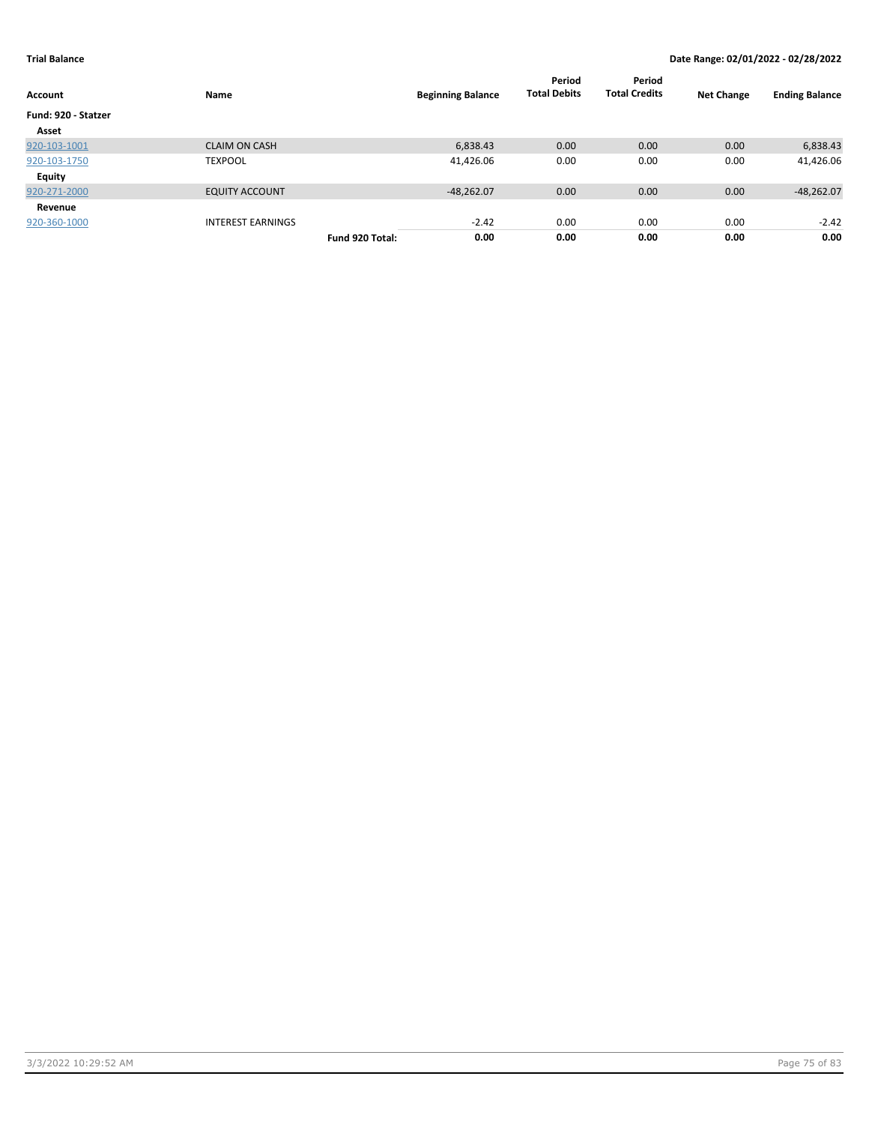|                     |                          |                 |                          | Period              | Period               |                   |                       |
|---------------------|--------------------------|-----------------|--------------------------|---------------------|----------------------|-------------------|-----------------------|
| Account             | Name                     |                 | <b>Beginning Balance</b> | <b>Total Debits</b> | <b>Total Credits</b> | <b>Net Change</b> | <b>Ending Balance</b> |
| Fund: 920 - Statzer |                          |                 |                          |                     |                      |                   |                       |
| Asset               |                          |                 |                          |                     |                      |                   |                       |
| 920-103-1001        | <b>CLAIM ON CASH</b>     |                 | 6,838.43                 | 0.00                | 0.00                 | 0.00              | 6,838.43              |
| 920-103-1750        | <b>TEXPOOL</b>           |                 | 41,426.06                | 0.00                | 0.00                 | 0.00              | 41,426.06             |
| Equity              |                          |                 |                          |                     |                      |                   |                       |
| 920-271-2000        | <b>EQUITY ACCOUNT</b>    |                 | $-48,262.07$             | 0.00                | 0.00                 | 0.00              | $-48,262.07$          |
| Revenue             |                          |                 |                          |                     |                      |                   |                       |
| 920-360-1000        | <b>INTEREST EARNINGS</b> |                 | $-2.42$                  | 0.00                | 0.00                 | 0.00              | $-2.42$               |
|                     |                          | Fund 920 Total: | 0.00                     | 0.00                | 0.00                 | 0.00              | 0.00                  |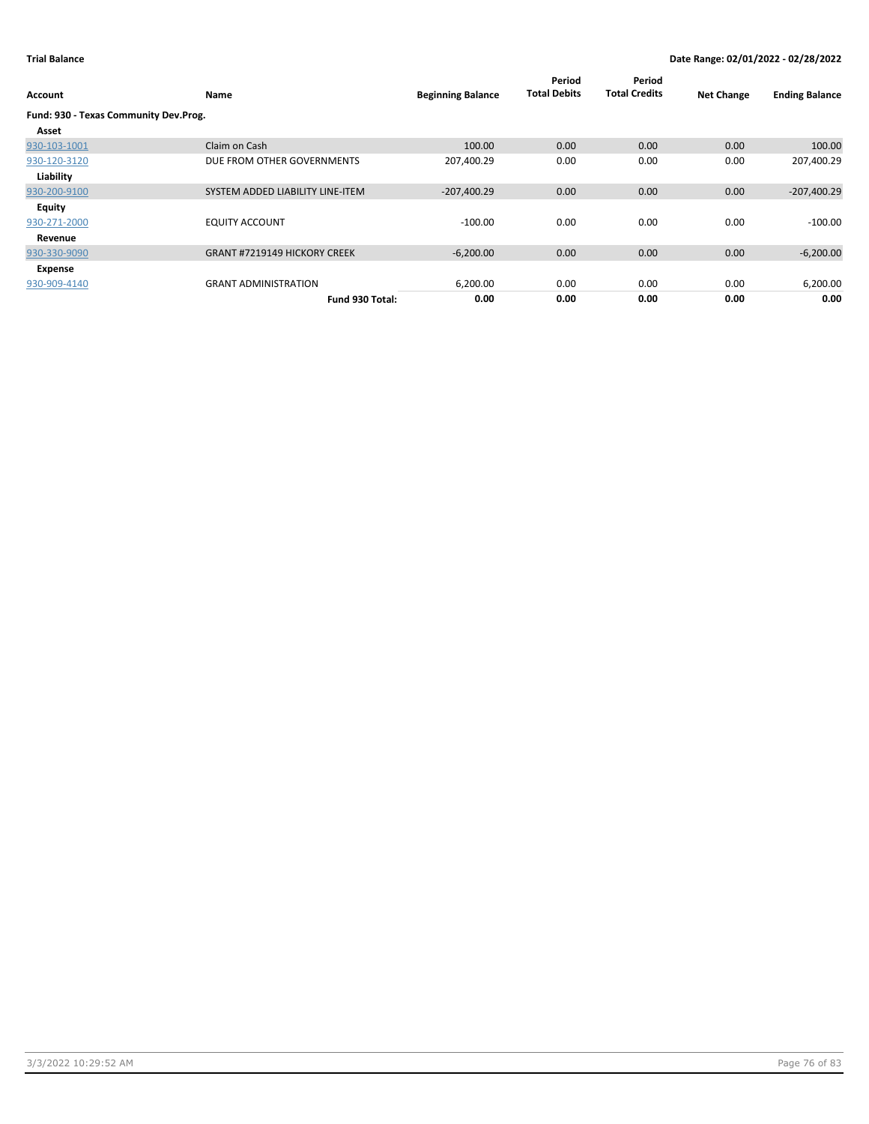| Account                               | Name                                | <b>Beginning Balance</b> | Period<br><b>Total Debits</b> | Period<br><b>Total Credits</b> | <b>Net Change</b> | <b>Ending Balance</b> |
|---------------------------------------|-------------------------------------|--------------------------|-------------------------------|--------------------------------|-------------------|-----------------------|
| Fund: 930 - Texas Community Dev.Prog. |                                     |                          |                               |                                |                   |                       |
| Asset                                 |                                     |                          |                               |                                |                   |                       |
| 930-103-1001                          | Claim on Cash                       | 100.00                   | 0.00                          | 0.00                           | 0.00              | 100.00                |
| 930-120-3120                          | DUE FROM OTHER GOVERNMENTS          | 207,400.29               | 0.00                          | 0.00                           | 0.00              | 207,400.29            |
| Liability                             |                                     |                          |                               |                                |                   |                       |
| 930-200-9100                          | SYSTEM ADDED LIABILITY LINE-ITEM    | $-207,400.29$            | 0.00                          | 0.00                           | 0.00              | $-207,400.29$         |
| <b>Equity</b>                         |                                     |                          |                               |                                |                   |                       |
| 930-271-2000                          | <b>EQUITY ACCOUNT</b>               | $-100.00$                | 0.00                          | 0.00                           | 0.00              | $-100.00$             |
| Revenue                               |                                     |                          |                               |                                |                   |                       |
| 930-330-9090                          | <b>GRANT #7219149 HICKORY CREEK</b> | $-6,200.00$              | 0.00                          | 0.00                           | 0.00              | $-6,200.00$           |
| Expense                               |                                     |                          |                               |                                |                   |                       |
| 930-909-4140                          | <b>GRANT ADMINISTRATION</b>         | 6,200.00                 | 0.00                          | 0.00                           | 0.00              | 6,200.00              |
|                                       | Fund 930 Total:                     | 0.00                     | 0.00                          | 0.00                           | 0.00              | 0.00                  |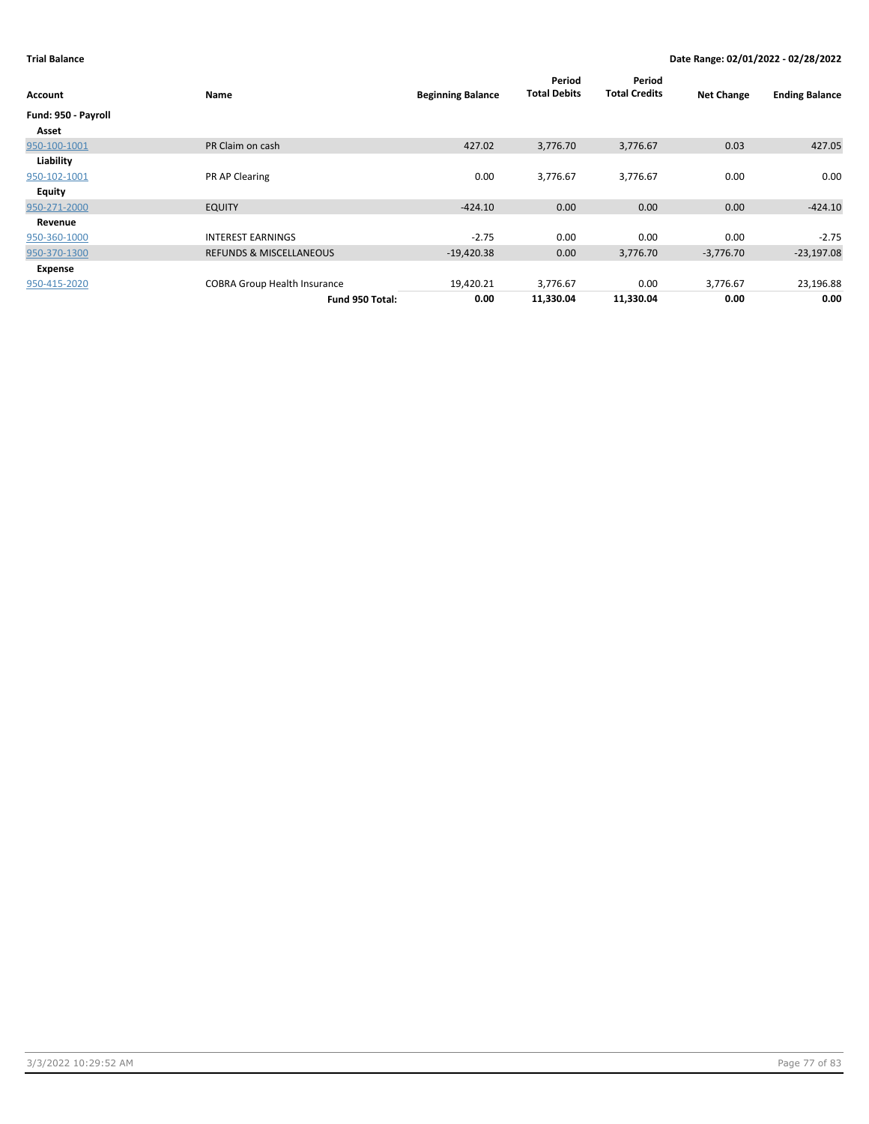| Account             | Name                                | <b>Beginning Balance</b> | Period<br><b>Total Debits</b> | Period<br><b>Total Credits</b> | <b>Net Change</b> | <b>Ending Balance</b> |
|---------------------|-------------------------------------|--------------------------|-------------------------------|--------------------------------|-------------------|-----------------------|
| Fund: 950 - Payroll |                                     |                          |                               |                                |                   |                       |
| Asset               |                                     |                          |                               |                                |                   |                       |
| 950-100-1001        | PR Claim on cash                    | 427.02                   | 3,776.70                      | 3,776.67                       | 0.03              | 427.05                |
| Liability           |                                     |                          |                               |                                |                   |                       |
| 950-102-1001        | PR AP Clearing                      | 0.00                     | 3,776.67                      | 3,776.67                       | 0.00              | 0.00                  |
| <b>Equity</b>       |                                     |                          |                               |                                |                   |                       |
| 950-271-2000        | <b>EQUITY</b>                       | $-424.10$                | 0.00                          | 0.00                           | 0.00              | $-424.10$             |
| Revenue             |                                     |                          |                               |                                |                   |                       |
| 950-360-1000        | <b>INTEREST EARNINGS</b>            | $-2.75$                  | 0.00                          | 0.00                           | 0.00              | $-2.75$               |
| 950-370-1300        | <b>REFUNDS &amp; MISCELLANEOUS</b>  | $-19,420.38$             | 0.00                          | 3,776.70                       | $-3,776.70$       | $-23,197.08$          |
| Expense             |                                     |                          |                               |                                |                   |                       |
| 950-415-2020        | <b>COBRA Group Health Insurance</b> | 19,420.21                | 3,776.67                      | 0.00                           | 3,776.67          | 23,196.88             |
|                     | Fund 950 Total:                     | 0.00                     | 11,330.04                     | 11,330.04                      | 0.00              | 0.00                  |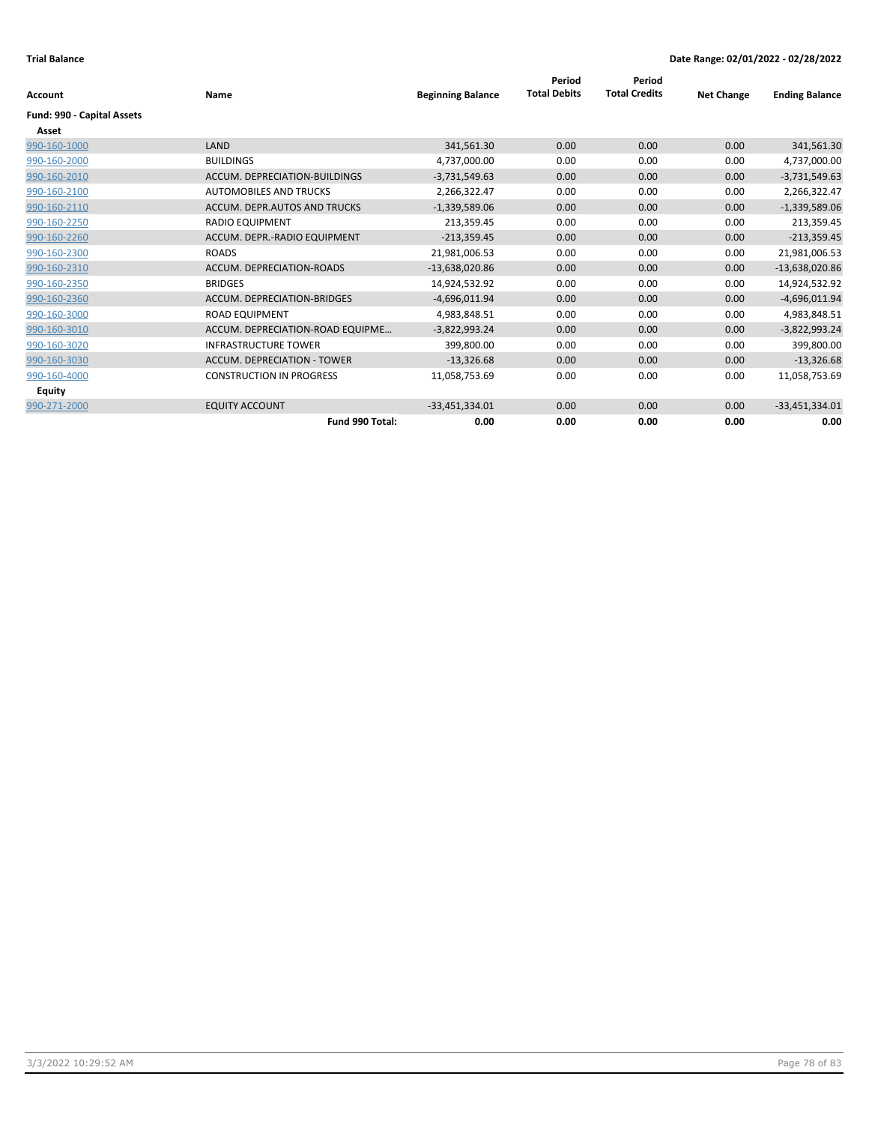|                            |                                    |                          | Period              | Period               |                   |                       |
|----------------------------|------------------------------------|--------------------------|---------------------|----------------------|-------------------|-----------------------|
| <b>Account</b>             | <b>Name</b>                        | <b>Beginning Balance</b> | <b>Total Debits</b> | <b>Total Credits</b> | <b>Net Change</b> | <b>Ending Balance</b> |
| Fund: 990 - Capital Assets |                                    |                          |                     |                      |                   |                       |
| Asset                      |                                    |                          |                     |                      |                   |                       |
| 990-160-1000               | LAND                               | 341,561.30               | 0.00                | 0.00                 | 0.00              | 341,561.30            |
| 990-160-2000               | <b>BUILDINGS</b>                   | 4,737,000.00             | 0.00                | 0.00                 | 0.00              | 4,737,000.00          |
| 990-160-2010               | ACCUM. DEPRECIATION-BUILDINGS      | $-3,731,549.63$          | 0.00                | 0.00                 | 0.00              | $-3,731,549.63$       |
| 990-160-2100               | <b>AUTOMOBILES AND TRUCKS</b>      | 2,266,322.47             | 0.00                | 0.00                 | 0.00              | 2,266,322.47          |
| 990-160-2110               | ACCUM. DEPR.AUTOS AND TRUCKS       | $-1,339,589.06$          | 0.00                | 0.00                 | 0.00              | $-1,339,589.06$       |
| 990-160-2250               | <b>RADIO EQUIPMENT</b>             | 213,359.45               | 0.00                | 0.00                 | 0.00              | 213,359.45            |
| 990-160-2260               | ACCUM. DEPR.-RADIO EQUIPMENT       | $-213,359.45$            | 0.00                | 0.00                 | 0.00              | $-213,359.45$         |
| 990-160-2300               | <b>ROADS</b>                       | 21,981,006.53            | 0.00                | 0.00                 | 0.00              | 21,981,006.53         |
| 990-160-2310               | ACCUM. DEPRECIATION-ROADS          | $-13,638,020.86$         | 0.00                | 0.00                 | 0.00              | $-13,638,020.86$      |
| 990-160-2350               | <b>BRIDGES</b>                     | 14,924,532.92            | 0.00                | 0.00                 | 0.00              | 14,924,532.92         |
| 990-160-2360               | <b>ACCUM. DEPRECIATION-BRIDGES</b> | $-4,696,011.94$          | 0.00                | 0.00                 | 0.00              | $-4,696,011.94$       |
| 990-160-3000               | <b>ROAD EQUIPMENT</b>              | 4,983,848.51             | 0.00                | 0.00                 | 0.00              | 4,983,848.51          |
| 990-160-3010               | ACCUM. DEPRECIATION-ROAD EQUIPME   | $-3,822,993.24$          | 0.00                | 0.00                 | 0.00              | $-3,822,993.24$       |
| 990-160-3020               | <b>INFRASTRUCTURE TOWER</b>        | 399,800.00               | 0.00                | 0.00                 | 0.00              | 399,800.00            |
| 990-160-3030               | <b>ACCUM. DEPRECIATION - TOWER</b> | $-13,326.68$             | 0.00                | 0.00                 | 0.00              | $-13,326.68$          |
| 990-160-4000               | <b>CONSTRUCTION IN PROGRESS</b>    | 11,058,753.69            | 0.00                | 0.00                 | 0.00              | 11,058,753.69         |
| <b>Equity</b>              |                                    |                          |                     |                      |                   |                       |
| 990-271-2000               | <b>EQUITY ACCOUNT</b>              | $-33,451,334.01$         | 0.00                | 0.00                 | 0.00              | $-33,451,334.01$      |
|                            | Fund 990 Total:                    | 0.00                     | 0.00                | 0.00                 | 0.00              | 0.00                  |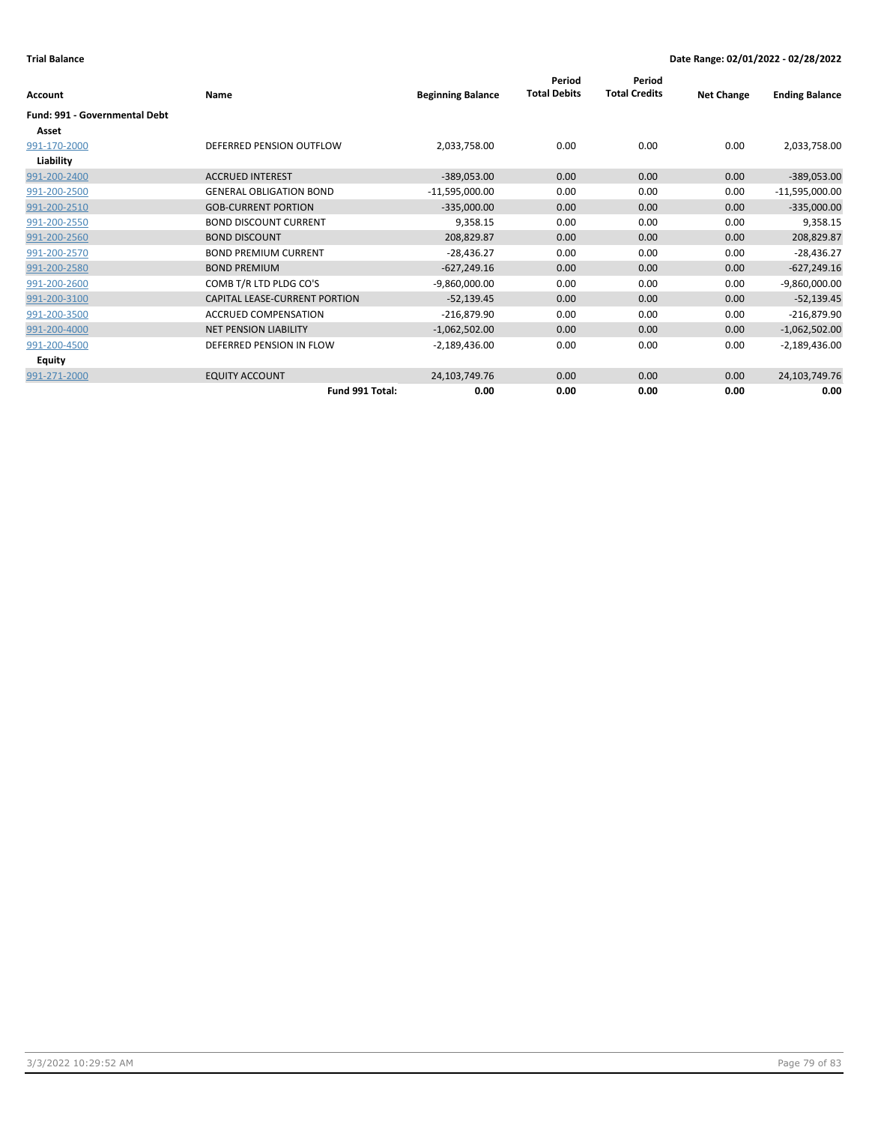| <b>Account</b>                       | Name                           | <b>Beginning Balance</b> | Period<br><b>Total Debits</b> | Period<br><b>Total Credits</b> | <b>Net Change</b> | <b>Ending Balance</b> |
|--------------------------------------|--------------------------------|--------------------------|-------------------------------|--------------------------------|-------------------|-----------------------|
|                                      |                                |                          |                               |                                |                   |                       |
| <b>Fund: 991 - Governmental Debt</b> |                                |                          |                               |                                |                   |                       |
| Asset                                |                                |                          |                               |                                |                   |                       |
| 991-170-2000                         | DEFERRED PENSION OUTFLOW       | 2,033,758.00             | 0.00                          | 0.00                           | 0.00              | 2,033,758.00          |
| Liability                            |                                |                          |                               |                                |                   |                       |
| 991-200-2400                         | <b>ACCRUED INTEREST</b>        | $-389,053.00$            | 0.00                          | 0.00                           | 0.00              | $-389,053.00$         |
| 991-200-2500                         | <b>GENERAL OBLIGATION BOND</b> | $-11,595,000.00$         | 0.00                          | 0.00                           | 0.00              | $-11,595,000.00$      |
| 991-200-2510                         | <b>GOB-CURRENT PORTION</b>     | $-335,000.00$            | 0.00                          | 0.00                           | 0.00              | $-335,000.00$         |
| 991-200-2550                         | <b>BOND DISCOUNT CURRENT</b>   | 9,358.15                 | 0.00                          | 0.00                           | 0.00              | 9,358.15              |
| 991-200-2560                         | <b>BOND DISCOUNT</b>           | 208,829.87               | 0.00                          | 0.00                           | 0.00              | 208,829.87            |
| 991-200-2570                         | <b>BOND PREMIUM CURRENT</b>    | $-28,436.27$             | 0.00                          | 0.00                           | 0.00              | $-28,436.27$          |
| 991-200-2580                         | <b>BOND PREMIUM</b>            | $-627,249.16$            | 0.00                          | 0.00                           | 0.00              | $-627,249.16$         |
| 991-200-2600                         | COMB T/R LTD PLDG CO'S         | $-9,860,000.00$          | 0.00                          | 0.00                           | 0.00              | $-9,860,000.00$       |
| 991-200-3100                         | CAPITAL LEASE-CURRENT PORTION  | $-52,139.45$             | 0.00                          | 0.00                           | 0.00              | $-52,139.45$          |
| 991-200-3500                         | <b>ACCRUED COMPENSATION</b>    | $-216,879.90$            | 0.00                          | 0.00                           | 0.00              | $-216,879.90$         |
| 991-200-4000                         | <b>NET PENSION LIABILITY</b>   | $-1,062,502.00$          | 0.00                          | 0.00                           | 0.00              | $-1,062,502.00$       |
| 991-200-4500                         | DEFERRED PENSION IN FLOW       | $-2,189,436.00$          | 0.00                          | 0.00                           | 0.00              | $-2,189,436.00$       |
| <b>Equity</b>                        |                                |                          |                               |                                |                   |                       |
| 991-271-2000                         | <b>EQUITY ACCOUNT</b>          | 24,103,749.76            | 0.00                          | 0.00                           | 0.00              | 24,103,749.76         |
|                                      | Fund 991 Total:                | 0.00                     | 0.00                          | 0.00                           | 0.00              | 0.00                  |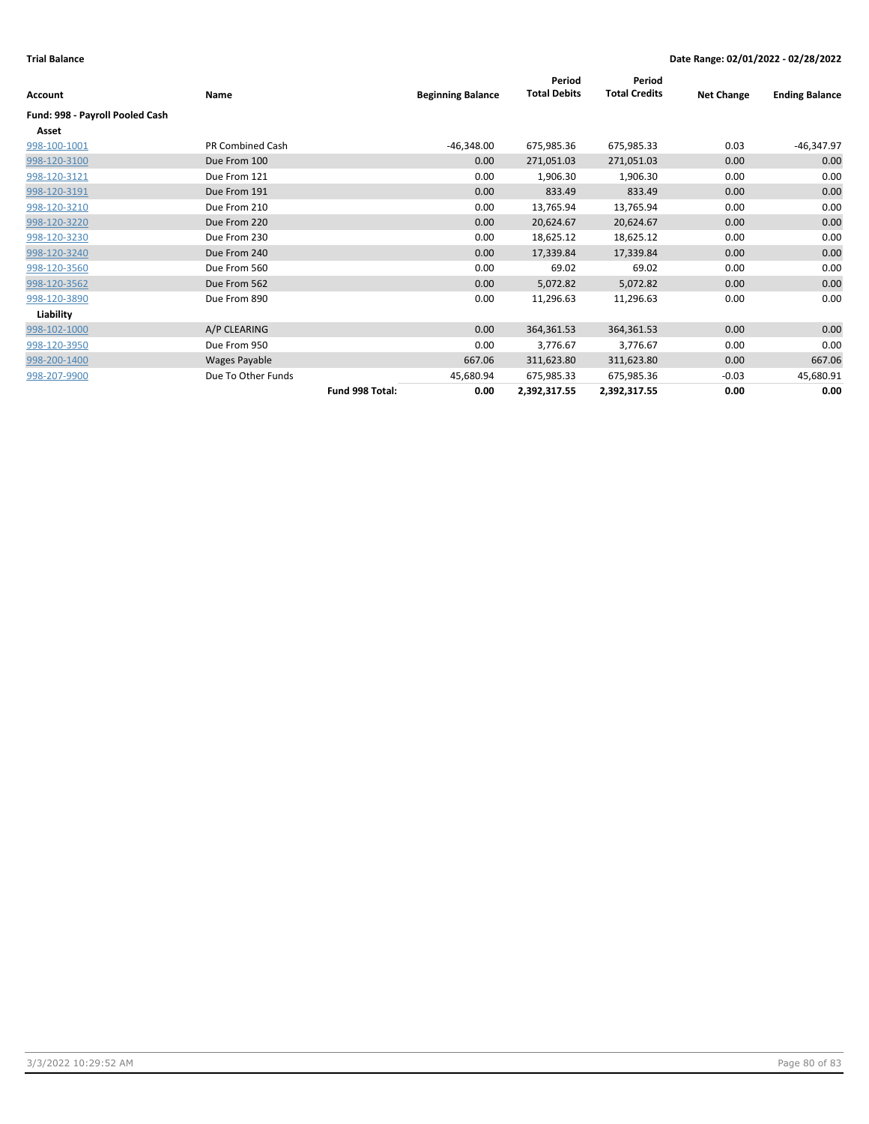|                         |                 |                          | Period              | Period               |                   |                       |
|-------------------------|-----------------|--------------------------|---------------------|----------------------|-------------------|-----------------------|
| Name                    |                 | <b>Beginning Balance</b> | <b>Total Debits</b> | <b>Total Credits</b> | <b>Net Change</b> | <b>Ending Balance</b> |
|                         |                 |                          |                     |                      |                   |                       |
|                         |                 |                          |                     |                      |                   |                       |
| <b>PR Combined Cash</b> |                 | $-46,348.00$             | 675,985.36          | 675,985.33           | 0.03              | $-46,347.97$          |
| Due From 100            |                 | 0.00                     | 271,051.03          | 271,051.03           | 0.00              | 0.00                  |
| Due From 121            |                 | 0.00                     | 1,906.30            | 1,906.30             | 0.00              | 0.00                  |
| Due From 191            |                 | 0.00                     | 833.49              | 833.49               | 0.00              | 0.00                  |
| Due From 210            |                 | 0.00                     | 13,765.94           | 13,765.94            | 0.00              | 0.00                  |
| Due From 220            |                 | 0.00                     | 20,624.67           | 20,624.67            | 0.00              | 0.00                  |
| Due From 230            |                 | 0.00                     | 18,625.12           | 18,625.12            | 0.00              | 0.00                  |
| Due From 240            |                 | 0.00                     | 17,339.84           | 17,339.84            | 0.00              | 0.00                  |
| Due From 560            |                 | 0.00                     | 69.02               | 69.02                | 0.00              | 0.00                  |
| Due From 562            |                 | 0.00                     | 5,072.82            | 5,072.82             | 0.00              | 0.00                  |
| Due From 890            |                 | 0.00                     | 11,296.63           | 11,296.63            | 0.00              | 0.00                  |
|                         |                 |                          |                     |                      |                   |                       |
| A/P CLEARING            |                 | 0.00                     | 364,361.53          | 364,361.53           | 0.00              | 0.00                  |
| Due From 950            |                 | 0.00                     | 3,776.67            | 3,776.67             | 0.00              | 0.00                  |
| Wages Payable           |                 | 667.06                   | 311,623.80          | 311,623.80           | 0.00              | 667.06                |
| Due To Other Funds      |                 | 45,680.94                | 675,985.33          | 675,985.36           | $-0.03$           | 45,680.91             |
|                         | Fund 998 Total: | 0.00                     | 2,392,317.55        | 2,392,317.55         | 0.00              | 0.00                  |
|                         |                 |                          |                     |                      |                   |                       |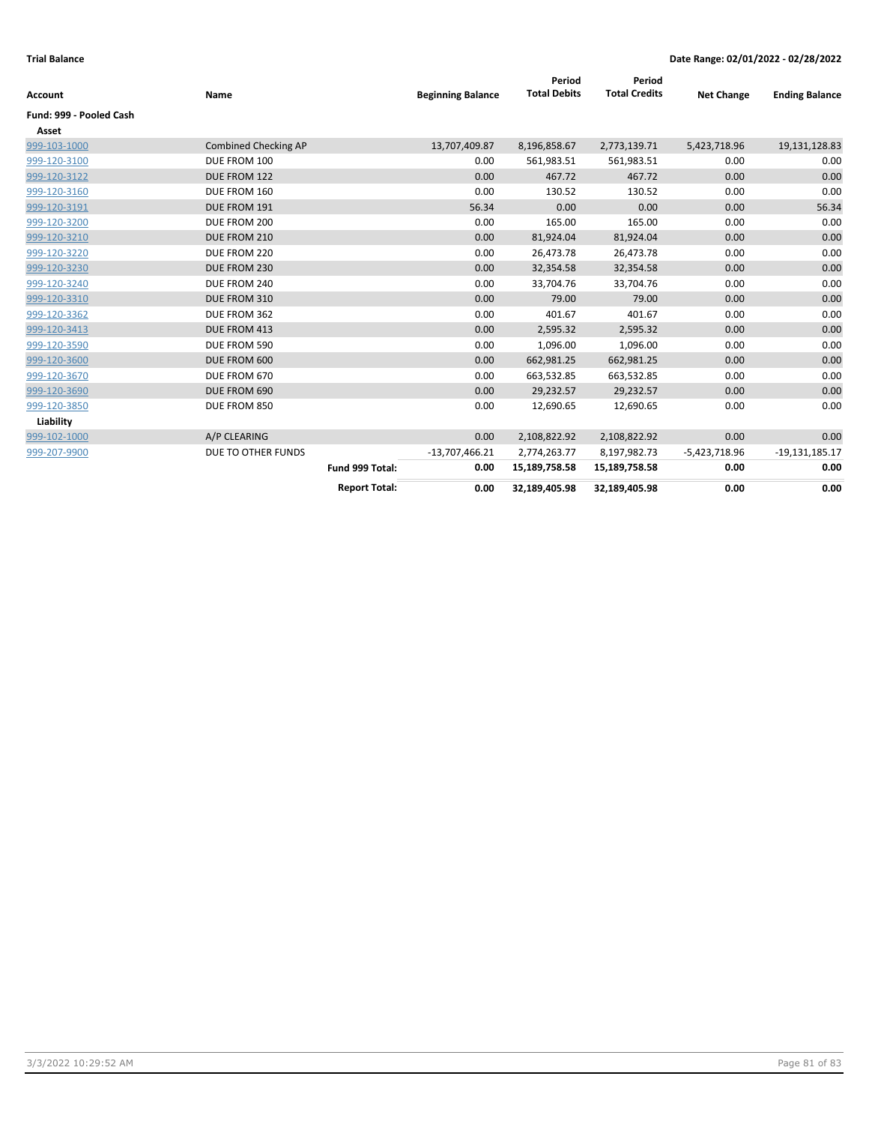| <b>Account</b>          | Name                 |                      | <b>Beginning Balance</b> | Period<br><b>Total Debits</b> | Period<br><b>Total Credits</b> | <b>Net Change</b> | <b>Ending Balance</b> |
|-------------------------|----------------------|----------------------|--------------------------|-------------------------------|--------------------------------|-------------------|-----------------------|
| Fund: 999 - Pooled Cash |                      |                      |                          |                               |                                |                   |                       |
| Asset                   |                      |                      |                          |                               |                                |                   |                       |
| 999-103-1000            | Combined Checking AP |                      | 13,707,409.87            | 8,196,858.67                  | 2,773,139.71                   | 5,423,718.96      | 19,131,128.83         |
| 999-120-3100            | DUE FROM 100         |                      | 0.00                     | 561,983.51                    | 561,983.51                     | 0.00              | 0.00                  |
| 999-120-3122            | DUE FROM 122         |                      | 0.00                     | 467.72                        | 467.72                         | 0.00              | 0.00                  |
| 999-120-3160            | DUE FROM 160         |                      | 0.00                     | 130.52                        | 130.52                         | 0.00              | 0.00                  |
| 999-120-3191            | DUE FROM 191         |                      | 56.34                    | 0.00                          | 0.00                           | 0.00              | 56.34                 |
| 999-120-3200            | DUE FROM 200         |                      | 0.00                     | 165.00                        | 165.00                         | 0.00              | 0.00                  |
| 999-120-3210            | DUE FROM 210         |                      | 0.00                     | 81,924.04                     | 81,924.04                      | 0.00              | 0.00                  |
| 999-120-3220            | DUE FROM 220         |                      | 0.00                     | 26,473.78                     | 26,473.78                      | 0.00              | 0.00                  |
| 999-120-3230            | DUE FROM 230         |                      | 0.00                     | 32,354.58                     | 32,354.58                      | 0.00              | 0.00                  |
| 999-120-3240            | DUE FROM 240         |                      | 0.00                     | 33,704.76                     | 33,704.76                      | 0.00              | 0.00                  |
| 999-120-3310            | DUE FROM 310         |                      | 0.00                     | 79.00                         | 79.00                          | 0.00              | 0.00                  |
| 999-120-3362            | DUE FROM 362         |                      | 0.00                     | 401.67                        | 401.67                         | 0.00              | 0.00                  |
| 999-120-3413            | DUE FROM 413         |                      | 0.00                     | 2,595.32                      | 2,595.32                       | 0.00              | 0.00                  |
| 999-120-3590            | DUE FROM 590         |                      | 0.00                     | 1,096.00                      | 1,096.00                       | 0.00              | 0.00                  |
| 999-120-3600            | DUE FROM 600         |                      | 0.00                     | 662,981.25                    | 662,981.25                     | 0.00              | 0.00                  |
| 999-120-3670            | DUE FROM 670         |                      | 0.00                     | 663,532.85                    | 663,532.85                     | 0.00              | 0.00                  |
| 999-120-3690            | DUE FROM 690         |                      | 0.00                     | 29,232.57                     | 29,232.57                      | 0.00              | 0.00                  |
| 999-120-3850            | DUE FROM 850         |                      | 0.00                     | 12,690.65                     | 12,690.65                      | 0.00              | 0.00                  |
| Liability               |                      |                      |                          |                               |                                |                   |                       |
| 999-102-1000            | A/P CLEARING         |                      | 0.00                     | 2,108,822.92                  | 2,108,822.92                   | 0.00              | 0.00                  |
| 999-207-9900            | DUE TO OTHER FUNDS   |                      | $-13,707,466.21$         | 2,774,263.77                  | 8,197,982.73                   | -5,423,718.96     | $-19,131,185.17$      |
|                         |                      | Fund 999 Total:      | 0.00                     | 15,189,758.58                 | 15,189,758.58                  | 0.00              | 0.00                  |
|                         |                      | <b>Report Total:</b> | 0.00                     | 32,189,405.98                 | 32,189,405.98                  | 0.00              | 0.00                  |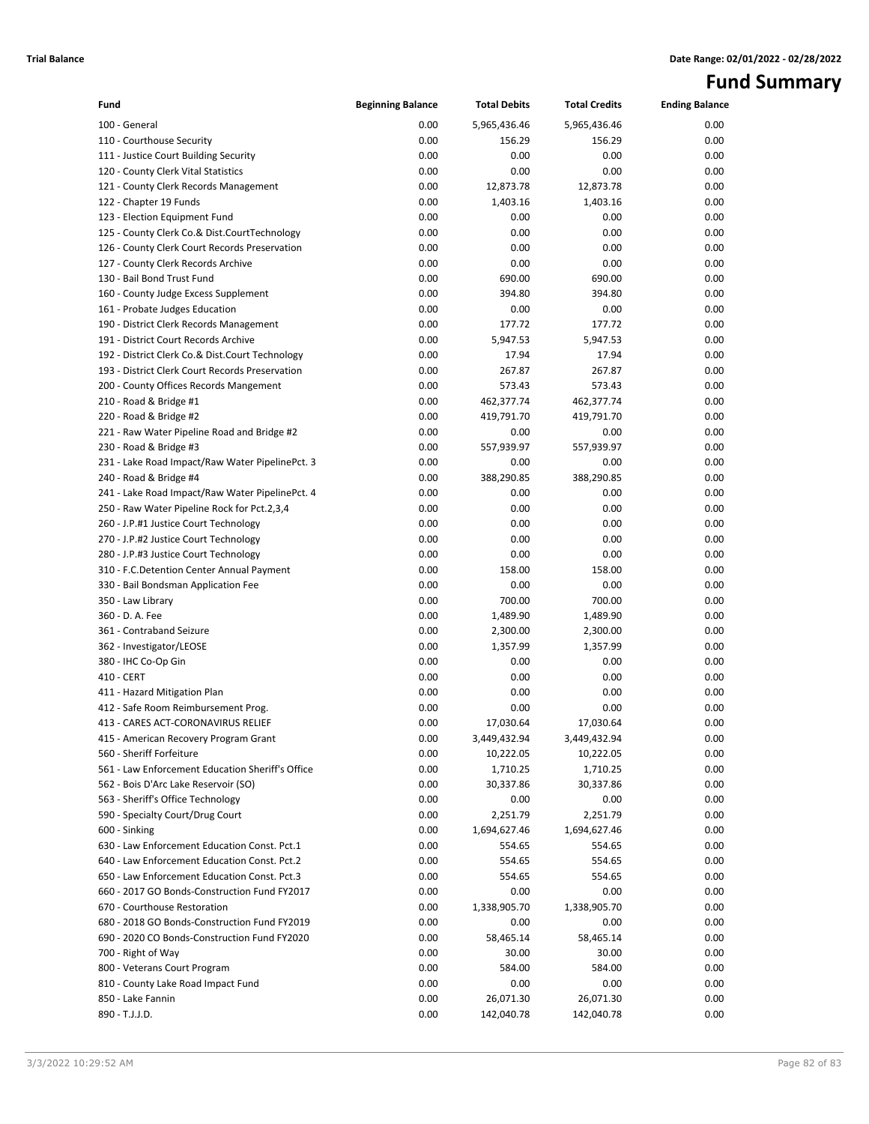# **Fund Summary**

| Fund                                                                                               | <b>Beginning Balance</b> | <b>Total Debits</b>      | <b>Total Credits</b>     | <b>Ending Balance</b> |
|----------------------------------------------------------------------------------------------------|--------------------------|--------------------------|--------------------------|-----------------------|
| 100 - General                                                                                      | 0.00                     | 5,965,436.46             | 5,965,436.46             | 0.00                  |
| 110 - Courthouse Security                                                                          | 0.00                     | 156.29                   | 156.29                   | 0.00                  |
| 111 - Justice Court Building Security                                                              | 0.00                     | 0.00                     | 0.00                     | 0.00                  |
| 120 - County Clerk Vital Statistics                                                                | 0.00                     | 0.00                     | 0.00                     | 0.00                  |
| 121 - County Clerk Records Management                                                              | 0.00                     | 12,873.78                | 12,873.78                | 0.00                  |
| 122 - Chapter 19 Funds                                                                             | 0.00                     | 1,403.16                 | 1,403.16                 | 0.00                  |
| 123 - Election Equipment Fund                                                                      | 0.00                     | 0.00                     | 0.00                     | 0.00                  |
| 125 - County Clerk Co.& Dist.CourtTechnology                                                       | 0.00                     | 0.00                     | 0.00                     | 0.00                  |
| 126 - County Clerk Court Records Preservation                                                      | 0.00                     | 0.00                     | 0.00                     | 0.00                  |
| 127 - County Clerk Records Archive                                                                 | 0.00                     | 0.00                     | 0.00                     | 0.00                  |
| 130 - Bail Bond Trust Fund                                                                         | 0.00                     | 690.00                   | 690.00                   | 0.00                  |
| 160 - County Judge Excess Supplement                                                               | 0.00                     | 394.80                   | 394.80                   | 0.00                  |
| 161 - Probate Judges Education                                                                     | 0.00                     | 0.00                     | 0.00                     | 0.00                  |
| 190 - District Clerk Records Management                                                            | 0.00                     | 177.72                   | 177.72                   | 0.00                  |
| 191 - District Court Records Archive                                                               | 0.00                     | 5,947.53                 | 5,947.53                 | 0.00                  |
| 192 - District Clerk Co.& Dist.Court Technology<br>193 - District Clerk Court Records Preservation | 0.00                     | 17.94<br>267.87          | 17.94                    | 0.00                  |
|                                                                                                    | 0.00<br>0.00             |                          | 267.87                   | 0.00                  |
| 200 - County Offices Records Mangement                                                             | 0.00                     | 573.43                   | 573.43                   | 0.00<br>0.00          |
| 210 - Road & Bridge #1<br>220 - Road & Bridge #2                                                   | 0.00                     | 462,377.74<br>419,791.70 | 462,377.74<br>419,791.70 | 0.00                  |
| 221 - Raw Water Pipeline Road and Bridge #2                                                        | 0.00                     | 0.00                     | 0.00                     | 0.00                  |
| 230 - Road & Bridge #3                                                                             | 0.00                     | 557,939.97               | 557,939.97               | 0.00                  |
| 231 - Lake Road Impact/Raw Water PipelinePct. 3                                                    | 0.00                     | 0.00                     | 0.00                     | 0.00                  |
| 240 - Road & Bridge #4                                                                             | 0.00                     | 388,290.85               | 388,290.85               | 0.00                  |
| 241 - Lake Road Impact/Raw Water PipelinePct. 4                                                    | 0.00                     | 0.00                     | 0.00                     | 0.00                  |
| 250 - Raw Water Pipeline Rock for Pct.2,3,4                                                        | 0.00                     | 0.00                     | 0.00                     | 0.00                  |
| 260 - J.P.#1 Justice Court Technology                                                              | 0.00                     | 0.00                     | 0.00                     | 0.00                  |
| 270 - J.P.#2 Justice Court Technology                                                              | 0.00                     | 0.00                     | 0.00                     | 0.00                  |
| 280 - J.P.#3 Justice Court Technology                                                              | 0.00                     | 0.00                     | 0.00                     | 0.00                  |
| 310 - F.C.Detention Center Annual Payment                                                          | 0.00                     | 158.00                   | 158.00                   | 0.00                  |
| 330 - Bail Bondsman Application Fee                                                                | 0.00                     | 0.00                     | 0.00                     | 0.00                  |
| 350 - Law Library                                                                                  | 0.00                     | 700.00                   | 700.00                   | 0.00                  |
| 360 - D. A. Fee                                                                                    | 0.00                     | 1,489.90                 | 1,489.90                 | 0.00                  |
| 361 - Contraband Seizure                                                                           | 0.00                     | 2,300.00                 | 2,300.00                 | 0.00                  |
| 362 - Investigator/LEOSE                                                                           | 0.00                     | 1,357.99                 | 1,357.99                 | 0.00                  |
| 380 - IHC Co-Op Gin                                                                                | 0.00                     | 0.00                     | 0.00                     | 0.00                  |
| 410 - CERT                                                                                         | 0.00                     | 0.00                     | 0.00                     | 0.00                  |
| 411 - Hazard Mitigation Plan                                                                       | 0.00                     | 0.00                     | 0.00                     | 0.00                  |
| 412 - Safe Room Reimbursement Prog.                                                                | 0.00                     | 0.00                     | 0.00                     | 0.00                  |
| 413 - CARES ACT-CORONAVIRUS RELIEF                                                                 | 0.00                     | 17,030.64                | 17,030.64                | 0.00                  |
| 415 - American Recovery Program Grant                                                              | 0.00                     | 3,449,432.94             | 3,449,432.94             | 0.00                  |
| 560 - Sheriff Forfeiture                                                                           | 0.00                     | 10,222.05                | 10,222.05                | 0.00                  |
| 561 - Law Enforcement Education Sheriff's Office                                                   | 0.00                     | 1,710.25                 | 1,710.25                 | 0.00                  |
| 562 - Bois D'Arc Lake Reservoir (SO)                                                               | 0.00                     | 30,337.86                | 30,337.86                | 0.00                  |
| 563 - Sheriff's Office Technology                                                                  | 0.00                     | 0.00                     | 0.00                     | 0.00                  |
| 590 - Specialty Court/Drug Court                                                                   | 0.00                     | 2,251.79                 | 2,251.79                 | 0.00                  |
| 600 - Sinking                                                                                      | 0.00                     | 1,694,627.46             | 1,694,627.46             | 0.00                  |
| 630 - Law Enforcement Education Const. Pct.1                                                       | 0.00                     | 554.65                   | 554.65                   | 0.00                  |
| 640 - Law Enforcement Education Const. Pct.2                                                       | 0.00                     | 554.65                   | 554.65                   | 0.00                  |
| 650 - Law Enforcement Education Const. Pct.3                                                       | 0.00                     | 554.65                   | 554.65                   | 0.00                  |
| 660 - 2017 GO Bonds-Construction Fund FY2017                                                       | 0.00                     | 0.00                     | 0.00                     | 0.00                  |
| 670 - Courthouse Restoration                                                                       | 0.00                     | 1,338,905.70             | 1,338,905.70             | 0.00                  |
| 680 - 2018 GO Bonds-Construction Fund FY2019                                                       | 0.00                     | 0.00                     | 0.00                     | 0.00                  |
| 690 - 2020 CO Bonds-Construction Fund FY2020                                                       | 0.00                     | 58,465.14                | 58,465.14                | 0.00                  |
| 700 - Right of Way                                                                                 | 0.00                     | 30.00                    | 30.00                    | 0.00                  |
| 800 - Veterans Court Program                                                                       | 0.00                     | 584.00                   | 584.00                   | 0.00                  |
| 810 - County Lake Road Impact Fund                                                                 | 0.00                     | 0.00                     | 0.00                     | 0.00                  |
| 850 - Lake Fannin                                                                                  | 0.00                     | 26,071.30                | 26,071.30                | 0.00                  |
| 890 - T.J.J.D.                                                                                     | 0.00                     | 142,040.78               | 142,040.78               | 0.00                  |